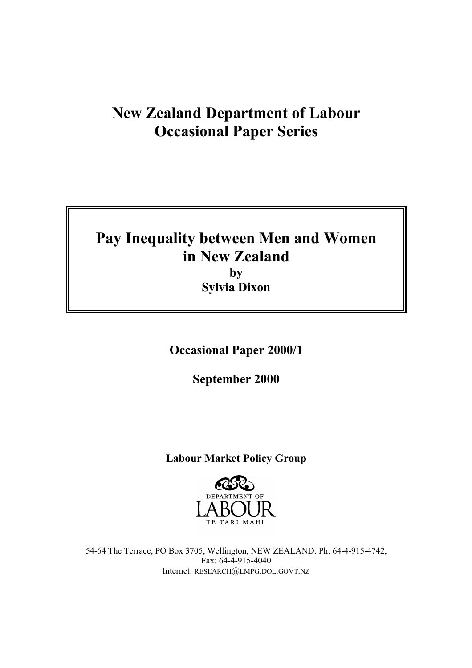# **New Zealand Department of Labour Occasional Paper Series**

# **Pay Inequality between Men and Women in New Zealand by**

**Sylvia Dixon** 

**Occasional Paper 2000/1** 

**September 2000** 

# **Labour Market Policy Group**



54-64 The Terrace, PO Box 3705, Wellington, NEW ZEALAND. Ph: 64-4-915-4742, Fax: 64-4-915-4040 Internet: RESEARCH@LMPG.DOL.GOVT.NZ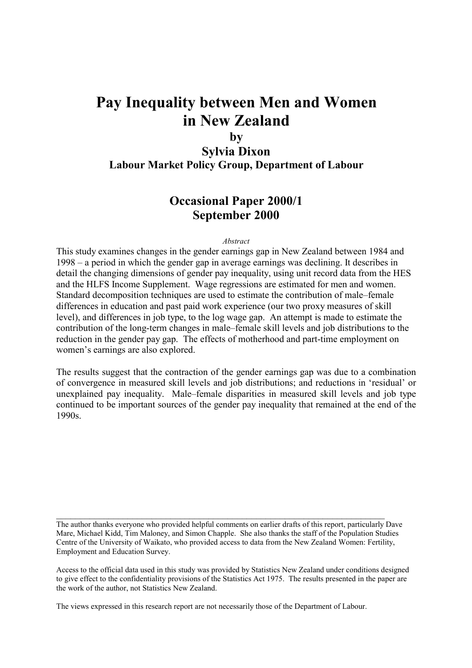# **Pay Inequality between Men and Women in New Zealand**

# **by**

**Sylvia Dixon Labour Market Policy Group, Department of Labour** 

# **Occasional Paper 2000/1 September 2000**

#### *Abstract*

This study examines changes in the gender earnings gap in New Zealand between 1984 and  $1998 - a$  period in which the gender gap in average earnings was declining. It describes in detail the changing dimensions of gender pay inequality, using unit record data from the HES and the HLFS Income Supplement. Wage regressions are estimated for men and women. Standard decomposition techniques are used to estimate the contribution of male–female differences in education and past paid work experience (our two proxy measures of skill level), and differences in job type, to the log wage gap. An attempt is made to estimate the contribution of the long-term changes in male–female skill levels and job distributions to the reduction in the gender pay gap. The effects of motherhood and part-time employment on women's earnings are also explored.

The results suggest that the contraction of the gender earnings gap was due to a combination of convergence in measured skill levels and job distributions; and reductions in 'residual' or unexplained pay inequality. Male–female disparities in measured skill levels and job type continued to be important sources of the gender pay inequality that remained at the end of the 1990s.

The author thanks everyone who provided helpful comments on earlier drafts of this report, particularly Dave Mare, Michael Kidd, Tim Maloney, and Simon Chapple. She also thanks the staff of the Population Studies Centre of the University of Waikato, who provided access to data from the New Zealand Women: Fertility, Employment and Education Survey.

 $\mathcal{L}_\mathcal{L} = \mathcal{L}_\mathcal{L} = \mathcal{L}_\mathcal{L} = \mathcal{L}_\mathcal{L} = \mathcal{L}_\mathcal{L} = \mathcal{L}_\mathcal{L} = \mathcal{L}_\mathcal{L} = \mathcal{L}_\mathcal{L} = \mathcal{L}_\mathcal{L} = \mathcal{L}_\mathcal{L} = \mathcal{L}_\mathcal{L} = \mathcal{L}_\mathcal{L} = \mathcal{L}_\mathcal{L} = \mathcal{L}_\mathcal{L} = \mathcal{L}_\mathcal{L} = \mathcal{L}_\mathcal{L} = \mathcal{L}_\mathcal{L}$ 

Access to the official data used in this study was provided by Statistics New Zealand under conditions designed to give effect to the confidentiality provisions of the Statistics Act 1975. The results presented in the paper are the work of the author, not Statistics New Zealand.

The views expressed in this research report are not necessarily those of the Department of Labour.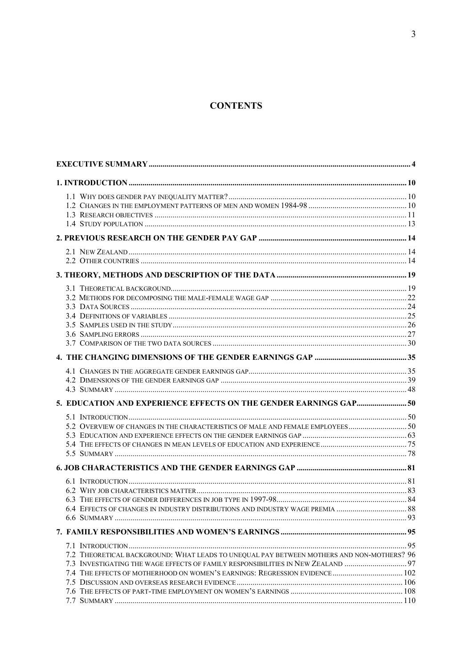## **CONTENTS**

| 6.4 EFFECTS OF CHANGES IN INDUSTRY DISTRIBUTIONS AND INDUSTRY WAGE PREMIA  88             |  |
|-------------------------------------------------------------------------------------------|--|
|                                                                                           |  |
|                                                                                           |  |
|                                                                                           |  |
| 7.2 THEORETICAL BACKGROUND: WHAT LEADS TO UNEQUAL PAY BETWEEN MOTHERS AND NON-MOTHERS? 96 |  |
| 7.3 INVESTIGATING THE WAGE EFFECTS OF FAMILY RESPONSIBILITIES IN NEW ZEALAND  97          |  |
|                                                                                           |  |
|                                                                                           |  |
|                                                                                           |  |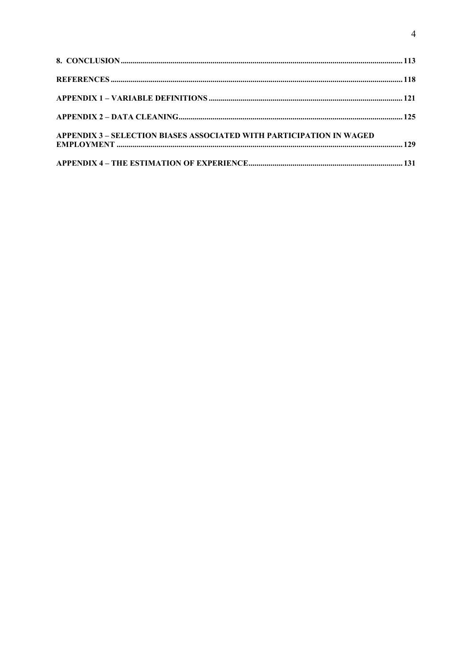| <b>APPENDIX 3 - SELECTION BIASES ASSOCIATED WITH PARTICIPATION IN WAGED</b> |  |
|-----------------------------------------------------------------------------|--|
|                                                                             |  |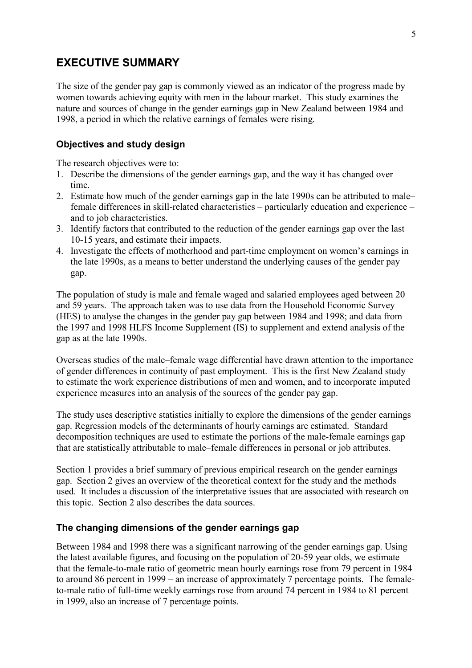# **EXECUTIVE SUMMARY**

The size of the gender pay gap is commonly viewed as an indicator of the progress made by women towards achieving equity with men in the labour market. This study examines the nature and sources of change in the gender earnings gap in New Zealand between 1984 and 1998, a period in which the relative earnings of females were rising.

#### **Objectives and study design**

The research objectives were to:

- 1. Describe the dimensions of the gender earnings gap, and the way it has changed over time.
- 2. Estimate how much of the gender earnings gap in the late 1990s can be attributed to male– female differences in skill-related characteristics  $-$  particularly education and experience  $$ and to job characteristics.
- 3. Identify factors that contributed to the reduction of the gender earnings gap over the last 10-15 years, and estimate their impacts.
- 4. Investigate the effects of motherhood and part-time employment on women's earnings in the late 1990s, as a means to better understand the underlying causes of the gender pay gap.

The population of study is male and female waged and salaried employees aged between 20 and 59 years. The approach taken was to use data from the Household Economic Survey (HES) to analyse the changes in the gender pay gap between 1984 and 1998; and data from the 1997 and 1998 HLFS Income Supplement (IS) to supplement and extend analysis of the gap as at the late 1990s.

Overseas studies of the male–female wage differential have drawn attention to the importance of gender differences in continuity of past employment. This is the first New Zealand study to estimate the work experience distributions of men and women, and to incorporate imputed experience measures into an analysis of the sources of the gender pay gap.

The study uses descriptive statistics initially to explore the dimensions of the gender earnings gap. Regression models of the determinants of hourly earnings are estimated. Standard decomposition techniques are used to estimate the portions of the male-female earnings gap that are statistically attributable to male–female differences in personal or job attributes.

Section 1 provides a brief summary of previous empirical research on the gender earnings gap. Section 2 gives an overview of the theoretical context for the study and the methods used. It includes a discussion of the interpretative issues that are associated with research on this topic. Section 2 also describes the data sources.

#### **The changing dimensions of the gender earnings gap**

Between 1984 and 1998 there was a significant narrowing of the gender earnings gap. Using the latest available figures, and focusing on the population of 20-59 year olds, we estimate that the female-to-male ratio of geometric mean hourly earnings rose from 79 percent in 1984 to around 86 percent in 1999 – an increase of approximately 7 percentage points. The femaleto-male ratio of full-time weekly earnings rose from around 74 percent in 1984 to 81 percent in 1999, also an increase of 7 percentage points.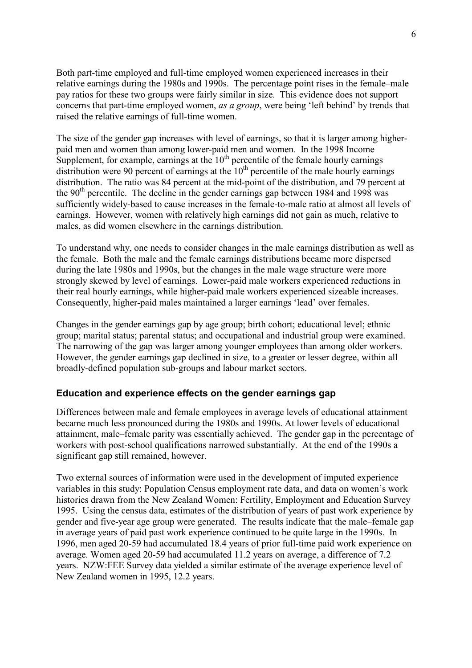Both part-time employed and full-time employed women experienced increases in their relative earnings during the 1980s and 1990s. The percentage point rises in the female—male pay ratios for these two groups were fairly similar in size. This evidence does not support concerns that part-time employed women, *as a group*, were being 'left behind' by trends that raised the relative earnings of full-time women.

The size of the gender gap increases with level of earnings, so that it is larger among higherpaid men and women than among lower-paid men and women. In the 1998 Income Supplement, for example, earnings at the  $10<sup>th</sup>$  percentile of the female hourly earnings distribution were 90 percent of earnings at the  $10<sup>th</sup>$  percentile of the male hourly earnings distribution. The ratio was 84 percent at the mid-point of the distribution, and 79 percent at the  $90<sup>th</sup>$  percentile. The decline in the gender earnings gap between 1984 and 1998 was sufficiently widely-based to cause increases in the female-to-male ratio at almost all levels of earnings. However, women with relatively high earnings did not gain as much, relative to males, as did women elsewhere in the earnings distribution.

To understand why, one needs to consider changes in the male earnings distribution as well as the female. Both the male and the female earnings distributions became more dispersed during the late 1980s and 1990s, but the changes in the male wage structure were more strongly skewed by level of earnings. Lower-paid male workers experienced reductions in their real hourly earnings, while higher-paid male workers experienced sizeable increases. Consequently, higher-paid males maintained a larger earnings 'lead' over females.

Changes in the gender earnings gap by age group; birth cohort; educational level; ethnic group; marital status; parental status; and occupational and industrial group were examined. The narrowing of the gap was larger among younger employees than among older workers. However, the gender earnings gap declined in size, to a greater or lesser degree, within all broadly-defined population sub-groups and labour market sectors.

## **Education and experience effects on the gender earnings gap**

Differences between male and female employees in average levels of educational attainment became much less pronounced during the 1980s and 1990s. At lower levels of educational attainment, male–female parity was essentially achieved. The gender gap in the percentage of workers with post-school qualifications narrowed substantially. At the end of the 1990s a significant gap still remained, however.

Two external sources of information were used in the development of imputed experience variables in this study: Population Census employment rate data, and data on women's work histories drawn from the New Zealand Women: Fertility, Employment and Education Survey 1995. Using the census data, estimates of the distribution of years of past work experience by gender and five-year age group were generated. The results indicate that the male–female gap in average years of paid past work experience continued to be quite large in the 1990s. In 1996, men aged 20-59 had accumulated 18.4 years of prior full-time paid work experience on average. Women aged 20-59 had accumulated 11.2 years on average, a difference of 7.2 years. NZW:FEE Survey data yielded a similar estimate of the average experience level of New Zealand women in 1995, 12.2 years.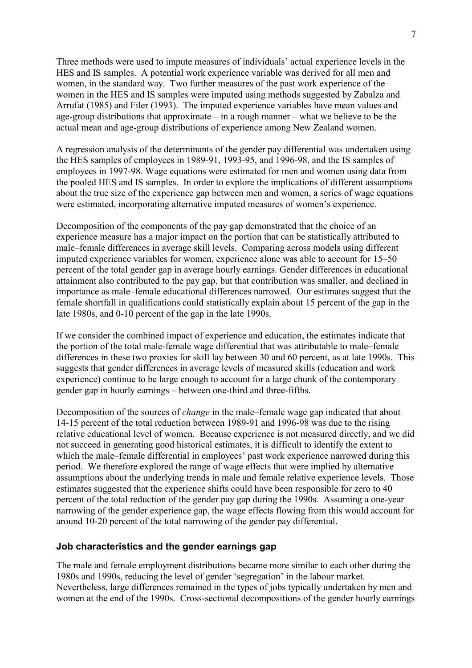Three methods were used to impute measures of individuals' actual experience levels in the HES and IS samples. A potential work experience variable was derived for all men and women, in the standard way. Two further measures of the past work experience of the women in the HES and IS samples were imputed using methods suggested by Zabalza and Arrufat (1985) and Filer (1993). The imputed experience variables have mean values and age-group distributions that approximate  $-\text{ in a rough manner} - \text{ what we believe to be the}$ actual mean and age-group distributions of experience among New Zealand women.

A regression analysis of the determinants of the gender pay differential was undertaken using the HES samples of employees in 1989-91, 1993-95, and 1996-98, and the IS samples of employees in 1997-98. Wage equations were estimated for men and women using data from the pooled HES and IS samples. In order to explore the implications of different assumptions about the true size of the experience gap between men and women, a series of wage equations were estimated, incorporating alternative imputed measures of women's experience.

Decomposition of the components of the pay gap demonstrated that the choice of an experience measure has a major impact on the portion that can be statistically attributed to male–female differences in average skill levels. Comparing across models using different imputed experience variables for women, experience alone was able to account for  $15-50$ percent of the total gender gap in average hourly earnings. Gender differences in educational attainment also contributed to the pay gap, but that contribution was smaller, and declined in importance as male–female educational differences narrowed. Our estimates suggest that the female shortfall in qualifications could statistically explain about 15 percent of the gap in the late 1980s, and 0-10 percent of the gap in the late 1990s.

If we consider the combined impact of experience and education, the estimates indicate that the portion of the total male-female wage differential that was attributable to male–female differences in these two proxies for skill lay between 30 and 60 percent, as at late 1990s. This suggests that gender differences in average levels of measured skills (education and work experience) continue to be large enough to account for a large chunk of the contemporary gender gap in hourly earnings – between one-third and three-fifths.

Decomposition of the sources of *change* in the male–female wage gap indicated that about 14-15 percent of the total reduction between 1989-91 and 1996-98 was due to the rising relative educational level of women. Because experience is not measured directly, and we did not succeed in generating good historical estimates, it is difficult to identify the extent to which the male–female differential in employees' past work experience narrowed during this period. We therefore explored the range of wage effects that were implied by alternative assumptions about the underlying trends in male and female relative experience levels. Those estimates suggested that the experience shifts could have been responsible for zero to 40 percent of the total reduction of the gender pay gap during the 1990s. Assuming a one-year narrowing of the gender experience gap, the wage effects flowing from this would account for around 10-20 percent of the total narrowing of the gender pay differential.

#### **Job characteristics and the gender earnings gap**

The male and female employment distributions became more similar to each other during the 1980s and 1990s, reducing the level of gender 'segregation' in the labour market. Nevertheless, large differences remained in the types of jobs typically undertaken by men and women at the end of the 1990s. Cross-sectional decompositions of the gender hourly earnings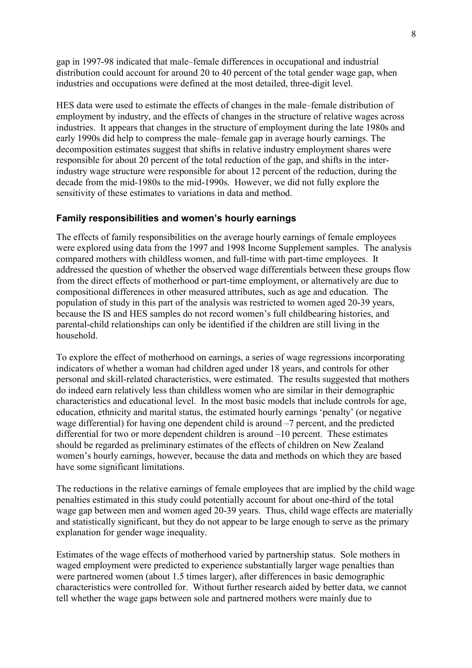gap in 1997-98 indicated that male–female differences in occupational and industrial distribution could account for around 20 to 40 percent of the total gender wage gap, when industries and occupations were defined at the most detailed, three-digit level.

HES data were used to estimate the effects of changes in the male–female distribution of employment by industry, and the effects of changes in the structure of relative wages across industries. It appears that changes in the structure of employment during the late 1980s and early 1990s did help to compress the male–female gap in average hourly earnings. The decomposition estimates suggest that shifts in relative industry employment shares were responsible for about 20 percent of the total reduction of the gap, and shifts in the interindustry wage structure were responsible for about 12 percent of the reduction, during the decade from the mid-1980s to the mid-1990s. However, we did not fully explore the sensitivity of these estimates to variations in data and method.

## **Family responsibilities and women's hourly earnings**

The effects of family responsibilities on the average hourly earnings of female employees were explored using data from the 1997 and 1998 Income Supplement samples. The analysis compared mothers with childless women, and full-time with part-time employees. It addressed the question of whether the observed wage differentials between these groups flow from the direct effects of motherhood or part-time employment, or alternatively are due to compositional differences in other measured attributes, such as age and education. The population of study in this part of the analysis was restricted to women aged 20-39 years, because the IS and HES samples do not record women's full childbearing histories, and parental-child relationships can only be identified if the children are still living in the household.

To explore the effect of motherhood on earnings, a series of wage regressions incorporating indicators of whether a woman had children aged under 18 years, and controls for other personal and skill-related characteristics, were estimated. The results suggested that mothers do indeed earn relatively less than childless women who are similar in their demographic characteristics and educational level. In the most basic models that include controls for age, education, ethnicity and marital status, the estimated hourly earnings 'penalty' (or negative wage differential) for having one dependent child is around  $-7$  percent, and the predicted differential for two or more dependent children is around  $-10$  percent. These estimates should be regarded as preliminary estimates of the effects of children on New Zealand women's hourly earnings, however, because the data and methods on which they are based have some significant limitations.

The reductions in the relative earnings of female employees that are implied by the child wage penalties estimated in this study could potentially account for about one-third of the total wage gap between men and women aged 20-39 years. Thus, child wage effects are materially and statistically significant, but they do not appear to be large enough to serve as the primary explanation for gender wage inequality.

Estimates of the wage effects of motherhood varied by partnership status. Sole mothers in waged employment were predicted to experience substantially larger wage penalties than were partnered women (about 1.5 times larger), after differences in basic demographic characteristics were controlled for. Without further research aided by better data, we cannot tell whether the wage gaps between sole and partnered mothers were mainly due to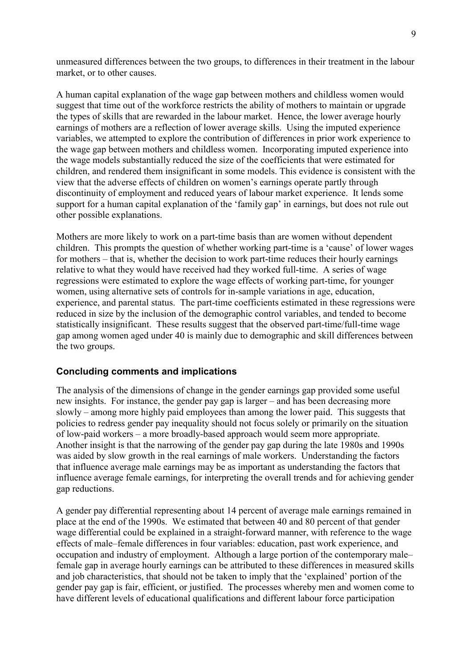unmeasured differences between the two groups, to differences in their treatment in the labour market, or to other causes.

A human capital explanation of the wage gap between mothers and childless women would suggest that time out of the workforce restricts the ability of mothers to maintain or upgrade the types of skills that are rewarded in the labour market. Hence, the lower average hourly earnings of mothers are a reflection of lower average skills. Using the imputed experience variables, we attempted to explore the contribution of differences in prior work experience to the wage gap between mothers and childless women. Incorporating imputed experience into the wage models substantially reduced the size of the coefficients that were estimated for children, and rendered them insignificant in some models. This evidence is consistent with the view that the adverse effects of children on women's earnings operate partly through discontinuity of employment and reduced years of labour market experience. It lends some support for a human capital explanation of the 'family gap' in earnings, but does not rule out other possible explanations.

Mothers are more likely to work on a part-time basis than are women without dependent children. This prompts the question of whether working part-time is a 'cause' of lower wages for mothers – that is, whether the decision to work part-time reduces their hourly earnings relative to what they would have received had they worked full-time. A series of wage regressions were estimated to explore the wage effects of working part-time, for younger women, using alternative sets of controls for in-sample variations in age, education, experience, and parental status. The part-time coefficients estimated in these regressions were reduced in size by the inclusion of the demographic control variables, and tended to become statistically insignificant. These results suggest that the observed part-time/full-time wage gap among women aged under 40 is mainly due to demographic and skill differences between the two groups.

#### **Concluding comments and implications**

The analysis of the dimensions of change in the gender earnings gap provided some useful new insights. For instance, the gender pay gap is larger – and has been decreasing more slowly – among more highly paid employees than among the lower paid. This suggests that policies to redress gender pay inequality should not focus solely or primarily on the situation of low-paid workers – a more broadly-based approach would seem more appropriate. Another insight is that the narrowing of the gender pay gap during the late 1980s and 1990s was aided by slow growth in the real earnings of male workers. Understanding the factors that influence average male earnings may be as important as understanding the factors that influence average female earnings, for interpreting the overall trends and for achieving gender gap reductions.

A gender pay differential representing about 14 percent of average male earnings remained in place at the end of the 1990s. We estimated that between 40 and 80 percent of that gender wage differential could be explained in a straight-forward manner, with reference to the wage effects of male–female differences in four variables: education, past work experience, and occupation and industry of employment. Although a large portion of the contemporary male– female gap in average hourly earnings can be attributed to these differences in measured skills and job characteristics, that should not be taken to imply that the 'explained' portion of the gender pay gap is fair, efficient, or justified. The processes whereby men and women come to have different levels of educational qualifications and different labour force participation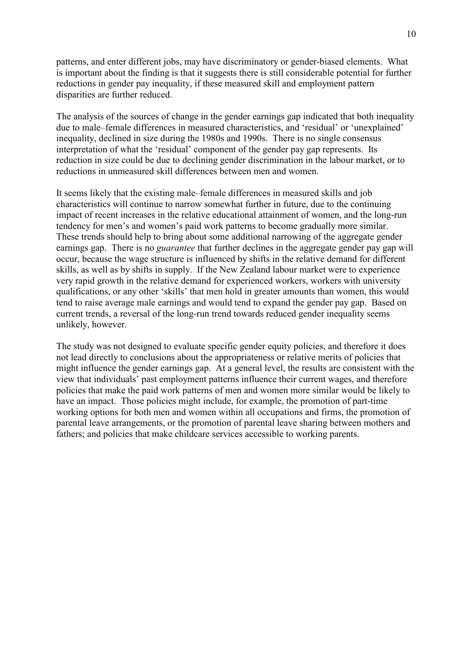patterns, and enter different jobs, may have discriminatory or gender-biased elements. What is important about the finding is that it suggests there is still considerable potential for further reductions in gender pay inequality, if these measured skill and employment pattern disparities are further reduced.

The analysis of the sources of change in the gender earnings gap indicated that both inequality due to male–female differences in measured characteristics, and 'residual' or 'unexplained' inequality, declined in size during the 1980s and 1990s. There is no single consensus interpretation of what the 'residual' component of the gender pay gap represents. Its reduction in size could be due to declining gender discrimination in the labour market, or to reductions in unmeasured skill differences between men and women.

It seems likely that the existing male–female differences in measured skills and job characteristics will continue to narrow somewhat further in future, due to the continuing impact of recent increases in the relative educational attainment of women, and the long-run tendency for men's and women's paid work patterns to become gradually more similar. These trends should help to bring about some additional narrowing of the aggregate gender earnings gap. There is no *guarantee* that further declines in the aggregate gender pay gap will occur, because the wage structure is influenced by shifts in the relative demand for different skills, as well as by shifts in supply. If the New Zealand labour market were to experience very rapid growth in the relative demand for experienced workers, workers with university qualifications, or any other 'skills' that men hold in greater amounts than women, this would tend to raise average male earnings and would tend to expand the gender pay gap. Based on current trends, a reversal of the long-run trend towards reduced gender inequality seems unlikely, however.

The study was not designed to evaluate specific gender equity policies, and therefore it does not lead directly to conclusions about the appropriateness or relative merits of policies that might influence the gender earnings gap. At a general level, the results are consistent with the view that individuals' past employment patterns influence their current wages, and therefore policies that make the paid work patterns of men and women more similar would be likely to have an impact. Those policies might include, for example, the promotion of part-time working options for both men and women within all occupations and firms, the promotion of parental leave arrangements, or the promotion of parental leave sharing between mothers and fathers; and policies that make childcare services accessible to working parents.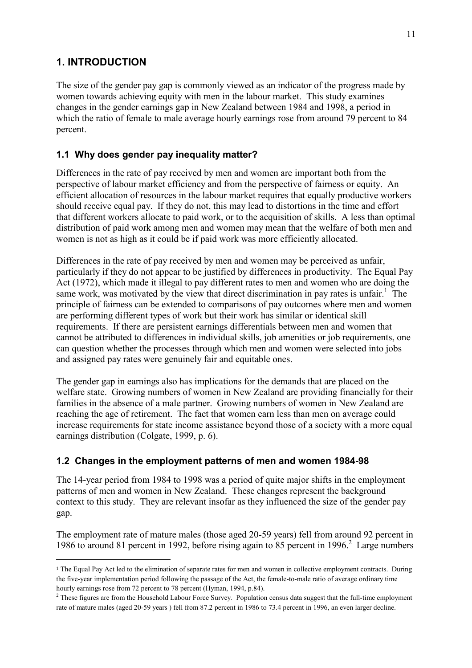# **1. INTRODUCTION**

 $\overline{a}$ 

The size of the gender pay gap is commonly viewed as an indicator of the progress made by women towards achieving equity with men in the labour market. This study examines changes in the gender earnings gap in New Zealand between 1984 and 1998, a period in which the ratio of female to male average hourly earnings rose from around 79 percent to 84 percent.

## **1.1 Why does gender pay inequality matter?**

Differences in the rate of pay received by men and women are important both from the perspective of labour market efficiency and from the perspective of fairness or equity. An efficient allocation of resources in the labour market requires that equally productive workers should receive equal pay. If they do not, this may lead to distortions in the time and effort that different workers allocate to paid work, or to the acquisition of skills. A less than optimal distribution of paid work among men and women may mean that the welfare of both men and women is not as high as it could be if paid work was more efficiently allocated.

Differences in the rate of pay received by men and women may be perceived as unfair, particularly if they do not appear to be justified by differences in productivity. The Equal Pay Act (1972), which made it illegal to pay different rates to men and women who are doing the same work, was motivated by the view that direct discrimination in pay rates is unfair.<sup>1</sup> The principle of fairness can be extended to comparisons of pay outcomes where men and women are performing different types of work but their work has similar or identical skill requirements. If there are persistent earnings differentials between men and women that cannot be attributed to differences in individual skills, job amenities or job requirements, one can question whether the processes through which men and women were selected into jobs and assigned pay rates were genuinely fair and equitable ones.

The gender gap in earnings also has implications for the demands that are placed on the welfare state. Growing numbers of women in New Zealand are providing financially for their families in the absence of a male partner. Growing numbers of women in New Zealand are reaching the age of retirement. The fact that women earn less than men on average could increase requirements for state income assistance beyond those of a society with a more equal earnings distribution (Colgate, 1999, p. 6).

# **1.2 Changes in the employment patterns of men and women 1984-98**

The 14-year period from 1984 to 1998 was a period of quite major shifts in the employment patterns of men and women in New Zealand. These changes represent the background context to this study. They are relevant insofar as they influenced the size of the gender pay gap.

The employment rate of mature males (those aged 20-59 years) fell from around 92 percent in 1986 to around 81 percent in 1992, before rising again to 85 percent in 1996.<sup>2</sup> Large numbers

<sup>1</sup> The Equal Pay Act led to the elimination of separate rates for men and women in collective employment contracts. During the five-year implementation period following the passage of the Act, the female-to-male ratio of average ordinary time hourly earnings rose from 72 percent to 78 percent (Hyman, 1994, p.84).

 $<sup>2</sup>$  These figures are from the Household Labour Force Survey. Population census data suggest that the full-time employment</sup> rate of mature males (aged 20-59 years ) fell from 87.2 percent in 1986 to 73.4 percent in 1996, an even larger decline.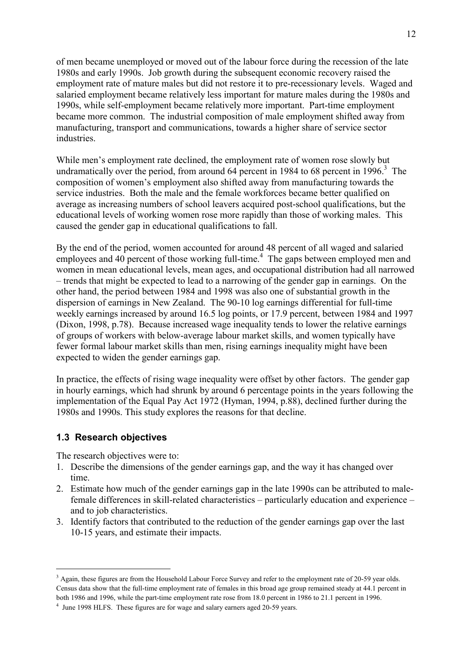of men became unemployed or moved out of the labour force during the recession of the late 1980s and early 1990s. Job growth during the subsequent economic recovery raised the employment rate of mature males but did not restore it to pre-recessionary levels. Waged and salaried employment became relatively less important for mature males during the 1980s and 1990s, while self-employment became relatively more important. Part-time employment became more common. The industrial composition of male employment shifted away from manufacturing, transport and communications, towards a higher share of service sector industries.

While men's employment rate declined, the employment rate of women rose slowly but undramatically over the period, from around  $64$  percent in 1984 to  $68$  percent in 1996.<sup>3</sup> The composition of women's employment also shifted away from manufacturing towards the service industries. Both the male and the female workforces became better qualified on average as increasing numbers of school leavers acquired post-school qualifications, but the educational levels of working women rose more rapidly than those of working males. This caused the gender gap in educational qualifications to fall.

By the end of the period, women accounted for around 48 percent of all waged and salaried  $employes$  and 40 percent of those working full-time.<sup>4</sup> The gaps between employed men and women in mean educational levels, mean ages, and occupational distribution had all narrowed  $-$  trends that might be expected to lead to a narrowing of the gender gap in earnings. On the other hand, the period between 1984 and 1998 was also one of substantial growth in the dispersion of earnings in New Zealand. The 90-10 log earnings differential for full-time weekly earnings increased by around 16.5 log points, or 17.9 percent, between 1984 and 1997 (Dixon, 1998, p.78). Because increased wage inequality tends to lower the relative earnings of groups of workers with below-average labour market skills, and women typically have fewer formal labour market skills than men, rising earnings inequality might have been expected to widen the gender earnings gap.

In practice, the effects of rising wage inequality were offset by other factors. The gender gap in hourly earnings, which had shrunk by around 6 percentage points in the years following the implementation of the Equal Pay Act 1972 (Hyman, 1994, p.88), declined further during the 1980s and 1990s. This study explores the reasons for that decline.

## **1.3 Research objectives**

 $\overline{a}$ 

The research objectives were to:

- 1. Describe the dimensions of the gender earnings gap, and the way it has changed over time.
- 2. Estimate how much of the gender earnings gap in the late 1990s can be attributed to malefemale differences in skill-related characteristics – particularly education and experience – and to job characteristics.
- 3. Identify factors that contributed to the reduction of the gender earnings gap over the last 10-15 years, and estimate their impacts.

<sup>&</sup>lt;sup>3</sup> Again, these figures are from the Household Labour Force Survey and refer to the employment rate of 20-59 year olds. Census data show that the full-time employment rate of females in this broad age group remained steady at 44.1 percent in both 1986 and 1996, while the part-time employment rate rose from 18.0 percent in 1986 to 21.1 percent in 1996.

<sup>&</sup>lt;sup>4</sup> June 1998 HLFS. These figures are for wage and salary earners aged 20-59 years.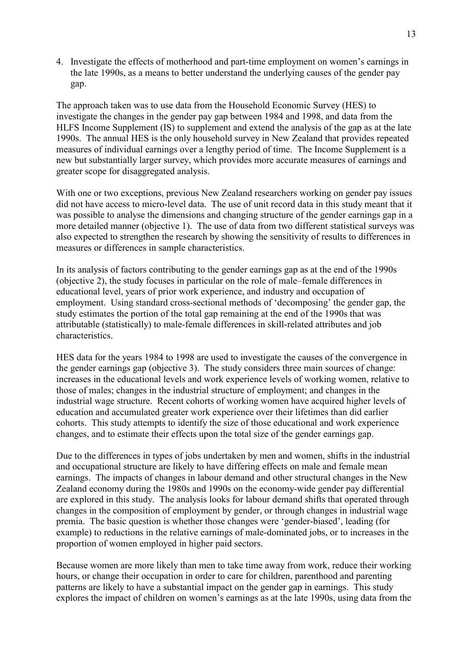4. Investigate the effects of motherhood and part-time employment on women's earnings in the late 1990s, as a means to better understand the underlying causes of the gender pay gap.

The approach taken was to use data from the Household Economic Survey (HES) to investigate the changes in the gender pay gap between 1984 and 1998, and data from the HLFS Income Supplement (IS) to supplement and extend the analysis of the gap as at the late 1990s. The annual HES is the only household survey in New Zealand that provides repeated measures of individual earnings over a lengthy period of time. The Income Supplement is a new but substantially larger survey, which provides more accurate measures of earnings and greater scope for disaggregated analysis.

With one or two exceptions, previous New Zealand researchers working on gender pay issues did not have access to micro-level data. The use of unit record data in this study meant that it was possible to analyse the dimensions and changing structure of the gender earnings gap in a more detailed manner (objective 1). The use of data from two different statistical surveys was also expected to strengthen the research by showing the sensitivity of results to differences in measures or differences in sample characteristics.

In its analysis of factors contributing to the gender earnings gap as at the end of the 1990s (objective 2), the study focuses in particular on the role of male–female differences in educational level, years of prior work experience, and industry and occupation of employment. Using standard cross-sectional methods of 'decomposing' the gender gap, the study estimates the portion of the total gap remaining at the end of the 1990s that was attributable (statistically) to male-female differences in skill-related attributes and job characteristics.

HES data for the years 1984 to 1998 are used to investigate the causes of the convergence in the gender earnings gap (objective 3). The study considers three main sources of change: increases in the educational levels and work experience levels of working women, relative to those of males; changes in the industrial structure of employment; and changes in the industrial wage structure. Recent cohorts of working women have acquired higher levels of education and accumulated greater work experience over their lifetimes than did earlier cohorts. This study attempts to identify the size of those educational and work experience changes, and to estimate their effects upon the total size of the gender earnings gap.

Due to the differences in types of jobs undertaken by men and women, shifts in the industrial and occupational structure are likely to have differing effects on male and female mean earnings. The impacts of changes in labour demand and other structural changes in the New Zealand economy during the 1980s and 1990s on the economy-wide gender pay differential are explored in this study. The analysis looks for labour demand shifts that operated through changes in the composition of employment by gender, or through changes in industrial wage premia. The basic question is whether those changes were 'gender-biased', leading (for example) to reductions in the relative earnings of male-dominated jobs, or to increases in the proportion of women employed in higher paid sectors.

Because women are more likely than men to take time away from work, reduce their working hours, or change their occupation in order to care for children, parenthood and parenting patterns are likely to have a substantial impact on the gender gap in earnings. This study explores the impact of children on women's earnings as at the late 1990s, using data from the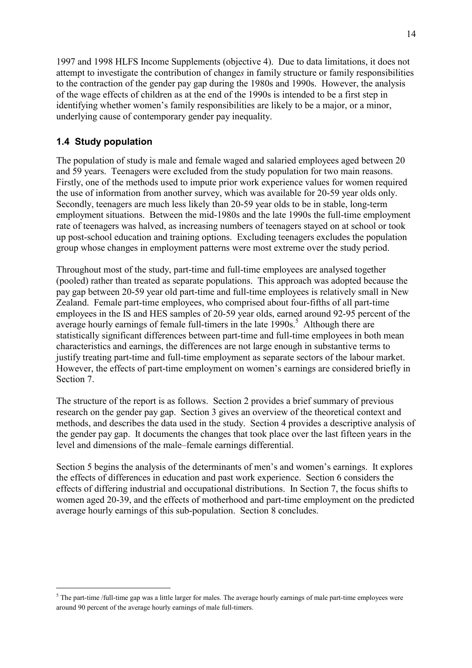1997 and 1998 HLFS Income Supplements (objective 4). Due to data limitations, it does not attempt to investigate the contribution of change*s* in family structure or family responsibilities to the contraction of the gender pay gap during the 1980s and 1990s. However, the analysis of the wage effects of children as at the end of the 1990s is intended to be a first step in identifying whether women's family responsibilities are likely to be a major, or a minor, underlying cause of contemporary gender pay inequality.

## **1.4 Study population**

 $\overline{a}$ 

The population of study is male and female waged and salaried employees aged between 20 and 59 years. Teenagers were excluded from the study population for two main reasons. Firstly, one of the methods used to impute prior work experience values for women required the use of information from another survey, which was available for 20-59 year olds only. Secondly, teenagers are much less likely than 20-59 year olds to be in stable, long-term employment situations. Between the mid-1980s and the late 1990s the full-time employment rate of teenagers was halved, as increasing numbers of teenagers stayed on at school or took up post-school education and training options. Excluding teenagers excludes the population group whose changes in employment patterns were most extreme over the study period.

Throughout most of the study, part-time and full-time employees are analysed together (pooled) rather than treated as separate populations. This approach was adopted because the pay gap between 20-59 year old part-time and full-time employees is relatively small in New Zealand. Female part-time employees, who comprised about four-fifths of all part-time employees in the IS and HES samples of 20-59 year olds, earned around 92-95 percent of the average hourly earnings of female full-timers in the late  $1990s$ <sup>5</sup>. Although there are statistically significant differences between part-time and full-time employees in both mean characteristics and earnings, the differences are not large enough in substantive terms to justify treating part-time and full-time employment as separate sectors of the labour market. However, the effects of part-time employment on women's earnings are considered briefly in Section 7.

The structure of the report is as follows. Section 2 provides a brief summary of previous research on the gender pay gap. Section 3 gives an overview of the theoretical context and methods, and describes the data used in the study. Section 4 provides a descriptive analysis of the gender pay gap. It documents the changes that took place over the last fifteen years in the level and dimensions of the male–female earnings differential.

Section 5 begins the analysis of the determinants of men's and women's earnings. It explores the effects of differences in education and past work experience. Section 6 considers the effects of differing industrial and occupational distributions. In Section 7, the focus shifts to women aged 20-39, and the effects of motherhood and part-time employment on the predicted average hourly earnings of this sub-population. Section 8 concludes.

 $<sup>5</sup>$  The part-time /full-time gap was a little larger for males. The average hourly earnings of male part-time employees were</sup> around 90 percent of the average hourly earnings of male full-timers.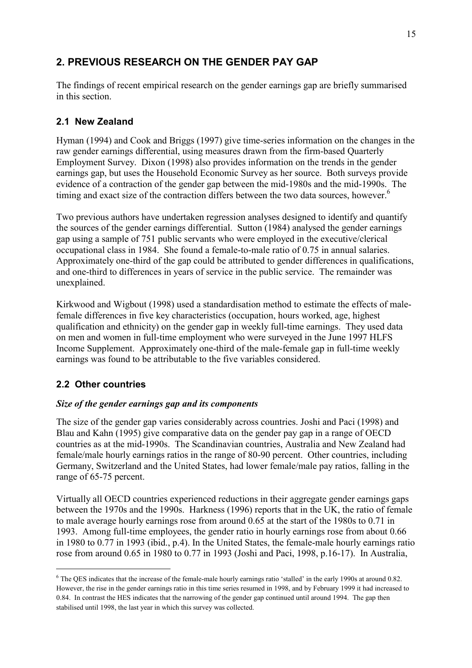# **2. PREVIOUS RESEARCH ON THE GENDER PAY GAP**

The findings of recent empirical research on the gender earnings gap are briefly summarised in this section.

# **2.1 New Zealand**

Hyman (1994) and Cook and Briggs (1997) give time-series information on the changes in the raw gender earnings differential, using measures drawn from the firm-based Quarterly Employment Survey. Dixon (1998) also provides information on the trends in the gender earnings gap, but uses the Household Economic Survey as her source. Both surveys provide evidence of a contraction of the gender gap between the mid-1980s and the mid-1990s. The timing and exact size of the contraction differs between the two data sources, however.<sup>6</sup>

Two previous authors have undertaken regression analyses designed to identify and quantify the sources of the gender earnings differential. Sutton (1984) analysed the gender earnings gap using a sample of 751 public servants who were employed in the executive/clerical occupational class in 1984. She found a female-to-male ratio of 0.75 in annual salaries. Approximately one-third of the gap could be attributed to gender differences in qualifications, and one-third to differences in years of service in the public service. The remainder was unexplained.

Kirkwood and Wigbout (1998) used a standardisation method to estimate the effects of malefemale differences in five key characteristics (occupation, hours worked, age, highest qualification and ethnicity) on the gender gap in weekly full-time earnings. They used data on men and women in full-time employment who were surveyed in the June 1997 HLFS Income Supplement. Approximately one-third of the male-female gap in full-time weekly earnings was found to be attributable to the five variables considered.

# **2.2 Other countries**

 $\overline{a}$ 

## *Size of the gender earnings gap and its components*

The size of the gender gap varies considerably across countries. Joshi and Paci (1998) and Blau and Kahn (1995) give comparative data on the gender pay gap in a range of OECD countries as at the mid-1990s. The Scandinavian countries, Australia and New Zealand had female/male hourly earnings ratios in the range of 80-90 percent. Other countries, including Germany, Switzerland and the United States, had lower female/male pay ratios, falling in the range of 65-75 percent.

Virtually all OECD countries experienced reductions in their aggregate gender earnings gaps between the 1970s and the 1990s. Harkness (1996) reports that in the UK, the ratio of female to male average hourly earnings rose from around 0.65 at the start of the 1980s to 0.71 in 1993. Among full-time employees, the gender ratio in hourly earnings rose from about 0.66 in 1980 to 0.77 in 1993 (ibid., p.4). In the United States, the female-male hourly earnings ratio rose from around 0.65 in 1980 to 0.77 in 1993 (Joshi and Paci, 1998, p.16-17). In Australia,

 $6$  The QES indicates that the increase of the female-male hourly earnings ratio 'stalled' in the early 1990s at around 0.82. However, the rise in the gender earnings ratio in this time series resumed in 1998, and by February 1999 it had increased to 0.84. In contrast the HES indicates that the narrowing of the gender gap continued until around 1994. The gap then stabilised until 1998, the last year in which this survey was collected.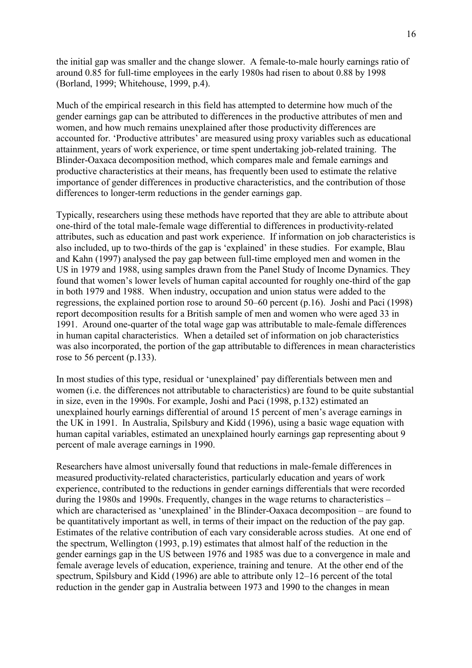the initial gap was smaller and the change slower. A female-to-male hourly earnings ratio of around 0.85 for full-time employees in the early 1980s had risen to about 0.88 by 1998 (Borland, 1999; Whitehouse, 1999, p.4).

Much of the empirical research in this field has attempted to determine how much of the gender earnings gap can be attributed to differences in the productive attributes of men and women, and how much remains unexplained after those productivity differences are accounted for. Productive attributes' are measured using proxy variables such as educational attainment, years of work experience, or time spent undertaking job-related training. The Blinder-Oaxaca decomposition method, which compares male and female earnings and productive characteristics at their means, has frequently been used to estimate the relative importance of gender differences in productive characteristics, and the contribution of those differences to longer-term reductions in the gender earnings gap.

Typically, researchers using these methods have reported that they are able to attribute about one-third of the total male-female wage differential to differences in productivity-related attributes, such as education and past work experience. If information on job characteristics is also included, up to two-thirds of the gap is 'explained' in these studies. For example, Blau and Kahn (1997) analysed the pay gap between full-time employed men and women in the US in 1979 and 1988, using samples drawn from the Panel Study of Income Dynamics. They found that women's lower levels of human capital accounted for roughly one-third of the gap in both 1979 and 1988. When industry, occupation and union status were added to the regressions, the explained portion rose to around  $50-60$  percent (p.16). Joshi and Paci (1998) report decomposition results for a British sample of men and women who were aged 33 in 1991. Around one-quarter of the total wage gap was attributable to male-female differences in human capital characteristics. When a detailed set of information on job characteristics was also incorporated, the portion of the gap attributable to differences in mean characteristics rose to 56 percent (p.133).

In most studies of this type, residual or 'unexplained' pay differentials between men and women (i.e. the differences not attributable to characteristics) are found to be quite substantial in size, even in the 1990s. For example, Joshi and Paci (1998, p.132) estimated an unexplained hourly earnings differential of around 15 percent of men's average earnings in the UK in 1991. In Australia, Spilsbury and Kidd (1996), using a basic wage equation with human capital variables, estimated an unexplained hourly earnings gap representing about 9 percent of male average earnings in 1990.

Researchers have almost universally found that reductions in male-female differences in measured productivity-related characteristics, particularly education and years of work experience, contributed to the reductions in gender earnings differentials that were recorded during the 1980s and 1990s. Frequently, changes in the wage returns to characteristics  $$ which are characterised as 'unexplained' in the Blinder-Oaxaca decomposition  $-$  are found to be quantitatively important as well, in terms of their impact on the reduction of the pay gap. Estimates of the relative contribution of each vary considerable across studies. At one end of the spectrum, Wellington (1993, p.19) estimates that almost half of the reduction in the gender earnings gap in the US between 1976 and 1985 was due to a convergence in male and female average levels of education, experience, training and tenure. At the other end of the spectrum, Spilsbury and Kidd  $(1996)$  are able to attribute only 12–16 percent of the total reduction in the gender gap in Australia between 1973 and 1990 to the changes in mean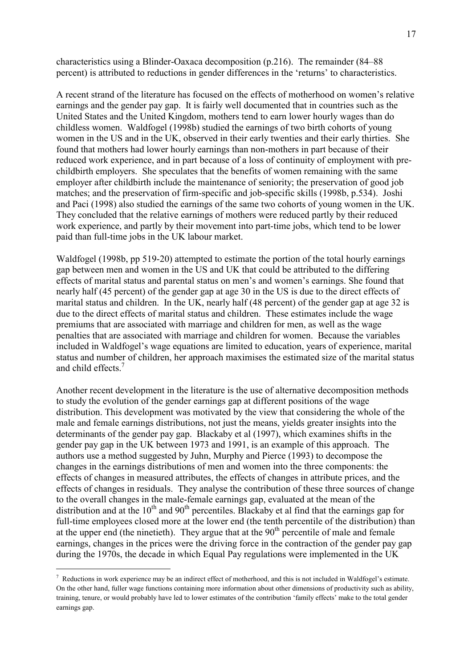characteristics using a Blinder-Oaxaca decomposition  $(p.216)$ . The remainder (84–88) percent) is attributed to reductions in gender differences in the 'returns' to characteristics.

A recent strand of the literature has focused on the effects of motherhood on women's relative earnings and the gender pay gap. It is fairly well documented that in countries such as the United States and the United Kingdom, mothers tend to earn lower hourly wages than do childless women. Waldfogel (1998b) studied the earnings of two birth cohorts of young women in the US and in the UK, observed in their early twenties and their early thirties. She found that mothers had lower hourly earnings than non-mothers in part because of their reduced work experience, and in part because of a loss of continuity of employment with prechildbirth employers. She speculates that the benefits of women remaining with the same employer after childbirth include the maintenance of seniority; the preservation of good job matches; and the preservation of firm-specific and job-specific skills (1998b, p.534). Joshi and Paci (1998) also studied the earnings of the same two cohorts of young women in the UK. They concluded that the relative earnings of mothers were reduced partly by their reduced work experience, and partly by their movement into part-time jobs, which tend to be lower paid than full-time jobs in the UK labour market.

Waldfogel (1998b, pp 519-20) attempted to estimate the portion of the total hourly earnings gap between men and women in the US and UK that could be attributed to the differing effects of marital status and parental status on men's and women's earnings. She found that nearly half (45 percent) of the gender gap at age 30 in the US is due to the direct effects of marital status and children. In the UK, nearly half (48 percent) of the gender gap at age 32 is due to the direct effects of marital status and children. These estimates include the wage premiums that are associated with marriage and children for men, as well as the wage penalties that are associated with marriage and children for women. Because the variables included in Waldfogel's wage equations are limited to education, years of experience, marital status and number of children, her approach maximises the estimated size of the marital status and child effects.<sup>7</sup>

Another recent development in the literature is the use of alternative decomposition methods to study the evolution of the gender earnings gap at different positions of the wage distribution. This development was motivated by the view that considering the whole of the male and female earnings distributions, not just the means, yields greater insights into the determinants of the gender pay gap. Blackaby et al (1997), which examines shifts in the gender pay gap in the UK between 1973 and 1991, is an example of this approach. The authors use a method suggested by Juhn, Murphy and Pierce (1993) to decompose the changes in the earnings distributions of men and women into the three components: the effects of changes in measured attributes, the effects of changes in attribute prices, and the effects of changes in residuals. They analyse the contribution of these three sources of change to the overall changes in the male-female earnings gap, evaluated at the mean of the distribution and at the  $10^{th}$  and  $90^{th}$  percentiles. Blackaby et al find that the earnings gap for full-time employees closed more at the lower end (the tenth percentile of the distribution) than at the upper end (the ninetieth). They argue that at the  $90<sup>th</sup>$  percentile of male and female earnings, changes in the prices were the driving force in the contraction of the gender pay gap during the 1970s, the decade in which Equal Pay regulations were implemented in the UK

 $\overline{a}$ 

 $^7$  Reductions in work experience may be an indirect effect of motherhood, and this is not included in Waldfogel's estimate. On the other hand, fuller wage functions containing more information about other dimensions of productivity such as ability, training, tenure, or would probably have led to lower estimates of the contribution ëfamily effectsí make to the total gender earnings gap.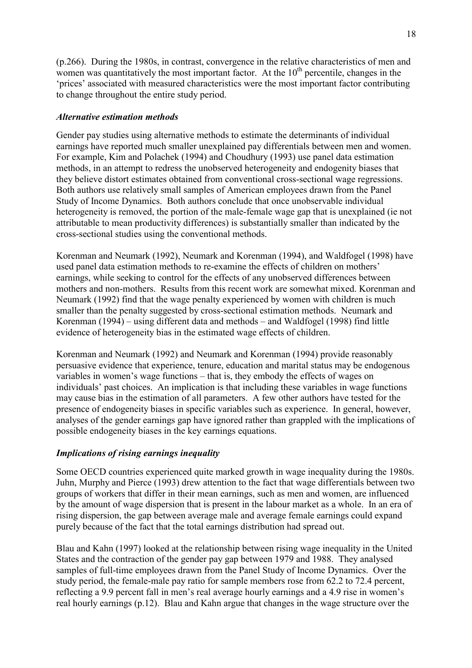(p.266). During the 1980s, in contrast, convergence in the relative characteristics of men and women was quantitatively the most important factor. At the  $10<sup>th</sup>$  percentile, changes in the the interes in associated with measured characteristics were the most important factor contributing to change throughout the entire study period.

#### *Alternative estimation methods*

Gender pay studies using alternative methods to estimate the determinants of individual earnings have reported much smaller unexplained pay differentials between men and women. For example, Kim and Polachek (1994) and Choudhury (1993) use panel data estimation methods, in an attempt to redress the unobserved heterogeneity and endogenity biases that they believe distort estimates obtained from conventional cross-sectional wage regressions. Both authors use relatively small samples of American employees drawn from the Panel Study of Income Dynamics. Both authors conclude that once unobservable individual heterogeneity is removed, the portion of the male-female wage gap that is unexplained (ie not attributable to mean productivity differences) is substantially smaller than indicated by the cross-sectional studies using the conventional methods.

Korenman and Neumark (1992), Neumark and Korenman (1994), and Waldfogel (1998) have used panel data estimation methods to re-examine the effects of children on mothers<sup>'</sup> earnings, while seeking to control for the effects of any unobserved differences between mothers and non-mothers. Results from this recent work are somewhat mixed. Korenman and Neumark (1992) find that the wage penalty experienced by women with children is much smaller than the penalty suggested by cross-sectional estimation methods. Neumark and Korenman  $(1994)$  – using different data and methods – and Waldfogel (1998) find little evidence of heterogeneity bias in the estimated wage effects of children.

Korenman and Neumark (1992) and Neumark and Korenman (1994) provide reasonably persuasive evidence that experience, tenure, education and marital status may be endogenous variables in women's wage functions – that is, they embody the effects of wages on individuals' past choices. An implication is that including these variables in wage functions may cause bias in the estimation of all parameters. A few other authors have tested for the presence of endogeneity biases in specific variables such as experience. In general, however, analyses of the gender earnings gap have ignored rather than grappled with the implications of possible endogeneity biases in the key earnings equations.

## *Implications of rising earnings inequality*

Some OECD countries experienced quite marked growth in wage inequality during the 1980s. Juhn, Murphy and Pierce (1993) drew attention to the fact that wage differentials between two groups of workers that differ in their mean earnings, such as men and women, are influenced by the amount of wage dispersion that is present in the labour market as a whole. In an era of rising dispersion, the gap between average male and average female earnings could expand purely because of the fact that the total earnings distribution had spread out.

Blau and Kahn (1997) looked at the relationship between rising wage inequality in the United States and the contraction of the gender pay gap between 1979 and 1988. They analysed samples of full-time employees drawn from the Panel Study of Income Dynamics. Over the study period, the female-male pay ratio for sample members rose from 62.2 to 72.4 percent, reflecting a 9.9 percent fall in men's real average hourly earnings and a 4.9 rise in women's real hourly earnings (p.12). Blau and Kahn argue that changes in the wage structure over the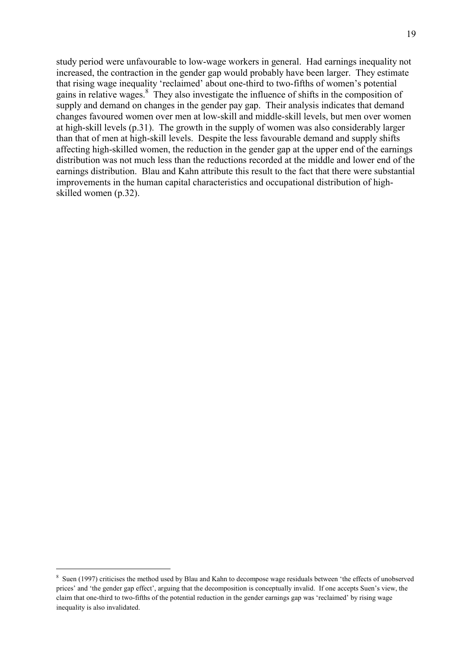study period were unfavourable to low-wage workers in general. Had earnings inequality not increased, the contraction in the gender gap would probably have been larger. They estimate that rising wage inequality 'reclaimed' about one-third to two-fifths of women's potential gains in relative wages.<sup>8</sup> They also investigate the influence of shifts in the composition of supply and demand on changes in the gender pay gap. Their analysis indicates that demand changes favoured women over men at low-skill and middle-skill levels, but men over women at high-skill levels (p.31). The growth in the supply of women was also considerably larger than that of men at high-skill levels. Despite the less favourable demand and supply shifts affecting high-skilled women, the reduction in the gender gap at the upper end of the earnings distribution was not much less than the reductions recorded at the middle and lower end of the earnings distribution. Blau and Kahn attribute this result to the fact that there were substantial improvements in the human capital characteristics and occupational distribution of highskilled women (p.32).

 $\overline{a}$ 

<sup>&</sup>lt;sup>8</sup> Suen (1997) criticises the method used by Blau and Kahn to decompose wage residuals between 'the effects of unobserved prices' and 'the gender gap effect', arguing that the decomposition is conceptually invalid. If one accepts Suen's view, the claim that one-third to two-fifths of the potential reduction in the gender earnings gap was 'reclaimed' by rising wage inequality is also invalidated.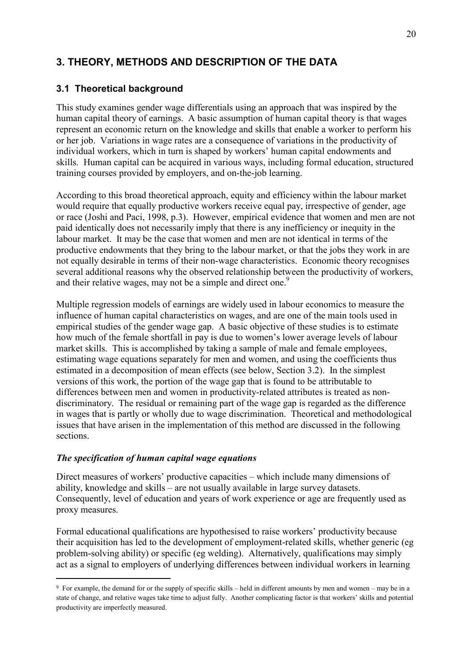# **3. THEORY, METHODS AND DESCRIPTION OF THE DATA**

## **3.1 Theoretical background**

This study examines gender wage differentials using an approach that was inspired by the human capital theory of earnings. A basic assumption of human capital theory is that wages represent an economic return on the knowledge and skills that enable a worker to perform his or her job. Variations in wage rates are a consequence of variations in the productivity of individual workers, which in turn is shaped by workers' human capital endowments and skills. Human capital can be acquired in various ways, including formal education, structured training courses provided by employers, and on-the-job learning.

According to this broad theoretical approach, equity and efficiency within the labour market would require that equally productive workers receive equal pay, irrespective of gender, age or race (Joshi and Paci, 1998, p.3). However, empirical evidence that women and men are not paid identically does not necessarily imply that there is any inefficiency or inequity in the labour market. It may be the case that women and men are not identical in terms of the productive endowments that they bring to the labour market, or that the jobs they work in are not equally desirable in terms of their non-wage characteristics. Economic theory recognises several additional reasons why the observed relationship between the productivity of workers, and their relative wages, may not be a simple and direct one.<sup>9</sup>

Multiple regression models of earnings are widely used in labour economics to measure the influence of human capital characteristics on wages, and are one of the main tools used in empirical studies of the gender wage gap. A basic objective of these studies is to estimate how much of the female shortfall in pay is due to women's lower average levels of labour market skills. This is accomplished by taking a sample of male and female employees, estimating wage equations separately for men and women, and using the coefficients thus estimated in a decomposition of mean effects (see below, Section 3.2). In the simplest versions of this work, the portion of the wage gap that is found to be attributable to differences between men and women in productivity-related attributes is treated as nondiscriminatory. The residual or remaining part of the wage gap is regarded as the difference in wages that is partly or wholly due to wage discrimination. Theoretical and methodological issues that have arisen in the implementation of this method are discussed in the following sections.

#### *The specification of human capital wage equations*

 $\overline{a}$ 

Direct measures of workers' productive capacities – which include many dimensions of ability, knowledge and skills  $-$  are not usually available in large survey datasets. Consequently, level of education and years of work experience or age are frequently used as proxy measures.

Formal educational qualifications are hypothesised to raise workers' productivity because their acquisition has led to the development of employment-related skills, whether generic (eg problem-solving ability) or specific (eg welding). Alternatively, qualifications may simply act as a signal to employers of underlying differences between individual workers in learning

<sup>&</sup>lt;sup>9</sup> For example, the demand for or the supply of specific skills – held in different amounts by men and women – may be in a state of change, and relative wages take time to adjust fully. Another complicating factor is that workers' skills and potential productivity are imperfectly measured.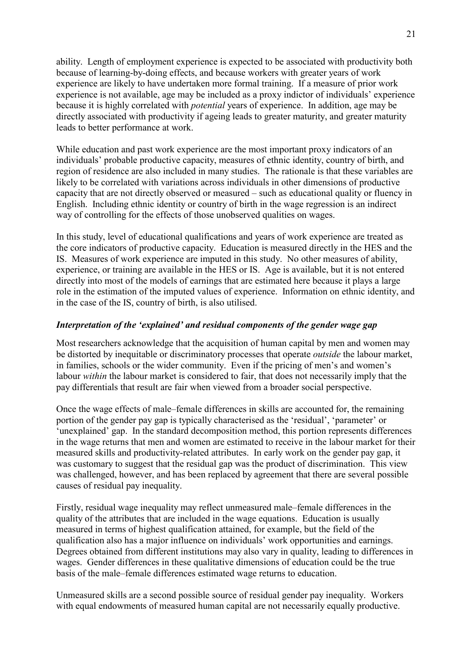ability. Length of employment experience is expected to be associated with productivity both because of learning-by-doing effects, and because workers with greater years of work experience are likely to have undertaken more formal training. If a measure of prior work experience is not available, age may be included as a proxy indictor of individuals' experience because it is highly correlated with *potential* years of experience. In addition, age may be directly associated with productivity if ageing leads to greater maturity, and greater maturity leads to better performance at work.

While education and past work experience are the most important proxy indicators of an individuals' probable productive capacity, measures of ethnic identity, country of birth, and region of residence are also included in many studies. The rationale is that these variables are likely to be correlated with variations across individuals in other dimensions of productive capacity that are not directly observed or measured  $-$  such as educational quality or fluency in English. Including ethnic identity or country of birth in the wage regression is an indirect way of controlling for the effects of those unobserved qualities on wages.

In this study, level of educational qualifications and years of work experience are treated as the core indicators of productive capacity. Education is measured directly in the HES and the IS. Measures of work experience are imputed in this study. No other measures of ability, experience, or training are available in the HES or IS. Age is available, but it is not entered directly into most of the models of earnings that are estimated here because it plays a large role in the estimation of the imputed values of experience. Information on ethnic identity, and in the case of the IS, country of birth, is also utilised.

#### *Interpretation of the 'explained' and residual components of the gender wage gap*

Most researchers acknowledge that the acquisition of human capital by men and women may be distorted by inequitable or discriminatory processes that operate *outside* the labour market, in families, schools or the wider community. Even if the pricing of men's and women's labour *within* the labour market is considered to fair, that does not necessarily imply that the pay differentials that result are fair when viewed from a broader social perspective.

Once the wage effects of male–female differences in skills are accounted for, the remaining portion of the gender pay gap is typically characterised as the 'residual', 'parameter' or 'unexplained' gap. In the standard decomposition method, this portion represents differences in the wage returns that men and women are estimated to receive in the labour market for their measured skills and productivity-related attributes. In early work on the gender pay gap, it was customary to suggest that the residual gap was the product of discrimination. This view was challenged, however, and has been replaced by agreement that there are several possible causes of residual pay inequality.

Firstly, residual wage inequality may reflect unmeasured male–female differences in the quality of the attributes that are included in the wage equations. Education is usually measured in terms of highest qualification attained, for example, but the field of the qualification also has a major influence on individuals' work opportunities and earnings. Degrees obtained from different institutions may also vary in quality, leading to differences in wages. Gender differences in these qualitative dimensions of education could be the true basis of the male–female differences estimated wage returns to education.

Unmeasured skills are a second possible source of residual gender pay inequality. Workers with equal endowments of measured human capital are not necessarily equally productive.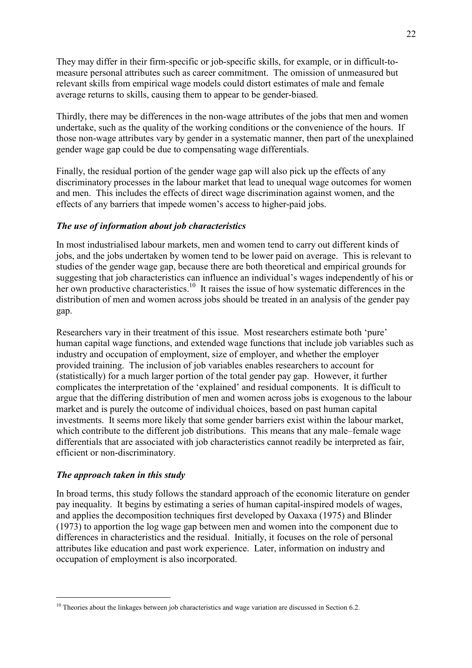They may differ in their firm-specific or job-specific skills, for example, or in difficult-tomeasure personal attributes such as career commitment. The omission of unmeasured but relevant skills from empirical wage models could distort estimates of male and female average returns to skills, causing them to appear to be gender-biased.

Thirdly, there may be differences in the non-wage attributes of the jobs that men and women undertake, such as the quality of the working conditions or the convenience of the hours. If those non-wage attributes vary by gender in a systematic manner, then part of the unexplained gender wage gap could be due to compensating wage differentials.

Finally, the residual portion of the gender wage gap will also pick up the effects of any discriminatory processes in the labour market that lead to unequal wage outcomes for women and men. This includes the effects of direct wage discrimination against women, and the effects of any barriers that impede women's access to higher-paid jobs.

#### *The use of information about job characteristics*

In most industrialised labour markets, men and women tend to carry out different kinds of jobs, and the jobs undertaken by women tend to be lower paid on average. This is relevant to studies of the gender wage gap, because there are both theoretical and empirical grounds for suggesting that job characteristics can influence an individual's wages independently of his or her own productive characteristics.<sup>10</sup> It raises the issue of how systematic differences in the distribution of men and women across jobs should be treated in an analysis of the gender pay gap.

Researchers vary in their treatment of this issue. Most researchers estimate both 'pure' human capital wage functions, and extended wage functions that include job variables such as industry and occupation of employment, size of employer, and whether the employer provided training. The inclusion of job variables enables researchers to account for (statistically) for a much larger portion of the total gender pay gap. However, it further complicates the interpretation of the 'explained' and residual components. It is difficult to argue that the differing distribution of men and women across jobs is exogenous to the labour market and is purely the outcome of individual choices, based on past human capital investments. It seems more likely that some gender barriers exist within the labour market, which contribute to the different job distributions. This means that any male–female wage differentials that are associated with job characteristics cannot readily be interpreted as fair, efficient or non-discriminatory.

## *The approach taken in this study*

 $\overline{a}$ 

In broad terms, this study follows the standard approach of the economic literature on gender pay inequality. It begins by estimating a series of human capital-inspired models of wages, and applies the decomposition techniques first developed by Oaxaxa (1975) and Blinder (1973) to apportion the log wage gap between men and women into the component due to differences in characteristics and the residual. Initially, it focuses on the role of personal attributes like education and past work experience. Later, information on industry and occupation of employment is also incorporated.

<sup>&</sup>lt;sup>10</sup> Theories about the linkages between job characteristics and wage variation are discussed in Section 6.2.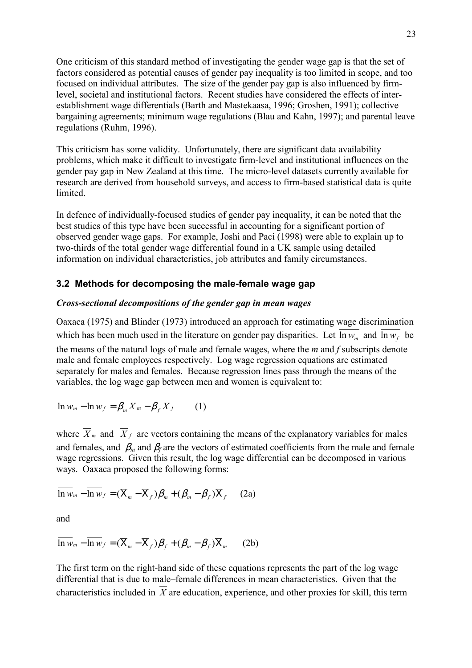One criticism of this standard method of investigating the gender wage gap is that the set of factors considered as potential causes of gender pay inequality is too limited in scope, and too focused on individual attributes. The size of the gender pay gap is also influenced by firmlevel, societal and institutional factors. Recent studies have considered the effects of interestablishment wage differentials (Barth and Mastekaasa, 1996; Groshen, 1991); collective bargaining agreements; minimum wage regulations (Blau and Kahn, 1997); and parental leave regulations (Ruhm, 1996).

This criticism has some validity. Unfortunately, there are significant data availability problems, which make it difficult to investigate firm-level and institutional influences on the gender pay gap in New Zealand at this time. The micro-level datasets currently available for research are derived from household surveys, and access to firm-based statistical data is quite limited.

In defence of individually-focused studies of gender pay inequality, it can be noted that the best studies of this type have been successful in accounting for a significant portion of observed gender wage gaps. For example, Joshi and Paci (1998) were able to explain up to two-thirds of the total gender wage differential found in a UK sample using detailed information on individual characteristics, job attributes and family circumstances.

## **3.2 Methods for decomposing the male-female wage gap**

#### *Cross-sectional decompositions of the gender gap in mean wages*

Oaxaca (1975) and Blinder (1973) introduced an approach for estimating wage discrimination which has been much used in the literature on gender pay disparities. Let  $\overline{hw_m}$  and  $\overline{hw_f}$  be the means of the natural logs of male and female wages, where the *m* and *f* subscripts denote male and female employees respectively. Log wage regression equations are estimated separately for males and females. Because regression lines pass through the means of the variables, the log wage gap between men and women is equivalent to:

$$
\overline{\ln w_m} - \overline{\ln w_f} = \beta_m \overline{X}_m - \beta_f \overline{X}_f \qquad (1)
$$

where  $\overline{X}_m$  and  $\overline{X}_f$  are vectors containing the means of the explanatory variables for males and females, and  $\beta_m$  and  $\beta_f$  are the vectors of estimated coefficients from the male and female wage regressions. Given this result, the log wage differential can be decomposed in various ways. Oaxaca proposed the following forms:

$$
\overline{\ln w}_m - \overline{\ln w}_f = (\overline{X}_m - \overline{X}_f)\beta_m + (\beta_m - \beta_f)\overline{X}_f
$$
 (2a)

and

$$
\overline{\ln w_m} - \overline{\ln w_f} = (\overline{X}_m - \overline{X}_f)\beta_f + (\beta_m - \beta_f)\overline{X}_m \qquad (2b)
$$

The first term on the right-hand side of these equations represents the part of the log wage differential that is due to male–female differences in mean characteristics. Given that the characteristics included in  $\overline{X}$  are education, experience, and other proxies for skill, this term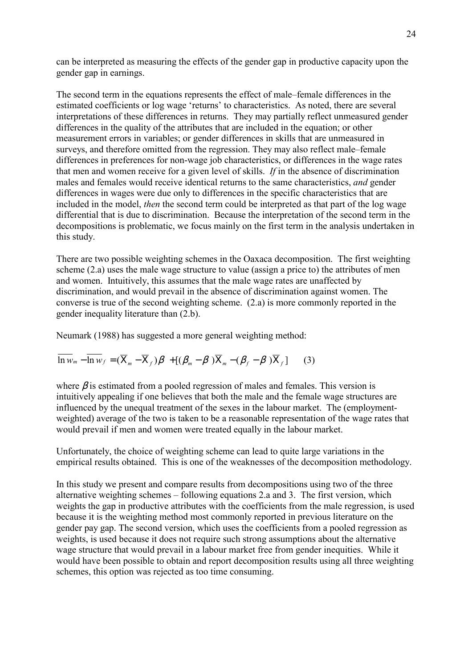can be interpreted as measuring the effects of the gender gap in productive capacity upon the gender gap in earnings.

The second term in the equations represents the effect of male–female differences in the estimated coefficients or log wage 'returns' to characteristics. As noted, there are several interpretations of these differences in returns. They may partially reflect unmeasured gender differences in the quality of the attributes that are included in the equation; or other measurement errors in variables; or gender differences in skills that are unmeasured in surveys, and therefore omitted from the regression. They may also reflect male–female differences in preferences for non-wage job characteristics, or differences in the wage rates that men and women receive for a given level of skills. *If* in the absence of discrimination males and females would receive identical returns to the same characteristics, *and* gender differences in wages were due only to differences in the specific characteristics that are included in the model, *then* the second term could be interpreted as that part of the log wage differential that is due to discrimination. Because the interpretation of the second term in the decompositions is problematic, we focus mainly on the first term in the analysis undertaken in this study.

There are two possible weighting schemes in the Oaxaca decomposition. The first weighting scheme (2.a) uses the male wage structure to value (assign a price to) the attributes of men and women. Intuitively, this assumes that the male wage rates are unaffected by discrimination, and would prevail in the absence of discrimination against women. The converse is true of the second weighting scheme. (2.a) is more commonly reported in the gender inequality literature than (2.b).

Neumark (1988) has suggested a more general weighting method:

$$
\overline{\ln w_m} - \overline{\ln w_f} = (\overline{X}_m - \overline{X}_f)\beta + [(\beta_m - \beta)\overline{X}_m - (\beta_f - \beta)\overline{X}_f] \qquad (3)
$$

where  $\beta$  is estimated from a pooled regression of males and females. This version is intuitively appealing if one believes that both the male and the female wage structures are influenced by the unequal treatment of the sexes in the labour market. The (employmentweighted) average of the two is taken to be a reasonable representation of the wage rates that would prevail if men and women were treated equally in the labour market.

Unfortunately, the choice of weighting scheme can lead to quite large variations in the empirical results obtained. This is one of the weaknesses of the decomposition methodology.

In this study we present and compare results from decompositions using two of the three alternative weighting schemes  $-$  following equations 2.a and 3. The first version, which weights the gap in productive attributes with the coefficients from the male regression, is used because it is the weighting method most commonly reported in previous literature on the gender pay gap. The second version, which uses the coefficients from a pooled regression as weights, is used because it does not require such strong assumptions about the alternative wage structure that would prevail in a labour market free from gender inequities. While it would have been possible to obtain and report decomposition results using all three weighting schemes, this option was rejected as too time consuming.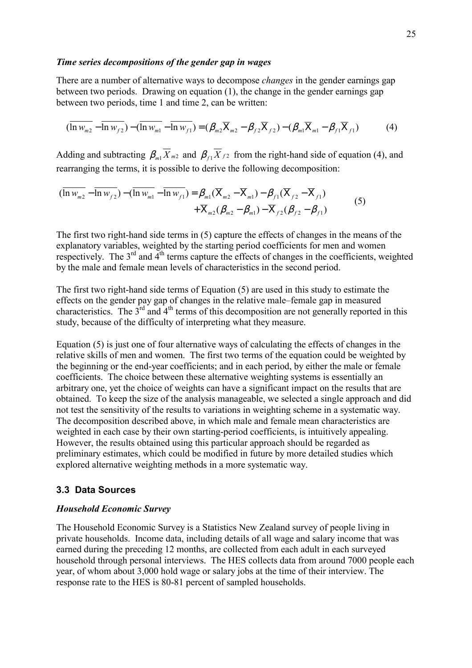#### *Time series decompositions of the gender gap in wages*

There are a number of alternative ways to decompose *changes* in the gender earnings gap between two periods. Drawing on equation (1), the change in the gender earnings gap between two periods, time 1 and time 2, can be written:

$$
(\overline{\ln w_{m2}} - \overline{\ln w_{f2}}) - (\overline{\ln w_{m1}} - \overline{\ln w_{f1}}) = (\beta_{m2}\overline{X}_{m2} - \beta_{f2}\overline{X}_{f2}) - (\beta_{m1}\overline{X}_{m1} - \beta_{f1}\overline{X}_{f1})
$$
(4)

Adding and subtracting  $\beta_{m1} \overline{X}_{m2}$  and  $\beta_{f1} \overline{X}_{f2}$  from the right-hand side of equation (4), and rearranging the terms, it is possible to derive the following decomposition:

$$
(\overline{\ln w_{m2}} - \overline{\ln w_{f2}}) - (\overline{\ln w_{m1}} - \overline{\ln w_{f1}}) = \beta_{m1} (\overline{X}_{m2} - \overline{X}_{m1}) - \beta_{f1} (\overline{X}_{f2} - \overline{X}_{f1}) + \overline{X}_{m2} (\beta_{m2} - \beta_{m1}) - \overline{X}_{f2} (\beta_{f2} - \beta_{f1})
$$
(5)

The first two right-hand side terms in (5) capture the effects of changes in the means of the explanatory variables, weighted by the starting period coefficients for men and women respectively. The  $3<sup>rd</sup>$  and  $4<sup>th</sup>$  terms capture the effects of changes in the coefficients, weighted by the male and female mean levels of characteristics in the second period.

The first two right-hand side terms of Equation (5) are used in this study to estimate the effects on the gender pay gap of changes in the relative male–female gap in measured characteristics. The  $3<sup>rd</sup>$  and  $4<sup>th</sup>$  terms of this decomposition are not generally reported in this study, because of the difficulty of interpreting what they measure.

Equation (5) is just one of four alternative ways of calculating the effects of changes in the relative skills of men and women. The first two terms of the equation could be weighted by the beginning or the end-year coefficients; and in each period, by either the male or female coefficients. The choice between these alternative weighting systems is essentially an arbitrary one, yet the choice of weights can have a significant impact on the results that are obtained. To keep the size of the analysis manageable, we selected a single approach and did not test the sensitivity of the results to variations in weighting scheme in a systematic way. The decomposition described above, in which male and female mean characteristics are weighted in each case by their own starting-period coefficients, is intuitively appealing. However, the results obtained using this particular approach should be regarded as preliminary estimates, which could be modified in future by more detailed studies which explored alternative weighting methods in a more systematic way.

#### **3.3 Data Sources**

#### *Household Economic Survey*

The Household Economic Survey is a Statistics New Zealand survey of people living in private households. Income data, including details of all wage and salary income that was earned during the preceding 12 months, are collected from each adult in each surveyed household through personal interviews. The HES collects data from around 7000 people each year, of whom about 3,000 hold wage or salary jobs at the time of their interview. The response rate to the HES is 80-81 percent of sampled households.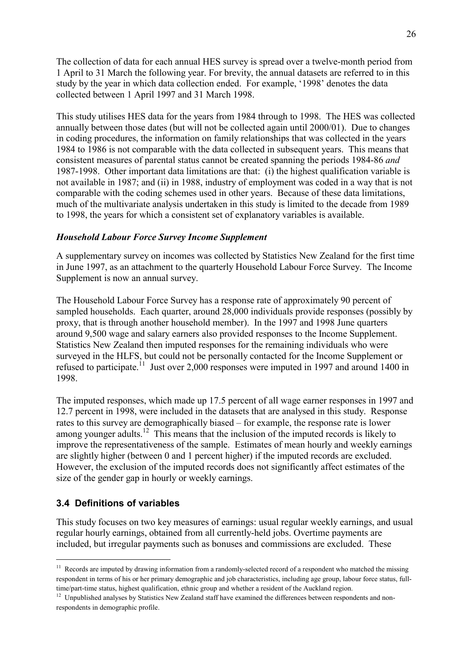The collection of data for each annual HES survey is spread over a twelve-month period from 1 April to 31 March the following year. For brevity, the annual datasets are referred to in this study by the year in which data collection ended. For example, '1998' denotes the data collected between 1 April 1997 and 31 March 1998.

This study utilises HES data for the years from 1984 through to 1998. The HES was collected annually between those dates (but will not be collected again until 2000/01). Due to changes in coding procedures, the information on family relationships that was collected in the years 1984 to 1986 is not comparable with the data collected in subsequent years. This means that consistent measures of parental status cannot be created spanning the periods 1984-86 *and* 1987-1998. Other important data limitations are that: (i) the highest qualification variable is not available in 1987; and (ii) in 1988, industry of employment was coded in a way that is not comparable with the coding schemes used in other years. Because of these data limitations, much of the multivariate analysis undertaken in this study is limited to the decade from 1989 to 1998, the years for which a consistent set of explanatory variables is available.

#### *Household Labour Force Survey Income Supplement*

A supplementary survey on incomes was collected by Statistics New Zealand for the first time in June 1997, as an attachment to the quarterly Household Labour Force Survey. The Income Supplement is now an annual survey.

The Household Labour Force Survey has a response rate of approximately 90 percent of sampled households. Each quarter, around 28,000 individuals provide responses (possibly by proxy, that is through another household member). In the 1997 and 1998 June quarters around 9,500 wage and salary earners also provided responses to the Income Supplement. Statistics New Zealand then imputed responses for the remaining individuals who were surveyed in the HLFS, but could not be personally contacted for the Income Supplement or refused to participate.<sup>11</sup> Just over 2,000 responses were imputed in 1997 and around 1400 in 1998.

The imputed responses, which made up 17.5 percent of all wage earner responses in 1997 and 12.7 percent in 1998, were included in the datasets that are analysed in this study. Response rates to this survey are demographically biased – for example, the response rate is lower among younger adults.<sup>12</sup> This means that the inclusion of the imputed records is likely to improve the representativeness of the sample. Estimates of mean hourly and weekly earnings are slightly higher (between 0 and 1 percent higher) if the imputed records are excluded. However, the exclusion of the imputed records does not significantly affect estimates of the size of the gender gap in hourly or weekly earnings.

## **3.4 Definitions of variables**

 $\overline{a}$ 

This study focuses on two key measures of earnings: usual regular weekly earnings, and usual regular hourly earnings, obtained from all currently-held jobs. Overtime payments are included, but irregular payments such as bonuses and commissions are excluded. These

<sup>&</sup>lt;sup>11</sup> Records are imputed by drawing information from a randomly-selected record of a respondent who matched the missing respondent in terms of his or her primary demographic and job characteristics, including age group, labour force status, fulltime/part-time status, highest qualification, ethnic group and whether a resident of the Auckland region.

 $12$  Unpublished analyses by Statistics New Zealand staff have examined the differences between respondents and nonrespondents in demographic profile.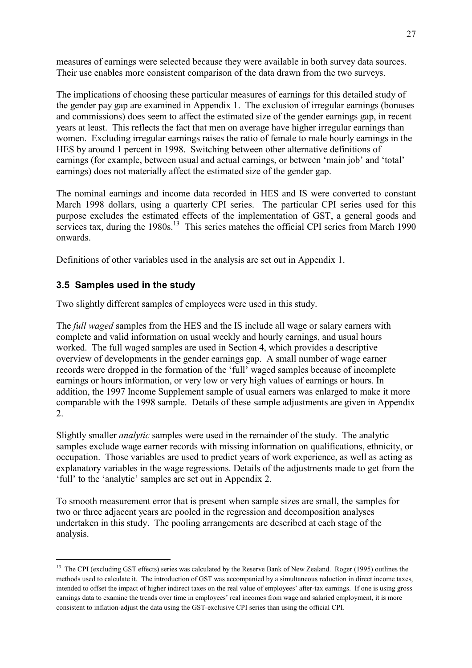measures of earnings were selected because they were available in both survey data sources. Their use enables more consistent comparison of the data drawn from the two surveys.

The implications of choosing these particular measures of earnings for this detailed study of the gender pay gap are examined in Appendix 1. The exclusion of irregular earnings (bonuses and commissions) does seem to affect the estimated size of the gender earnings gap, in recent years at least. This reflects the fact that men on average have higher irregular earnings than women. Excluding irregular earnings raises the ratio of female to male hourly earnings in the HES by around 1 percent in 1998. Switching between other alternative definitions of earnings (for example, between usual and actual earnings, or between 'main job' and 'total' earnings) does not materially affect the estimated size of the gender gap.

The nominal earnings and income data recorded in HES and IS were converted to constant March 1998 dollars, using a quarterly CPI series. The particular CPI series used for this purpose excludes the estimated effects of the implementation of GST, a general goods and services tax, during the  $1980s$ <sup>13</sup>. This series matches the official CPI series from March 1990 onwards.

Definitions of other variables used in the analysis are set out in Appendix 1.

## **3.5 Samples used in the study**

 $\overline{a}$ 

Two slightly different samples of employees were used in this study.

The *full waged* samples from the HES and the IS include all wage or salary earners with complete and valid information on usual weekly and hourly earnings, and usual hours worked. The full waged samples are used in Section 4, which provides a descriptive overview of developments in the gender earnings gap. A small number of wage earner records were dropped in the formation of the 'full' waged samples because of incomplete earnings or hours information, or very low or very high values of earnings or hours. In addition, the 1997 Income Supplement sample of usual earners was enlarged to make it more comparable with the 1998 sample. Details of these sample adjustments are given in Appendix 2.

Slightly smaller *analytic* samples were used in the remainder of the study. The analytic samples exclude wage earner records with missing information on qualifications, ethnicity, or occupation. Those variables are used to predict years of work experience, as well as acting as explanatory variables in the wage regressions. Details of the adjustments made to get from the 'full' to the 'analytic' samples are set out in Appendix 2.

To smooth measurement error that is present when sample sizes are small, the samples for two or three adjacent years are pooled in the regression and decomposition analyses undertaken in this study. The pooling arrangements are described at each stage of the analysis.

<sup>&</sup>lt;sup>13</sup> The CPI (excluding GST effects) series was calculated by the Reserve Bank of New Zealand. Roger (1995) outlines the methods used to calculate it. The introduction of GST was accompanied by a simultaneous reduction in direct income taxes, intended to offset the impact of higher indirect taxes on the real value of employees' after-tax earnings. If one is using gross earnings data to examine the trends over time in employees' real incomes from wage and salaried employment, it is more consistent to inflation-adjust the data using the GST-exclusive CPI series than using the official CPI.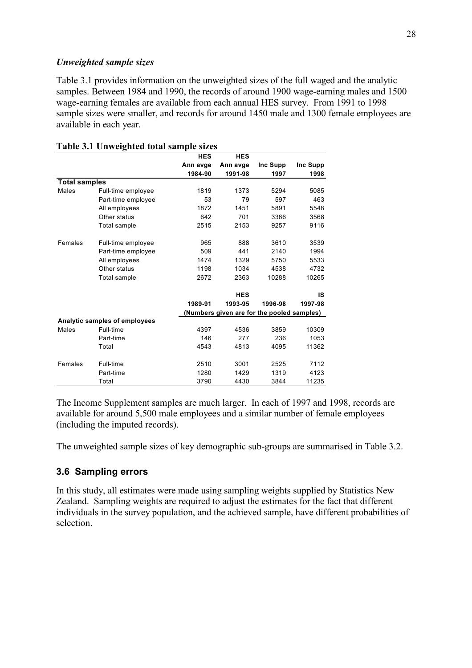#### *Unweighted sample sizes*

Table 3.1 provides information on the unweighted sizes of the full waged and the analytic samples. Between 1984 and 1990, the records of around 1900 wage-earning males and 1500 wage-earning females are available from each annual HES survey. From 1991 to 1998 sample sizes were smaller, and records for around 1450 male and 1300 female employees are available in each year.

|                      |                               | <b>HES</b> | <b>HES</b>                                 |          |          |
|----------------------|-------------------------------|------------|--------------------------------------------|----------|----------|
|                      |                               | Ann avge   | Ann avge                                   | Inc Supp | Inc Supp |
|                      |                               | 1984-90    | 1991-98                                    | 1997     | 1998     |
| <b>Total samples</b> |                               |            |                                            |          |          |
| Males                | Full-time employee            | 1819       | 1373                                       | 5294     | 5085     |
|                      | Part-time employee            | 53         | 79                                         | 597      | 463      |
|                      | All employees                 | 1872       | 1451                                       | 5891     | 5548     |
|                      | Other status                  | 642        | 701                                        | 3366     | 3568     |
|                      | Total sample                  | 2515       | 2153                                       | 9257     | 9116     |
| Females              | Full-time employee            | 965        | 888                                        | 3610     | 3539     |
|                      | Part-time employee            | 509        | 441                                        | 2140     | 1994     |
|                      | All employees                 | 1474       | 1329                                       | 5750     | 5533     |
|                      | Other status                  | 1198       | 1034                                       | 4538     | 4732     |
|                      | Total sample                  | 2672       | 2363                                       | 10288    | 10265    |
|                      |                               |            | <b>HES</b>                                 |          | IS       |
|                      |                               | 1989-91    | 1993-95                                    | 1996-98  | 1997-98  |
|                      |                               |            | (Numbers given are for the pooled samples) |          |          |
|                      | Analytic samples of employees |            |                                            |          |          |
| Males                | Full-time                     | 4397       | 4536                                       | 3859     | 10309    |
|                      | Part-time                     | 146        | 277                                        | 236      | 1053     |
|                      | Total                         | 4543       | 4813                                       | 4095     | 11362    |
| Females              | Full-time                     | 2510       | 3001                                       | 2525     | 7112     |
|                      | Part-time                     | 1280       | 1429                                       | 1319     | 4123     |
|                      | Total                         | 3790       | 4430                                       | 3844     | 11235    |

#### **Table 3.1 Unweighted total sample sizes**

The Income Supplement samples are much larger. In each of 1997 and 1998, records are available for around 5,500 male employees and a similar number of female employees (including the imputed records).

The unweighted sample sizes of key demographic sub-groups are summarised in Table 3.2.

## **3.6 Sampling errors**

In this study, all estimates were made using sampling weights supplied by Statistics New Zealand. Sampling weights are required to adjust the estimates for the fact that different individuals in the survey population, and the achieved sample, have different probabilities of selection.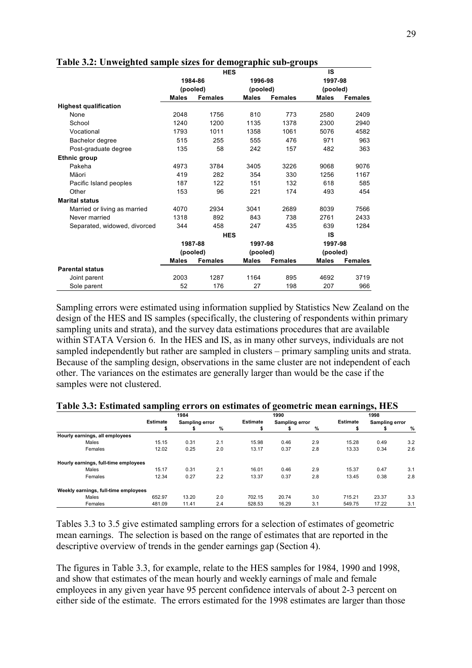|                              |              | <b>HES</b>     |              |                | IS           |                |  |
|------------------------------|--------------|----------------|--------------|----------------|--------------|----------------|--|
|                              |              | 1984-86        | 1996-98      |                | 1997-98      |                |  |
|                              |              | (pooled)       | (pooled)     |                | (pooled)     |                |  |
|                              | <b>Males</b> | <b>Females</b> | <b>Males</b> | <b>Females</b> | <b>Males</b> | <b>Females</b> |  |
| <b>Highest qualification</b> |              |                |              |                |              |                |  |
| None                         | 2048         | 1756           | 810          | 773            | 2580         | 2409           |  |
| School                       | 1240         | 1200           | 1135         | 1378           | 2300         | 2940           |  |
| Vocational                   | 1793         | 1011           | 1358         | 1061           | 5076         | 4582           |  |
| Bachelor degree              | 515          | 255            | 555          | 476            | 971          | 963            |  |
| Post-graduate degree         | 135          | 58             | 242          | 157            | 482          | 363            |  |
| Ethnic group                 |              |                |              |                |              |                |  |
| Pakeha                       | 4973         | 3784           | 3405         | 3226           | 9068         | 9076           |  |
| Mäori                        | 419          | 282            | 354          | 330            | 1256         | 1167           |  |
| Pacific Island peoples       | 187          | 122            | 151          | 132            | 618          | 585            |  |
| Other                        | 153          | 96             | 221          | 174            | 493          | 454            |  |
| <b>Marital status</b>        |              |                |              |                |              |                |  |
| Married or living as married | 4070         | 2934           | 3041         | 2689           | 8039         | 7566           |  |
| Never married                | 1318         | 892            | 843          | 738            | 2761         | 2433           |  |
| Separated, widowed, divorced | 344          | 458            | 247          | 435            | 639          | 1284           |  |
|                              |              | <b>HES</b>     |              |                | IS           |                |  |
|                              |              | 1987-88        | 1997-98      |                | 1997-98      |                |  |
|                              |              | (pooled)       | (pooled)     |                | (pooled)     |                |  |
|                              | <b>Males</b> | <b>Females</b> | <b>Males</b> | <b>Females</b> | <b>Males</b> | <b>Females</b> |  |
| <b>Parental status</b>       |              |                |              |                |              |                |  |
| Joint parent                 | 2003         | 1287           | 1164         | 895            | 4692         | 3719           |  |
| Sole parent                  | 52           | 176            | 27           | 198            | 207          | 966            |  |

#### **Table 3.2: Unweighted sample sizes for demographic sub-groups**

Sampling errors were estimated using information supplied by Statistics New Zealand on the design of the HES and IS samples (specifically, the clustering of respondents within primary sampling units and strata), and the survey data estimations procedures that are available within STATA Version 6. In the HES and IS, as in many other surveys, individuals are not sampled independently but rather are sampled in clusters – primary sampling units and strata. Because of the sampling design, observations in the same cluster are not independent of each other. The variances on the estimates are generally larger than would be the case if the samples were not clustered.

|                                      |                 | 1984           |     |                 | 1990           |     |                 | 1998           |     |  |
|--------------------------------------|-----------------|----------------|-----|-----------------|----------------|-----|-----------------|----------------|-----|--|
|                                      | <b>Estimate</b> | Sampling error |     | <b>Estimate</b> | Sampling error |     | <b>Estimate</b> | Sampling error |     |  |
|                                      | \$              |                | %   | \$              |                | %   | \$              |                | %   |  |
| Hourly earnings, all employees       |                 |                |     |                 |                |     |                 |                |     |  |
| Males                                | 15.15           | 0.31           | 2.1 | 15.98           | 0.46           | 2.9 | 15.28           | 0.49           | 3.2 |  |
| Females                              | 12.02           | 0.25           | 2.0 | 13.17           | 0.37           | 2.8 | 13.33           | 0.34           | 2.6 |  |
| Hourly earnings, full-time employees |                 |                |     |                 |                |     |                 |                |     |  |
| Males                                | 15.17           | 0.31           | 2.1 | 16.01           | 0.46           | 2.9 | 15.37           | 0.47           | 3.1 |  |
| Females                              | 12.34           | 0.27           | 2.2 | 13.37           | 0.37           | 2.8 | 13.45           | 0.38           | 2.8 |  |
| Weekly earnings, full-time employees |                 |                |     |                 |                |     |                 |                |     |  |
| Males                                | 652.97          | 13.20          | 2.0 | 702.15          | 20.74          | 3.0 | 715.21          | 23.37          | 3.3 |  |
| Females                              | 481.09          | 11.41          | 2.4 | 528.53          | 16.29          | 3.1 | 549.75          | 17.22          | 3.1 |  |

#### **Table 3.3: Estimated sampling errors on estimates of geometric mean earnings, HES**

Tables 3.3 to 3.5 give estimated sampling errors for a selection of estimates of geometric mean earnings. The selection is based on the range of estimates that are reported in the descriptive overview of trends in the gender earnings gap (Section 4).

The figures in Table 3.3, for example, relate to the HES samples for 1984, 1990 and 1998, and show that estimates of the mean hourly and weekly earnings of male and female employees in any given year have 95 percent confidence intervals of about 2-3 percent on either side of the estimate. The errors estimated for the 1998 estimates are larger than those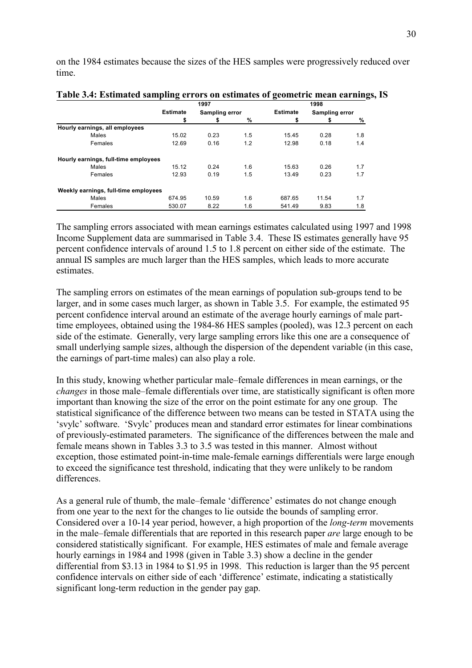on the 1984 estimates because the sizes of the HES samples were progressively reduced over time.

|                                      |                 | 1997           |     | 1998            |                |     |
|--------------------------------------|-----------------|----------------|-----|-----------------|----------------|-----|
|                                      | <b>Estimate</b> | Sampling error |     | <b>Estimate</b> | Sampling error |     |
|                                      | \$              |                | %   | \$              | s              | %   |
| Hourly earnings, all employees       |                 |                |     |                 |                |     |
| Males                                | 15.02           | 0.23           | 1.5 | 15.45           | 0.28           | 1.8 |
| Females                              | 12.69           | 0.16           | 1.2 | 12.98           | 0.18           | 1.4 |
| Hourly earnings, full-time employees |                 |                |     |                 |                |     |
| Males                                | 15.12           | 0.24           | 1.6 | 15.63           | 0.26           | 1.7 |
| Females                              | 12.93           | 0.19           | 1.5 | 13.49           | 0.23           | 1.7 |
| Weekly earnings, full-time employees |                 |                |     |                 |                |     |
| Males                                | 674.95          | 10.59          | 1.6 | 687.65          | 11.54          | 1.7 |
| Females                              | 530.07          | 8.22           | 1.6 | 541.49          | 9.83           | 1.8 |

|  |  | Table 3.4: Estimated sampling errors on estimates of geometric mean earnings, IS |  |
|--|--|----------------------------------------------------------------------------------|--|
|  |  |                                                                                  |  |

The sampling errors associated with mean earnings estimates calculated using 1997 and 1998 Income Supplement data are summarised in Table 3.4. These IS estimates generally have 95 percent confidence intervals of around 1.5 to 1.8 percent on either side of the estimate. The annual IS samples are much larger than the HES samples, which leads to more accurate estimates.

The sampling errors on estimates of the mean earnings of population sub-groups tend to be larger, and in some cases much larger, as shown in Table 3.5. For example, the estimated 95 percent confidence interval around an estimate of the average hourly earnings of male parttime employees, obtained using the 1984-86 HES samples (pooled), was 12.3 percent on each side of the estimate. Generally, very large sampling errors like this one are a consequence of small underlying sample sizes, although the dispersion of the dependent variable (in this case, the earnings of part-time males) can also play a role.

In this study, knowing whether particular male–female differences in mean earnings, or the *changes* in those male–female differentials over time, are statistically significant is often more important than knowing the size of the error on the point estimate for any one group. The statistical significance of the difference between two means can be tested in STATA using the 'svylc' software. 'Svylc' produces mean and standard error estimates for linear combinations of previously-estimated parameters. The significance of the differences between the male and female means shown in Tables 3.3 to 3.5 was tested in this manner. Almost without exception, those estimated point-in-time male-female earnings differentials were large enough to exceed the significance test threshold, indicating that they were unlikely to be random differences.

As a general rule of thumb, the male–female 'difference' estimates do not change enough from one year to the next for the changes to lie outside the bounds of sampling error. Considered over a 10-14 year period, however, a high proportion of the *long-term* movements in the male–female differentials that are reported in this research paper *are* large enough to be considered statistically significant. For example, HES estimates of male and female average hourly earnings in 1984 and 1998 (given in Table 3.3) show a decline in the gender differential from \$3.13 in 1984 to \$1.95 in 1998. This reduction is larger than the 95 percent confidence intervals on either side of each 'difference' estimate, indicating a statistically significant long-term reduction in the gender pay gap.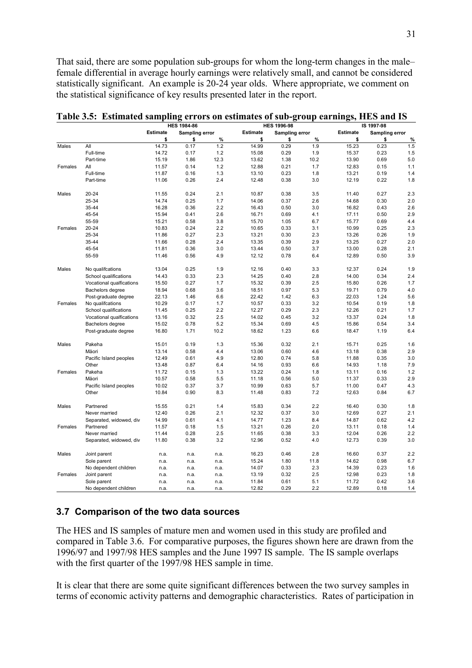That said, there are some population sub-groups for whom the long-term changes in the maleñ female differential in average hourly earnings were relatively small, and cannot be considered statistically significant. An example is 20-24 year olds. Where appropriate, we comment on the statistical significance of key results presented later in the report.

|         |                          |          | <b>HES 1984-86</b> |      |                 | <b>HES 1996-98</b> |      |                 | IS 1997-98            |      |
|---------|--------------------------|----------|--------------------|------|-----------------|--------------------|------|-----------------|-----------------------|------|
|         |                          | Estimate | Sampling error     |      | <b>Estimate</b> | Sampling error     |      | <b>Estimate</b> | <b>Sampling error</b> |      |
|         |                          | \$       | \$                 | %    | \$              | \$                 | %    | \$              | \$                    | $\%$ |
| Males   | All                      | 14.73    | 0.17               | 1.2  | 14.99           | 0.29               | 1.9  | 15.23           | 0.23                  | 1.5  |
|         | Full-time                | 14.72    | 0.17               | 1.2  | 15.08           | 0.29               | 1.9  | 15.37           | 0.23                  | 1.5  |
|         | Part-time                | 15.19    | 1.86               | 12.3 | 13.62           | 1.38               | 10.2 | 13.90           | 0.69                  | 5.0  |
| Females | All                      | 11.57    | 0.14               | 1.2  | 12.88           | 0.21               | 1.7  | 12.83           | 0.15                  | 1.1  |
|         | Full-time                | 11.87    | 0.16               | 1.3  | 13.10           | 0.23               | 1.8  | 13.21           | 0.19                  | 1.4  |
|         | Part-time                | 11.06    | 0.26               | 2.4  | 12.48           | 0.38               | 3.0  | 12.19           | 0.22                  | 1.8  |
| Males   | 20-24                    | 11.55    | 0.24               | 2.1  | 10.87           | 0.38               | 3.5  | 11.40           | 0.27                  | 2.3  |
|         | 25-34                    | 14.74    | 0.25               | 1.7  | 14.06           | 0.37               | 2.6  | 14.68           | 0.30                  | 2.0  |
|         | 35-44                    | 16.28    | 0.36               | 2.2  | 16.43           | 0.50               | 3.0  | 16.82           | 0.43                  | 2.6  |
|         | 45-54                    | 15.94    | 0.41               | 2.6  | 16.71           | 0.69               | 4.1  | 17.11           | 0.50                  | 2.9  |
|         | 55-59                    | 15.21    | 0.58               | 3.8  | 15.70           | 1.05               | 6.7  | 15.77           | 0.69                  | 4.4  |
| Females | $20 - 24$                | 10.83    | 0.24               | 2.2  | 10.65           | 0.33               | 3.1  | 10.99           | 0.25                  | 2.3  |
|         | 25-34                    | 11.86    | 0.27               | 2.3  | 13.21           | 0.30               | 2.3  | 13.26           | 0.26                  | 1.9  |
|         | 35-44                    | 11.66    | 0.28               | 2.4  | 13.35           | 0.39               | 2.9  | 13.25           | 0.27                  | 2.0  |
|         | 45-54                    | 11.81    | 0.36               | 3.0  | 13.44           | 0.50               | 3.7  | 13.00           | 0.28                  | 2.1  |
|         | 55-59                    | 11.46    | 0.56               | 4.9  | 12.12           | 0.78               | 6.4  | 12.89           | 0.50                  | 3.9  |
| Males   | No qualifications        | 13.04    | 0.25               | 1.9  | 12.16           | 0.40               | 3.3  | 12.37           | 0.24                  | 1.9  |
|         | School qualifications    | 14.43    | 0.33               | 2.3  | 14.25           | 0.40               | 2.8  | 14.00           | 0.34                  | 2.4  |
|         | Vocational qualfications | 15.50    | 0.27               | 1.7  | 15.32           | 0.39               | 2.5  | 15.80           | 0.26                  | 1.7  |
|         | Bachelors degree         | 18.94    | 0.68               | 3.6  | 18.51           | 0.97               | 5.3  | 19.71           | 0.79                  | 4.0  |
|         | Post-graduate degree     | 22.13    | 1.46               | 6.6  | 22.42           | 1.42               | 6.3  | 22.03           | 1.24                  | 5.6  |
| Females | No qualifications        | 10.29    | 0.17               | 1.7  | 10.57           | 0.33               | 3.2  | 10.54           | 0.19                  | 1.8  |
|         | School qualifications    | 11.45    | 0.25               | 2.2  | 12.27           | 0.29               | 2.3  | 12.26           | 0.21                  | 1.7  |
|         | Vocational qualfications | 13.16    | 0.32               | 2.5  | 14.02           | 0.45               | 3.2  | 13.37           | 0.24                  | 1.8  |
|         | Bachelors degree         | 15.02    | 0.78               | 5.2  | 15.34           | 0.69               | 4.5  | 15.86           | 0.54                  | 3.4  |
|         | Post-graduate degree     | 16.80    | 1.71               | 10.2 | 18.62           | 1.23               | 6.6  | 18.47           | 1.19                  | 6.4  |
| Males   | Pakeha                   | 15.01    | 0.19               | 1.3  | 15.36           | 0.32               | 2.1  | 15.71           | 0.25                  | 1.6  |
|         | Mäori                    | 13.14    | 0.58               | 4.4  | 13.06           | 0.60               | 4.6  | 13.18           | 0.38                  | 2.9  |
|         | Pacific Island peoples   | 12.49    | 0.61               | 4.9  | 12.80           | 0.74               | 5.8  | 11.88           | 0.35                  | 3.0  |
|         | Other                    | 13.48    | 0.87               | 6.4  | 14.16           | 0.93               | 6.6  | 14.93           | 1.18                  | 7.9  |
| Females | Pakeha                   | 11.72    | 0.15               | 1.3  | 13.22           | 0.24               | 1.8  | 13.11           | 0.16                  | 1.2  |
|         | Mäori                    | 10.57    | 0.58               | 5.5  | 11.18           | 0.56               | 5.0  | 11.37           | 0.33                  | 2.9  |
|         | Pacific Island peoples   | 10.02    | 0.37               | 3.7  | 10.99           | 0.63               | 5.7  | 11.00           | 0.47                  | 4.3  |
|         | Other                    | 10.84    | 0.90               | 8.3  | 11.48           | 0.83               | 7.2  | 12.63           | 0.84                  | 6.7  |
| Males   | Partnered                | 15.55    | 0.21               | 1.4  | 15.83           | 0.34               | 2.2  | 16.40           | 0.30                  | 1.8  |
|         | Never married            | 12.40    | 0.26               | 2.1  | 12.32           | 0.37               | 3.0  | 12.69           | 0.27                  | 2.1  |
|         | Separated, widowed, div  | 14.99    | 0.61               | 4.1  | 14.77           | 1.23               | 8.4  | 14.87           | 0.62                  | 4.2  |
| Females | Partnered                | 11.57    | 0.18               | 1.5  | 13.21           | 0.26               | 2.0  | 13.11           | 0.18                  | 1.4  |
|         | Never married            | 11.44    | 0.28               | 2.5  | 11.65           | 0.38               | 3.3  | 12.04           | 0.26                  | 2.2  |
|         | Separated, widowed, div  | 11.80    | 0.38               | 3.2  | 12.96           | 0.52               | 4.0  | 12.73           | 0.39                  | 3.0  |
| Males   | Joint parent             | n.a.     | n.a.               | n.a. | 16.23           | 0.46               | 2.8  | 16.60           | 0.37                  | 2.2  |
|         | Sole parent              | n.a.     | n.a.               | n.a. | 15.24           | 1.80               | 11.8 | 14.62           | 0.98                  | 6.7  |
|         | No dependent children    | n.a.     | n.a.               | n.a. | 14.07           | 0.33               | 2.3  | 14.39           | 0.23                  | 1.6  |
| Females | Joint parent             | n.a.     | n.a.               | n.a. | 13.19           | 0.32               | 2.5  | 12.98           | 0.23                  | 1.8  |
|         | Sole parent              | n.a.     | n.a.               | n.a. | 11.84           | 0.61               | 5.1  | 11.72           | 0.42                  | 3.6  |
|         | No dependent children    | n.a.     | n.a.               | n.a. | 12.82           | 0.29               | 2.2  | 12.89           | 0.18                  | 1.4  |

**Table 3.5: Estimated sampling errors on estimates of sub-group earnings, HES and IS** 

## **3.7 Comparison of the two data sources**

The HES and IS samples of mature men and women used in this study are profiled and compared in Table 3.6. For comparative purposes, the figures shown here are drawn from the 1996/97 and 1997/98 HES samples and the June 1997 IS sample. The IS sample overlaps with the first quarter of the 1997/98 HES sample in time.

It is clear that there are some quite significant differences between the two survey samples in terms of economic activity patterns and demographic characteristics. Rates of participation in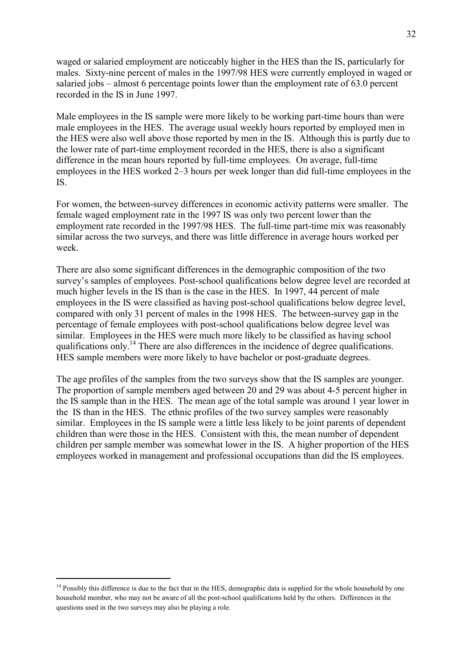waged or salaried employment are noticeably higher in the HES than the IS, particularly for males. Sixty-nine percent of males in the 1997/98 HES were currently employed in waged or salaried jobs  $-\alpha$  almost 6 percentage points lower than the employment rate of 63.0 percent recorded in the IS in June 1997.

Male employees in the IS sample were more likely to be working part-time hours than were male employees in the HES. The average usual weekly hours reported by employed men in the HES were also well above those reported by men in the IS. Although this is partly due to the lower rate of part-time employment recorded in the HES, there is also a significant difference in the mean hours reported by full-time employees. On average, full-time employees in the HES worked  $2-3$  hours per week longer than did full-time employees in the IS.

For women, the between-survey differences in economic activity patterns were smaller. The female waged employment rate in the 1997 IS was only two percent lower than the employment rate recorded in the 1997/98 HES. The full-time part-time mix was reasonably similar across the two surveys, and there was little difference in average hours worked per week.

There are also some significant differences in the demographic composition of the two survey's samples of employees. Post-school qualifications below degree level are recorded at much higher levels in the IS than is the case in the HES. In 1997, 44 percent of male employees in the IS were classified as having post-school qualifications below degree level, compared with only 31 percent of males in the 1998 HES. The between-survey gap in the percentage of female employees with post-school qualifications below degree level was similar. Employees in the HES were much more likely to be classified as having school qualifications only.14 There are also differences in the incidence of degree qualifications. HES sample members were more likely to have bachelor or post-graduate degrees.

The age profiles of the samples from the two surveys show that the IS samples are younger. The proportion of sample members aged between 20 and 29 was about 4-5 percent higher in the IS sample than in the HES. The mean age of the total sample was around 1 year lower in the IS than in the HES. The ethnic profiles of the two survey samples were reasonably similar. Employees in the IS sample were a little less likely to be joint parents of dependent children than were those in the HES. Consistent with this, the mean number of dependent children per sample member was somewhat lower in the IS. A higher proportion of the HES employees worked in management and professional occupations than did the IS employees.

 $\overline{a}$ 

<sup>&</sup>lt;sup>14</sup> Possibly this difference is due to the fact that in the HES, demographic data is supplied for the whole household by one household member, who may not be aware of all the post-school qualifications held by the others. Differences in the questions used in the two surveys may also be playing a role.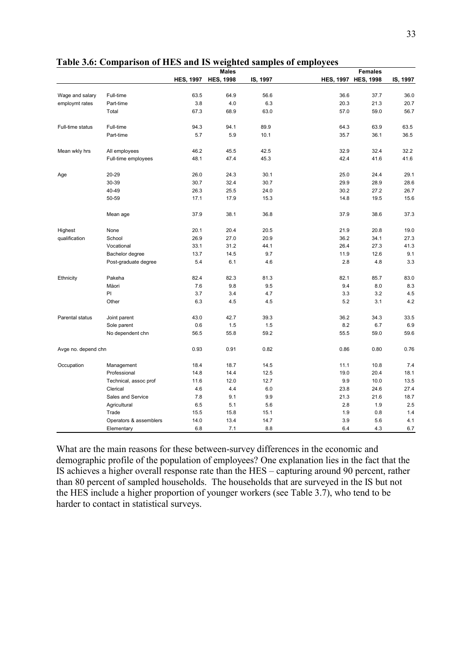|                     |                        |                  | <b>Males</b>     |          |                  | <b>Females</b>   |          |
|---------------------|------------------------|------------------|------------------|----------|------------------|------------------|----------|
|                     |                        | <b>HES, 1997</b> | <b>HES, 1998</b> | IS, 1997 | <b>HES, 1997</b> | <b>HES, 1998</b> | IS, 1997 |
|                     |                        |                  |                  |          |                  |                  |          |
| Wage and salary     | Full-time              | 63.5             | 64.9             | 56.6     | 36.6             | 37.7             | 36.0     |
| employmt rates      | Part-time              | 3.8              | 4.0              | 6.3      | 20.3             | 21.3             | 20.7     |
|                     | Total                  | 67.3             | 68.9             | 63.0     | 57.0             | 59.0             | 56.7     |
| Full-time status    | Full-time              | 94.3             | 94.1             | 89.9     | 64.3             | 63.9             | 63.5     |
|                     | Part-time              | 5.7              | 5.9              | 10.1     | 35.7             | 36.1             | 36.5     |
| Mean wkly hrs       | All employees          | 46.2             | 45.5             | 42.5     | 32.9             | 32.4             | 32.2     |
|                     | Full-time employees    | 48.1             | 47.4             | 45.3     | 42.4             | 41.6             | 41.6     |
| Age                 | 20-29                  | 26.0             | 24.3             | 30.1     | 25.0             | 24.4             | 29.1     |
|                     | 30-39                  | 30.7             | 32.4             | 30.7     | 29.9             | 28.9             | 28.6     |
|                     | 40-49                  | 26.3             | 25.5             | 24.0     | 30.2             | 27.2             | 26.7     |
|                     | 50-59                  | 17.1             | 17.9             | 15.3     | 14.8             | 19.5             | 15.6     |
|                     | Mean age               | 37.9             | 38.1             | 36.8     | 37.9             | 38.6             | 37.3     |
| Highest             | None                   | 20.1             | 20.4             | 20.5     | 21.9             | 20.8             | 19.0     |
| qualification       | School                 | 26.9             | 27.0             | 20.9     | 36.2             | 34.1             | 27.3     |
|                     | Vocational             | 33.1             | 31.2             | 44.1     | 26.4             | 27.3             | 41.3     |
|                     | Bachelor degree        | 13.7             | 14.5             | 9.7      | 11.9             | 12.6             | 9.1      |
|                     | Post-graduate degree   | 5.4              | 6.1              | 4.6      | 2.8              | 4.8              | 3.3      |
| Ethnicity           | Pakeha                 | 82.4             | 82.3             | 81.3     | 82.1             | 85.7             | 83.0     |
|                     | Mäori                  | 7.6              | 9.8              | 9.5      | 9.4              | 8.0              | 8.3      |
|                     | PI                     | 3.7              | 3.4              | 4.7      | 3.3              | 3.2              | 4.5      |
|                     | Other                  | 6.3              | 4.5              | 4.5      | 5.2              | 3.1              | 4.2      |
| Parental status     | Joint parent           | 43.0             | 42.7             | 39.3     | 36.2             | 34.3             | 33.5     |
|                     | Sole parent            | 0.6              | 1.5              | 1.5      | 8.2              | 6.7              | 6.9      |
|                     | No dependent chn       | 56.5             | 55.8             | 59.2     | 55.5             | 59.0             | 59.6     |
| Avge no. depend chn |                        | 0.93             | 0.91             | 0.82     | 0.86             | 0.80             | 0.76     |
| Occupation          | Management             | 18.4             | 18.7             | 14.5     | 11.1             | 10.8             | 7.4      |
|                     | Professional           | 14.8             | 14.4             | 12.5     | 19.0             | 20.4             | 18.1     |
|                     | Technical, assoc prof  | 11.6             | 12.0             | 12.7     | 9.9              | 10.0             | 13.5     |
|                     | Clerical               | 4.6              | 4.4              | 6.0      | 23.8             | 24.6             | 27.4     |
|                     | Sales and Service      | 7.8              | 9.1              | 9.9      | 21.3             | 21.6             | 18.7     |
|                     | Agricultural           | 6.5              | 5.1              | 5.6      | 2.8              | 1.9              | 2.5      |
|                     | Trade                  | 15.5             | 15.8             | 15.1     | 1.9              | 0.8              | 1.4      |
|                     | Operators & assemblers | 14.0             | 13.4             | 14.7     | 3.9              | 5.6              | 4.1      |
|                     | Elementary             | 6.8              | 7.1              | 8.8      | 6.4              | 4.3              | 6.7      |

**Table 3.6: Comparison of HES and IS weighted samples of employees** 

What are the main reasons for these between-survey differences in the economic and demographic profile of the population of employees? One explanation lies in the fact that the IS achieves a higher overall response rate than the  $HES -$  capturing around 90 percent, rather than 80 percent of sampled households. The households that are surveyed in the IS but not the HES include a higher proportion of younger workers (see Table 3.7), who tend to be harder to contact in statistical surveys.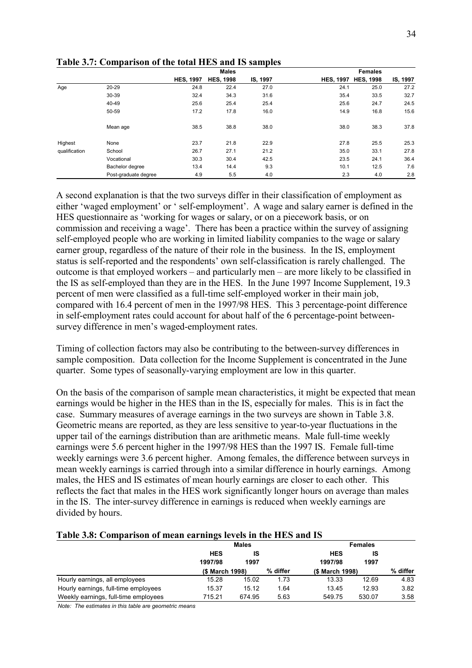|               |                      |                  | <b>Males</b>     |          |                  | <b>Females</b>   |          |
|---------------|----------------------|------------------|------------------|----------|------------------|------------------|----------|
|               |                      | <b>HES, 1997</b> | <b>HES, 1998</b> | IS, 1997 | <b>HES, 1997</b> | <b>HES, 1998</b> | IS, 1997 |
| Age           | $20 - 29$            | 24.8             | 22.4             | 27.0     | 24.1             | 25.0             | 27.2     |
|               | 30-39                | 32.4             | 34.3             | 31.6     | 35.4             | 33.5             | 32.7     |
|               | 40-49                | 25.6             | 25.4             | 25.4     | 25.6             | 24.7             | 24.5     |
|               | 50-59                | 17.2             | 17.8             | 16.0     | 14.9             | 16.8             | 15.6     |
|               | Mean age             | 38.5             | 38.8             | 38.0     | 38.0             | 38.3             | 37.8     |
| Highest       | None                 | 23.7             | 21.8             | 22.9     | 27.8             | 25.5             | 25.3     |
| qualification | School               | 26.7             | 27.1             | 21.2     | 35.0             | 33.1             | 27.8     |
|               | Vocational           | 30.3             | 30.4             | 42.5     | 23.5             | 24.1             | 36.4     |
|               | Bachelor degree      | 13.4             | 14.4             | 9.3      | 10.1             | 12.5             | 7.6      |
|               | Post-graduate degree | 4.9              | 5.5              | 4.0      | 2.3              | 4.0              | 2.8      |

**Table 3.7: Comparison of the total HES and IS samples** 

A second explanation is that the two surveys differ in their classification of employment as either 'waged employment' or ' self-employment'. A wage and salary earner is defined in the HES questionnaire as 'working for wages or salary, or on a piecework basis, or on commission and receiving a wage<sup>2</sup>. There has been a practice within the survey of assigning self-employed people who are working in limited liability companies to the wage or salary earner group, regardless of the nature of their role in the business. In the IS, employment status is self-reported and the respondents' own self-classification is rarely challenged. The outcome is that employed workers – and particularly men – are more likely to be classified in the IS as self-employed than they are in the HES. In the June 1997 Income Supplement, 19.3 percent of men were classified as a full-time self-employed worker in their main job, compared with 16.4 percent of men in the 1997/98 HES. This 3 percentage-point difference in self-employment rates could account for about half of the 6 percentage-point betweensurvey difference in men's waged-employment rates.

Timing of collection factors may also be contributing to the between-survey differences in sample composition. Data collection for the Income Supplement is concentrated in the June quarter. Some types of seasonally-varying employment are low in this quarter.

On the basis of the comparison of sample mean characteristics, it might be expected that mean earnings would be higher in the HES than in the IS, especially for males. This is in fact the case. Summary measures of average earnings in the two surveys are shown in Table 3.8. Geometric means are reported, as they are less sensitive to year-to-year fluctuations in the upper tail of the earnings distribution than are arithmetic means. Male full-time weekly earnings were 5.6 percent higher in the 1997/98 HES than the 1997 IS. Female full-time weekly earnings were 3.6 percent higher. Among females, the difference between surveys in mean weekly earnings is carried through into a similar difference in hourly earnings. Among males, the HES and IS estimates of mean hourly earnings are closer to each other. This reflects the fact that males in the HES work significantly longer hours on average than males in the IS. The inter-survey difference in earnings is reduced when weekly earnings are divided by hours.

#### **Table 3.8: Comparison of mean earnings levels in the HES and IS**

|                                      | <b>Males</b>    |        |          | <b>Females</b>  |          |      |
|--------------------------------------|-----------------|--------|----------|-----------------|----------|------|
|                                      | <b>HES</b>      |        |          | <b>HES</b>      |          |      |
|                                      | 1997/98         | 1997   |          | 1997/98         | 1997     |      |
|                                      | (\$ March 1998) |        | % differ | (\$ March 1998) | % differ |      |
| Hourly earnings, all employees       | 15.28           | 15.02  | 1.73     | 13.33           | 12.69    | 4.83 |
| Hourly earnings, full-time employees | 15.37           | 15.12  | 1.64     | 13.45           | 12.93    | 3.82 |
| Weekly earnings, full-time employees | 715.21          | 674.95 | 5.63     | 549.75          | 530.07   | 3.58 |

*Note: The estimates in this table are geometric means*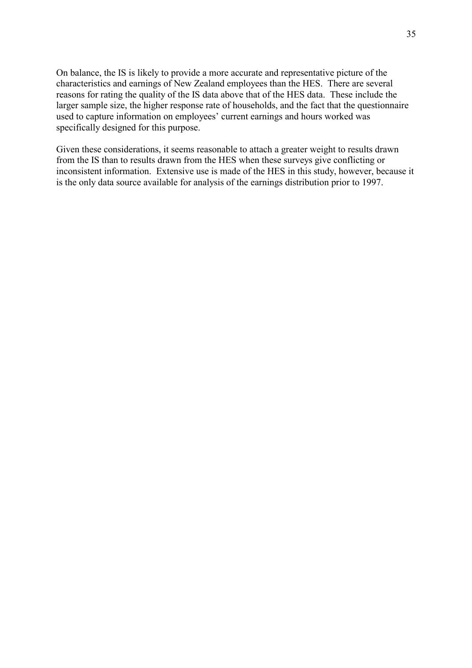On balance, the IS is likely to provide a more accurate and representative picture of the characteristics and earnings of New Zealand employees than the HES. There are several reasons for rating the quality of the IS data above that of the HES data. These include the larger sample size, the higher response rate of households, and the fact that the questionnaire used to capture information on employees' current earnings and hours worked was specifically designed for this purpose.

Given these considerations, it seems reasonable to attach a greater weight to results drawn from the IS than to results drawn from the HES when these surveys give conflicting or inconsistent information. Extensive use is made of the HES in this study, however, because it is the only data source available for analysis of the earnings distribution prior to 1997.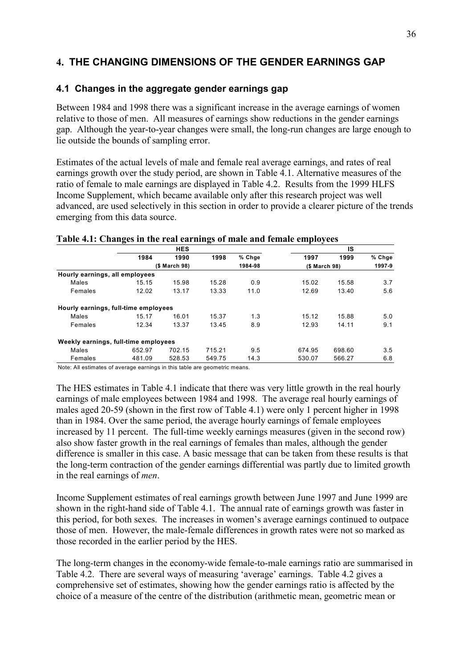# **4. THE CHANGING DIMENSIONS OF THE GENDER EARNINGS GAP**

## **4.1 Changes in the aggregate gender earnings gap**

Between 1984 and 1998 there was a significant increase in the average earnings of women relative to those of men. All measures of earnings show reductions in the gender earnings gap. Although the year-to-year changes were small, the long-run changes are large enough to lie outside the bounds of sampling error.

Estimates of the actual levels of male and female real average earnings, and rates of real earnings growth over the study period, are shown in Table 4.1. Alternative measures of the ratio of female to male earnings are displayed in Table 4.2. Results from the 1999 HLFS Income Supplement, which became available only after this research project was well advanced, are used selectively in this section in order to provide a clearer picture of the trends emerging from this data source.

|                                      | ັ      |               | ິ      |         |               |        |        |
|--------------------------------------|--------|---------------|--------|---------|---------------|--------|--------|
|                                      |        | <b>HES</b>    |        |         |               | IS     |        |
|                                      | 1984   | 1990          | 1998   | % Chge  | 1997          | 1999   | % Chge |
|                                      |        | (\$ March 98) |        | 1984-98 | (\$ March 98) |        | 1997-9 |
| Hourly earnings, all employees       |        |               |        |         |               |        |        |
| Males                                | 15.15  | 15.98         | 15.28  | 0.9     | 15.02         | 15.58  | 3.7    |
| Females                              | 12.02  | 13.17         | 13.33  | 11.0    | 12.69         | 13.40  | 5.6    |
| Hourly earnings, full-time employees |        |               |        |         |               |        |        |
| Males                                | 15.17  | 16.01         | 15.37  | 1.3     | 15.12         | 15.88  | 5.0    |
| Females                              | 12.34  | 13.37         | 13.45  | 8.9     | 12.93         | 14.11  | 9.1    |
| Weekly earnings, full-time employees |        |               |        |         |               |        |        |
| Males                                | 652.97 | 702.15        | 715.21 | 9.5     | 674.95        | 698.60 | 3.5    |
| Females                              | 481.09 | 528.53        | 549.75 | 14.3    | 530.07        | 566.27 | 6.8    |

#### **Table 4.1: Changes in the real earnings of male and female employees**

Note: All estimates of average earnings in this table are geometric means.

The HES estimates in Table 4.1 indicate that there was very little growth in the real hourly earnings of male employees between 1984 and 1998. The average real hourly earnings of males aged 20-59 (shown in the first row of Table 4.1) were only 1 percent higher in 1998 than in 1984. Over the same period, the average hourly earnings of female employees increased by 11 percent. The full-time weekly earnings measures (given in the second row) also show faster growth in the real earnings of females than males, although the gender difference is smaller in this case. A basic message that can be taken from these results is that the long-term contraction of the gender earnings differential was partly due to limited growth in the real earnings of *men*.

Income Supplement estimates of real earnings growth between June 1997 and June 1999 are shown in the right-hand side of Table 4.1. The annual rate of earnings growth was faster in this period, for both sexes. The increases in women's average earnings continued to outpace those of men. However, the male-female differences in growth rates were not so marked as those recorded in the earlier period by the HES.

The long-term changes in the economy-wide female-to-male earnings ratio are summarised in Table 4.2. There are several ways of measuring 'average' earnings. Table 4.2 gives a comprehensive set of estimates, showing how the gender earnings ratio is affected by the choice of a measure of the centre of the distribution (arithmetic mean, geometric mean or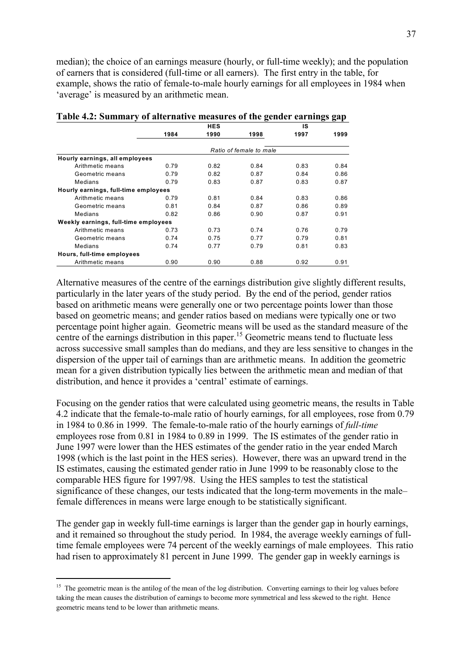median); the choice of an earnings measure (hourly, or full-time weekly); and the population of earners that is considered (full-time or all earners). The first entry in the table, for example, shows the ratio of female-to-male hourly earnings for all employees in 1984 when 'average' is measured by an arithmetic mean.

|                                      |      | HES  |                         | IS   |      |
|--------------------------------------|------|------|-------------------------|------|------|
|                                      | 1984 | 1990 | 1998                    | 1997 | 1999 |
|                                      |      |      | Ratio of female to male |      |      |
| Hourly earnings, all employees       |      |      |                         |      |      |
| Arithmetic means                     | 0.79 | 0.82 | 0.84                    | 0.83 | 0.84 |
| Geometric means                      | 0.79 | 0.82 | 0.87                    | 0.84 | 0.86 |
| Medians                              | 0.79 | 0.83 | 0.87                    | 0.83 | 0.87 |
| Hourly earnings, full-time employees |      |      |                         |      |      |
| Arithmetic means                     | 0.79 | 0.81 | 0.84                    | 0.83 | 0.86 |
| Geometric means                      | 0.81 | 0.84 | 0.87                    | 0.86 | 0.89 |
| Medians                              | 0.82 | 0.86 | 0.90                    | 0.87 | 0.91 |
| Weekly earnings, full-time employees |      |      |                         |      |      |
| Arithmetic means                     | 0.73 | 0.73 | 0.74                    | 0.76 | 0.79 |
| Geometric means                      | 0.74 | 0.75 | 0.77                    | 0.79 | 0.81 |
| Medians                              | 0.74 | 0.77 | 0.79                    | 0.81 | 0.83 |
| Hours, full-time employees           |      |      |                         |      |      |
| Arithmetic means                     | 0.90 | 0.90 | 0.88                    | 0.92 | 0.91 |

**Table 4.2: Summary of alternative measures of the gender earnings gap** 

Alternative measures of the centre of the earnings distribution give slightly different results, particularly in the later years of the study period. By the end of the period, gender ratios based on arithmetic means were generally one or two percentage points lower than those based on geometric means; and gender ratios based on medians were typically one or two percentage point higher again. Geometric means will be used as the standard measure of the centre of the earnings distribution in this paper.<sup>15</sup> Geometric means tend to fluctuate less across successive small samples than do medians, and they are less sensitive to changes in the dispersion of the upper tail of earnings than are arithmetic means. In addition the geometric mean for a given distribution typically lies between the arithmetic mean and median of that distribution, and hence it provides a 'central' estimate of earnings.

Focusing on the gender ratios that were calculated using geometric means, the results in Table 4.2 indicate that the female-to-male ratio of hourly earnings, for all employees, rose from 0.79 in 1984 to 0.86 in 1999. The female-to-male ratio of the hourly earnings of *full-time* employees rose from 0.81 in 1984 to 0.89 in 1999. The IS estimates of the gender ratio in June 1997 were lower than the HES estimates of the gender ratio in the year ended March 1998 (which is the last point in the HES series). However, there was an upward trend in the IS estimates, causing the estimated gender ratio in June 1999 to be reasonably close to the comparable HES figure for 1997/98. Using the HES samples to test the statistical significance of these changes, our tests indicated that the long-term movements in the male– female differences in means were large enough to be statistically significant.

The gender gap in weekly full-time earnings is larger than the gender gap in hourly earnings, and it remained so throughout the study period. In 1984, the average weekly earnings of fulltime female employees were 74 percent of the weekly earnings of male employees. This ratio had risen to approximately 81 percent in June 1999. The gender gap in weekly earnings is

<sup>&</sup>lt;sup>15</sup> The geometric mean is the antilog of the mean of the log distribution. Converting earnings to their log values before taking the mean causes the distribution of earnings to become more symmetrical and less skewed to the right. Hence geometric means tend to be lower than arithmetic means.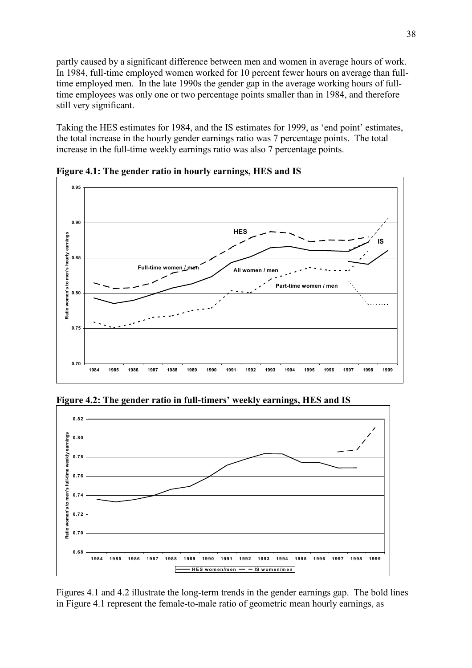partly caused by a significant difference between men and women in average hours of work. In 1984, full-time employed women worked for 10 percent fewer hours on average than fulltime employed men. In the late 1990s the gender gap in the average working hours of fulltime employees was only one or two percentage points smaller than in 1984, and therefore still very significant.

Taking the HES estimates for 1984, and the IS estimates for 1999, as 'end point' estimates, the total increase in the hourly gender earnings ratio was 7 percentage points. The total increase in the full-time weekly earnings ratio was also 7 percentage points.



**Figure 4.1: The gender ratio in hourly earnings, HES and IS** 

Figure 4.2: The gender ratio in full-timers' weekly earnings, HES and IS



Figures 4.1 and 4.2 illustrate the long-term trends in the gender earnings gap. The bold lines in Figure 4.1 represent the female-to-male ratio of geometric mean hourly earnings, as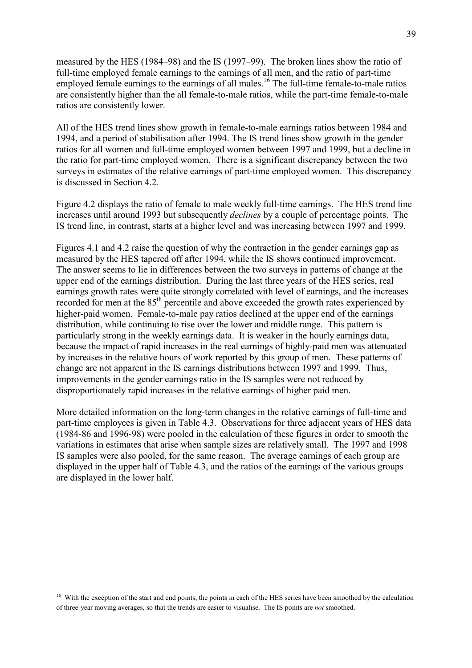measured by the HES (1984–98) and the IS (1997–99). The broken lines show the ratio of full-time employed female earnings to the earnings of all men, and the ratio of part-time employed female earnings to the earnings of all males.<sup>16</sup> The full-time female-to-male ratios are consistently higher than the all female-to-male ratios, while the part-time female-to-male ratios are consistently lower.

All of the HES trend lines show growth in female-to-male earnings ratios between 1984 and 1994, and a period of stabilisation after 1994. The IS trend lines show growth in the gender ratios for all women and full-time employed women between 1997 and 1999, but a decline in the ratio for part-time employed women. There is a significant discrepancy between the two surveys in estimates of the relative earnings of part-time employed women. This discrepancy is discussed in Section 4.2.

Figure 4.2 displays the ratio of female to male weekly full-time earnings. The HES trend line increases until around 1993 but subsequently *declines* by a couple of percentage points. The IS trend line, in contrast, starts at a higher level and was increasing between 1997 and 1999.

Figures 4.1 and 4.2 raise the question of why the contraction in the gender earnings gap as measured by the HES tapered off after 1994, while the IS shows continued improvement. The answer seems to lie in differences between the two surveys in patterns of change at the upper end of the earnings distribution. During the last three years of the HES series, real earnings growth rates were quite strongly correlated with level of earnings, and the increases recorded for men at the 85<sup>th</sup> percentile and above exceeded the growth rates experienced by higher-paid women. Female-to-male pay ratios declined at the upper end of the earnings distribution, while continuing to rise over the lower and middle range. This pattern is particularly strong in the weekly earnings data. It is weaker in the hourly earnings data, because the impact of rapid increases in the real earnings of highly-paid men was attenuated by increases in the relative hours of work reported by this group of men. These patterns of change are not apparent in the IS earnings distributions between 1997 and 1999. Thus, improvements in the gender earnings ratio in the IS samples were not reduced by disproportionately rapid increases in the relative earnings of higher paid men.

More detailed information on the long-term changes in the relative earnings of full-time and part-time employees is given in Table 4.3. Observations for three adjacent years of HES data (1984-86 and 1996-98) were pooled in the calculation of these figures in order to smooth the variations in estimates that arise when sample sizes are relatively small. The 1997 and 1998 IS samples were also pooled, for the same reason. The average earnings of each group are displayed in the upper half of Table 4.3, and the ratios of the earnings of the various groups are displayed in the lower half.

<sup>&</sup>lt;sup>16</sup> With the exception of the start and end points, the points in each of the HES series have been smoothed by the calculation of three-year moving averages, so that the trends are easier to visualise. The IS points are *not* smoothed.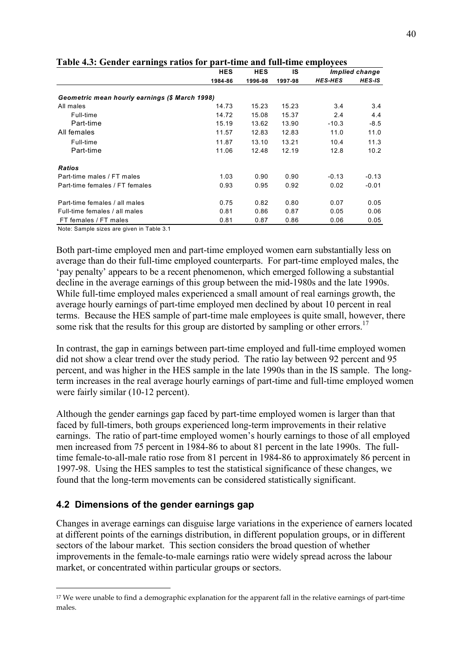| ా                                              |            |            |         |                |                |
|------------------------------------------------|------------|------------|---------|----------------|----------------|
|                                                | <b>HES</b> | <b>HES</b> | IS      |                | Implied change |
|                                                | 1984-86    | 1996-98    | 1997-98 | <b>HES-HES</b> | HES-IS         |
| Geometric mean hourly earnings (\$ March 1998) |            |            |         |                |                |
| All males                                      | 14.73      | 15.23      | 15.23   | 3.4            | 3.4            |
| Full-time                                      | 14.72      | 15.08      | 15.37   | 2.4            | 4.4            |
| Part-time                                      | 15.19      | 13.62      | 13.90   | $-10.3$        | $-8.5$         |
| All females                                    | 11.57      | 12.83      | 12.83   | 11.0           | 11.0           |
| Full-time                                      | 11.87      | 13.10      | 13.21   | 10.4           | 11.3           |
| Part-time                                      | 11.06      | 12.48      | 12.19   | 12.8           | 10.2           |
| <b>Ratios</b>                                  |            |            |         |                |                |
| Part-time males / FT males                     | 1.03       | 0.90       | 0.90    | $-0.13$        | $-0.13$        |
| Part-time females / FT females                 | 0.93       | 0.95       | 0.92    | 0.02           | $-0.01$        |
| Part-time females / all males                  | 0.75       | 0.82       | 0.80    | 0.07           | 0.05           |
| Full-time females / all males                  | 0.81       | 0.86       | 0.87    | 0.05           | 0.06           |
| FT females / FT males                          | 0.81       | 0.87       | 0.86    | 0.06           | 0.05           |

**Table 4.3: Gender earnings ratios for part-time and full-time employees** 

Note: Sample sizes are given in Table 3.1

Both part-time employed men and part-time employed women earn substantially less on average than do their full-time employed counterparts. For part-time employed males, the ëpay penaltyí appears to be a recent phenomenon, which emerged following a substantial decline in the average earnings of this group between the mid-1980s and the late 1990s. While full-time employed males experienced a small amount of real earnings growth, the average hourly earnings of part-time employed men declined by about 10 percent in real terms. Because the HES sample of part-time male employees is quite small, however, there some risk that the results for this group are distorted by sampling or other errors.<sup>17</sup>

In contrast, the gap in earnings between part-time employed and full-time employed women did not show a clear trend over the study period. The ratio lay between 92 percent and 95 percent, and was higher in the HES sample in the late 1990s than in the IS sample. The longterm increases in the real average hourly earnings of part-time and full-time employed women were fairly similar (10-12 percent).

Although the gender earnings gap faced by part-time employed women is larger than that faced by full-timers, both groups experienced long-term improvements in their relative earnings. The ratio of part-time employed women's hourly earnings to those of all employed men increased from 75 percent in 1984-86 to about 81 percent in the late 1990s. The fulltime female-to-all-male ratio rose from 81 percent in 1984-86 to approximately 86 percent in 1997-98. Using the HES samples to test the statistical significance of these changes, we found that the long-term movements can be considered statistically significant.

## **4.2 Dimensions of the gender earnings gap**

 $\overline{a}$ 

Changes in average earnings can disguise large variations in the experience of earners located at different points of the earnings distribution, in different population groups, or in different sectors of the labour market. This section considers the broad question of whether improvements in the female-to-male earnings ratio were widely spread across the labour market, or concentrated within particular groups or sectors.

<sup>17</sup> We were unable to find a demographic explanation for the apparent fall in the relative earnings of part-time males.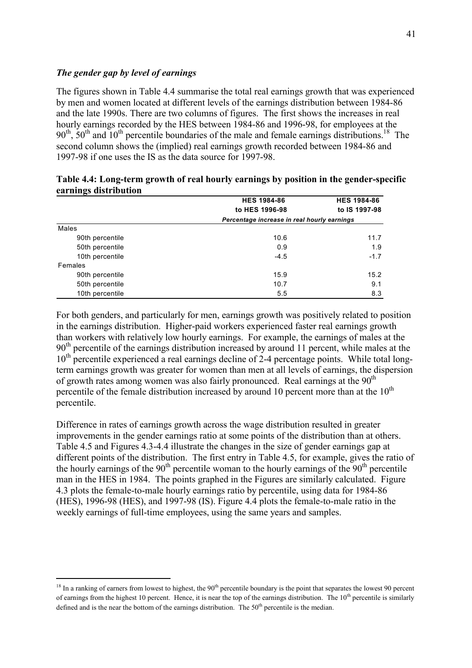#### *The gender gap by level of earnings*

 $\overline{a}$ 

The figures shown in Table 4.4 summarise the total real earnings growth that was experienced by men and women located at different levels of the earnings distribution between 1984-86 and the late 1990s. There are two columns of figures. The first shows the increases in real hourly earnings recorded by the HES between 1984-86 and 1996-98, for employees at the  $90<sup>th</sup>$ ,  $50<sup>th</sup>$  and  $10<sup>th</sup>$  percentile boundaries of the male and female earnings distributions.<sup>18</sup> The second column shows the (implied) real earnings growth recorded between 1984-86 and 1997-98 if one uses the IS as the data source for 1997-98.

| -               | <b>HES 1984-86</b>                          | <b>HES 1984-86</b> |
|-----------------|---------------------------------------------|--------------------|
|                 | to HES 1996-98                              | to IS 1997-98      |
|                 | Percentage increase in real hourly earnings |                    |
| Males           |                                             |                    |
| 90th percentile | 10.6                                        | 11.7               |
| 50th percentile | 0.9                                         | 1.9                |
| 10th percentile | $-4.5$                                      | $-1.7$             |
| Females         |                                             |                    |
| 90th percentile | 15.9                                        | 15.2               |
| 50th percentile | 10.7                                        | 9.1                |
| 10th percentile | 5.5                                         | 8.3                |

| Table 4.4: Long-term growth of real hourly earnings by position in the gender-specific |  |  |
|----------------------------------------------------------------------------------------|--|--|
| earnings distribution                                                                  |  |  |

For both genders, and particularly for men, earnings growth was positively related to position in the earnings distribution. Higher-paid workers experienced faster real earnings growth than workers with relatively low hourly earnings. For example, the earnings of males at the  $90<sup>th</sup>$  percentile of the earnings distribution increased by around 11 percent, while males at the  $10<sup>th</sup>$  percentile experienced a real earnings decline of 2-4 percentage points. While total longterm earnings growth was greater for women than men at all levels of earnings, the dispersion of growth rates among women was also fairly pronounced. Real earnings at the  $90<sup>th</sup>$ percentile of the female distribution increased by around 10 percent more than at the  $10<sup>th</sup>$ percentile.

Difference in rates of earnings growth across the wage distribution resulted in greater improvements in the gender earnings ratio at some points of the distribution than at others. Table 4.5 and Figures 4.3-4.4 illustrate the changes in the size of gender earnings gap at different points of the distribution. The first entry in Table 4.5, for example, gives the ratio of the hourly earnings of the  $90<sup>th</sup>$  percentile woman to the hourly earnings of the  $90<sup>th</sup>$  percentile man in the HES in 1984. The points graphed in the Figures are similarly calculated. Figure 4.3 plots the female-to-male hourly earnings ratio by percentile, using data for 1984-86 (HES), 1996-98 (HES), and 1997-98 (IS). Figure 4.4 plots the female-to-male ratio in the weekly earnings of full-time employees, using the same years and samples.

 $18$  In a ranking of earners from lowest to highest, the 90<sup>th</sup> percentile boundary is the point that separates the lowest 90 percent of earnings from the highest 10 percent. Hence, it is near the top of the earnings distribution. The  $10<sup>th</sup>$  percentile is similarly defined and is the near the bottom of the earnings distribution. The  $50<sup>th</sup>$  percentile is the median.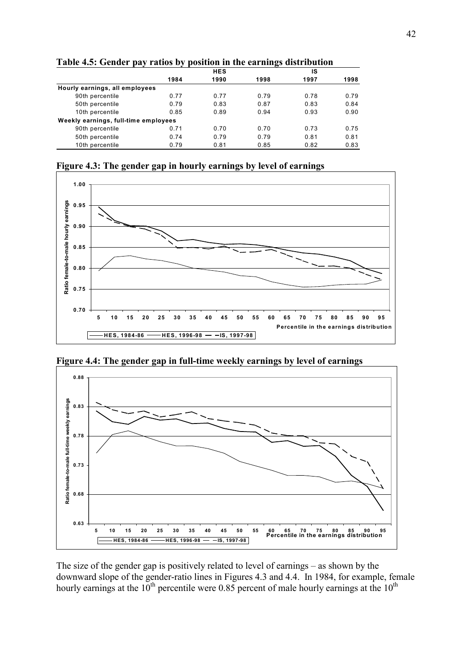|                                      |      |            | ∽    |      |      |
|--------------------------------------|------|------------|------|------|------|
|                                      |      | <b>HES</b> |      | ıs   |      |
|                                      | 1984 | 1990       | 1998 | 1997 | 1998 |
| Hourly earnings, all employees       |      |            |      |      |      |
| 90th percentile                      | 0.77 | 0.77       | 0.79 | 0.78 | 0.79 |
| 50th percentile                      | 0.79 | 0.83       | 0.87 | 0.83 | 0.84 |
| 10th percentile                      | 0.85 | 0.89       | 0.94 | 0.93 | 0.90 |
| Weekly earnings, full-time employees |      |            |      |      |      |
| 90th percentile                      | 0.71 | 0.70       | 0.70 | 0.73 | 0.75 |
| 50th percentile                      | 0.74 | 0.79       | 0.79 | 0.81 | 0.81 |
| 10th percentile                      | 0.79 | 0.81       | 0.85 | 0.82 | 0.83 |

**Table 4.5: Gender pay ratios by position in the earnings distribution** 

**Figure 4.3: The gender gap in hourly earnings by level of earnings** 



**Figure 4.4: The gender gap in full-time weekly earnings by level of earnings** 



The size of the gender gap is positively related to level of earnings  $-$  as shown by the downward slope of the gender-ratio lines in Figures 4.3 and 4.4. In 1984, for example, female hourly earnings at the  $10^{th}$  percentile were 0.85 percent of male hourly earnings at the  $10^{th}$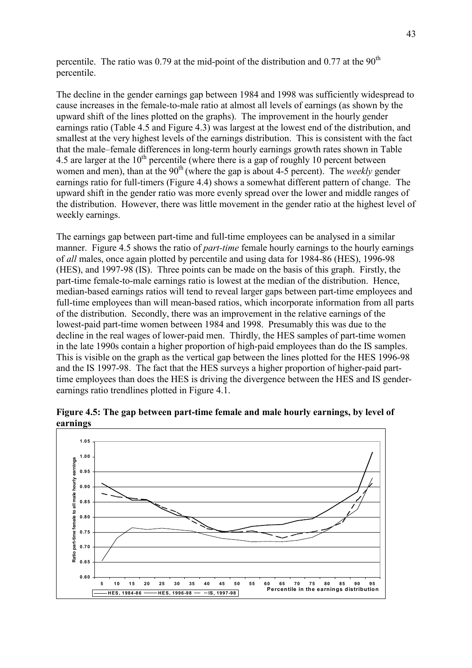percentile. The ratio was 0.79 at the mid-point of the distribution and 0.77 at the  $90<sup>th</sup>$ percentile.

The decline in the gender earnings gap between 1984 and 1998 was sufficiently widespread to cause increases in the female-to-male ratio at almost all levels of earnings (as shown by the upward shift of the lines plotted on the graphs). The improvement in the hourly gender earnings ratio (Table 4.5 and Figure 4.3) was largest at the lowest end of the distribution, and smallest at the very highest levels of the earnings distribution. This is consistent with the fact that the male–female differences in long-term hourly earnings growth rates shown in Table 4.5 are larger at the  $10^{th}$  percentile (where there is a gap of roughly 10 percent between women and men), than at the 90<sup>th</sup> (where the gap is about 4-5 percent). The *weekly* gender earnings ratio for full-timers (Figure 4.4) shows a somewhat different pattern of change. The upward shift in the gender ratio was more evenly spread over the lower and middle ranges of the distribution. However, there was little movement in the gender ratio at the highest level of weekly earnings.

The earnings gap between part-time and full-time employees can be analysed in a similar manner. Figure 4.5 shows the ratio of *part-time* female hourly earnings to the hourly earnings of *all* males, once again plotted by percentile and using data for 1984-86 (HES), 1996-98 (HES), and 1997-98 (IS). Three points can be made on the basis of this graph. Firstly, the part-time female-to-male earnings ratio is lowest at the median of the distribution. Hence, median-based earnings ratios will tend to reveal larger gaps between part-time employees and full-time employees than will mean-based ratios, which incorporate information from all parts of the distribution. Secondly, there was an improvement in the relative earnings of the lowest-paid part-time women between 1984 and 1998. Presumably this was due to the decline in the real wages of lower-paid men. Thirdly, the HES samples of part-time women in the late 1990s contain a higher proportion of high-paid employees than do the IS samples. This is visible on the graph as the vertical gap between the lines plotted for the HES 1996-98 and the IS 1997-98. The fact that the HES surveys a higher proportion of higher-paid parttime employees than does the HES is driving the divergence between the HES and IS genderearnings ratio trendlines plotted in Figure 4.1.

**Figure 4.5: The gap between part-time female and male hourly earnings, by level of earnings** 

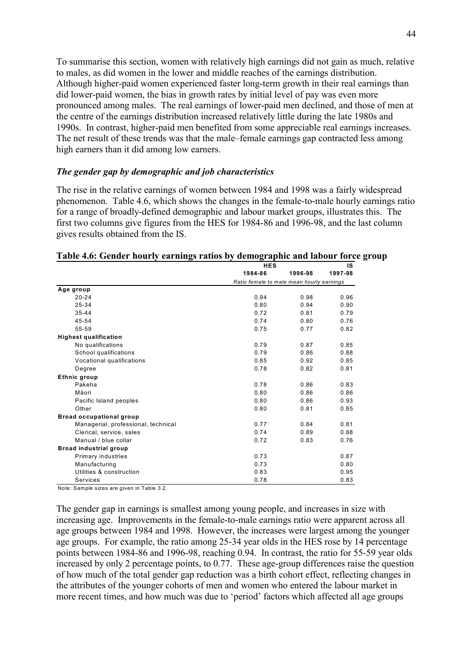To summarise this section, women with relatively high earnings did not gain as much, relative to males, as did women in the lower and middle reaches of the earnings distribution. Although higher-paid women experienced faster long-term growth in their real earnings than did lower-paid women, the bias in growth rates by initial level of pay was even more pronounced among males. The real earnings of lower-paid men declined, and those of men at the centre of the earnings distribution increased relatively little during the late 1980s and 1990s. In contrast, higher-paid men benefited from some appreciable real earnings increases. The net result of these trends was that the male–female earnings gap contracted less among high earners than it did among low earners.

#### *The gender gap by demographic and job characteristics*

The rise in the relative earnings of women between 1984 and 1998 was a fairly widespread phenomenon. Table 4.6, which shows the changes in the female-to-male hourly earnings ratio for a range of broadly-defined demographic and labour market groups, illustrates this. The first two columns give figures from the HES for 1984-86 and 1996-98, and the last column gives results obtained from the IS.

## **Table 4.6: Gender hourly earnings ratios by demographic and labour force group**

|                                     | <b>HES</b>                                |         | IS      |  |
|-------------------------------------|-------------------------------------------|---------|---------|--|
|                                     | 1984-86                                   | 1996-98 | 1997-98 |  |
|                                     | Ratio female to male mean hourly earnings |         |         |  |
| Age group                           |                                           |         |         |  |
| $20 - 24$                           | 0.94                                      | 0.98    | 0.96    |  |
| 25-34                               | 0.80                                      | 0.94    | 0.90    |  |
| $35 - 44$                           | 0.72                                      | 0.81    | 0.79    |  |
| 45-54                               | 0.74                                      | 0.80    | 0.76    |  |
| 55-59                               | 0.75                                      | 0.77    | 0.82    |  |
| <b>Highest qualification</b>        |                                           |         |         |  |
| No qualifications                   | 0.79                                      | 0.87    | 0.85    |  |
| School qualifications               | 0.79                                      | 0.86    | 0.88    |  |
| Vocational qualifications           | 0.85                                      | 0.92    | 0.85    |  |
| Degree                              | 0.78                                      | 0.82    | 0.81    |  |
| Ethnic group                        |                                           |         |         |  |
| Pakeha                              | 0.78                                      | 0.86    | 0.83    |  |
| Mäori                               | 0.80                                      | 0.86    | 0.86    |  |
| Pacific Island peoples              | 0.80                                      | 0.86    | 0.93    |  |
| Other                               | 0.80                                      | 0.81    | 0.85    |  |
| <b>Broad occupational group</b>     |                                           |         |         |  |
| Managerial, professional, technical | 0.77                                      | 0.84    | 0.81    |  |
| Clerical, service, sales            | 0.74                                      | 0.89    | 0.88    |  |
| Manual / blue collar                | 0.72                                      | 0.83    | 0.76    |  |
| <b>Broad industrial group</b>       |                                           |         |         |  |
| Primary industries                  | 0.73                                      |         | 0.87    |  |
| Manufacturing                       | 0.73                                      |         | 0.80    |  |
| Utilities & construction            | 0.83                                      |         | 0.95    |  |
| Services                            | 0.78                                      |         | 0.83    |  |

Note: Sample sizes are given in Table 3.2.

The gender gap in earnings is smallest among young people, and increases in size with increasing age. Improvements in the female-to-male earnings ratio were apparent across all age groups between 1984 and 1998. However, the increases were largest among the younger age groups. For example, the ratio among 25-34 year olds in the HES rose by 14 percentage points between 1984-86 and 1996-98, reaching 0.94. In contrast, the ratio for 55-59 year olds increased by only 2 percentage points, to 0.77. These age-group differences raise the question of how much of the total gender gap reduction was a birth cohort effect, reflecting changes in the attributes of the younger cohorts of men and women who entered the labour market in more recent times, and how much was due to 'period' factors which affected all age groups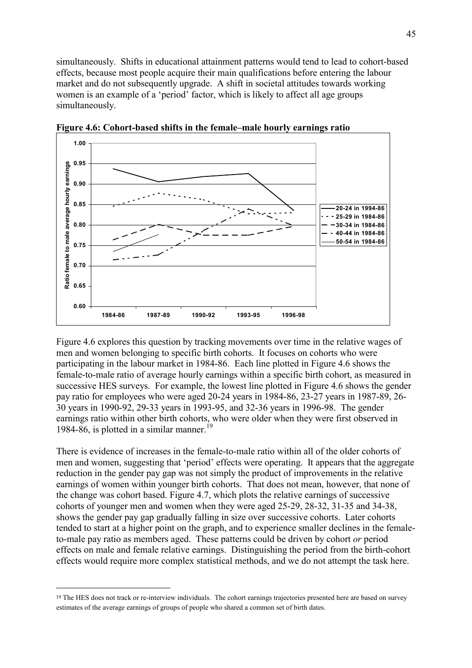simultaneously. Shifts in educational attainment patterns would tend to lead to cohort-based effects, because most people acquire their main qualifications before entering the labour market and do not subsequently upgrade. A shift in societal attitudes towards working women is an example of a 'period' factor, which is likely to affect all age groups simultaneously.



Figure 4.6: Cohort-based shifts in the female–male hourly earnings ratio

Figure 4.6 explores this question by tracking movements over time in the relative wages of men and women belonging to specific birth cohorts. It focuses on cohorts who were participating in the labour market in 1984-86. Each line plotted in Figure 4.6 shows the female-to-male ratio of average hourly earnings within a specific birth cohort, as measured in successive HES surveys. For example, the lowest line plotted in Figure 4.6 shows the gender pay ratio for employees who were aged 20-24 years in 1984-86, 23-27 years in 1987-89, 26- 30 years in 1990-92, 29-33 years in 1993-95, and 32-36 years in 1996-98. The gender earnings ratio within other birth cohorts, who were older when they were first observed in 1984-86, is plotted in a similar manner.<sup>19</sup>

There is evidence of increases in the female-to-male ratio within all of the older cohorts of men and women, suggesting that 'period' effects were operating. It appears that the aggregate reduction in the gender pay gap was not simply the product of improvements in the relative earnings of women within younger birth cohorts. That does not mean, however, that none of the change was cohort based. Figure 4.7, which plots the relative earnings of successive cohorts of younger men and women when they were aged 25-29, 28-32, 31-35 and 34-38, shows the gender pay gap gradually falling in size over successive cohorts. Later cohorts tended to start at a higher point on the graph, and to experience smaller declines in the femaleto-male pay ratio as members aged. These patterns could be driven by cohort *or* period effects on male and female relative earnings. Distinguishing the period from the birth-cohort effects would require more complex statistical methods, and we do not attempt the task here.

<sup>19</sup> The HES does not track or re-interview individuals. The cohort earnings trajectories presented here are based on survey estimates of the average earnings of groups of people who shared a common set of birth dates.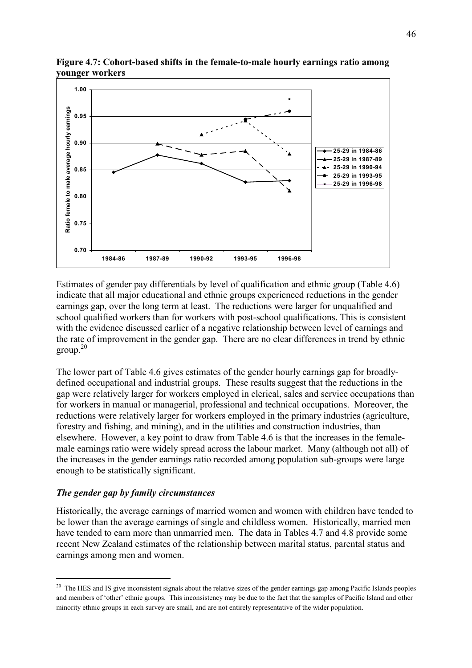

**Figure 4.7: Cohort-based shifts in the female-to-male hourly earnings ratio among younger workers** 

Estimates of gender pay differentials by level of qualification and ethnic group (Table 4.6) indicate that all major educational and ethnic groups experienced reductions in the gender earnings gap, over the long term at least. The reductions were larger for unqualified and school qualified workers than for workers with post-school qualifications. This is consistent with the evidence discussed earlier of a negative relationship between level of earnings and the rate of improvement in the gender gap. There are no clear differences in trend by ethnic group.20

The lower part of Table 4.6 gives estimates of the gender hourly earnings gap for broadlydefined occupational and industrial groups. These results suggest that the reductions in the gap were relatively larger for workers employed in clerical, sales and service occupations than for workers in manual or managerial, professional and technical occupations. Moreover, the reductions were relatively larger for workers employed in the primary industries (agriculture, forestry and fishing, and mining), and in the utilities and construction industries, than elsewhere. However, a key point to draw from Table 4.6 is that the increases in the femalemale earnings ratio were widely spread across the labour market. Many (although not all) of the increases in the gender earnings ratio recorded among population sub-groups were large enough to be statistically significant.

#### *The gender gap by family circumstances*

 $\overline{a}$ 

Historically, the average earnings of married women and women with children have tended to be lower than the average earnings of single and childless women. Historically, married men have tended to earn more than unmarried men. The data in Tables 4.7 and 4.8 provide some recent New Zealand estimates of the relationship between marital status, parental status and earnings among men and women.

<sup>&</sup>lt;sup>20</sup> The HES and IS give inconsistent signals about the relative sizes of the gender earnings gap among Pacific Islands peoples and members of 'other' ethnic groups. This inconsistency may be due to the fact that the samples of Pacific Island and other minority ethnic groups in each survey are small, and are not entirely representative of the wider population.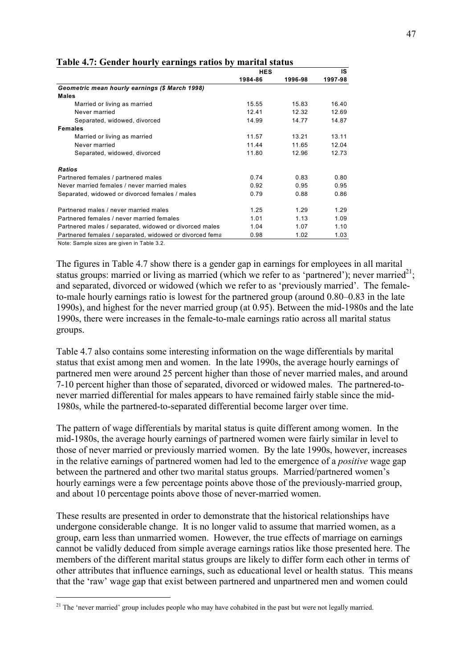|                                                         | <b>HES</b> |         | IS      |  |
|---------------------------------------------------------|------------|---------|---------|--|
|                                                         | 1984-86    | 1996-98 | 1997-98 |  |
| Geometric mean hourly earnings (\$ March 1998)          |            |         |         |  |
| <b>Males</b>                                            |            |         |         |  |
| Married or living as married                            | 15.55      | 15.83   | 16.40   |  |
| Never married                                           | 12.41      | 12.32   | 12.69   |  |
| Separated, widowed, divorced                            | 14.99      | 14.77   | 14.87   |  |
| <b>Females</b>                                          |            |         |         |  |
| Married or living as married                            | 11.57      | 13.21   | 13.11   |  |
| Never married                                           | 11.44      | 11 65   | 12.04   |  |
| Separated, widowed, divorced                            | 11.80      | 12.96   | 12.73   |  |
| <b>Ratios</b>                                           |            |         |         |  |
| Partnered females / partnered males                     | 0.74       | 0.83    | 0.80    |  |
| Never married females / never married males             | 0.92       | 0.95    | 0.95    |  |
| Separated, widowed or divorced females / males          | 0.79       | 0.88    | 0.86    |  |
| Partnered males / never married males                   | 1.25       | 1.29    | 1.29    |  |
| Partnered females / never married females               | 1.01       | 1.13    | 1.09    |  |
| Partnered males / separated, widowed or divorced males  | 1.04       | 1.07    | 1.10    |  |
| Partnered females / separated, widowed or divorced fema | 0.98       | 1.02    | 1.03    |  |
| Note: Sample sizes are given in Table 3.2.              |            |         |         |  |

**Table 4.7: Gender hourly earnings ratios by marital status** 

The figures in Table 4.7 show there is a gender gap in earnings for employees in all marital status groups: married or living as married (which we refer to as 'partnered'); never married<sup>21</sup>; and separated, divorced or widowed (which we refer to as 'previously married'. The femaleto-male hourly earnings ratio is lowest for the partnered group (around  $0.80-0.83$  in the late 1990s), and highest for the never married group (at 0.95). Between the mid-1980s and the late 1990s, there were increases in the female-to-male earnings ratio across all marital status groups.

Table 4.7 also contains some interesting information on the wage differentials by marital status that exist among men and women. In the late 1990s, the average hourly earnings of partnered men were around 25 percent higher than those of never married males, and around 7-10 percent higher than those of separated, divorced or widowed males. The partnered-tonever married differential for males appears to have remained fairly stable since the mid-1980s, while the partnered-to-separated differential become larger over time.

The pattern of wage differentials by marital status is quite different among women. In the mid-1980s, the average hourly earnings of partnered women were fairly similar in level to those of never married or previously married women. By the late 1990s, however, increases in the relative earnings of partnered women had led to the emergence of a *positive* wage gap between the partnered and other two marital status groups. Married/partnered women's hourly earnings were a few percentage points above those of the previously-married group, and about 10 percentage points above those of never-married women.

These results are presented in order to demonstrate that the historical relationships have undergone considerable change. It is no longer valid to assume that married women, as a group, earn less than unmarried women. However, the true effects of marriage on earnings cannot be validly deduced from simple average earnings ratios like those presented here. The members of the different marital status groups are likely to differ form each other in terms of other attributes that influence earnings, such as educational level or health status. This means that the 'raw' wage gap that exist between partnered and unpartnered men and women could

<sup>&</sup>lt;sup>21</sup> The 'never married' group includes people who may have cohabited in the past but were not legally married.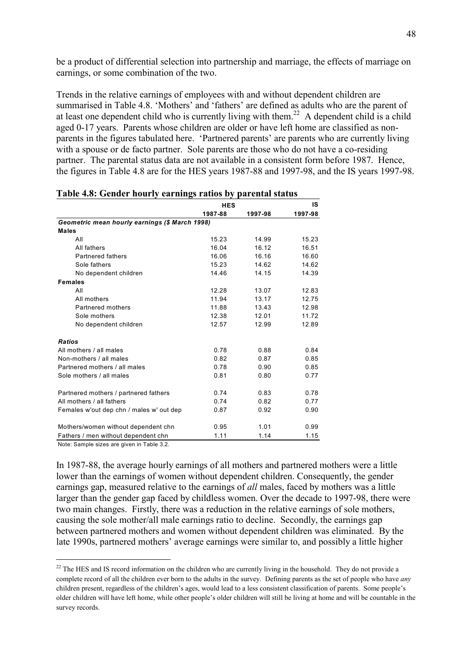be a product of differential selection into partnership and marriage, the effects of marriage on earnings, or some combination of the two.

Trends in the relative earnings of employees with and without dependent children are summarised in Table 4.8. 'Mothers' and 'fathers' are defined as adults who are the parent of at least one dependent child who is currently living with them.<sup>22</sup> A dependent child is a child aged 0-17 years. Parents whose children are older or have left home are classified as nonparents in the figures tabulated here. 'Partnered parents' are parents who are currently living with a spouse or de facto partner. Sole parents are those who do not have a co-residing partner. The parental status data are not available in a consistent form before 1987. Hence, the figures in Table 4.8 are for the HES years 1987-88 and 1997-98, and the IS years 1997-98.

|                                                | <b>HES</b> |         | IS      |
|------------------------------------------------|------------|---------|---------|
|                                                | 1987-88    | 1997-98 | 1997-98 |
| Geometric mean hourly earnings (\$ March 1998) |            |         |         |
| <b>Males</b>                                   |            |         |         |
| All                                            | 15.23      | 14.99   | 15.23   |
| All fathers                                    | 16.04      | 16.12   | 16.51   |
| <b>Partnered fathers</b>                       | 16.06      | 16.16   | 16.60   |
| Sole fathers                                   | 15.23      | 14.62   | 14.62   |
| No dependent children                          | 14.46      | 14.15   | 14.39   |
| <b>Females</b>                                 |            |         |         |
| All                                            | 12.28      | 13.07   | 12.83   |
| All mothers                                    | 11.94      | 13.17   | 12.75   |
| Partnered mothers                              | 11.88      | 13.43   | 12.98   |
| Sole mothers                                   | 12.38      | 12.01   | 11.72   |
| No dependent children                          | 12.57      | 12.99   | 12.89   |
| <b>Ratios</b>                                  |            |         |         |
| All mothers / all males                        | 0.78       | 0.88    | 0.84    |
| Non-mothers / all males                        | 0.82       | 0.87    | 0.85    |
| Partnered mothers / all males                  | 0.78       | 0.90    | 0.85    |
| Sole mothers / all males                       | 0.81       | 0.80    | 0.77    |
| Partnered mothers / partnered fathers          | 0.74       | 0.83    | 0.78    |
| All mothers / all fathers                      | 0.74       | 0.82    | 0.77    |
| Females w'out dep chn / males w' out dep       | 0.87       | 0.92    | 0.90    |
| Mothers/women without dependent chn            | 0.95       | 1.01    | 0.99    |
| Fathers / men without dependent chn            | 1.11       | 1.14    | 1.15    |

|  |  |  | Table 4.8: Gender hourly earnings ratios by parental status |  |
|--|--|--|-------------------------------------------------------------|--|
|  |  |  |                                                             |  |

Note: Sample sizes are given in Table 3.2.

 $\overline{a}$ 

In 1987-88, the average hourly earnings of all mothers and partnered mothers were a little lower than the earnings of women without dependent children. Consequently, the gender earnings gap, measured relative to the earnings of *all* males, faced by mothers was a little larger than the gender gap faced by childless women. Over the decade to 1997-98, there were two main changes. Firstly, there was a reduction in the relative earnings of sole mothers, causing the sole mother/all male earnings ratio to decline. Secondly, the earnings gap between partnered mothers and women without dependent children was eliminated. By the late 1990s, partnered mothers' average earnings were similar to, and possibly a little higher

<sup>&</sup>lt;sup>22</sup> The HES and IS record information on the children who are currently living in the household. They do not provide a complete record of all the children ever born to the adults in the survey. Defining parents as the set of people who have *any* children present, regardless of the children's ages, would lead to a less consistent classification of parents. Some people's older children will have left home, while other people's older children will still be living at home and will be countable in the survey records.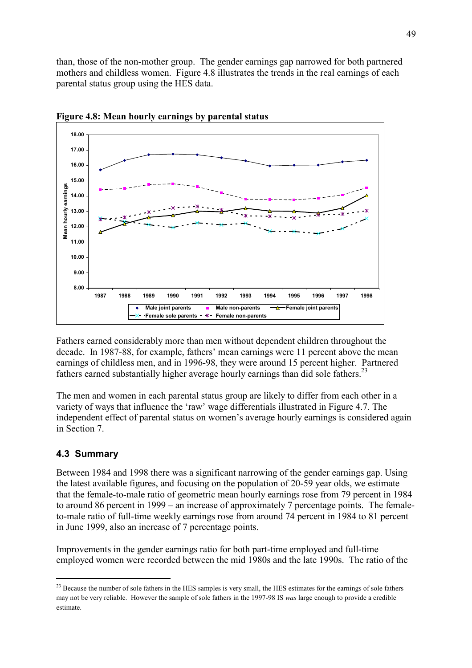than, those of the non-mother group. The gender earnings gap narrowed for both partnered mothers and childless women. Figure 4.8 illustrates the trends in the real earnings of each parental status group using the HES data.



**Figure 4.8: Mean hourly earnings by parental status** 

Fathers earned considerably more than men without dependent children throughout the decade. In 1987-88, for example, fathers' mean earnings were 11 percent above the mean earnings of childless men, and in 1996-98, they were around 15 percent higher. Partnered fathers earned substantially higher average hourly earnings than did sole fathers.<sup>23</sup>

The men and women in each parental status group are likely to differ from each other in a variety of ways that influence the 'raw' wage differentials illustrated in Figure 4.7. The independent effect of parental status on women's average hourly earnings is considered again in Section 7.

## **4.3 Summary**

 $\overline{a}$ 

Between 1984 and 1998 there was a significant narrowing of the gender earnings gap. Using the latest available figures, and focusing on the population of 20-59 year olds, we estimate that the female-to-male ratio of geometric mean hourly earnings rose from 79 percent in 1984 to around 86 percent in 1999 – an increase of approximately 7 percentage points. The femaleto-male ratio of full-time weekly earnings rose from around 74 percent in 1984 to 81 percent in June 1999, also an increase of 7 percentage points.

Improvements in the gender earnings ratio for both part-time employed and full-time employed women were recorded between the mid 1980s and the late 1990s. The ratio of the

<sup>&</sup>lt;sup>23</sup> Because the number of sole fathers in the HES samples is very small, the HES estimates for the earnings of sole fathers may not be very reliable. However the sample of sole fathers in the 1997-98 IS *was* large enough to provide a credible estimate.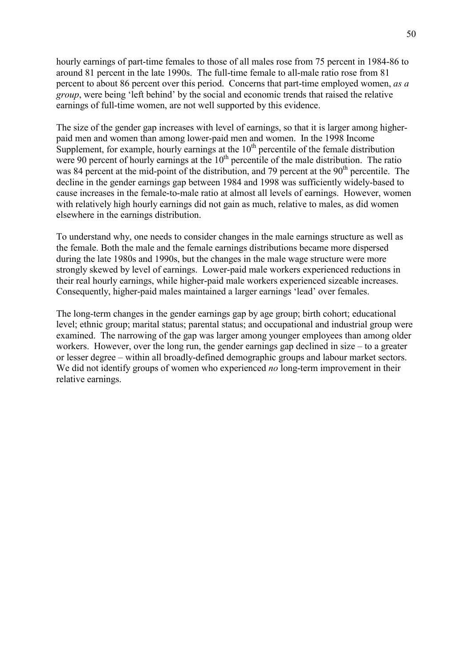hourly earnings of part-time females to those of all males rose from 75 percent in 1984-86 to around 81 percent in the late 1990s. The full-time female to all-male ratio rose from 81 percent to about 86 percent over this period. Concerns that part-time employed women, *as a group*, were being 'left behind' by the social and economic trends that raised the relative earnings of full-time women, are not well supported by this evidence.

The size of the gender gap increases with level of earnings, so that it is larger among higherpaid men and women than among lower-paid men and women. In the 1998 Income Supplement, for example, hourly earnings at the  $10<sup>th</sup>$  percentile of the female distribution were 90 percent of hourly earnings at the  $10<sup>th</sup>$  percentile of the male distribution. The ratio was 84 percent at the mid-point of the distribution, and 79 percent at the  $90<sup>th</sup>$  percentile. The decline in the gender earnings gap between 1984 and 1998 was sufficiently widely-based to cause increases in the female-to-male ratio at almost all levels of earnings. However, women with relatively high hourly earnings did not gain as much, relative to males, as did women elsewhere in the earnings distribution.

To understand why, one needs to consider changes in the male earnings structure as well as the female. Both the male and the female earnings distributions became more dispersed during the late 1980s and 1990s, but the changes in the male wage structure were more strongly skewed by level of earnings. Lower-paid male workers experienced reductions in their real hourly earnings, while higher-paid male workers experienced sizeable increases. Consequently, higher-paid males maintained a larger earnings 'lead' over females.

The long-term changes in the gender earnings gap by age group; birth cohort; educational level; ethnic group; marital status; parental status; and occupational and industrial group were examined. The narrowing of the gap was larger among younger employees than among older workers. However, over the long run, the gender earnings gap declined in size  $-$  to a greater or lesser degree – within all broadly-defined demographic groups and labour market sectors. We did not identify groups of women who experienced *no* long-term improvement in their relative earnings.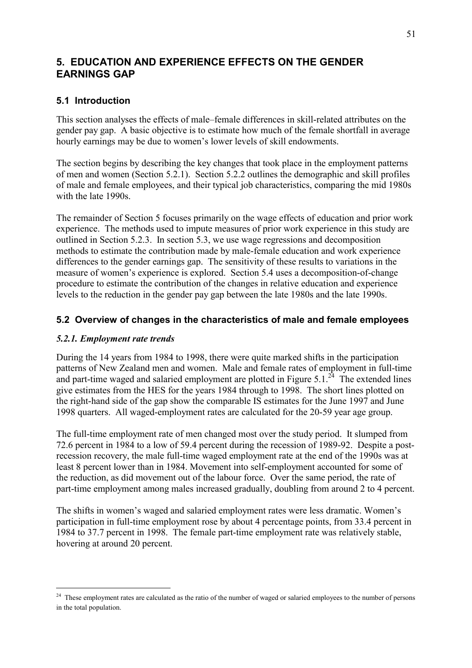# **5. EDUCATION AND EXPERIENCE EFFECTS ON THE GENDER EARNINGS GAP**

## **5.1 Introduction**

This section analyses the effects of male–female differences in skill-related attributes on the gender pay gap. A basic objective is to estimate how much of the female shortfall in average hourly earnings may be due to women's lower levels of skill endowments.

The section begins by describing the key changes that took place in the employment patterns of men and women (Section 5.2.1). Section 5.2.2 outlines the demographic and skill profiles of male and female employees, and their typical job characteristics, comparing the mid 1980s with the late 1990s.

The remainder of Section 5 focuses primarily on the wage effects of education and prior work experience. The methods used to impute measures of prior work experience in this study are outlined in Section 5.2.3. In section 5.3, we use wage regressions and decomposition methods to estimate the contribution made by male-female education and work experience differences to the gender earnings gap. The sensitivity of these results to variations in the measure of women's experience is explored. Section 5.4 uses a decomposition-of-change procedure to estimate the contribution of the changes in relative education and experience levels to the reduction in the gender pay gap between the late 1980s and the late 1990s.

## **5.2 Overview of changes in the characteristics of male and female employees**

## *5.2.1. Employment rate trends*

 $\overline{a}$ 

During the 14 years from 1984 to 1998, there were quite marked shifts in the participation patterns of New Zealand men and women. Male and female rates of employment in full-time and part-time waged and salaried employment are plotted in Figure 5.1.<sup>24</sup> The extended lines give estimates from the HES for the years 1984 through to 1998. The short lines plotted on the right-hand side of the gap show the comparable IS estimates for the June 1997 and June 1998 quarters. All waged-employment rates are calculated for the 20-59 year age group.

The full-time employment rate of men changed most over the study period. It slumped from 72.6 percent in 1984 to a low of 59.4 percent during the recession of 1989-92. Despite a postrecession recovery, the male full-time waged employment rate at the end of the 1990s was at least 8 percent lower than in 1984. Movement into self-employment accounted for some of the reduction, as did movement out of the labour force. Over the same period, the rate of part-time employment among males increased gradually, doubling from around 2 to 4 percent.

The shifts in women's waged and salaried employment rates were less dramatic. Women's participation in full-time employment rose by about 4 percentage points, from 33.4 percent in 1984 to 37.7 percent in 1998. The female part-time employment rate was relatively stable, hovering at around 20 percent.

<sup>&</sup>lt;sup>24</sup> These employment rates are calculated as the ratio of the number of waged or salaried employees to the number of persons in the total population.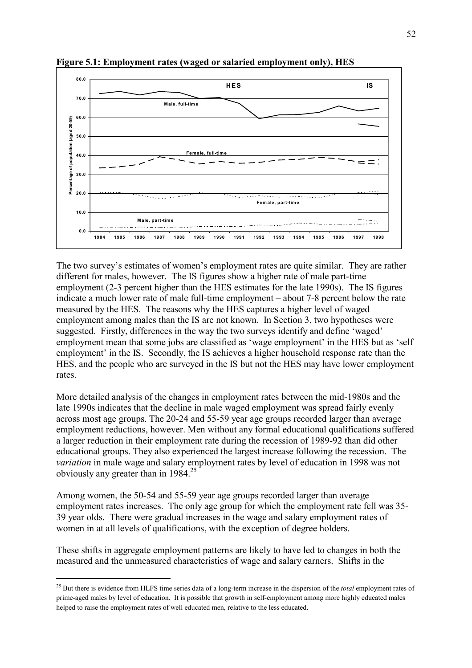

**Figure 5.1: Employment rates (waged or salaried employment only), HES** 

The two survey's estimates of women's employment rates are quite similar. They are rather different for males, however. The IS figures show a higher rate of male part-time employment (2-3 percent higher than the HES estimates for the late 1990s). The IS figures indicate a much lower rate of male full-time employment  $-$  about 7-8 percent below the rate measured by the HES. The reasons why the HES captures a higher level of waged employment among males than the IS are not known. In Section 3, two hypotheses were suggested. Firstly, differences in the way the two surveys identify and define 'waged' employment mean that some jobs are classified as 'wage employment' in the HES but as 'self employment' in the IS. Secondly, the IS achieves a higher household response rate than the HES, and the people who are surveyed in the IS but not the HES may have lower employment rates.

More detailed analysis of the changes in employment rates between the mid-1980s and the late 1990s indicates that the decline in male waged employment was spread fairly evenly across most age groups. The 20-24 and 55-59 year age groups recorded larger than average employment reductions, however. Men without any formal educational qualifications suffered a larger reduction in their employment rate during the recession of 1989-92 than did other educational groups. They also experienced the largest increase following the recession. The *variation* in male wage and salary employment rates by level of education in 1998 was not obviously any greater than in 1984.25

Among women, the 50-54 and 55-59 year age groups recorded larger than average employment rates increases. The only age group for which the employment rate fell was 35- 39 year olds. There were gradual increases in the wage and salary employment rates of women in at all levels of qualifications, with the exception of degree holders.

These shifts in aggregate employment patterns are likely to have led to changes in both the measured and the unmeasured characteristics of wage and salary earners. Shifts in the

<sup>25</sup> But there is evidence from HLFS time series data of a long-term increase in the dispersion of the *total* employment rates of prime-aged males by level of education. It is possible that growth in self-employment among more highly educated males helped to raise the employment rates of well educated men, relative to the less educated.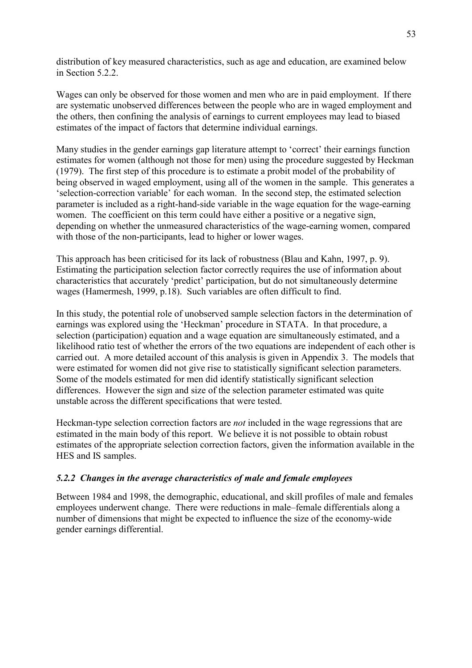distribution of key measured characteristics, such as age and education, are examined below in Section 5.2.2.

Wages can only be observed for those women and men who are in paid employment. If there are systematic unobserved differences between the people who are in waged employment and the others, then confining the analysis of earnings to current employees may lead to biased estimates of the impact of factors that determine individual earnings.

Many studies in the gender earnings gap literature attempt to 'correct' their earnings function estimates for women (although not those for men) using the procedure suggested by Heckman (1979). The first step of this procedure is to estimate a probit model of the probability of being observed in waged employment, using all of the women in the sample. This generates a 'selection-correction variable' for each woman. In the second step, the estimated selection parameter is included as a right-hand-side variable in the wage equation for the wage-earning women. The coefficient on this term could have either a positive or a negative sign, depending on whether the unmeasured characteristics of the wage-earning women, compared with those of the non-participants, lead to higher or lower wages.

This approach has been criticised for its lack of robustness (Blau and Kahn, 1997, p. 9). Estimating the participation selection factor correctly requires the use of information about characteristics that accurately 'predict' participation, but do not simultaneously determine wages (Hamermesh, 1999, p.18). Such variables are often difficult to find.

In this study, the potential role of unobserved sample selection factors in the determination of earnings was explored using the 'Heckman' procedure in STATA. In that procedure, a selection (participation) equation and a wage equation are simultaneously estimated, and a likelihood ratio test of whether the errors of the two equations are independent of each other is carried out. A more detailed account of this analysis is given in Appendix 3. The models that were estimated for women did not give rise to statistically significant selection parameters. Some of the models estimated for men did identify statistically significant selection differences. However the sign and size of the selection parameter estimated was quite unstable across the different specifications that were tested.

Heckman-type selection correction factors are *not* included in the wage regressions that are estimated in the main body of this report. We believe it is not possible to obtain robust estimates of the appropriate selection correction factors, given the information available in the HES and IS samples.

### *5.2.2 Changes in the average characteristics of male and female employees*

Between 1984 and 1998, the demographic, educational, and skill profiles of male and females employees underwent change. There were reductions in male-female differentials along a number of dimensions that might be expected to influence the size of the economy-wide gender earnings differential.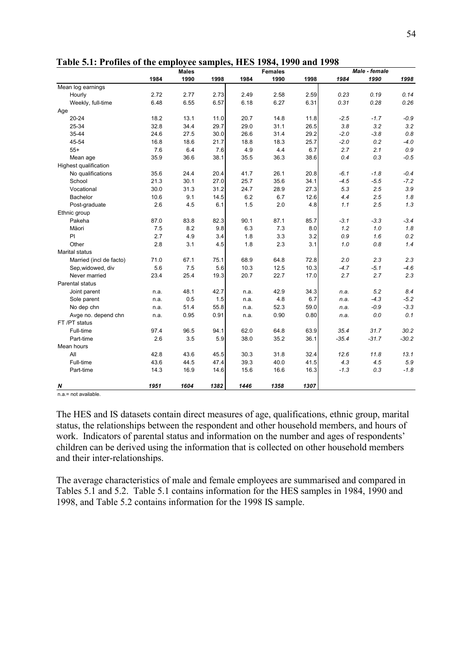|                         |      | <b>Males</b> |      |      | <b>Females</b> |      |         | Male - female |         |
|-------------------------|------|--------------|------|------|----------------|------|---------|---------------|---------|
|                         | 1984 | 1990         | 1998 | 1984 | 1990           | 1998 | 1984    | 1990          | 1998    |
| Mean log earnings       |      |              |      |      |                |      |         |               |         |
| Hourly                  | 2.72 | 2.77         | 2.73 | 2.49 | 2.58           | 2.59 | 0.23    | 0.19          | 0.14    |
| Weekly, full-time       | 6.48 | 6.55         | 6.57 | 6.18 | 6.27           | 6.31 | 0.31    | 0.28          | 0.26    |
| Age                     |      |              |      |      |                |      |         |               |         |
| $20 - 24$               | 18.2 | 13.1         | 11.0 | 20.7 | 14.8           | 11.8 | $-2.5$  | $-1.7$        | $-0.9$  |
| 25-34                   | 32.8 | 34.4         | 29.7 | 29.0 | 31.1           | 26.5 | 3.8     | 3.2           | 3.2     |
| 35-44                   | 24.6 | 27.5         | 30.0 | 26.6 | 31.4           | 29.2 | $-2.0$  | $-3.8$        | 0.8     |
| 45-54                   | 16.8 | 18.6         | 21.7 | 18.8 | 18.3           | 25.7 | $-2.0$  | 0.2           | $-4.0$  |
| $55+$                   | 7.6  | 6.4          | 7.6  | 4.9  | 4.4            | 6.7  | 2.7     | 2.1           | $0.9\,$ |
| Mean age                | 35.9 | 36.6         | 38.1 | 35.5 | 36.3           | 38.6 | 0.4     | 0.3           | $-0.5$  |
| Highest qualification   |      |              |      |      |                |      |         |               |         |
| No qualifications       | 35.6 | 24.4         | 20.4 | 41.7 | 26.1           | 20.8 | $-6.1$  | $-1.8$        | $-0.4$  |
| School                  | 21.3 | 30.1         | 27.0 | 25.7 | 35.6           | 34.1 | $-4.5$  | $-5.5$        | $-7.2$  |
| Vocational              | 30.0 | 31.3         | 31.2 | 24.7 | 28.9           | 27.3 | 5.3     | 2.5           | 3.9     |
| Bachelor                | 10.6 | 9.1          | 14.5 | 6.2  | 6.7            | 12.6 | 4.4     | 2.5           | 1.8     |
| Post-graduate           | 2.6  | 4.5          | 6.1  | 1.5  | 2.0            | 4.8  | 1.1     | 2.5           | 1.3     |
| Ethnic group            |      |              |      |      |                |      |         |               |         |
| Pakeha                  | 87.0 | 83.8         | 82.3 | 90.1 | 87.1           | 85.7 | $-3.1$  | $-3.3$        | $-3.4$  |
| Mäori                   | 7.5  | 8.2          | 9.8  | 6.3  | 7.3            | 8.0  | 1.2     | 1.0           | 1.8     |
| PI                      | 2.7  | 4.9          | 3.4  | 1.8  | 3.3            | 3.2  | 0.9     | 1.6           | 0.2     |
| Other                   | 2.8  | 3.1          | 4.5  | 1.8  | 2.3            | 3.1  | 1.0     | 0.8           | 1.4     |
| Marital status          |      |              |      |      |                |      |         |               |         |
| Married (incl de facto) | 71.0 | 67.1         | 75.1 | 68.9 | 64.8           | 72.8 | 2.0     | 2.3           | 2.3     |
| Sep, widowed, div       | 5.6  | 7.5          | 5.6  | 10.3 | 12.5           | 10.3 | $-4.7$  | $-5.1$        | $-4.6$  |
| Never married           | 23.4 | 25.4         | 19.3 | 20.7 | 22.7           | 17.0 | 2.7     | 2.7           | 2.3     |
| Parental status         |      |              |      |      |                |      |         |               |         |
| Joint parent            | n.a. | 48.1         | 42.7 | n.a. | 42.9           | 34.3 | n.a.    | 5.2           | 8.4     |
| Sole parent             | n.a. | 0.5          | 1.5  | n.a. | 4.8            | 6.7  | n.a.    | $-4.3$        | $-5.2$  |
| No dep chn              | n.a. | 51.4         | 55.8 | n.a. | 52.3           | 59.0 | n.a.    | $-0.9$        | $-3.3$  |
| Avge no. depend chn     | n.a. | 0.95         | 0.91 | n.a. | 0.90           | 0.80 | n.a.    | 0.0           | 0.1     |
| FT /PT status           |      |              |      |      |                |      |         |               |         |
| Full-time               | 97.4 | 96.5         | 94.1 | 62.0 | 64.8           | 63.9 | 35.4    | 31.7          | 30.2    |
| Part-time               | 2.6  | 3.5          | 5.9  | 38.0 | 35.2           | 36.1 | $-35.4$ | $-31.7$       | $-30.2$ |
| Mean hours              |      |              |      |      |                |      |         |               |         |
| All                     | 42.8 | 43.6         | 45.5 | 30.3 | 31.8           | 32.4 | 12.6    | 11.8          | 13.1    |
| Full-time               | 43.6 | 44.5         | 47.4 | 39.3 | 40.0           | 41.5 | 4.3     | 4.5           | 5.9     |
| Part-time               | 14.3 | 16.9         | 14.6 | 15.6 | 16.6           | 16.3 | $-1.3$  | 0.3           | $-1.8$  |
| N                       | 1951 | 1604         | 1382 | 1446 | 1358           | 1307 |         |               |         |

**Table 5.1: Profiles of the employee samples, HES 1984, 1990 and 1998** 

n.a.= not available.

The HES and IS datasets contain direct measures of age, qualifications, ethnic group, marital status, the relationships between the respondent and other household members, and hours of work. Indicators of parental status and information on the number and ages of respondents<sup>7</sup> children can be derived using the information that is collected on other household members and their inter-relationships.

The average characteristics of male and female employees are summarised and compared in Tables 5.1 and 5.2. Table 5.1 contains information for the HES samples in 1984, 1990 and 1998, and Table 5.2 contains information for the 1998 IS sample.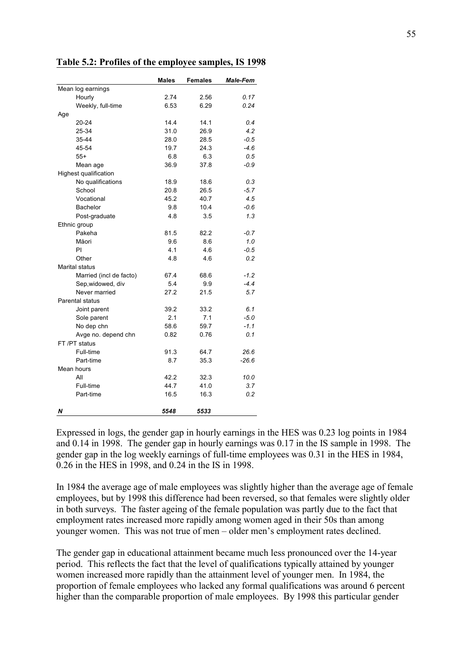|                         | <b>Males</b> | <b>Females</b> | <b>Male-Fem</b> |
|-------------------------|--------------|----------------|-----------------|
| Mean log earnings       |              |                |                 |
| Hourly                  | 2.74         | 2.56           | 0.17            |
| Weekly, full-time       | 6.53         | 6.29           | 0.24            |
| Age                     |              |                |                 |
| 20-24                   | 14.4         | 14.1           | 0.4             |
| 25-34                   | 31.0         | 26.9           | 4.2             |
| 35-44                   | 28.0         | 28.5           | $-0.5$          |
| 45-54                   | 19.7         | 24.3           | $-4.6$          |
| $55+$                   | 6.8          | 6.3            | 0.5             |
| Mean age                | 36.9         | 37.8           | $-0.9$          |
| Highest qualification   |              |                |                 |
| No qualifications       | 18.9         | 18.6           | 0.3             |
| School                  | 20.8         | 26.5           | $-5.7$          |
| Vocational              | 45.2         | 40.7           | 4.5             |
| <b>Bachelor</b>         | 9.8          | 10.4           | $-0.6$          |
| Post-graduate           | 4.8          | 3.5            | 1.3             |
| Ethnic group            |              |                |                 |
| Pakeha                  | 81.5         | 82.2           | $-0.7$          |
| Mäori                   | 9.6          | 8.6            | 1.0             |
| PI                      | 4.1          | 4.6            | $-0.5$          |
| Other                   | 4.8          | 4.6            | 0.2             |
| Marital status          |              |                |                 |
| Married (incl de facto) | 67.4         | 68.6           | $-1.2$          |
| Sep, widowed, div       | 5.4          | 9.9            | $-4.4$          |
| Never married           | 27.2         | 21.5           | 5.7             |
| <b>Parental status</b>  |              |                |                 |
| Joint parent            | 39.2         | 33.2           | 6.1             |
| Sole parent             | 2.1          | 7.1            | $-5.0$          |
| No dep chn              | 58.6         | 59.7           | $-1.1$          |
| Avge no. depend chn     | 0.82         | 0.76           | 0.1             |
| FT/PT status            |              |                |                 |
| Full-time               | 91.3         | 64.7           | 26.6            |
| Part-time               | 8.7          | 35.3           | $-26.6$         |
| Mean hours              |              |                |                 |
| All                     | 42.2         | 32.3           | 10.0            |
| Full-time               | 44.7         | 41.0           | 3.7             |
| Part-time               | 16.5         | 16.3           | 0.2             |
|                         |              |                |                 |
| N                       | 5548         | 5533           |                 |

**Table 5.2: Profiles of the employee samples, IS 1998** 

Expressed in logs, the gender gap in hourly earnings in the HES was 0.23 log points in 1984 and 0.14 in 1998. The gender gap in hourly earnings was 0.17 in the IS sample in 1998. The gender gap in the log weekly earnings of full-time employees was 0.31 in the HES in 1984, 0.26 in the HES in 1998, and 0.24 in the IS in 1998.

In 1984 the average age of male employees was slightly higher than the average age of female employees, but by 1998 this difference had been reversed, so that females were slightly older in both surveys. The faster ageing of the female population was partly due to the fact that employment rates increased more rapidly among women aged in their 50s than among younger women. This was not true of men – older men's employment rates declined.

The gender gap in educational attainment became much less pronounced over the 14-year period. This reflects the fact that the level of qualifications typically attained by younger women increased more rapidly than the attainment level of younger men. In 1984, the proportion of female employees who lacked any formal qualifications was around 6 percent higher than the comparable proportion of male employees. By 1998 this particular gender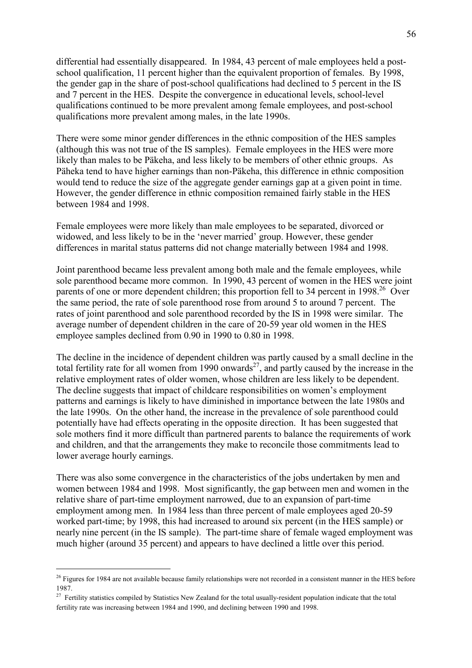differential had essentially disappeared. In 1984, 43 percent of male employees held a postschool qualification, 11 percent higher than the equivalent proportion of females. By 1998, the gender gap in the share of post-school qualifications had declined to 5 percent in the IS and 7 percent in the HES. Despite the convergence in educational levels, school-level qualifications continued to be more prevalent among female employees, and post-school qualifications more prevalent among males, in the late 1990s.

There were some minor gender differences in the ethnic composition of the HES samples (although this was not true of the IS samples). Female employees in the HES were more likely than males to be Päkeha, and less likely to be members of other ethnic groups. As Päheka tend to have higher earnings than non-Päkeha, this difference in ethnic composition would tend to reduce the size of the aggregate gender earnings gap at a given point in time. However, the gender difference in ethnic composition remained fairly stable in the HES between 1984 and 1998.

Female employees were more likely than male employees to be separated, divorced or widowed, and less likely to be in the 'never married' group. However, these gender differences in marital status patterns did not change materially between 1984 and 1998.

Joint parenthood became less prevalent among both male and the female employees, while sole parenthood became more common. In 1990, 43 percent of women in the HES were joint parents of one or more dependent children; this proportion fell to 34 percent in 1998<sup>26</sup> Over the same period, the rate of sole parenthood rose from around 5 to around 7 percent. The rates of joint parenthood and sole parenthood recorded by the IS in 1998 were similar. The average number of dependent children in the care of 20-59 year old women in the HES employee samples declined from 0.90 in 1990 to 0.80 in 1998.

The decline in the incidence of dependent children was partly caused by a small decline in the total fertility rate for all women from 1990 onwards<sup>27</sup>, and partly caused by the increase in the relative employment rates of older women, whose children are less likely to be dependent. The decline suggests that impact of childcare responsibilities on women's employment patterns and earnings is likely to have diminished in importance between the late 1980s and the late 1990s. On the other hand, the increase in the prevalence of sole parenthood could potentially have had effects operating in the opposite direction. It has been suggested that sole mothers find it more difficult than partnered parents to balance the requirements of work and children, and that the arrangements they make to reconcile those commitments lead to lower average hourly earnings.

There was also some convergence in the characteristics of the jobs undertaken by men and women between 1984 and 1998. Most significantly, the gap between men and women in the relative share of part-time employment narrowed, due to an expansion of part-time employment among men. In 1984 less than three percent of male employees aged 20-59 worked part-time; by 1998, this had increased to around six percent (in the HES sample) or nearly nine percent (in the IS sample). The part-time share of female waged employment was much higher (around 35 percent) and appears to have declined a little over this period.

<sup>&</sup>lt;sup>26</sup> Figures for 1984 are not available because family relationships were not recorded in a consistent manner in the HES before 1987.

<sup>&</sup>lt;sup>27</sup> Fertility statistics compiled by Statistics New Zealand for the total usually-resident population indicate that the total fertility rate was increasing between 1984 and 1990, and declining between 1990 and 1998.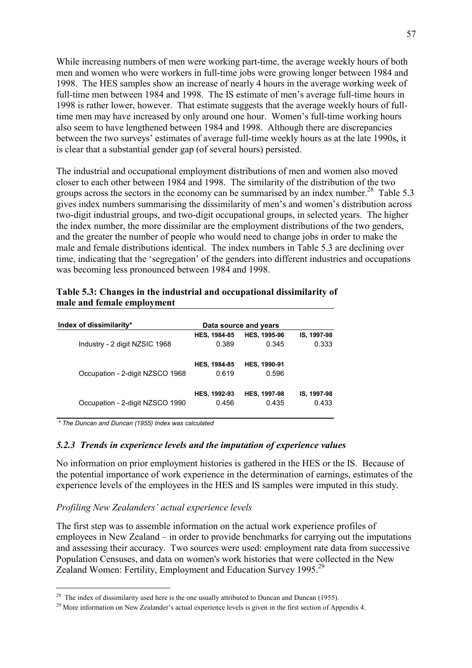While increasing numbers of men were working part-time, the average weekly hours of both men and women who were workers in full-time jobs were growing longer between 1984 and 1998. The HES samples show an increase of nearly 4 hours in the average working week of full-time men between 1984 and 1998. The IS estimate of men's average full-time hours in 1998 is rather lower, however. That estimate suggests that the average weekly hours of fulltime men may have increased by only around one hour. Women's full-time working hours also seem to have lengthened between 1984 and 1998. Although there are discrepancies between the two surveys' estimates of average full-time weekly hours as at the late 1990s, it is clear that a substantial gender gap (of several hours) persisted.

The industrial and occupational employment distributions of men and women also moved closer to each other between 1984 and 1998. The similarity of the distribution of the two groups across the sectors in the economy can be summarised by an index number.<sup>28</sup> Table 5.3 gives index numbers summarising the dissimilarity of men's and women's distribution across two-digit industrial groups, and two-digit occupational groups, in selected years. The higher the index number, the more dissimilar are the employment distributions of the two genders, and the greater the number of people who would need to change jobs in order to make the male and female distributions identical. The index numbers in Table 5.3 are declining over time, indicating that the 'segregation' of the genders into different industries and occupations was becoming less pronounced between 1984 and 1998.

| Table 5.3: Changes in the industrial and occupational dissimilarity of |  |
|------------------------------------------------------------------------|--|
| male and female employment                                             |  |

| Index of dissimilarity*         |                              | Data source and years        |             |
|---------------------------------|------------------------------|------------------------------|-------------|
| Industry - 2 digit NZSIC 1968   | <b>HES, 1984-85</b>          | <b>HES, 1995-96</b>          | IS, 1997-98 |
|                                 | 0.389                        | 0.345                        | 0.333       |
| Occupation - 2-digit NZSCO 1968 | <b>HES, 1984-85</b><br>0.619 | <b>HES, 1990-91</b><br>0.596 |             |
| Occupation - 2-digit NZSCO 1990 | <b>HES, 1992-93</b>          | <b>HES, 1997-98</b>          | IS, 1997-98 |
|                                 | 0.456                        | 0.435                        | 0.433       |

*\* The Duncan and Duncan (1955) Index was calculated*

 $\overline{a}$ 

#### *5.2.3 Trends in experience levels and the imputation of experience values*

No information on prior employment histories is gathered in the HES or the IS. Because of the potential importance of work experience in the determination of earnings, estimates of the experience levels of the employees in the HES and IS samples were imputed in this study.

#### *Profiling New Zealanders' actual experience levels*

The first step was to assemble information on the actual work experience profiles of employees in New Zealand – in order to provide benchmarks for carrying out the imputations and assessing their accuracy. Two sources were used: employment rate data from successive Population Censuses, and data on women's work histories that were collected in the New Zealand Women: Fertility, Employment and Education Survey 1995.<sup>29</sup>

<sup>&</sup>lt;sup>28</sup> The index of dissimilarity used here is the one usually attributed to Duncan and Duncan (1955).

<sup>&</sup>lt;sup>29</sup> More information on New Zealander's actual experience levels is given in the first section of Appendix 4.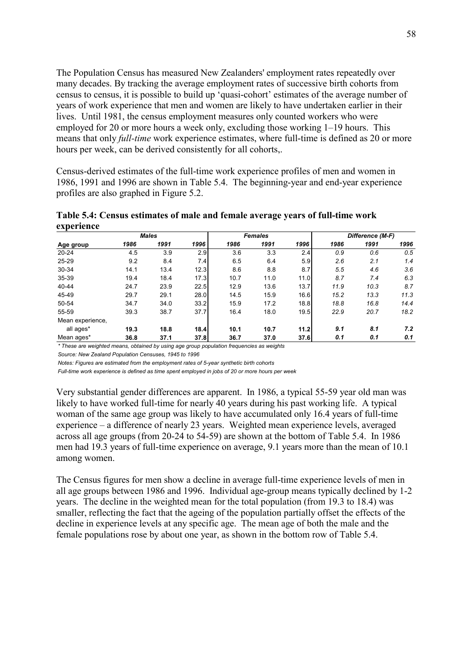The Population Census has measured New Zealanders' employment rates repeatedly over many decades. By tracking the average employment rates of successive birth cohorts from census to census, it is possible to build up 'quasi-cohort' estimates of the average number of years of work experience that men and women are likely to have undertaken earlier in their lives. Until 1981, the census employment measures only counted workers who were employed for 20 or more hours a week only, excluding those working  $1-19$  hours. This means that only *full-time* work experience estimates, where full-time is defined as 20 or more hours per week, can be derived consistently for all cohorts,.

Census-derived estimates of the full-time work experience profiles of men and women in 1986, 1991 and 1996 are shown in Table 5.4. The beginning-year and end-year experience profiles are also graphed in Figure 5.2.

**Table 5.4: Census estimates of male and female average years of full-time work experience** 

| <b>Males</b>     |      |      |      |      | <b>Females</b> |      | Difference (M-F) |      |      |  |
|------------------|------|------|------|------|----------------|------|------------------|------|------|--|
| Age group        | 1986 | 1991 | 1996 | 1986 | 1991           | 1996 | 1986             | 1991 | 1996 |  |
| $20 - 24$        | 4.5  | 3.9  | 2.9  | 3.6  | 3.3            | 2.4  | 0.9              | 0.6  | 0.5  |  |
| 25-29            | 9.2  | 8.4  | 7.4  | 6.5  | 6.4            | 5.9  | 2.6              | 2.1  | 1.4  |  |
| 30-34            | 14.1 | 13.4 | 12.3 | 8.6  | 8.8            | 8.7  | 5.5              | 4.6  | 3.6  |  |
| 35-39            | 19.4 | 18.4 | 17.3 | 10.7 | 11.0           | 11.0 | 8.7              | 7.4  | 6.3  |  |
| 40-44            | 24.7 | 23.9 | 22.5 | 12.9 | 13.6           | 13.7 | 11.9             | 10.3 | 8.7  |  |
| 45-49            | 29.7 | 29.1 | 28.0 | 14.5 | 15.9           | 16.6 | 15.2             | 13.3 | 11.3 |  |
| 50-54            | 34.7 | 34.0 | 33.2 | 15.9 | 17.2           | 18.8 | 18.8             | 16.8 | 14.4 |  |
| 55-59            | 39.3 | 38.7 | 37.7 | 16.4 | 18.0           | 19.5 | 22.9             | 20.7 | 18.2 |  |
| Mean experience, |      |      |      |      |                |      |                  |      |      |  |
| all ages*        | 19.3 | 18.8 | 18.4 | 10.1 | 10.7           | 11.2 | 9.1              | 8.1  | 7.2  |  |
| Mean ages*       | 36.8 | 37.1 | 37.8 | 36.7 | 37.0           | 37.6 | 0.1              | 0.1  | 0.1  |  |

*\* These are weighted means, obtained by using age group population frequencies as weights*

*Source: New Zealand Population Censuses, 1945 to 1996*

*Notes: Figures are estimated from the employment rates of 5-year synthetic birth cohorts*

*Full-time work experience is defined as time spent employed in jobs of 20 or more hours per week*

Very substantial gender differences are apparent. In 1986, a typical 55-59 year old man was likely to have worked full-time for nearly 40 years during his past working life. A typical woman of the same age group was likely to have accumulated only 16.4 years of full-time experience  $-$  a difference of nearly 23 years. Weighted mean experience levels, averaged across all age groups (from 20-24 to 54-59) are shown at the bottom of Table 5.4. In 1986 men had 19.3 years of full-time experience on average, 9.1 years more than the mean of 10.1 among women.

The Census figures for men show a decline in average full-time experience levels of men in all age groups between 1986 and 1996. Individual age-group means typically declined by 1-2 years. The decline in the weighted mean for the total population (from 19.3 to 18.4) was smaller, reflecting the fact that the ageing of the population partially offset the effects of the decline in experience levels at any specific age. The mean age of both the male and the female populations rose by about one year, as shown in the bottom row of Table 5.4.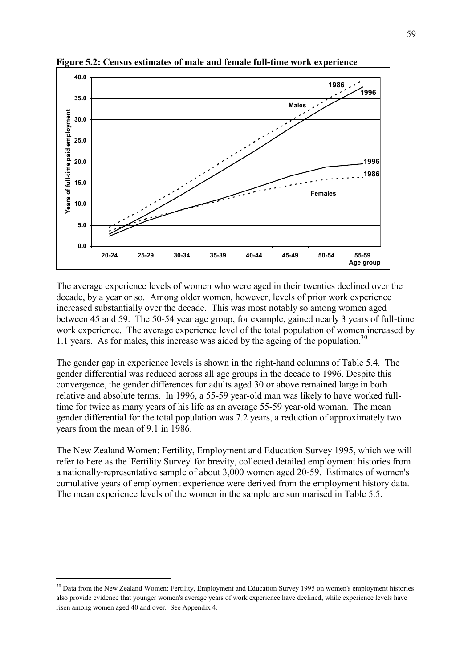

**Figure 5.2: Census estimates of male and female full-time work experience** 

The average experience levels of women who were aged in their twenties declined over the decade, by a year or so. Among older women, however, levels of prior work experience increased substantially over the decade. This was most notably so among women aged between 45 and 59. The 50-54 year age group, for example, gained nearly 3 years of full-time work experience. The average experience level of the total population of women increased by 1.1 years. As for males, this increase was aided by the ageing of the population.<sup>30</sup>

The gender gap in experience levels is shown in the right-hand columns of Table 5.4. The gender differential was reduced across all age groups in the decade to 1996. Despite this convergence, the gender differences for adults aged 30 or above remained large in both relative and absolute terms. In 1996, a 55-59 year-old man was likely to have worked fulltime for twice as many years of his life as an average 55-59 year-old woman. The mean gender differential for the total population was 7.2 years, a reduction of approximately two years from the mean of 9.1 in 1986.

The New Zealand Women: Fertility, Employment and Education Survey 1995, which we will refer to here as the 'Fertility Survey' for brevity, collected detailed employment histories from a nationally-representative sample of about 3,000 women aged 20-59. Estimates of women's cumulative years of employment experience were derived from the employment history data. The mean experience levels of the women in the sample are summarised in Table 5.5.

<sup>&</sup>lt;sup>30</sup> Data from the New Zealand Women: Fertility, Employment and Education Survey 1995 on women's employment histories also provide evidence that younger women's average years of work experience have declined, while experience levels have risen among women aged 40 and over. See Appendix 4.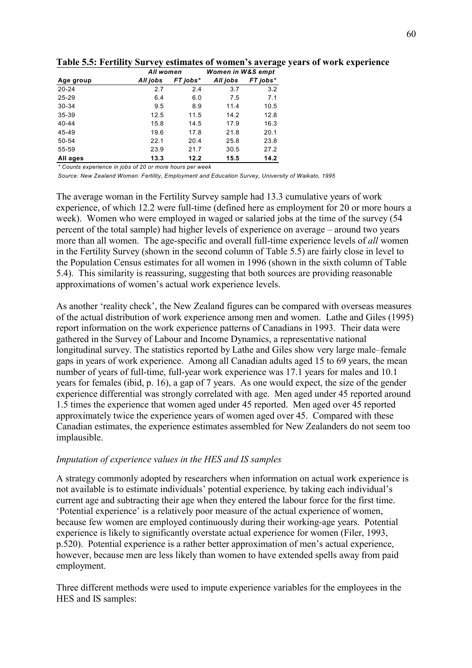|           | All women |          | Women in W&S empt |          |  |  |
|-----------|-----------|----------|-------------------|----------|--|--|
| Age group | All jobs  | FT jobs* | All jobs          | FT jobs* |  |  |
| $20 - 24$ | 2.7       | 2.4      | 3.7               | 3.2      |  |  |
| $25 - 29$ | 6.4       | 6.0      | 7.5               | 7.1      |  |  |
| 30-34     | 9.5       | 8.9      | 11.4              | 10.5     |  |  |
| $35 - 39$ | 12.5      | 11.5     | 14.2              | 12.8     |  |  |
| 40-44     | 15.8      | 14.5     | 17.9              | 16.3     |  |  |
| 45-49     | 19.6      | 17.8     | 21.8              | 20.1     |  |  |
| 50-54     | 22.1      | 20.4     | 25.8              | 23.8     |  |  |
| 55-59     | 23.9      | 21.7     | 30.5              | 27.2     |  |  |
| All ages  | 13.3      | 12.2     | 15.5              | 14.2     |  |  |

Table 5.5: Fertility Survey estimates of women's average years of work experience

*\* Counts experience in jobs of 20 or more hours per week*

*Source: New Zealand Women: Fertility, Employment and Education Survey, University of Waikato, 1995*

The average woman in the Fertility Survey sample had 13.3 cumulative years of work experience, of which 12.2 were full-time (defined here as employment for 20 or more hours a week). Women who were employed in waged or salaried jobs at the time of the survey (54 percent of the total sample) had higher levels of experience on average – around two years more than all women. The age-specific and overall full-time experience levels of *all* women in the Fertility Survey (shown in the second column of Table 5.5) are fairly close in level to the Population Census estimates for all women in 1996 (shown in the sixth column of Table 5.4). This similarity is reassuring, suggesting that both sources are providing reasonable approximations of women's actual work experience levels.

As another 'reality check', the New Zealand figures can be compared with overseas measures of the actual distribution of work experience among men and women. Lathe and Giles (1995) report information on the work experience patterns of Canadians in 1993. Their data were gathered in the Survey of Labour and Income Dynamics, a representative national longitudinal survey. The statistics reported by Lathe and Giles show very large male–female gaps in years of work experience. Among all Canadian adults aged 15 to 69 years, the mean number of years of full-time, full-year work experience was 17.1 years for males and 10.1 years for females (ibid, p. 16), a gap of 7 years. As one would expect, the size of the gender experience differential was strongly correlated with age. Men aged under 45 reported around 1.5 times the experience that women aged under 45 reported. Men aged over 45 reported approximately twice the experience years of women aged over 45. Compared with these Canadian estimates, the experience estimates assembled for New Zealanders do not seem too implausible.

### *Imputation of experience values in the HES and IS samples*

A strategy commonly adopted by researchers when information on actual work experience is not available is to estimate individuals' potential experience, by taking each individual's current age and subtracting their age when they entered the labour force for the first time. Epotential experience' is a relatively poor measure of the actual experience of women, because few women are employed continuously during their working-age years. Potential experience is likely to significantly overstate actual experience for women (Filer, 1993, p.520). Potential experience is a rather better approximation of men's actual experience, however, because men are less likely than women to have extended spells away from paid employment.

Three different methods were used to impute experience variables for the employees in the HES and IS samples: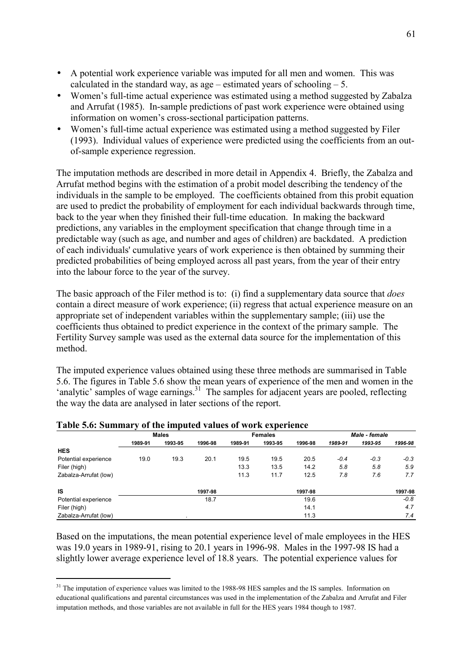- A potential work experience variable was imputed for all men and women. This was calculated in the standard way, as age  $-$  estimated years of schooling  $-5$ .
- Women's full-time actual experience was estimated using a method suggested by Zabalza and Arrufat (1985). In-sample predictions of past work experience were obtained using information on women's cross-sectional participation patterns.
- Women's full-time actual experience was estimated using a method suggested by Filer (1993). Individual values of experience were predicted using the coefficients from an outof-sample experience regression.

The imputation methods are described in more detail in Appendix 4. Briefly, the Zabalza and Arrufat method begins with the estimation of a probit model describing the tendency of the individuals in the sample to be employed. The coefficients obtained from this probit equation are used to predict the probability of employment for each individual backwards through time, back to the year when they finished their full-time education. In making the backward predictions, any variables in the employment specification that change through time in a predictable way (such as age, and number and ages of children) are backdated. A prediction of each individuals' cumulative years of work experience is then obtained by summing their predicted probabilities of being employed across all past years, from the year of their entry into the labour force to the year of the survey.

The basic approach of the Filer method is to: (i) find a supplementary data source that *does* contain a direct measure of work experience; (ii) regress that actual experience measure on an appropriate set of independent variables within the supplementary sample; (iii) use the coefficients thus obtained to predict experience in the context of the primary sample. The Fertility Survey sample was used as the external data source for the implementation of this method.

The imputed experience values obtained using these three methods are summarised in Table 5.6. The figures in Table 5.6 show the mean years of experience of the men and women in the 'analytic' samples of wage earnings.<sup>31</sup> The samples for adjacent years are pooled, reflecting the way the data are analysed in later sections of the report.

|                       |         | <b>Males</b> |         |         | <b>Females</b> |         | Male - female |         |         |  |
|-----------------------|---------|--------------|---------|---------|----------------|---------|---------------|---------|---------|--|
|                       | 1989-91 | 1993-95      | 1996-98 | 1989-91 | 1993-95        | 1996-98 | 1989-91       | 1993-95 | 1996-98 |  |
| <b>HES</b>            |         |              |         |         |                |         |               |         |         |  |
| Potential experience  | 19.0    | 19.3         | 20.1    | 19.5    | 19.5           | 20.5    | $-0.4$        | $-0.3$  | $-0.3$  |  |
| Filer (high)          |         |              |         | 13.3    | 13.5           | 14.2    | 5.8           | 5.8     | 5.9     |  |
| Zabalza-Arrufat (low) |         |              |         | 11.3    | 11.7           | 12.5    | 7.8           | 7.6     | 7.7     |  |
| IS                    |         |              | 1997-98 |         |                | 1997-98 |               |         | 1997-98 |  |
| Potential experience  |         |              | 18.7    |         |                | 19.6    |               |         | $-0.8$  |  |
| Filer (high)          |         |              |         |         |                | 14.1    |               |         | 4.7     |  |
| Zabalza-Arrufat (low) |         |              |         |         |                | 11.3    |               |         | 7.4     |  |

#### **Table 5.6: Summary of the imputed values of work experience**

 $\overline{a}$ 

Based on the imputations, the mean potential experience level of male employees in the HES was 19.0 years in 1989-91, rising to 20.1 years in 1996-98. Males in the 1997-98 IS had a slightly lower average experience level of 18.8 years. The potential experience values for

<sup>&</sup>lt;sup>31</sup> The imputation of experience values was limited to the 1988-98 HES samples and the IS samples. Information on educational qualifications and parental circumstances was used in the implementation of the Zabalza and Arrufat and Filer imputation methods, and those variables are not available in full for the HES years 1984 though to 1987.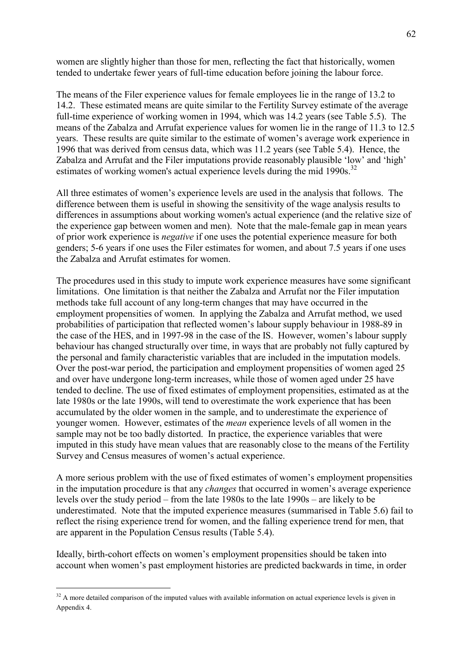women are slightly higher than those for men, reflecting the fact that historically, women tended to undertake fewer years of full-time education before joining the labour force.

The means of the Filer experience values for female employees lie in the range of 13.2 to 14.2. These estimated means are quite similar to the Fertility Survey estimate of the average full-time experience of working women in 1994, which was 14.2 years (see Table 5.5). The means of the Zabalza and Arrufat experience values for women lie in the range of 11.3 to 12.5 years. These results are quite similar to the estimate of women's average work experience in 1996 that was derived from census data, which was 11.2 years (see Table 5.4). Hence, the Zabalza and Arrufat and the Filer imputations provide reasonably plausible 'low' and 'high' estimates of working women's actual experience levels during the mid 1990s.<sup>32</sup>

All three estimates of women's experience levels are used in the analysis that follows. The difference between them is useful in showing the sensitivity of the wage analysis results to differences in assumptions about working women's actual experience (and the relative size of the experience gap between women and men). Note that the male-female gap in mean years of prior work experience is *negative* if one uses the potential experience measure for both genders; 5-6 years if one uses the Filer estimates for women, and about 7.5 years if one uses the Zabalza and Arrufat estimates for women.

The procedures used in this study to impute work experience measures have some significant limitations. One limitation is that neither the Zabalza and Arrufat nor the Filer imputation methods take full account of any long-term changes that may have occurred in the employment propensities of women. In applying the Zabalza and Arrufat method, we used probabilities of participation that reflected women's labour supply behaviour in 1988-89 in the case of the HES, and in 1997-98 in the case of the IS. However, women's labour supply behaviour has changed structurally over time, in ways that are probably not fully captured by the personal and family characteristic variables that are included in the imputation models. Over the post-war period, the participation and employment propensities of women aged 25 and over have undergone long-term increases, while those of women aged under 25 have tended to decline. The use of fixed estimates of employment propensities, estimated as at the late 1980s or the late 1990s, will tend to overestimate the work experience that has been accumulated by the older women in the sample, and to underestimate the experience of younger women. However, estimates of the *mean* experience levels of all women in the sample may not be too badly distorted. In practice, the experience variables that were imputed in this study have mean values that are reasonably close to the means of the Fertility Survey and Census measures of women's actual experience.

A more serious problem with the use of fixed estimates of women's employment propensities in the imputation procedure is that any *changes* that occurred in women's average experience levels over the study period – from the late  $1980s$  to the late  $1990s$  – are likely to be underestimated. Note that the imputed experience measures (summarised in Table 5.6) fail to reflect the rising experience trend for women, and the falling experience trend for men, that are apparent in the Population Census results (Table 5.4).

Ideally, birth-cohort effects on women's employment propensities should be taken into account when women's past employment histories are predicted backwards in time, in order

 $32$  A more detailed comparison of the imputed values with available information on actual experience levels is given in Appendix 4.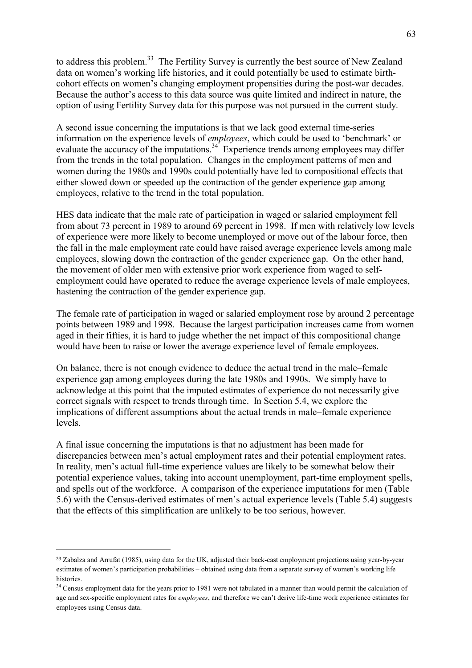to address this problem.<sup>33</sup> The Fertility Survey is currently the best source of New Zealand data on women's working life histories, and it could potentially be used to estimate birthcohort effects on women's changing employment propensities during the post-war decades. Because the author's access to this data source was quite limited and indirect in nature, the option of using Fertility Survey data for this purpose was not pursued in the current study.

A second issue concerning the imputations is that we lack good external time-series information on the experience levels of *employees*, which could be used to 'benchmark' or evaluate the accuracy of the imputations.<sup>34</sup> Experience trends among employees may differ from the trends in the total population. Changes in the employment patterns of men and women during the 1980s and 1990s could potentially have led to compositional effects that either slowed down or speeded up the contraction of the gender experience gap among employees, relative to the trend in the total population.

HES data indicate that the male rate of participation in waged or salaried employment fell from about 73 percent in 1989 to around 69 percent in 1998. If men with relatively low levels of experience were more likely to become unemployed or move out of the labour force, then the fall in the male employment rate could have raised average experience levels among male employees, slowing down the contraction of the gender experience gap. On the other hand, the movement of older men with extensive prior work experience from waged to selfemployment could have operated to reduce the average experience levels of male employees, hastening the contraction of the gender experience gap.

The female rate of participation in waged or salaried employment rose by around 2 percentage points between 1989 and 1998. Because the largest participation increases came from women aged in their fifties, it is hard to judge whether the net impact of this compositional change would have been to raise or lower the average experience level of female employees.

On balance, there is not enough evidence to deduce the actual trend in the male–female experience gap among employees during the late 1980s and 1990s. We simply have to acknowledge at this point that the imputed estimates of experience do not necessarily give correct signals with respect to trends through time. In Section 5.4, we explore the implications of different assumptions about the actual trends in male–female experience levels.

A final issue concerning the imputations is that no adjustment has been made for discrepancies between men's actual employment rates and their potential employment rates. In reality, men's actual full-time experience values are likely to be somewhat below their potential experience values, taking into account unemployment, part-time employment spells, and spells out of the workforce. A comparison of the experience imputations for men (Table 5.6) with the Census-derived estimates of menís actual experience levels (Table 5.4) suggests that the effects of this simplification are unlikely to be too serious, however.

<sup>33</sup> Zabalza and Arrufat (1985), using data for the UK, adjusted their back-cast employment projections using year-by-year estimates of women's participation probabilities – obtained using data from a separate survey of women's working life histories.

<sup>&</sup>lt;sup>34</sup> Census employment data for the years prior to 1981 were not tabulated in a manner than would permit the calculation of age and sex-specific employment rates for *employees*, and therefore we canít derive life-time work experience estimates for employees using Census data.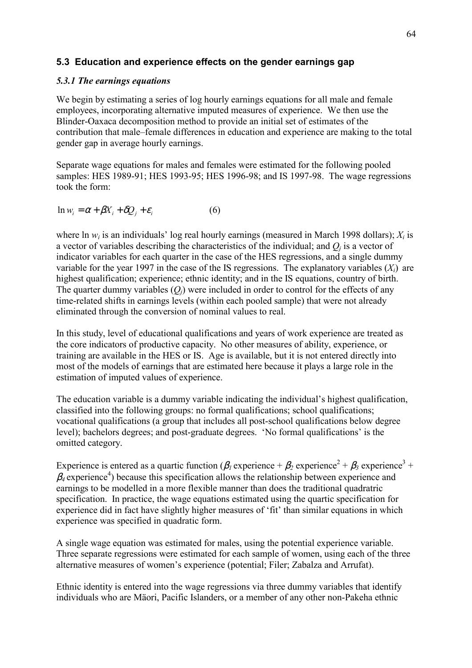## **5.3 Education and experience effects on the gender earnings gap**

## *5.3.1 The earnings equations*

We begin by estimating a series of log hourly earnings equations for all male and female employees, incorporating alternative imputed measures of experience. We then use the Blinder-Oaxaca decomposition method to provide an initial set of estimates of the contribution that male–female differences in education and experience are making to the total gender gap in average hourly earnings.

Separate wage equations for males and females were estimated for the following pooled samples: HES 1989-91; HES 1993-95; HES 1996-98; and IS 1997-98. The wage regressions took the form:

$$
\ln w_i = \alpha + \beta X_i + \delta Q_j + \varepsilon_i \tag{6}
$$

where ln  $w_i$  is an individuals' log real hourly earnings (measured in March 1998 dollars);  $X_i$  is a vector of variables describing the characteristics of the individual; and  $Q_i$  is a vector of indicator variables for each quarter in the case of the HES regressions, and a single dummy variable for the year 1997 in the case of the IS regressions. The explanatory variables  $(X_i)$  are highest qualification; experience; ethnic identity; and in the IS equations, country of birth. The quarter dummy variables  $(Q_i)$  were included in order to control for the effects of any time-related shifts in earnings levels (within each pooled sample) that were not already eliminated through the conversion of nominal values to real.

In this study, level of educational qualifications and years of work experience are treated as the core indicators of productive capacity. No other measures of ability, experience, or training are available in the HES or IS. Age is available, but it is not entered directly into most of the models of earnings that are estimated here because it plays a large role in the estimation of imputed values of experience.

The education variable is a dummy variable indicating the individual's highest qualification, classified into the following groups: no formal qualifications; school qualifications; vocational qualifications (a group that includes all post-school qualifications below degree level); bachelors degrees; and post-graduate degrees. 'No formal qualifications' is the omitted category.

Experience is entered as a quartic function ( $\beta_l$  experience +  $\beta_2$  experience<sup>2</sup> +  $\beta_3$  experience<sup>3</sup> +  $\beta_4$  experience<sup>4</sup>) because this specification allows the relationship between experience and earnings to be modelled in a more flexible manner than does the traditional quadratric specification. In practice, the wage equations estimated using the quartic specification for experience did in fact have slightly higher measures of 'fit' than similar equations in which experience was specified in quadratic form.

A single wage equation was estimated for males, using the potential experience variable. Three separate regressions were estimated for each sample of women, using each of the three alternative measures of women's experience (potential; Filer; Zabalza and Arrufat).

Ethnic identity is entered into the wage regressions via three dummy variables that identify individuals who are Mäori, Pacific Islanders, or a member of any other non-Pakeha ethnic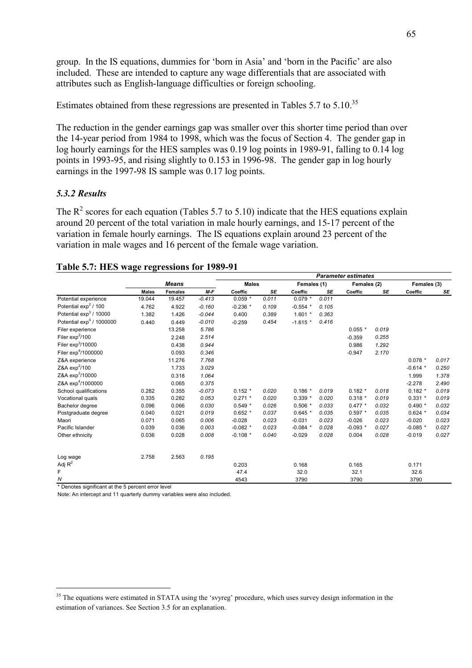group. In the IS equations, dummies for 'born in Asia' and 'born in the Pacific' are also included. These are intended to capture any wage differentials that are associated with attributes such as English-language difficulties or foreign schooling.

Estimates obtained from these regressions are presented in Tables 5.7 to 5.10.<sup>35</sup>

The reduction in the gender earnings gap was smaller over this shorter time period than over the 14-year period from 1984 to 1998, which was the focus of Section 4. The gender gap in log hourly earnings for the HES samples was 0.19 log points in 1989-91, falling to 0.14 log points in 1993-95, and rising slightly to 0.153 in 1996-98. The gender gap in log hourly earnings in the 1997-98 IS sample was 0.17 log points.

#### *5.3.2 Results*

The  $R^2$  scores for each equation (Tables 5.7 to 5.10) indicate that the HES equations explain around 20 percent of the total variation in male hourly earnings, and 15-17 percent of the variation in female hourly earnings. The IS equations explain around 23 percent of the variation in male wages and 16 percent of the female wage variation.

|                                 |              |                |          | <b>Parameter estimates</b> |                             |            |       |             |       |             |       |  |
|---------------------------------|--------------|----------------|----------|----------------------------|-----------------------------|------------|-------|-------------|-------|-------------|-------|--|
|                                 | <b>Means</b> |                |          |                            | <b>Males</b><br>Females (1) |            |       | Females (2) |       | Females (3) |       |  |
|                                 | <b>Males</b> | <b>Females</b> | $M-F$    | Coeffic                    | <b>SE</b>                   | Coeffic    | SE    | Coeffic     | SE    | Coeffic     | SE    |  |
| Potential experience            | 19.044       | 19.457         | $-0.413$ | $0.059*$                   | 0.011                       | $0.079 *$  | 0.011 |             |       |             |       |  |
| Potential $\exp^2/100$          | 4.762        | 4.922          | $-0.160$ | $-0.236$ *                 | 0.109                       | $-0.554$ * | 0.105 |             |       |             |       |  |
| Potential $\exp^3/10000$        | 1.382        | 1.426          | $-0.044$ | 0.400                      | 0.389                       | $1.601*$   | 0.363 |             |       |             |       |  |
| Potential $\exp^4$ / 1000000    | 0.440        | 0.449          | $-0.010$ | $-0.259$                   | 0.454                       | $-1.615*$  | 0.416 |             |       |             |       |  |
| Filer experience                |              | 13.258         | 5.786    |                            |                             |            |       | $0.055*$    | 0.019 |             |       |  |
| Filer $exp^2/100$               |              | 2.248          | 2.514    |                            |                             |            |       | $-0.359$    | 0.255 |             |       |  |
| Filer $exp3/10000$              |              | 0.438          | 0.944    |                            |                             |            |       | 0.986       | 1.292 |             |       |  |
| Filer exp <sup>4</sup> /1000000 |              | 0.093          | 0.346    |                            |                             |            |       | $-0.947$    | 2.170 |             |       |  |
| Z&A experience                  |              | 11.276         | 7.768    |                            |                             |            |       |             |       | $0.078 *$   | 0.017 |  |
| Z&A exp <sup>2</sup> /100       |              | 1.733          | 3.029    |                            |                             |            |       |             |       | $-0.614$ *  | 0.250 |  |
| Z&A exp <sup>3</sup> /10000     |              | 0.318          | 1.064    |                            |                             |            |       |             |       | 1.999       | 1.378 |  |
| Z&A exp <sup>4</sup> /1000000   |              | 0.065          | 0.375    |                            |                             |            |       |             |       | $-2.278$    | 2.490 |  |
| School qualifications           | 0.282        | 0.355          | $-0.073$ | $0.152*$                   | 0.020                       | $0.186*$   | 0.019 | $0.182*$    | 0.018 | $0.182*$    | 0.019 |  |
| Vocational quals                | 0.335        | 0.282          | 0.053    | $0.271$ *                  | 0.020                       | $0.339*$   | 0.020 | $0.318*$    | 0.019 | $0.331$ *   | 0.019 |  |
| Bachelor degree                 | 0.096        | 0.066          | 0.030    | $0.549*$                   | 0.026                       | $0.506*$   | 0.033 | $0.477*$    | 0.032 | $0.490*$    | 0.032 |  |
| Postgraduate degree             | 0.040        | 0.021          | 0.019    | $0.652*$                   | 0.037                       | $0.645*$   | 0.035 | $0.597*$    | 0.035 | $0.624*$    | 0.034 |  |
| Maori                           | 0.071        | 0.065          | 0.006    | $-0.028$                   | 0.023                       | $-0.031$   | 0.023 | $-0.026$    | 0.023 | $-0.020$    | 0.023 |  |
| Pacific Islander                | 0.039        | 0.036          | 0.003    | $-0.082$ *                 | 0.023                       | $-0.084$ * | 0.028 | $-0.093*$   | 0.027 | $-0.085$ *  | 0.027 |  |
| Other ethnicity                 | 0.036        | 0.028          | 0.008    | $-0.108$ *                 | 0.040                       | $-0.029$   | 0.028 | 0.004       | 0.028 | $-0.019$    | 0.027 |  |
| Log wage                        | 2.758        | 2.563          | 0.195    |                            |                             |            |       |             |       |             |       |  |
| Adj $R^2$                       |              |                |          | 0.203                      |                             | 0.168      |       | 0.165       |       | 0.171       |       |  |
| F                               |              |                |          | 47.4                       |                             | 32.0       |       | 32.1        |       | 32.6        |       |  |
| ${\cal N}$                      |              |                |          | 4543                       |                             | 3790       |       | 3790        |       | 3790        |       |  |

## **Table 5.7: HES wage regressions for 1989-91**

\* Denotes significant at the 5 percent error level

 $\overline{a}$ 

Note: An intercept and 11 quarterly dummy variables were also included.

<sup>&</sup>lt;sup>35</sup> The equations were estimated in STATA using the 'svyreg' procedure, which uses survey design information in the estimation of variances. See Section 3.5 for an explanation.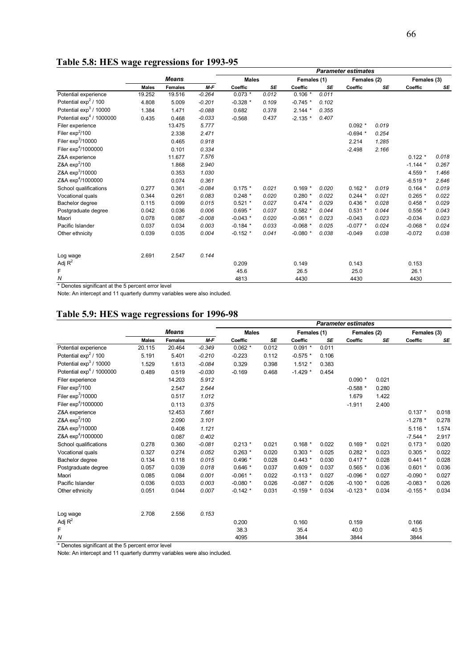|                                    |              |                |          | <b>Parameter estimates</b> |       |             |       |             |           |             |       |  |  |
|------------------------------------|--------------|----------------|----------|----------------------------|-------|-------------|-------|-------------|-----------|-------------|-------|--|--|
|                                    | <b>Means</b> |                |          | <b>Males</b>               |       | Females (1) |       | Females (2) |           | Females (3) |       |  |  |
|                                    | <b>Males</b> | <b>Females</b> | $M-F$    | Coeffic                    | SE    | Coeffic     | SE    | Coeffic     | <b>SE</b> | Coeffic     | SE    |  |  |
| Potential experience               | 19.252       | 19.516         | $-0.264$ | $0.073*$                   | 0.012 | $0.106*$    | 0.011 |             |           |             |       |  |  |
| Potential $\exp^2/100$             | 4.808        | 5.009          | $-0.201$ | $-0.328$ *                 | 0.109 | $-0.745$ *  | 0.102 |             |           |             |       |  |  |
| Potential exp <sup>3</sup> / 10000 | 1.384        | 1.471          | $-0.088$ | 0.682                      | 0.378 | $2.144*$    | 0.355 |             |           |             |       |  |  |
| Potential $\exp^4$ / 1000000       | 0.435        | 0.468          | $-0.033$ | $-0.568$                   | 0.437 | $-2.135$ *  | 0.407 |             |           |             |       |  |  |
| Filer experience                   |              | 13.475         | 5.777    |                            |       |             |       | $0.092*$    | 0.019     |             |       |  |  |
| Filer $exp2/100$                   |              | 2.338          | 2.471    |                            |       |             |       | $-0.694$ *  | 0.254     |             |       |  |  |
| Filer $exp3/10000$                 |              | 0.465          | 0.918    |                            |       |             |       | 2.214       | 1.285     |             |       |  |  |
| Filer exp <sup>4</sup> /1000000    |              | 0.101          | 0.334    |                            |       |             |       | $-2.498$    | 2.166     |             |       |  |  |
| Z&A experience                     |              | 11.677         | 7.576    |                            |       |             |       |             |           | $0.122 *$   | 0.018 |  |  |
| Z&A exp <sup>2</sup> /100          |              | 1.868          | 2.940    |                            |       |             |       |             |           | $-1.144*$   | 0.267 |  |  |
| Z&A exp <sup>3</sup> /10000        |              | 0.353          | 1.030    |                            |       |             |       |             |           | 4.559 *     | 1.466 |  |  |
| Z&A exp <sup>4</sup> /1000000      |              | 0.074          | 0.361    |                            |       |             |       |             |           | $-6.519*$   | 2.646 |  |  |
| School qualifications              | 0.277        | 0.361          | $-0.084$ | $0.175*$                   | 0.021 | $0.169*$    | 0.020 | $0.162*$    | 0.019     | $0.164*$    | 0.019 |  |  |
| Vocational quals                   | 0.344        | 0.261          | 0.083    | $0.248*$                   | 0.020 | $0.280*$    | 0.022 | $0.244*$    | 0.021     | $0.265*$    | 0.022 |  |  |
| Bachelor degree                    | 0.115        | 0.099          | 0.015    | $0.521$ *                  | 0.027 | $0.474*$    | 0.029 | $0.436*$    | 0.028     | $0.458*$    | 0.029 |  |  |
| Postgraduate degree                | 0.042        | 0.036          | 0.006    | $0.695*$                   | 0.037 | $0.582*$    | 0.044 | $0.531 *$   | 0.044     | $0.556*$    | 0.043 |  |  |
| Maori                              | 0.078        | 0.087          | $-0.008$ | $-0.043$ *                 | 0.020 | $-0.061$ *  | 0.023 | $-0.043$    | 0.023     | $-0.034$    | 0.023 |  |  |
| Pacific Islander                   | 0.037        | 0.034          | 0.003    | $-0.184$ *                 | 0.033 | $-0.068$ *  | 0.025 | $-0.077$ *  | 0.024     | $-0.068$ *  | 0.024 |  |  |
| Other ethnicity                    | 0.039        | 0.035          | 0.004    | $-0.152$ *                 | 0.041 | $-0.080$ *  | 0.038 | $-0.049$    | 0.038     | $-0.072$    | 0.038 |  |  |
| Log wage                           | 2.691        | 2.547          | 0.144    |                            |       |             |       |             |           |             |       |  |  |
| Adj $R^2$                          |              |                |          | 0.209                      |       | 0.149       |       | 0.143       |           | 0.153       |       |  |  |
| F                                  |              |                |          | 45.6                       |       | 26.5        |       | 25.0        |           | 26.1        |       |  |  |
| Ν                                  |              |                |          | 4813                       |       | 4430        |       | 4430        |           | 4430        |       |  |  |

# **Table 5.8: HES wage regressions for 1993-95**

\* Denotes significant at the 5 percent error level

Note: An intercept and 11 quarterly dummy variables were also included.

#### **Table 5.9: HES wage regressions for 1996-98**

|                                    |              |                |          | <b>Parameter estimates</b> |           |             |           |             |       |             |       |  |
|------------------------------------|--------------|----------------|----------|----------------------------|-----------|-------------|-----------|-------------|-------|-------------|-------|--|
|                                    | <b>Means</b> |                |          | <b>Males</b>               |           | Females (1) |           | Females (2) |       | Females (3) |       |  |
|                                    | <b>Males</b> | <b>Females</b> | $M-F$    | Coeffic                    | <b>SE</b> | Coeffic     | <b>SE</b> | Coeffic     | SE    | Coeffic     | SE    |  |
| Potential experience               | 20.115       | 20.464         | $-0.349$ | $0.062$ *                  | 0.012     | $0.091$ *   | 0.011     |             |       |             |       |  |
| Potential $\exp^2/100$             | 5.191        | 5.401          | $-0.210$ | $-0.223$                   | 0.112     | $-0.575$ *  | 0.106     |             |       |             |       |  |
| Potential exp <sup>3</sup> / 10000 | 1.529        | 1.613          | $-0.084$ | 0.329                      | 0.398     | $1.512*$    | 0.383     |             |       |             |       |  |
| Potential $\exp^4$ / 1000000       | 0.489        | 0.519          | $-0.030$ | $-0.169$                   | 0.468     | $-1.429$ *  | 0.454     |             |       |             |       |  |
| Filer experience                   |              | 14.203         | 5.912    |                            |           |             |           | $0.090*$    | 0.021 |             |       |  |
| Filer $exp2/100$                   |              | 2.547          | 2.644    |                            |           |             |           | $-0.588*$   | 0.280 |             |       |  |
| Filer $exp^3/10000$                |              | 0.517          | 1.012    |                            |           |             |           | 1.679       | 1.422 |             |       |  |
| Filer exp <sup>4</sup> /1000000    |              | 0.113          | 0.375    |                            |           |             |           | $-1.911$    | 2.400 |             |       |  |
| Z&A experience                     |              | 12.453         | 7.661    |                            |           |             |           |             |       | $0.137 *$   | 0.018 |  |
| Z&A exp <sup>2</sup> /100          |              | 2.090          | 3.101    |                            |           |             |           |             |       | $-1.278$ *  | 0.278 |  |
| Z&A exp <sup>3</sup> /10000        |              | 0.408          | 1.121    |                            |           |             |           |             |       | $5.116*$    | 1.574 |  |
| Z&A exp <sup>4</sup> /1000000      |              | 0.087          | 0.402    |                            |           |             |           |             |       | $-7.544$ *  | 2.917 |  |
| School qualifications              | 0.278        | 0.360          | $-0.081$ | $0.213*$                   | 0.021     | $0.168*$    | 0.022     | $0.169*$    | 0.021 | $0.173*$    | 0.020 |  |
| Vocational quals                   | 0.327        | 0.274          | 0.052    | $0.263*$                   | 0.020     | $0.303*$    | 0.025     | $0.282*$    | 0.023 | $0.305*$    | 0.022 |  |
| Bachelor degree                    | 0.134        | 0.118          | 0.015    | $0.496*$                   | 0.028     | $0.443*$    | 0.030     | $0.417 *$   | 0.028 | $0.441 *$   | 0.028 |  |
| Postgraduate degree                | 0.057        | 0.039          | 0.018    | $0.646*$                   | 0.037     | $0.609*$    | 0.037     | $0.565*$    | 0.036 | $0.601 *$   | 0.036 |  |
| Maori                              | 0.085        | 0.084          | 0.001    | $-0.061$ *                 | 0.022     | $-0.113*$   | 0.027     | $-0.096$ *  | 0.027 | $-0.090$ *  | 0.027 |  |
| Pacific Islander                   | 0.036        | 0.033          | 0.003    | $-0.080$ *                 | 0.026     | $-0.087$ *  | 0.026     | $-0.100*$   | 0.026 | $-0.083$ *  | 0.026 |  |
| Other ethnicity                    | 0.051        | 0.044          | 0.007    | $-0.142$ *                 | 0.031     | $-0.159$ *  | 0.034     | $-0.123$ *  | 0.034 | $-0.155$ *  | 0.034 |  |
| Log wage                           | 2.708        | 2.556          | 0.153    |                            |           |             |           |             |       |             |       |  |
| Adj $R^2$                          |              |                |          | 0.200                      |           | 0.160       |           | 0.159       |       | 0.166       |       |  |
| F                                  |              |                |          | 38.3                       |           | 35.4        |           | 40.0        |       | 40.5        |       |  |
| Ν                                  |              |                |          | 4095                       |           | 3844        |           | 3844        |       | 3844        |       |  |

\* Denotes significant at the 5 percent error level

Note: An intercept and 11 quarterly dummy variables were also included.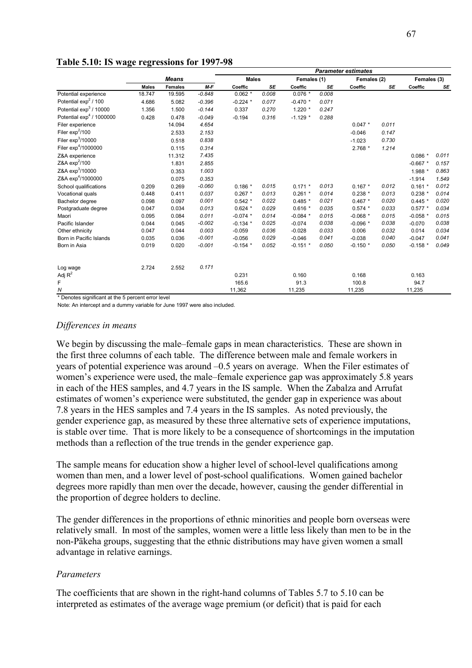|                                 |              |                |          | <b>Parameter estimates</b> |       |             |       |             |       |             |       |  |
|---------------------------------|--------------|----------------|----------|----------------------------|-------|-------------|-------|-------------|-------|-------------|-------|--|
|                                 |              | <b>Means</b>   |          | <b>Males</b>               |       | Females (1) |       | Females (2) |       | Females (3) |       |  |
|                                 | <b>Males</b> | <b>Females</b> | $M-F$    | Coeffic                    | SE    | Coeffic     | SE    | Coeffic     | SE    | Coeffic     | SE    |  |
| Potential experience            | 18.747       | 19.595         | $-0.848$ | $0.062$ *                  | 0.008 | $0.076*$    | 0.008 |             |       |             |       |  |
| Potential $\exp^2/100$          | 4.686        | 5.082          | $-0.396$ | $-0.224$ *                 | 0.077 | $-0.470$ *  | 0.071 |             |       |             |       |  |
| Potential $\exp^3/10000$        | 1.356        | 1.500          | $-0.144$ | 0.337                      | 0.270 | $1.220$ *   | 0.247 |             |       |             |       |  |
| Potential $\exp^4$ / 1000000    | 0.428        | 0.478          | $-0.049$ | $-0.194$                   | 0.316 | $-1.129$ *  | 0.288 |             |       |             |       |  |
| Filer experience                |              | 14.094         | 4.654    |                            |       |             |       | $0.047 *$   | 0.011 |             |       |  |
| Filer $exp2/100$                |              | 2.533          | 2.153    |                            |       |             |       | $-0.046$    | 0.147 |             |       |  |
| Filer $exp3/10000$              |              | 0.518          | 0.838    |                            |       |             |       | $-1.023$    | 0.730 |             |       |  |
| Filer exp <sup>4</sup> /1000000 |              | 0.115          | 0.314    |                            |       |             |       | $2.768*$    | 1.214 |             |       |  |
| Z&A experience                  |              | 11.312         | 7.435    |                            |       |             |       |             |       | $0.086*$    | 0.011 |  |
| Z&A exp <sup>2</sup> /100       |              | 1.831          | 2.855    |                            |       |             |       |             |       | $-0.667$ *  | 0.157 |  |
| Z&A exp <sup>3</sup> /10000     |              | 0.353          | 1.003    |                            |       |             |       |             |       | 1.988 *     | 0.863 |  |
| Z&A exp <sup>4</sup> /1000000   |              | 0.075          | 0.353    |                            |       |             |       |             |       | $-1.914$    | 1.549 |  |
| School qualifications           | 0.209        | 0.269          | $-0.060$ | $0.186*$                   | 0.015 | $0.171$ *   | 0.013 | $0.167 *$   | 0.012 | $0.161*$    | 0.012 |  |
| Vocational quals                | 0.448        | 0.411          | 0.037    | $0.267$ *                  | 0.013 | $0.261$ *   | 0.014 | $0.238*$    | 0.013 | $0.238*$    | 0.014 |  |
| Bachelor degree                 | 0.098        | 0.097          | 0.001    | $0.542*$                   | 0.022 | $0.485*$    | 0.021 | $0.467 *$   | 0.020 | $0.445*$    | 0.020 |  |
| Postgraduate degree             | 0.047        | 0.034          | 0.013    | $0.624$ *                  | 0.029 | $0.616*$    | 0.035 | $0.574$ *   | 0.033 | $0.577*$    | 0.034 |  |
| Maori                           | 0.095        | 0.084          | 0.011    | $-0.074$ *                 | 0.014 | $-0.084$ *  | 0.015 | $-0.068$ *  | 0.015 | $-0.058$ *  | 0.015 |  |
| Pacific Islander                | 0.044        | 0.045          | $-0.002$ | $-0.134$ *                 | 0.025 | $-0.074$    | 0.038 | $-0.096$ *  | 0.038 | $-0.070$    | 0.038 |  |
| Other ethnicity                 | 0.047        | 0.044          | 0.003    | $-0.059$                   | 0.036 | $-0.028$    | 0.033 | 0.006       | 0.032 | 0.014       | 0.034 |  |
| Born in Pacific Islands         | 0.035        | 0.036          | $-0.001$ | $-0.056$                   | 0.029 | $-0.046$    | 0.041 | $-0.038$    | 0.040 | $-0.047$    | 0.041 |  |
| Born in Asia                    | 0.019        | 0.020          | $-0.001$ | $-0.154$ *                 | 0.052 | $-0.151$ *  | 0.050 | $-0.150$ *  | 0.050 | $-0.158$ *  | 0.049 |  |
| Log wage                        | 2.724        | 2.552          | 0.171    |                            |       |             |       |             |       |             |       |  |
| Adj $R^2$                       |              |                |          | 0.231                      |       | 0.160       |       | 0.168       |       | 0.163       |       |  |
| F                               |              |                |          | 165.6                      |       | 91.3        |       | 100.8       |       | 94.7        |       |  |
| Ν                               |              |                |          | 11,362                     |       | 11,235      |       | 11,235      |       | 11,235      |       |  |

### **Table 5.10: IS wage regressions for 1997-98**

\* Denotes significant at the 5 percent error level

Note: An intercept and a dummy variable for June 1997 were also included.

### *Differences in means*

We begin by discussing the male–female gaps in mean characteristics. These are shown in the first three columns of each table. The difference between male and female workers in years of potential experience was around  $-0.5$  years on average. When the Filer estimates of women's experience were used, the male–female experience gap was approximately 5.8 years in each of the HES samples, and 4.7 years in the IS sample. When the Zabalza and Arrufat estimates of women's experience were substituted, the gender gap in experience was about 7.8 years in the HES samples and 7.4 years in the IS samples. As noted previously, the gender experience gap, as measured by these three alternative sets of experience imputations, is stable over time. That is more likely to be a consequence of shortcomings in the imputation methods than a reflection of the true trends in the gender experience gap.

The sample means for education show a higher level of school-level qualifications among women than men, and a lower level of post-school qualifications. Women gained bachelor degrees more rapidly than men over the decade, however, causing the gender differential in the proportion of degree holders to decline.

The gender differences in the proportions of ethnic minorities and people born overseas were relatively small. In most of the samples, women were a little less likely than men to be in the non-Päkeha groups, suggesting that the ethnic distributions may have given women a small advantage in relative earnings.

### *Parameters*

The coefficients that are shown in the right-hand columns of Tables 5.7 to 5.10 can be interpreted as estimates of the average wage premium (or deficit) that is paid for each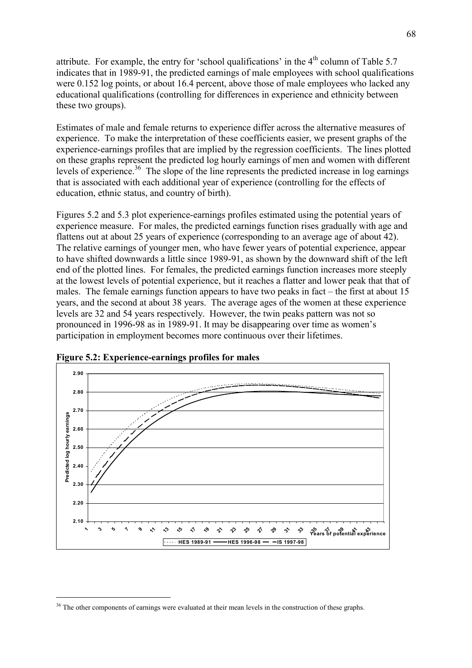attribute. For example, the entry for 'school qualifications' in the  $4<sup>th</sup>$  column of Table 5.7 indicates that in 1989-91, the predicted earnings of male employees with school qualifications were 0.152 log points, or about 16.4 percent, above those of male employees who lacked any educational qualifications (controlling for differences in experience and ethnicity between these two groups).

Estimates of male and female returns to experience differ across the alternative measures of experience. To make the interpretation of these coefficients easier, we present graphs of the experience-earnings profiles that are implied by the regression coefficients. The lines plotted on these graphs represent the predicted log hourly earnings of men and women with different levels of experience.<sup>36</sup> The slope of the line represents the predicted increase in log earnings that is associated with each additional year of experience (controlling for the effects of education, ethnic status, and country of birth).

Figures 5.2 and 5.3 plot experience-earnings profiles estimated using the potential years of experience measure. For males, the predicted earnings function rises gradually with age and flattens out at about 25 years of experience (corresponding to an average age of about 42). The relative earnings of younger men, who have fewer years of potential experience, appear to have shifted downwards a little since 1989-91, as shown by the downward shift of the left end of the plotted lines. For females, the predicted earnings function increases more steeply at the lowest levels of potential experience, but it reaches a flatter and lower peak that that of males. The female earnings function appears to have two peaks in fact  $-$  the first at about 15 years, and the second at about 38 years. The average ages of the women at these experience levels are 32 and 54 years respectively. However, the twin peaks pattern was not so pronounced in 1996-98 as in 1989-91. It may be disappearing over time as women's participation in employment becomes more continuous over their lifetimes.



**Figure 5.2: Experience-earnings profiles for males** 

<sup>&</sup>lt;sup>36</sup> The other components of earnings were evaluated at their mean levels in the construction of these graphs.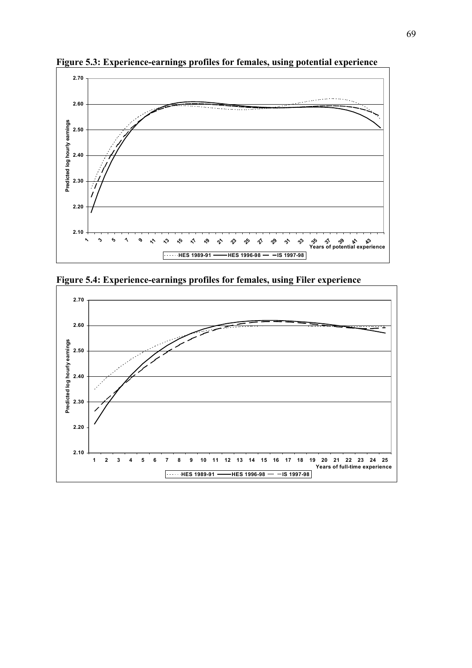

**Figure 5.3: Experience-earnings profiles for females, using potential experience** 



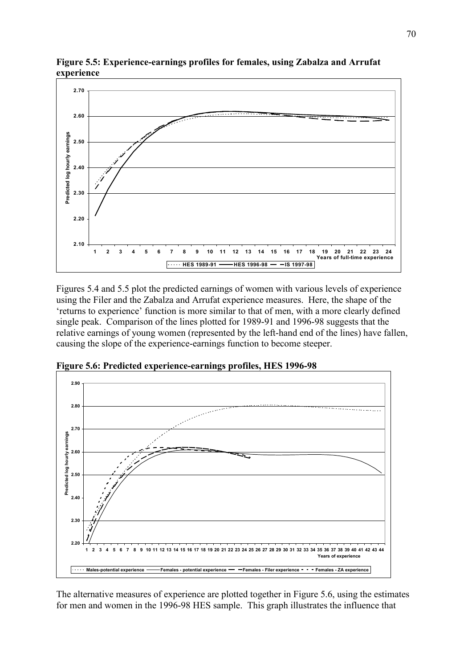

**Figure 5.5: Experience-earnings profiles for females, using Zabalza and Arrufat experience** 

Figures 5.4 and 5.5 plot the predicted earnings of women with various levels of experience using the Filer and the Zabalza and Arrufat experience measures. Here, the shape of the 'returns to experience' function is more similar to that of men, with a more clearly defined single peak. Comparison of the lines plotted for 1989-91 and 1996-98 suggests that the relative earnings of young women (represented by the left-hand end of the lines) have fallen, causing the slope of the experience-earnings function to become steeper.



**Figure 5.6: Predicted experience-earnings profiles, HES 1996-98** 

The alternative measures of experience are plotted together in Figure 5.6, using the estimates for men and women in the 1996-98 HES sample. This graph illustrates the influence that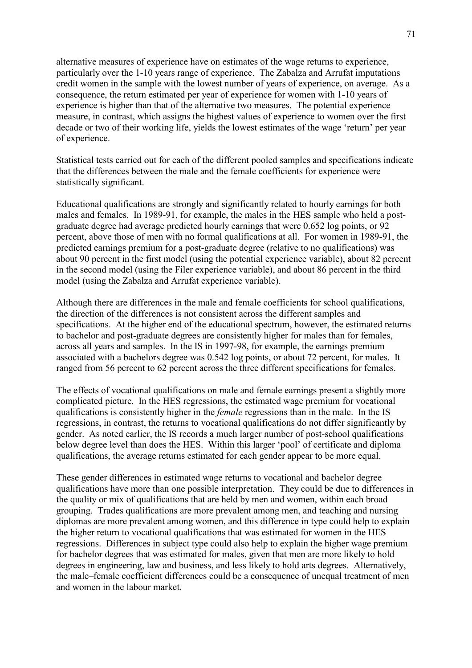alternative measures of experience have on estimates of the wage returns to experience, particularly over the 1-10 years range of experience. The Zabalza and Arrufat imputations credit women in the sample with the lowest number of years of experience, on average. As a consequence, the return estimated per year of experience for women with 1-10 years of experience is higher than that of the alternative two measures. The potential experience measure, in contrast, which assigns the highest values of experience to women over the first decade or two of their working life, yields the lowest estimates of the wage 'return' per year of experience.

Statistical tests carried out for each of the different pooled samples and specifications indicate that the differences between the male and the female coefficients for experience were statistically significant.

Educational qualifications are strongly and significantly related to hourly earnings for both males and females. In 1989-91, for example, the males in the HES sample who held a postgraduate degree had average predicted hourly earnings that were 0.652 log points, or 92 percent, above those of men with no formal qualifications at all. For women in 1989-91, the predicted earnings premium for a post-graduate degree (relative to no qualifications) was about 90 percent in the first model (using the potential experience variable), about 82 percent in the second model (using the Filer experience variable), and about 86 percent in the third model (using the Zabalza and Arrufat experience variable).

Although there are differences in the male and female coefficients for school qualifications, the direction of the differences is not consistent across the different samples and specifications. At the higher end of the educational spectrum, however, the estimated returns to bachelor and post-graduate degrees are consistently higher for males than for females, across all years and samples. In the IS in 1997-98, for example, the earnings premium associated with a bachelors degree was 0.542 log points, or about 72 percent, for males. It ranged from 56 percent to 62 percent across the three different specifications for females.

The effects of vocational qualifications on male and female earnings present a slightly more complicated picture. In the HES regressions, the estimated wage premium for vocational qualifications is consistently higher in the *female* regressions than in the male. In the IS regressions, in contrast, the returns to vocational qualifications do not differ significantly by gender. As noted earlier, the IS records a much larger number of post-school qualifications below degree level than does the HES. Within this larger 'pool' of certificate and diploma qualifications, the average returns estimated for each gender appear to be more equal.

These gender differences in estimated wage returns to vocational and bachelor degree qualifications have more than one possible interpretation. They could be due to differences in the quality or mix of qualifications that are held by men and women, within each broad grouping. Trades qualifications are more prevalent among men, and teaching and nursing diplomas are more prevalent among women, and this difference in type could help to explain the higher return to vocational qualifications that was estimated for women in the HES regressions. Differences in subject type could also help to explain the higher wage premium for bachelor degrees that was estimated for males, given that men are more likely to hold degrees in engineering, law and business, and less likely to hold arts degrees. Alternatively, the male–female coefficient differences could be a consequence of unequal treatment of men and women in the labour market.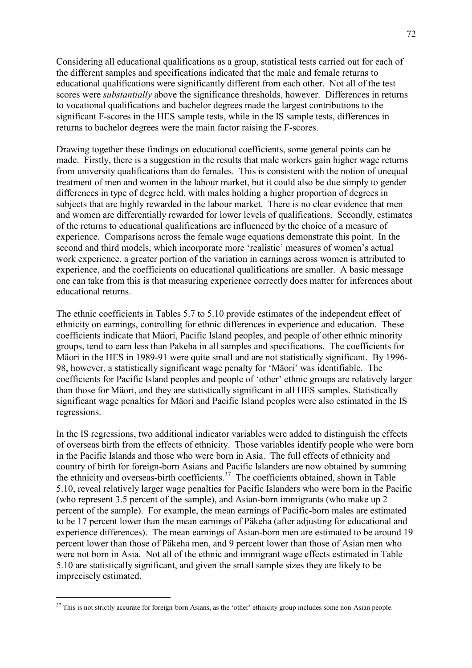Considering all educational qualifications as a group, statistical tests carried out for each of the different samples and specifications indicated that the male and female returns to educational qualifications were significantly different from each other. Not all of the test scores were *substantially* above the significance thresholds, however. Differences in returns to vocational qualifications and bachelor degrees made the largest contributions to the significant F-scores in the HES sample tests, while in the IS sample tests, differences in returns to bachelor degrees were the main factor raising the F-scores.

Drawing together these findings on educational coefficients, some general points can be made. Firstly, there is a suggestion in the results that male workers gain higher wage returns from university qualifications than do females. This is consistent with the notion of unequal treatment of men and women in the labour market, but it could also be due simply to gender differences in type of degree held, with males holding a higher proportion of degrees in subjects that are highly rewarded in the labour market. There is no clear evidence that men and women are differentially rewarded for lower levels of qualifications. Secondly, estimates of the returns to educational qualifications are influenced by the choice of a measure of experience. Comparisons across the female wage equations demonstrate this point. In the second and third models, which incorporate more 'realistic' measures of women's actual work experience, a greater portion of the variation in earnings across women is attributed to experience, and the coefficients on educational qualifications are smaller. A basic message one can take from this is that measuring experience correctly does matter for inferences about educational returns.

The ethnic coefficients in Tables 5.7 to 5.10 provide estimates of the independent effect of ethnicity on earnings, controlling for ethnic differences in experience and education. These coefficients indicate that Mäori, Pacific Island peoples, and people of other ethnic minority groups, tend to earn less than Pakeha in all samples and specifications. The coefficients for Mäori in the HES in 1989-91 were quite small and are not statistically significant. By 1996-98, however, a statistically significant wage penalty for 'Mäori' was identifiable. The coefficients for Pacific Island peoples and people of 'other' ethnic groups are relatively larger than those for Mäori, and they are statistically significant in all HES samples. Statistically significant wage penalties for Mäori and Pacific Island peoples were also estimated in the IS regressions.

In the IS regressions, two additional indicator variables were added to distinguish the effects of overseas birth from the effects of ethnicity. Those variables identify people who were born in the Pacific Islands and those who were born in Asia. The full effects of ethnicity and country of birth for foreign-born Asians and Pacific Islanders are now obtained by summing the ethnicity and overseas-birth coefficients.<sup>37</sup> The coefficients obtained, shown in Table 5.10, reveal relatively larger wage penalties for Pacific Islanders who were born in the Pacific (who represent 3.5 percent of the sample), and Asian-born immigrants (who make up 2 percent of the sample). For example, the mean earnings of Pacific-born males are estimated to be 17 percent lower than the mean earnings of Päkeha (after adjusting for educational and experience differences). The mean earnings of Asian-born men are estimated to be around 19 percent lower than those of Päkeha men, and 9 percent lower than those of Asian men who were not born in Asia. Not all of the ethnic and immigrant wage effects estimated in Table 5.10 are statistically significant, and given the small sample sizes they are likely to be imprecisely estimated.

<sup>&</sup>lt;sup>37</sup> This is not strictly accurate for foreign-born Asians, as the 'other' ethnicity group includes some non-Asian people.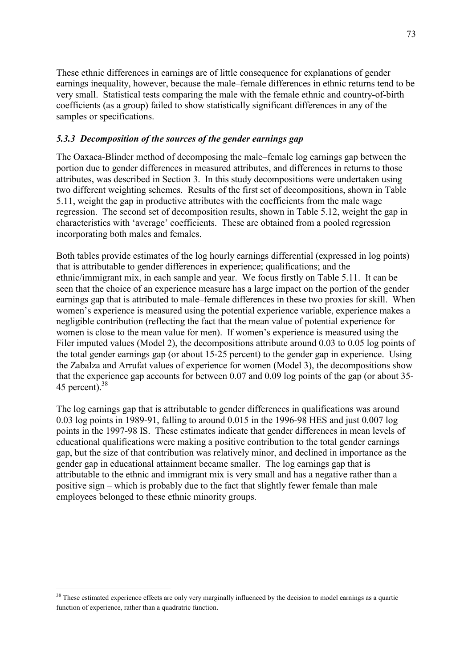These ethnic differences in earnings are of little consequence for explanations of gender earnings inequality, however, because the male–female differences in ethnic returns tend to be very small. Statistical tests comparing the male with the female ethnic and country-of-birth coefficients (as a group) failed to show statistically significant differences in any of the samples or specifications.

### *5.3.3 Decomposition of the sources of the gender earnings gap*

The Oaxaca-Blinder method of decomposing the male-female log earnings gap between the portion due to gender differences in measured attributes, and differences in returns to those attributes, was described in Section 3. In this study decompositions were undertaken using two different weighting schemes. Results of the first set of decompositions, shown in Table 5.11, weight the gap in productive attributes with the coefficients from the male wage regression. The second set of decomposition results, shown in Table 5.12, weight the gap in characteristics with 'average' coefficients. These are obtained from a pooled regression incorporating both males and females.

Both tables provide estimates of the log hourly earnings differential (expressed in log points) that is attributable to gender differences in experience; qualifications; and the ethnic/immigrant mix, in each sample and year. We focus firstly on Table 5.11. It can be seen that the choice of an experience measure has a large impact on the portion of the gender earnings gap that is attributed to male–female differences in these two proxies for skill. When women's experience is measured using the potential experience variable, experience makes a negligible contribution (reflecting the fact that the mean value of potential experience for women is close to the mean value for men). If women's experience is measured using the Filer imputed values (Model 2), the decompositions attribute around 0.03 to 0.05 log points of the total gender earnings gap (or about 15-25 percent) to the gender gap in experience. Using the Zabalza and Arrufat values of experience for women (Model 3), the decompositions show that the experience gap accounts for between 0.07 and 0.09 log points of the gap (or about 35- 45 percent). $38$ 

The log earnings gap that is attributable to gender differences in qualifications was around 0.03 log points in 1989-91, falling to around 0.015 in the 1996-98 HES and just 0.007 log points in the 1997-98 IS. These estimates indicate that gender differences in mean levels of educational qualifications were making a positive contribution to the total gender earnings gap, but the size of that contribution was relatively minor, and declined in importance as the gender gap in educational attainment became smaller. The log earnings gap that is attributable to the ethnic and immigrant mix is very small and has a negative rather than a positive sign  $-\omega$  which is probably due to the fact that slightly fewer female than male employees belonged to these ethnic minority groups.

 $\overline{a}$ 

<sup>&</sup>lt;sup>38</sup> These estimated experience effects are only very marginally influenced by the decision to model earnings as a quartic function of experience, rather than a quadratric function.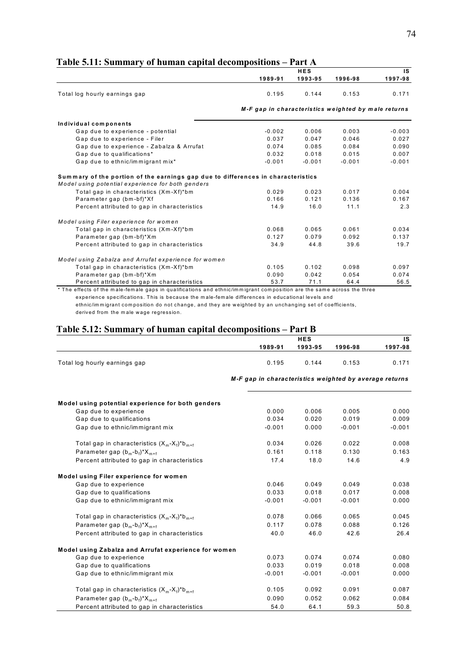| ирте отдат миницит у од ниници сиртан иссопирозношу                                                                                   |                                                     | <b>HES</b> |          | <b>IS</b> |
|---------------------------------------------------------------------------------------------------------------------------------------|-----------------------------------------------------|------------|----------|-----------|
|                                                                                                                                       | 1989-91                                             | 1993-95    | 1996-98  | 1997-98   |
| Total log hourly earnings gap                                                                                                         | 0.195                                               | 0.144      | 0.153    | 0.171     |
|                                                                                                                                       | M-F gap in characteristics weighted by male returns |            |          |           |
| Individual components                                                                                                                 |                                                     |            |          |           |
| Gap due to experience - potential                                                                                                     | $-0.002$                                            | 0.006      | 0.003    | $-0.003$  |
| Gap due to experience - Filer                                                                                                         | 0.037                                               | 0.047      | 0.046    | 0.027     |
| Gap due to experience - Zabalza & Arrufat                                                                                             | 0.074                                               | 0.085      | 0.084    | 0.090     |
| Gap due to qualifications*                                                                                                            | 0.032                                               | 0.018      | 0.015    | 0.007     |
| Gap due to ethnic/immigrant mix*                                                                                                      | $-0.001$                                            | $-0.001$   | $-0.001$ | $-0.001$  |
| Summary of the portion of the earnings gap due to differences in characteristics<br>Model using potential experience for both genders |                                                     |            |          |           |
| Total gap in characteristics (Xm-Xf)*bm                                                                                               | 0.029                                               | 0.023      | 0.017    | 0.004     |
| Parameter gap (bm-bf)*Xf                                                                                                              | 0.166                                               | 0.121      | 0.136    | 0.167     |
| Percent attributed to gap in characteristics                                                                                          | 14.9                                                | 16.0       | 11.1     | 2.3       |
| Model using Filer experience for women                                                                                                |                                                     |            |          |           |
| Total gap in characteristics (Xm-Xf)*bm                                                                                               | 0.068                                               | 0.065      | 0.061    | 0.034     |
| Parameter gap (bm-bf)*Xm                                                                                                              | 0.127                                               | 0.079      | 0.092    | 0.137     |
| Percent attributed to gap in characteristics                                                                                          | 34.9                                                | 44.8       | 39.6     | 19.7      |
| Model using Zabalza and Arrufat experience for women                                                                                  |                                                     |            |          |           |
| Total gap in characteristics (Xm-Xf)*bm                                                                                               | 0.105                                               | 0.102      | 0.098    | 0.097     |
| Parameter gap (bm-bf)*Xm                                                                                                              | 0.090                                               | 0.042      | 0.054    | 0.074     |
| Percent attributed to gap in characteristics                                                                                          | 53.7                                                | 71.1       | 64.4     | 56.5      |

### **Table 5.11: Summary of human capital decompositions – Part A**

\* The effects of the male-female gaps in qualifications and ethnic/immigrant composition are the same across the three experience specifications. This is because the m ale-fem ale differences in educational levels and ethnic/im m igrant com position do not change, and they are weighted by an unchanging set of coefficients,

derived from the m ale wage regression.

# Table 5.12: Summary of human capital decompositions - Part B

|                                                      | <b>HES</b>                                             |          |          | IS       |  |
|------------------------------------------------------|--------------------------------------------------------|----------|----------|----------|--|
|                                                      | 1989-91                                                | 1993-95  | 1996-98  | 1997-98  |  |
| Total log hourly earnings gap                        | 0.195                                                  | 0.144    | 0.153    | 0.171    |  |
|                                                      | M-F gap in characteristics weighted by average returns |          |          |          |  |
| Model using potential experience for both genders    |                                                        |          |          |          |  |
| Gap due to experience                                | 0.000                                                  | 0.006    | 0.005    | 0.000    |  |
| Gap due to qualifications                            | 0.034                                                  | 0.020    | 0.019    | 0.009    |  |
| Gap due to ethnic/immigrant mix                      | $-0.001$                                               | 0.000    | $-0.001$ | $-0.001$ |  |
| Total gap in characteristics $(X_m-X_f)^*b_{m+f}$    | 0.034                                                  | 0.026    | 0.022    | 0.008    |  |
| Parameter gap $(b_m-b_f)^*X_{m+f}$                   | 0.161                                                  | 0.118    | 0.130    | 0.163    |  |
| Percent attributed to gap in characteristics         | 17.4                                                   | 18.0     | 14.6     | 4.9      |  |
| Model using Filer experience for women               |                                                        |          |          |          |  |
| Gap due to experience                                | 0.046                                                  | 0.049    | 0.049    | 0.038    |  |
| Gap due to qualifications                            | 0.033                                                  | 0.018    | 0.017    | 0.008    |  |
| Gap due to ethnic/immigrant mix                      | $-0.001$                                               | $-0.001$ | $-0.001$ | 0.000    |  |
| Total gap in characteristics $(X_m-X_i)^*b_{m+i}$    | 0.078                                                  | 0.066    | 0.065    | 0.045    |  |
| Parameter gap $(b_m-b_f)^*X_{m+f}$                   | 0.117                                                  | 0.078    | 0.088    | 0.126    |  |
| Percent attributed to gap in characteristics         | 40.0                                                   | 46.0     | 42.6     | 26.4     |  |
| Model using Zabalza and Arrufat experience for women |                                                        |          |          |          |  |
| Gap due to experience                                | 0.073                                                  | 0.074    | 0.074    | 0.080    |  |
| Gap due to qualifications                            | 0.033                                                  | 0.019    | 0.018    | 0.008    |  |
| Gap due to ethnic/immigrant mix                      | $-0.001$                                               | $-0.001$ | $-0.001$ | 0.000    |  |
| Total gap in characteristics $(X_m-X_i)^*b_{m+i}$    | 0.105                                                  | 0.092    | 0.091    | 0.087    |  |
| Parameter gap $(b_m-b_f)^*X_{m+f}$                   | 0.090                                                  | 0.052    | 0.062    | 0.084    |  |
| Percent attributed to gap in characteristics         | 54.0                                                   | 64.1     | 59.3     | 50.8     |  |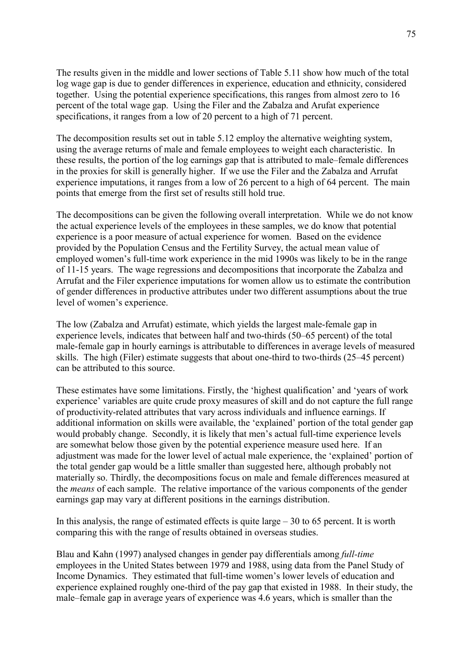The results given in the middle and lower sections of Table 5.11 show how much of the total log wage gap is due to gender differences in experience, education and ethnicity, considered together. Using the potential experience specifications, this ranges from almost zero to 16 percent of the total wage gap. Using the Filer and the Zabalza and Arufat experience specifications, it ranges from a low of 20 percent to a high of 71 percent.

The decomposition results set out in table 5.12 employ the alternative weighting system, using the average returns of male and female employees to weight each characteristic. In these results, the portion of the log earnings gap that is attributed to male–female differences in the proxies for skill is generally higher. If we use the Filer and the Zabalza and Arrufat experience imputations, it ranges from a low of 26 percent to a high of 64 percent. The main points that emerge from the first set of results still hold true.

The decompositions can be given the following overall interpretation. While we do not know the actual experience levels of the employees in these samples, we do know that potential experience is a poor measure of actual experience for women. Based on the evidence provided by the Population Census and the Fertility Survey, the actual mean value of employed women's full-time work experience in the mid 1990s was likely to be in the range of 11-15 years. The wage regressions and decompositions that incorporate the Zabalza and Arrufat and the Filer experience imputations for women allow us to estimate the contribution of gender differences in productive attributes under two different assumptions about the true level of women's experience.

The low (Zabalza and Arrufat) estimate, which yields the largest male-female gap in experience levels, indicates that between half and two-thirds (50–65 percent) of the total male-female gap in hourly earnings is attributable to differences in average levels of measured skills. The high (Filer) estimate suggests that about one-third to two-thirds  $(25-45$  percent) can be attributed to this source.

These estimates have some limitations. Firstly, the 'highest qualification' and 'years of work experience' variables are quite crude proxy measures of skill and do not capture the full range of productivity-related attributes that vary across individuals and influence earnings. If additional information on skills were available, the 'explained' portion of the total gender gap would probably change. Secondly, it is likely that men's actual full-time experience levels are somewhat below those given by the potential experience measure used here. If an adjustment was made for the lower level of actual male experience, the 'explained' portion of the total gender gap would be a little smaller than suggested here, although probably not materially so. Thirdly, the decompositions focus on male and female differences measured at the *means* of each sample. The relative importance of the various components of the gender earnings gap may vary at different positions in the earnings distribution.

In this analysis, the range of estimated effects is quite large  $-30$  to 65 percent. It is worth comparing this with the range of results obtained in overseas studies.

Blau and Kahn (1997) analysed changes in gender pay differentials among *full-time* employees in the United States between 1979 and 1988, using data from the Panel Study of Income Dynamics. They estimated that full-time women's lower levels of education and experience explained roughly one-third of the pay gap that existed in 1988. In their study, the male–female gap in average years of experience was 4.6 years, which is smaller than the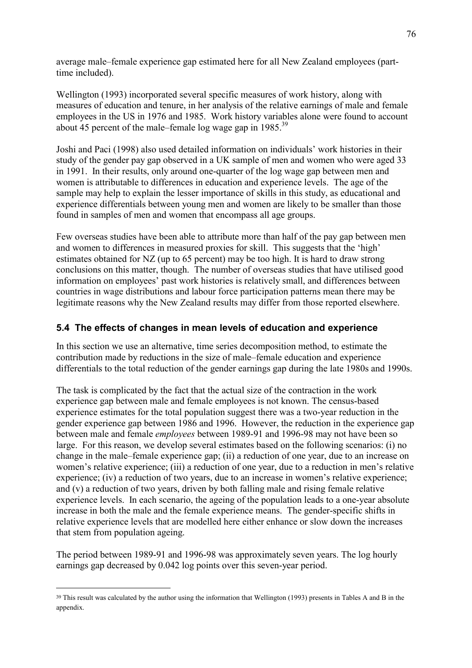average male–female experience gap estimated here for all New Zealand employees (parttime included).

Wellington (1993) incorporated several specific measures of work history, along with measures of education and tenure, in her analysis of the relative earnings of male and female employees in the US in 1976 and 1985. Work history variables alone were found to account about 45 percent of the male–female log wage gap in  $1985$ <sup>39</sup>

Joshi and Paci (1998) also used detailed information on individuals' work histories in their study of the gender pay gap observed in a UK sample of men and women who were aged 33 in 1991. In their results, only around one-quarter of the log wage gap between men and women is attributable to differences in education and experience levels. The age of the sample may help to explain the lesser importance of skills in this study, as educational and experience differentials between young men and women are likely to be smaller than those found in samples of men and women that encompass all age groups.

Few overseas studies have been able to attribute more than half of the pay gap between men and women to differences in measured proxies for skill. This suggests that the 'high' estimates obtained for NZ (up to 65 percent) may be too high. It is hard to draw strong conclusions on this matter, though. The number of overseas studies that have utilised good information on employees' past work histories is relatively small, and differences between countries in wage distributions and labour force participation patterns mean there may be legitimate reasons why the New Zealand results may differ from those reported elsewhere.

# **5.4 The effects of changes in mean levels of education and experience**

In this section we use an alternative, time series decomposition method, to estimate the contribution made by reductions in the size of male–female education and experience differentials to the total reduction of the gender earnings gap during the late 1980s and 1990s.

The task is complicated by the fact that the actual size of the contraction in the work experience gap between male and female employees is not known. The census-based experience estimates for the total population suggest there was a two-year reduction in the gender experience gap between 1986 and 1996. However, the reduction in the experience gap between male and female *employees* between 1989-91 and 1996-98 may not have been so large. For this reason, we develop several estimates based on the following scenarios: (i) no change in the male–female experience gap; (ii) a reduction of one year, due to an increase on women's relative experience; (iii) a reduction of one year, due to a reduction in men's relative experience; (iv) a reduction of two years, due to an increase in women's relative experience; and (v) a reduction of two years, driven by both falling male and rising female relative experience levels. In each scenario, the ageing of the population leads to a one-year absolute increase in both the male and the female experience means. The gender-specific shifts in relative experience levels that are modelled here either enhance or slow down the increases that stem from population ageing.

The period between 1989-91 and 1996-98 was approximately seven years. The log hourly earnings gap decreased by 0.042 log points over this seven-year period.

 $\overline{a}$ 

<sup>39</sup> This result was calculated by the author using the information that Wellington (1993) presents in Tables A and B in the appendix.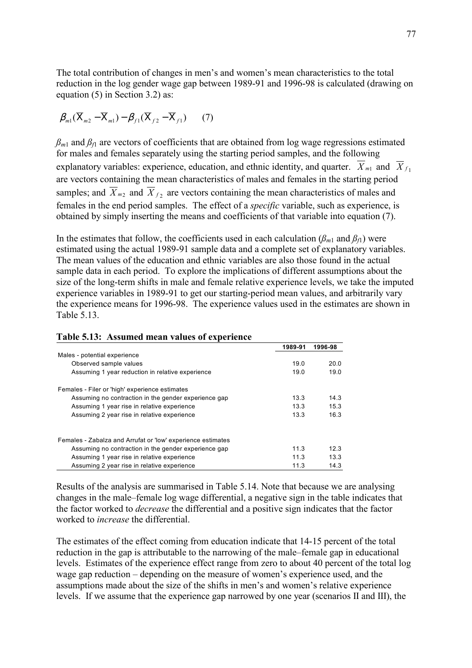The total contribution of changes in men's and women's mean characteristics to the total reduction in the log gender wage gap between 1989-91 and 1996-98 is calculated (drawing on equation (5) in Section 3.2) as:

$$
\beta_{m1}(\overline{\mathbf{X}}_{m2}-\overline{\mathbf{X}}_{m1})-\beta_{f1}(\overline{\mathbf{X}}_{f2}-\overline{\mathbf{X}}_{f1})\qquad(7)
$$

 $\beta_{m1}$  and  $\beta_{f1}$  are vectors of coefficients that are obtained from log wage regressions estimated for males and females separately using the starting period samples, and the following explanatory variables: experience, education, and ethnic identity, and quarter.  $\overline{X}_{m1}$  and  $\overline{X}_{f1}$ are vectors containing the mean characteristics of males and females in the starting period samples; and  $\overline{X}_{m_2}$  and  $\overline{X}_{f_2}$  are vectors containing the mean characteristics of males and females in the end period samples. The effect of a *specific* variable, such as experience, is obtained by simply inserting the means and coefficients of that variable into equation (7).

In the estimates that follow, the coefficients used in each calculation  $(\beta_{m1}$  and  $\beta_{f1})$  were estimated using the actual 1989-91 sample data and a complete set of explanatory variables. The mean values of the education and ethnic variables are also those found in the actual sample data in each period. To explore the implications of different assumptions about the size of the long-term shifts in male and female relative experience levels, we take the imputed experience variables in 1989-91 to get our starting-period mean values, and arbitrarily vary the experience means for 1996-98. The experience values used in the estimates are shown in Table 5.13.

|                                                             | 1989-91 | 1996-98 |
|-------------------------------------------------------------|---------|---------|
| Males - potential experience                                |         |         |
| Observed sample values                                      | 19.0    | 20.0    |
| Assuming 1 year reduction in relative experience            | 19.0    | 19.0    |
| Females - Filer or 'high' experience estimates              |         |         |
| Assuming no contraction in the gender experience gap        | 13.3    | 14.3    |
| Assuming 1 year rise in relative experience                 | 13.3    | 15.3    |
| Assuming 2 year rise in relative experience                 | 13.3    | 16.3    |
| Females - Zabalza and Arrufat or 'low' experience estimates |         |         |
| Assuming no contraction in the gender experience gap        | 11.3    | 12.3    |
| Assuming 1 year rise in relative experience                 | 11.3    | 13.3    |
| Assuming 2 year rise in relative experience                 | 11.3    | 14.3    |

#### **Table 5.13: Assumed mean values of experience**

Results of the analysis are summarised in Table 5.14. Note that because we are analysing changes in the male–female log wage differential, a negative sign in the table indicates that the factor worked to *decrease* the differential and a positive sign indicates that the factor worked to *increase* the differential.

The estimates of the effect coming from education indicate that 14-15 percent of the total reduction in the gap is attributable to the narrowing of the male-female gap in educational levels. Estimates of the experience effect range from zero to about 40 percent of the total log wage gap reduction  $-\theta$  depending on the measure of women's experience used, and the assumptions made about the size of the shifts in men's and women's relative experience levels. If we assume that the experience gap narrowed by one year (scenarios II and III), the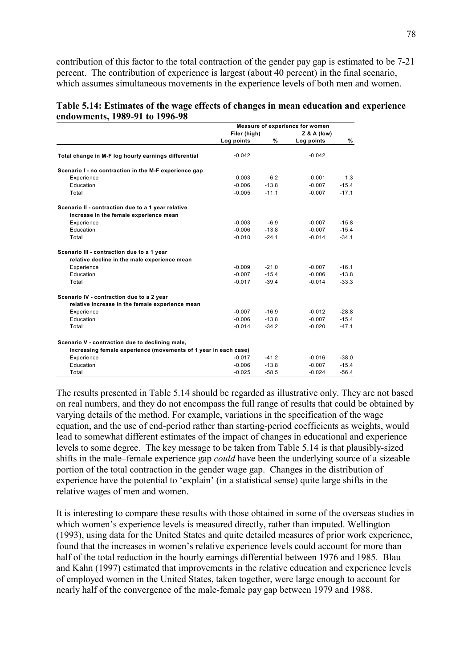contribution of this factor to the total contraction of the gender pay gap is estimated to be 7-21 percent. The contribution of experience is largest (about 40 percent) in the final scenario, which assumes simultaneous movements in the experience levels of both men and women.

| Table 5.14: Estimates of the wage effects of changes in mean education and experience |  |  |
|---------------------------------------------------------------------------------------|--|--|
| endowments, 1989-91 to 1996-98                                                        |  |  |

|                                                                 | Measure of experience for women |              |            |               |
|-----------------------------------------------------------------|---------------------------------|--------------|------------|---------------|
|                                                                 |                                 | Filer (high) |            | $Z & A$ (low) |
|                                                                 | Log points                      | %            | Log points | %             |
| Total change in M-F log hourly earnings differential            | $-0.042$                        |              | $-0.042$   |               |
| Scenario I - no contraction in the M-F experience gap           |                                 |              |            |               |
| Experience                                                      | 0.003                           | 6.2          | 0.001      | 1.3           |
| Education                                                       | $-0.006$                        | $-13.8$      | $-0.007$   | $-15.4$       |
| Total                                                           | $-0.005$                        | $-11.1$      | $-0.007$   | $-17.1$       |
| Scenario II - contraction due to a 1 year relative              |                                 |              |            |               |
| increase in the female experience mean                          |                                 |              |            |               |
| Experience                                                      | $-0.003$                        | $-6.9$       | $-0.007$   | $-15.8$       |
| Education                                                       | $-0.006$                        | $-13.8$      | $-0.007$   | $-15.4$       |
| Total                                                           | $-0.010$                        | $-24.1$      | $-0.014$   | $-34.1$       |
| Scenario III - contraction due to a 1 year                      |                                 |              |            |               |
| relative decline in the male experience mean                    |                                 |              |            |               |
| Experience                                                      | $-0.009$                        | $-21.0$      | $-0.007$   | $-16.1$       |
| Education                                                       | $-0.007$                        | $-15.4$      | $-0.006$   | $-13.8$       |
| Total                                                           | $-0.017$                        | $-39.4$      | $-0.014$   | $-33.3$       |
| Scenario IV - contraction due to a 2 year                       |                                 |              |            |               |
| relative increase in the female experience mean                 |                                 |              |            |               |
| Experience                                                      | $-0.007$                        | $-16.9$      | $-0.012$   | $-28.8$       |
| Education                                                       | $-0.006$                        | $-13.8$      | $-0.007$   | $-15.4$       |
| Total                                                           | $-0.014$                        | $-34.2$      | $-0.020$   | $-47.1$       |
| Scenario V - contraction due to declining male,                 |                                 |              |            |               |
| increasing female experience (movements of 1 year in each case) |                                 |              |            |               |
| Experience                                                      | $-0.017$                        | $-41.2$      | $-0.016$   | $-38.0$       |
| Education                                                       | $-0.006$                        | $-13.8$      | $-0.007$   | $-15.4$       |
| Total                                                           | $-0.025$                        | $-58.5$      | $-0.024$   | $-56.4$       |

The results presented in Table 5.14 should be regarded as illustrative only. They are not based on real numbers, and they do not encompass the full range of results that could be obtained by varying details of the method. For example, variations in the specification of the wage equation, and the use of end-period rather than starting-period coefficients as weights, would lead to somewhat different estimates of the impact of changes in educational and experience levels to some degree. The key message to be taken from Table 5.14 is that plausibly-sized shifts in the male–female experience gap *could* have been the underlying source of a sizeable portion of the total contraction in the gender wage gap. Changes in the distribution of experience have the potential to 'explain' (in a statistical sense) quite large shifts in the relative wages of men and women.

It is interesting to compare these results with those obtained in some of the overseas studies in which women's experience levels is measured directly, rather than imputed. Wellington (1993), using data for the United States and quite detailed measures of prior work experience, found that the increases in women's relative experience levels could account for more than half of the total reduction in the hourly earnings differential between 1976 and 1985. Blau and Kahn (1997) estimated that improvements in the relative education and experience levels of employed women in the United States, taken together, were large enough to account for nearly half of the convergence of the male-female pay gap between 1979 and 1988.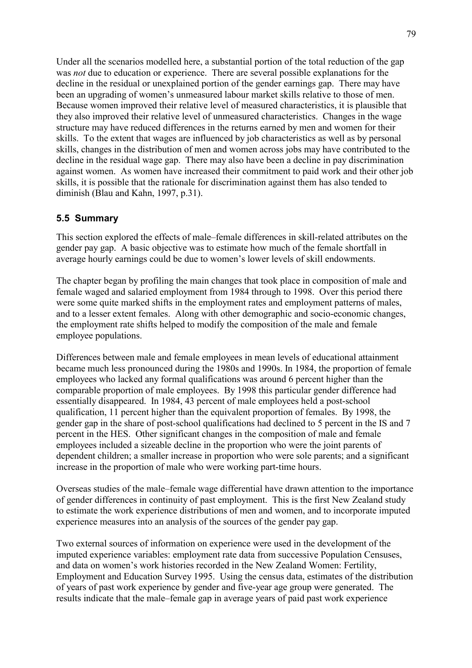Under all the scenarios modelled here, a substantial portion of the total reduction of the gap was *not* due to education or experience. There are several possible explanations for the decline in the residual or unexplained portion of the gender earnings gap. There may have been an upgrading of women's unmeasured labour market skills relative to those of men. Because women improved their relative level of measured characteristics, it is plausible that they also improved their relative level of unmeasured characteristics. Changes in the wage structure may have reduced differences in the returns earned by men and women for their skills. To the extent that wages are influenced by job characteristics as well as by personal skills, changes in the distribution of men and women across jobs may have contributed to the decline in the residual wage gap. There may also have been a decline in pay discrimination against women. As women have increased their commitment to paid work and their other job skills, it is possible that the rationale for discrimination against them has also tended to diminish (Blau and Kahn, 1997, p.31).

# **5.5 Summary**

This section explored the effects of male–female differences in skill-related attributes on the gender pay gap. A basic objective was to estimate how much of the female shortfall in average hourly earnings could be due to women's lower levels of skill endowments.

The chapter began by profiling the main changes that took place in composition of male and female waged and salaried employment from 1984 through to 1998. Over this period there were some quite marked shifts in the employment rates and employment patterns of males, and to a lesser extent females. Along with other demographic and socio-economic changes, the employment rate shifts helped to modify the composition of the male and female employee populations.

Differences between male and female employees in mean levels of educational attainment became much less pronounced during the 1980s and 1990s. In 1984, the proportion of female employees who lacked any formal qualifications was around 6 percent higher than the comparable proportion of male employees. By 1998 this particular gender difference had essentially disappeared. In 1984, 43 percent of male employees held a post-school qualification, 11 percent higher than the equivalent proportion of females. By 1998, the gender gap in the share of post-school qualifications had declined to 5 percent in the IS and 7 percent in the HES. Other significant changes in the composition of male and female employees included a sizeable decline in the proportion who were the joint parents of dependent children; a smaller increase in proportion who were sole parents; and a significant increase in the proportion of male who were working part-time hours.

Overseas studies of the male–female wage differential have drawn attention to the importance of gender differences in continuity of past employment. This is the first New Zealand study to estimate the work experience distributions of men and women, and to incorporate imputed experience measures into an analysis of the sources of the gender pay gap.

Two external sources of information on experience were used in the development of the imputed experience variables: employment rate data from successive Population Censuses, and data on women's work histories recorded in the New Zealand Women: Fertility, Employment and Education Survey 1995. Using the census data, estimates of the distribution of years of past work experience by gender and five-year age group were generated. The results indicate that the male–female gap in average years of paid past work experience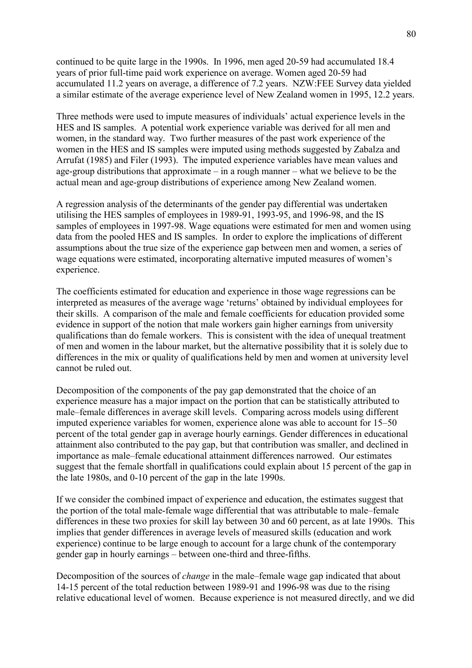continued to be quite large in the 1990s. In 1996, men aged 20-59 had accumulated 18.4 years of prior full-time paid work experience on average. Women aged 20-59 had accumulated 11.2 years on average, a difference of 7.2 years. NZW:FEE Survey data yielded a similar estimate of the average experience level of New Zealand women in 1995, 12.2 years.

Three methods were used to impute measures of individuals' actual experience levels in the HES and IS samples. A potential work experience variable was derived for all men and women, in the standard way. Two further measures of the past work experience of the women in the HES and IS samples were imputed using methods suggested by Zabalza and Arrufat (1985) and Filer (1993). The imputed experience variables have mean values and age-group distributions that approximate  $-\text{ in a rough manner} - \text{ what we believe to be the}$ actual mean and age-group distributions of experience among New Zealand women.

A regression analysis of the determinants of the gender pay differential was undertaken utilising the HES samples of employees in 1989-91, 1993-95, and 1996-98, and the IS samples of employees in 1997-98. Wage equations were estimated for men and women using data from the pooled HES and IS samples. In order to explore the implications of different assumptions about the true size of the experience gap between men and women, a series of wage equations were estimated, incorporating alternative imputed measures of women's experience.

The coefficients estimated for education and experience in those wage regressions can be interpreted as measures of the average wage 'returns' obtained by individual employees for their skills. A comparison of the male and female coefficients for education provided some evidence in support of the notion that male workers gain higher earnings from university qualifications than do female workers. This is consistent with the idea of unequal treatment of men and women in the labour market, but the alternative possibility that it is solely due to differences in the mix or quality of qualifications held by men and women at university level cannot be ruled out.

Decomposition of the components of the pay gap demonstrated that the choice of an experience measure has a major impact on the portion that can be statistically attributed to male–female differences in average skill levels. Comparing across models using different imputed experience variables for women, experience alone was able to account for  $15-50$ percent of the total gender gap in average hourly earnings. Gender differences in educational attainment also contributed to the pay gap, but that contribution was smaller, and declined in importance as male–female educational attainment differences narrowed. Our estimates suggest that the female shortfall in qualifications could explain about 15 percent of the gap in the late 1980s, and 0-10 percent of the gap in the late 1990s.

If we consider the combined impact of experience and education, the estimates suggest that the portion of the total male-female wage differential that was attributable to male–female differences in these two proxies for skill lay between 30 and 60 percent, as at late 1990s. This implies that gender differences in average levels of measured skills (education and work experience) continue to be large enough to account for a large chunk of the contemporary gender gap in hourly earnings – between one-third and three-fifths.

Decomposition of the sources of *change* in the male–female wage gap indicated that about 14-15 percent of the total reduction between 1989-91 and 1996-98 was due to the rising relative educational level of women. Because experience is not measured directly, and we did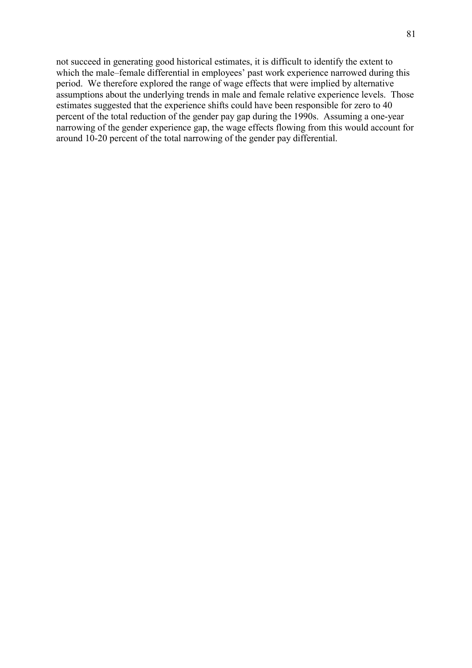not succeed in generating good historical estimates, it is difficult to identify the extent to which the male-female differential in employees' past work experience narrowed during this period. We therefore explored the range of wage effects that were implied by alternative assumptions about the underlying trends in male and female relative experience levels. Those estimates suggested that the experience shifts could have been responsible for zero to 40 percent of the total reduction of the gender pay gap during the 1990s. Assuming a one-year narrowing of the gender experience gap, the wage effects flowing from this would account for around 10-20 percent of the total narrowing of the gender pay differential.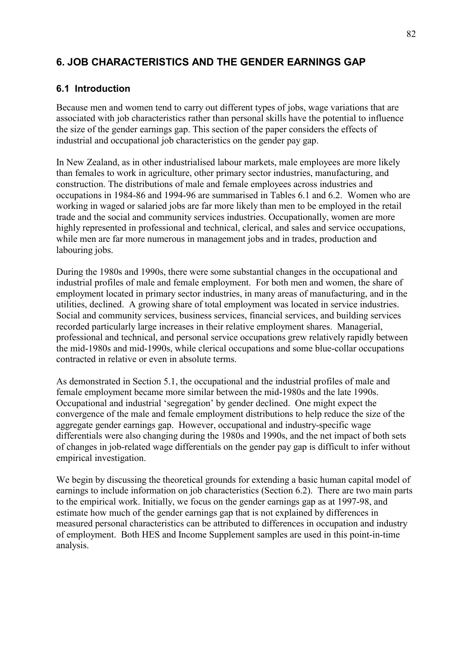# **6. JOB CHARACTERISTICS AND THE GENDER EARNINGS GAP**

# **6.1 Introduction**

Because men and women tend to carry out different types of jobs, wage variations that are associated with job characteristics rather than personal skills have the potential to influence the size of the gender earnings gap. This section of the paper considers the effects of industrial and occupational job characteristics on the gender pay gap.

In New Zealand, as in other industrialised labour markets, male employees are more likely than females to work in agriculture, other primary sector industries, manufacturing, and construction. The distributions of male and female employees across industries and occupations in 1984-86 and 1994-96 are summarised in Tables 6.1 and 6.2. Women who are working in waged or salaried jobs are far more likely than men to be employed in the retail trade and the social and community services industries. Occupationally, women are more highly represented in professional and technical, clerical, and sales and service occupations, while men are far more numerous in management jobs and in trades, production and labouring jobs.

During the 1980s and 1990s, there were some substantial changes in the occupational and industrial profiles of male and female employment. For both men and women, the share of employment located in primary sector industries, in many areas of manufacturing, and in the utilities, declined. A growing share of total employment was located in service industries. Social and community services, business services, financial services, and building services recorded particularly large increases in their relative employment shares. Managerial, professional and technical, and personal service occupations grew relatively rapidly between the mid-1980s and mid-1990s, while clerical occupations and some blue-collar occupations contracted in relative or even in absolute terms.

As demonstrated in Section 5.1, the occupational and the industrial profiles of male and female employment became more similar between the mid-1980s and the late 1990s. Occupational and industrial 'segregation' by gender declined. One might expect the convergence of the male and female employment distributions to help reduce the size of the aggregate gender earnings gap. However, occupational and industry-specific wage differentials were also changing during the 1980s and 1990s, and the net impact of both sets of changes in job-related wage differentials on the gender pay gap is difficult to infer without empirical investigation.

We begin by discussing the theoretical grounds for extending a basic human capital model of earnings to include information on job characteristics (Section 6.2). There are two main parts to the empirical work. Initially, we focus on the gender earnings gap as at 1997-98, and estimate how much of the gender earnings gap that is not explained by differences in measured personal characteristics can be attributed to differences in occupation and industry of employment. Both HES and Income Supplement samples are used in this point-in-time analysis.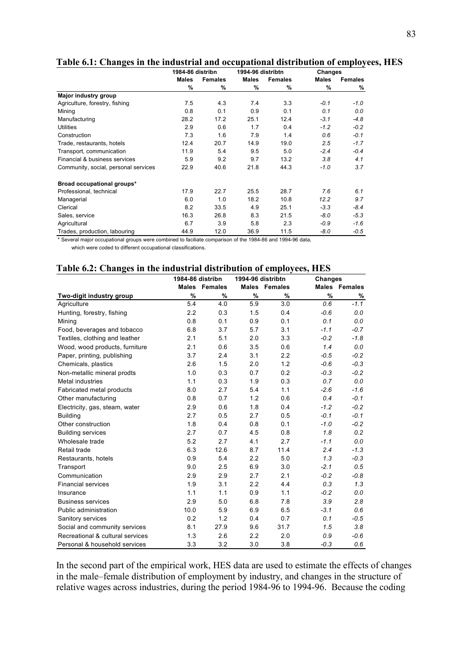|                                      | 1984-86 distribn |                |              | 1994-96 distribtn |        | <b>Changes</b> |
|--------------------------------------|------------------|----------------|--------------|-------------------|--------|----------------|
|                                      | Males            | <b>Females</b> | <b>Males</b> | <b>Females</b>    | Males  | <b>Females</b> |
|                                      | $\%$             | %              | %            | %                 | %      | %              |
| Major industry group                 |                  |                |              |                   |        |                |
| Agriculture, forestry, fishing       | 7.5              | 4.3            | 7.4          | 3.3               | $-0.1$ | $-1.0$         |
| Mining                               | 0.8              | 0.1            | 0.9          | 0.1               | 0.1    | 0.0            |
| Manufacturing                        | 28.2             | 17.2           | 25.1         | 12.4              | $-3.1$ | $-4.8$         |
| <b>Utilities</b>                     | 2.9              | 0.6            | 1.7          | 0.4               | $-1.2$ | $-0.2$         |
| Construction                         | 7.3              | 1.6            | 7.9          | 1.4               | 0.6    | $-0.1$         |
| Trade, restaurants, hotels           | 12.4             | 20.7           | 14.9         | 19.0              | 2.5    | $-1.7$         |
| Transport, communication             | 11.9             | 5.4            | 9.5          | 5.0               | $-2.4$ | $-0.4$         |
| Financial & business services        | 5.9              | 9.2            | 9.7          | 13.2              | 3.8    | 4.1            |
| Community, social, personal services | 22.9             | 40.6           | 21.8         | 44.3              | -1.0   | 3.7            |
| Broad occupational groups*           |                  |                |              |                   |        |                |
| Professional, technical              | 17.9             | 22.7           | 25.5         | 28.7              | 7.6    | 6.1            |
| Managerial                           | 6.0              | 1.0            | 18.2         | 10.8              | 12.2   | 9.7            |
| Clerical                             | 8.2              | 33.5           | 4.9          | 25.1              | $-3.3$ | $-8.4$         |
| Sales, service                       | 16.3             | 26.8           | 8.3          | 21.5              | $-8.0$ | $-5.3$         |
| Agricultural                         | 6.7              | 3.9            | 5.8          | 2.3               | $-0.9$ | $-1.6$         |
| Trades, production, labouring        | 44.9             | 12.0           | 36.9         | 11.5              | $-8.0$ | $-0.5$         |

**Table 6.1: Changes in the industrial and occupational distribution of employees, HES** 

\* Several major occupational groups were combined to faciliate comparison of the 1984-86 and 1994-96 data,

which were coded to different occupational classifications.

|  |  | Table 6.2: Changes in the industrial distribution of employees, HES |  |  |
|--|--|---------------------------------------------------------------------|--|--|
|  |  |                                                                     |  |  |

|                                  | 1984-86 distribn |                      | 1994-96 distribtn |               | <b>Changes</b> |               |
|----------------------------------|------------------|----------------------|-------------------|---------------|----------------|---------------|
|                                  |                  | <b>Males</b> Females |                   | Males Females |                | Males Females |
| Two-digit industry group         | %                | %                    | $\%$              | %             | $\%$           | %             |
| Agriculture                      | 5.4              | 4.0                  | 5.9               | 3.0           | 0.6            | $-1.1$        |
| Hunting, forestry, fishing       | 2.2              | 0.3                  | 1.5               | 0.4           | $-0.6$         | 0.0           |
| Mining                           | 0.8              | 0.1                  | 0.9               | 0.1           | 0.1            | 0.0           |
| Food, beverages and tobacco      | 6.8              | 3.7                  | 5.7               | 3.1           | $-1.1$         | $-0.7$        |
| Textiles, clothing and leather   | 2.1              | 5.1                  | 2.0               | 3.3           | $-0.2$         | $-1.8$        |
| Wood, wood products, furniture   | 2.1              | 0.6                  | 3.5               | 0.6           | 1.4            | 0.0           |
| Paper, printing, publishing      | 3.7              | 2.4                  | 3.1               | 2.2           | $-0.5$         | $-0.2$        |
| Chemicals, plastics              | 2.6              | 1.5                  | 2.0               | 1.2           | $-0.6$         | $-0.3$        |
| Non-metallic mineral prodts      | 1.0              | 0.3                  | 0.7               | 0.2           | $-0.3$         | $-0.2$        |
| <b>Metal industries</b>          | 1.1              | 0.3                  | 1.9               | 0.3           | 0.7            | 0.0           |
| Fabricated metal products        | 8.0              | 2.7                  | 5.4               | 1.1           | $-2.6$         | $-1.6$        |
| Other manufacturing              | 0.8              | 0.7                  | 1.2               | 0.6           | 0.4            | $-0.1$        |
| Electricity, gas, steam, water   | 2.9              | 0.6                  | 1.8               | 0.4           | $-1.2$         | $-0.2$        |
| <b>Building</b>                  | 2.7              | 0.5                  | 2.7               | 0.5           | $-0.1$         | $-0.1$        |
| Other construction               | 1.8              | 0.4                  | 0.8               | 0.1           | $-1.0$         | $-0.2$        |
| <b>Building services</b>         | 2.7              | 0.7                  | 4.5               | 0.8           | 1.8            | 0.2           |
| Wholesale trade                  | 5.2              | 2.7                  | 4.1               | 2.7           | $-1.1$         | 0.0           |
| Retail trade                     | 6.3              | 12.6                 | 8.7               | 11.4          | 2.4            | $-1.3$        |
| Restaurants, hotels              | 0.9              | 5.4                  | 2.2               | 5.0           | 1.3            | $-0.3$        |
| Transport                        | 9.0              | 2.5                  | 6.9               | 3.0           | $-2.1$         | 0.5           |
| Communication                    | 2.9              | 2.9                  | 2.7               | 2.1           | $-0.2$         | $-0.8$        |
| <b>Financial services</b>        | 1.9              | 3.1                  | 2.2               | 4.4           | 0.3            | 1.3           |
| Insurance                        | 1.1              | 1.1                  | 0.9               | 1.1           | $-0.2$         | 0.0           |
| <b>Business services</b>         | 2.9              | 5.0                  | 6.8               | 7.8           | 3.9            | 2.8           |
| Public administration            | 10.0             | 5.9                  | 6.9               | 6.5           | $-3.1$         | 0.6           |
| Sanitory services                | 0.2              | 1.2                  | 0.4               | 0.7           | 0.1            | $-0.5$        |
| Social and community services    | 8.1              | 27.9                 | 9.6               | 31.7          | 1.5            | 3.8           |
| Recreational & cultural services | 1.3              | 2.6                  | 2.2               | 2.0           | 0.9            | $-0.6$        |
| Personal & household services    | 3.3              | 3.2                  | 3.0               | 3.8           | $-0.3$         | 0.6           |

In the second part of the empirical work, HES data are used to estimate the effects of changes in the male–female distribution of employment by industry, and changes in the structure of relative wages across industries, during the period 1984-96 to 1994-96. Because the coding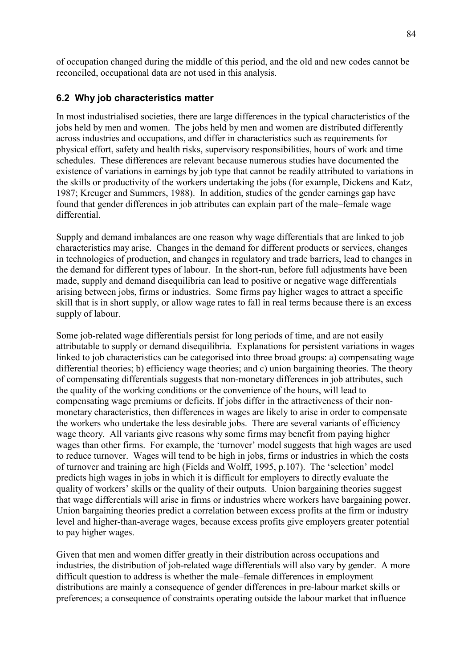of occupation changed during the middle of this period, and the old and new codes cannot be reconciled, occupational data are not used in this analysis.

## **6.2 Why job characteristics matter**

In most industrialised societies, there are large differences in the typical characteristics of the jobs held by men and women. The jobs held by men and women are distributed differently across industries and occupations, and differ in characteristics such as requirements for physical effort, safety and health risks, supervisory responsibilities, hours of work and time schedules. These differences are relevant because numerous studies have documented the existence of variations in earnings by job type that cannot be readily attributed to variations in the skills or productivity of the workers undertaking the jobs (for example, Dickens and Katz, 1987; Kreuger and Summers, 1988). In addition, studies of the gender earnings gap have found that gender differences in job attributes can explain part of the male–female wage differential.

Supply and demand imbalances are one reason why wage differentials that are linked to job characteristics may arise. Changes in the demand for different products or services, changes in technologies of production, and changes in regulatory and trade barriers, lead to changes in the demand for different types of labour. In the short-run, before full adjustments have been made, supply and demand disequilibria can lead to positive or negative wage differentials arising between jobs, firms or industries. Some firms pay higher wages to attract a specific skill that is in short supply, or allow wage rates to fall in real terms because there is an excess supply of labour.

Some job-related wage differentials persist for long periods of time, and are not easily attributable to supply or demand disequilibria. Explanations for persistent variations in wages linked to job characteristics can be categorised into three broad groups: a) compensating wage differential theories; b) efficiency wage theories; and c) union bargaining theories. The theory of compensating differentials suggests that non-monetary differences in job attributes, such the quality of the working conditions or the convenience of the hours, will lead to compensating wage premiums or deficits. If jobs differ in the attractiveness of their nonmonetary characteristics, then differences in wages are likely to arise in order to compensate the workers who undertake the less desirable jobs. There are several variants of efficiency wage theory. All variants give reasons why some firms may benefit from paying higher wages than other firms. For example, the 'turnover' model suggests that high wages are used to reduce turnover. Wages will tend to be high in jobs, firms or industries in which the costs of turnover and training are high (Fields and Wolff, 1995, p.107). The 'selection' model predicts high wages in jobs in which it is difficult for employers to directly evaluate the quality of workers' skills or the quality of their outputs. Union bargaining theories suggest that wage differentials will arise in firms or industries where workers have bargaining power. Union bargaining theories predict a correlation between excess profits at the firm or industry level and higher-than-average wages, because excess profits give employers greater potential to pay higher wages.

Given that men and women differ greatly in their distribution across occupations and industries, the distribution of job-related wage differentials will also vary by gender. A more difficult question to address is whether the male–female differences in employment distributions are mainly a consequence of gender differences in pre-labour market skills or preferences; a consequence of constraints operating outside the labour market that influence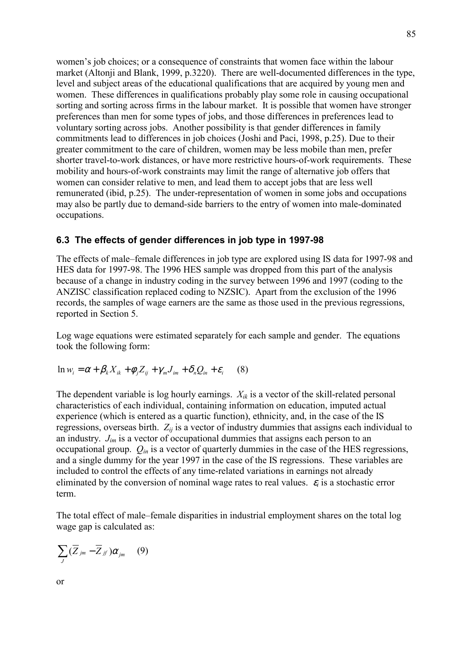women's job choices; or a consequence of constraints that women face within the labour market (Altonji and Blank, 1999, p.3220). There are well-documented differences in the type, level and subject areas of the educational qualifications that are acquired by young men and women. These differences in qualifications probably play some role in causing occupational sorting and sorting across firms in the labour market. It is possible that women have stronger preferences than men for some types of jobs, and those differences in preferences lead to voluntary sorting across jobs. Another possibility is that gender differences in family commitments lead to differences in job choices (Joshi and Paci, 1998, p.25). Due to their greater commitment to the care of children, women may be less mobile than men, prefer shorter travel-to-work distances, or have more restrictive hours-of-work requirements. These mobility and hours-of-work constraints may limit the range of alternative job offers that women can consider relative to men, and lead them to accept jobs that are less well remunerated (ibid, p.25). The under-representation of women in some jobs and occupations may also be partly due to demand-side barriers to the entry of women into male-dominated occupations.

### **6.3 The effects of gender differences in job type in 1997-98**

The effects of male–female differences in job type are explored using IS data for 1997-98 and HES data for 1997-98. The 1996 HES sample was dropped from this part of the analysis because of a change in industry coding in the survey between 1996 and 1997 (coding to the ANZISC classification replaced coding to NZSIC). Apart from the exclusion of the 1996 records, the samples of wage earners are the same as those used in the previous regressions, reported in Section 5.

Log wage equations were estimated separately for each sample and gender. The equations took the following form:

$$
\ln w_i = \alpha + \beta_k X_{ik} + \phi_j Z_{ij} + \gamma_m J_{im} + \delta_n Q_{in} + \varepsilon_i \tag{8}
$$

The dependent variable is log hourly earnings. *Xik* is a vector of the skill-related personal characteristics of each individual, containing information on education, imputed actual experience (which is entered as a quartic function), ethnicity, and, in the case of the IS regressions, overseas birth.  $Z_{ij}$  is a vector of industry dummies that assigns each individual to an industry. *Jim* is a vector of occupational dummies that assigns each person to an occupational group. *Qin* is a vector of quarterly dummies in the case of the HES regressions, and a single dummy for the year 1997 in the case of the IS regressions. These variables are included to control the effects of any time-related variations in earnings not already eliminated by the conversion of nominal wage rates to real values.  $\varepsilon_i$  is a stochastic error term.

The total effect of male–female disparities in industrial employment shares on the total log wage gap is calculated as:

$$
\sum_J (\overline{Z}_{jm} - \overline{Z}_{jJ'}) \alpha_{jm} \quad (9)
$$

$$
\quad \text{or} \quad
$$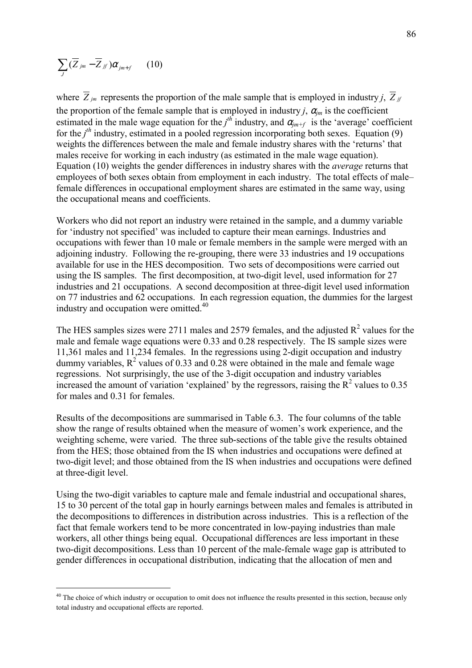$$
\sum_J (\overline{Z}_{jm} - \overline{Z}_{jJ'}) \alpha_{jm+f} \qquad (10)
$$

 $\overline{a}$ 

where  $\overline{Z}_{jm}$  represents the proportion of the male sample that is employed in industry *j*,  $\overline{Z}_{j}$ the proportion of the female sample that is employed in industry *j*,  $\alpha_{im}$  is the coefficient estimated in the male wage equation for the  $j<sup>th</sup>$  industry, and  $\alpha_{jm+f}$  is the 'average' coefficient for the  $j<sup>th</sup>$  industry, estimated in a pooled regression incorporating both sexes. Equation (9) weights the differences between the male and female industry shares with the 'returns' that males receive for working in each industry (as estimated in the male wage equation). Equation (10) weights the gender differences in industry shares with the *average* returns that employees of both sexes obtain from employment in each industry. The total effects of male female differences in occupational employment shares are estimated in the same way, using the occupational means and coefficients.

Workers who did not report an industry were retained in the sample, and a dummy variable for 'industry not specified' was included to capture their mean earnings. Industries and occupations with fewer than 10 male or female members in the sample were merged with an adjoining industry. Following the re-grouping, there were 33 industries and 19 occupations available for use in the HES decomposition. Two sets of decompositions were carried out using the IS samples. The first decomposition, at two-digit level, used information for 27 industries and 21 occupations. A second decomposition at three-digit level used information on 77 industries and 62 occupations. In each regression equation, the dummies for the largest industry and occupation were omitted.<sup>40</sup>

The HES samples sizes were 2711 males and 2579 females, and the adjusted  $R^2$  values for the male and female wage equations were 0.33 and 0.28 respectively. The IS sample sizes were 11,361 males and 11,234 females. In the regressions using 2-digit occupation and industry dummy variables,  $R^2$  values of 0.33 and 0.28 were obtained in the male and female wage regressions. Not surprisingly, the use of the 3-digit occupation and industry variables increased the amount of variation 'explained' by the regressors, raising the  $R^2$  values to 0.35 for males and 0.31 for females.

Results of the decompositions are summarised in Table 6.3. The four columns of the table show the range of results obtained when the measure of women's work experience, and the weighting scheme, were varied. The three sub-sections of the table give the results obtained from the HES; those obtained from the IS when industries and occupations were defined at two-digit level; and those obtained from the IS when industries and occupations were defined at three-digit level.

Using the two-digit variables to capture male and female industrial and occupational shares, 15 to 30 percent of the total gap in hourly earnings between males and females is attributed in the decompositions to differences in distribution across industries. This is a reflection of the fact that female workers tend to be more concentrated in low-paying industries than male workers, all other things being equal. Occupational differences are less important in these two-digit decompositions. Less than 10 percent of the male-female wage gap is attributed to gender differences in occupational distribution, indicating that the allocation of men and

<sup>&</sup>lt;sup>40</sup> The choice of which industry or occupation to omit does not influence the results presented in this section, because only total industry and occupational effects are reported.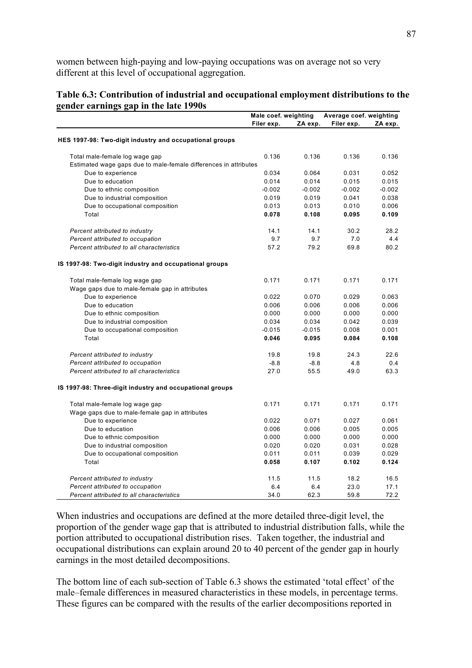women between high-paying and low-paying occupations was on average not so very different at this level of occupational aggregation.

#### **Table 6.3: Contribution of industrial and occupational employment distributions to the gender earnings gap in the late 1990s**

|                                                                  | Male coef. weighting |          | Average coef. weighting |          |
|------------------------------------------------------------------|----------------------|----------|-------------------------|----------|
|                                                                  | Filer exp.           | ZA exp.  | Filer exp.              | ZA exp.  |
|                                                                  |                      |          |                         |          |
| HES 1997-98: Two-digit industry and occupational groups          |                      |          |                         |          |
| Total male-female log wage gap                                   | 0.136                | 0.136    | 0.136                   | 0.136    |
| Estimated wage gaps due to male-female differences in attributes |                      |          |                         |          |
| Due to experience                                                | 0.034                | 0.064    | 0.031                   | 0.052    |
| Due to education                                                 | 0.014                | 0.014    | 0.015                   | 0.015    |
| Due to ethnic composition                                        | $-0.002$             | $-0.002$ | $-0.002$                | $-0.002$ |
| Due to industrial composition                                    | 0.019                | 0.019    | 0.041                   | 0.038    |
| Due to occupational composition                                  | 0.013                | 0.013    | 0.010                   | 0.006    |
| Total                                                            | 0.078                | 0.108    | 0.095                   | 0.109    |
| Percent attributed to industry                                   | 14.1                 | 14.1     | 30.2                    | 28.2     |
| Percent attributed to occupation                                 | 9.7                  | 9.7      | 7.0                     | 4.4      |
| Percent attributed to all characteristics                        | 57.2                 | 79.2     | 69.8                    | 80.2     |
| IS 1997-98: Two-digit industry and occupational groups           |                      |          |                         |          |
| Total male-female log wage gap                                   | 0.171                | 0.171    | 0.171                   | 0.171    |
| Wage gaps due to male-female gap in attributes                   |                      |          |                         |          |
| Due to experience                                                | 0.022                | 0.070    | 0.029                   | 0.063    |
| Due to education                                                 | 0.006                | 0.006    | 0.006                   | 0.006    |
| Due to ethnic composition                                        | 0.000                | 0.000    | 0.000                   | 0.000    |
| Due to industrial composition                                    | 0.034                | 0.034    | 0.042                   | 0.039    |
| Due to occupational composition                                  | $-0.015$             | $-0.015$ | 0.008                   | 0.001    |
| Total                                                            | 0.046                | 0.095    | 0.084                   | 0.108    |
|                                                                  |                      |          |                         |          |
| Percent attributed to industry                                   | 19.8                 | 19.8     | 24.3                    | 22.6     |
| Percent attributed to occupation                                 | $-8.8$               | $-8.8$   | 4.8                     | 0.4      |
| Percent attributed to all characteristics                        | 27.0                 | 55.5     | 49.0                    | 63.3     |
| IS 1997-98: Three-digit industry and occupational groups         |                      |          |                         |          |
| Total male-female log wage gap                                   | 0.171                | 0.171    | 0.171                   | 0.171    |
| Wage gaps due to male-female gap in attributes                   |                      |          |                         |          |
| Due to experience                                                | 0.022                | 0.071    | 0.027                   | 0.061    |
| Due to education                                                 | 0.006                | 0.006    | 0.005                   | 0.005    |
| Due to ethnic composition                                        | 0.000                | 0.000    | 0.000                   | 0.000    |
| Due to industrial composition                                    | 0.020                | 0.020    | 0.031                   | 0.028    |
| Due to occupational composition                                  | 0.011                | 0.011    | 0.039                   | 0.029    |
| Total                                                            | 0.058                | 0.107    | 0.102                   | 0.124    |
| Percent attributed to industry                                   | 11.5                 | 11.5     | 18.2                    | 16.5     |
| Percent attributed to occupation                                 | 6.4                  | 6.4      | 23.0                    | 17.1     |
| Percent attributed to all characteristics                        | 34.0                 | 62.3     | 59.8                    | 72.2     |

When industries and occupations are defined at the more detailed three-digit level, the proportion of the gender wage gap that is attributed to industrial distribution falls, while the portion attributed to occupational distribution rises. Taken together, the industrial and occupational distributions can explain around 20 to 40 percent of the gender gap in hourly earnings in the most detailed decompositions.

The bottom line of each sub-section of Table 6.3 shows the estimated 'total effect' of the male–female differences in measured characteristics in these models, in percentage terms. These figures can be compared with the results of the earlier decompositions reported in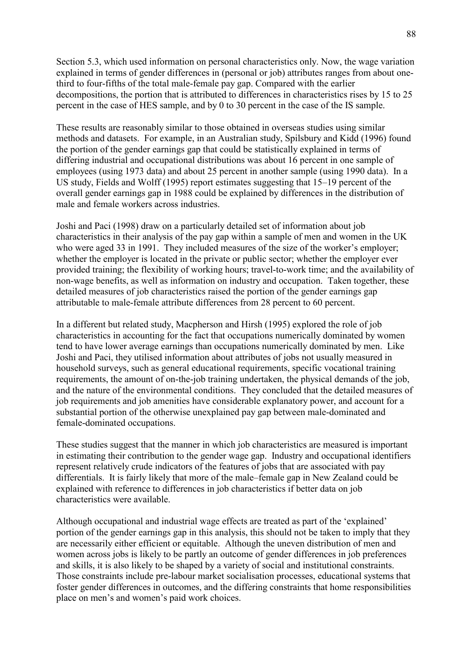Section 5.3, which used information on personal characteristics only. Now, the wage variation explained in terms of gender differences in (personal or job) attributes ranges from about onethird to four-fifths of the total male-female pay gap. Compared with the earlier decompositions, the portion that is attributed to differences in characteristics rises by 15 to 25 percent in the case of HES sample, and by 0 to 30 percent in the case of the IS sample.

These results are reasonably similar to those obtained in overseas studies using similar methods and datasets. For example, in an Australian study, Spilsbury and Kidd (1996) found the portion of the gender earnings gap that could be statistically explained in terms of differing industrial and occupational distributions was about 16 percent in one sample of employees (using 1973 data) and about 25 percent in another sample (using 1990 data). In a US study, Fields and Wolff (1995) report estimates suggesting that  $15-19$  percent of the overall gender earnings gap in 1988 could be explained by differences in the distribution of male and female workers across industries.

Joshi and Paci (1998) draw on a particularly detailed set of information about job characteristics in their analysis of the pay gap within a sample of men and women in the UK who were aged 33 in 1991. They included measures of the size of the worker's employer; whether the employer is located in the private or public sector; whether the employer ever provided training; the flexibility of working hours; travel-to-work time; and the availability of non-wage benefits, as well as information on industry and occupation. Taken together, these detailed measures of job characteristics raised the portion of the gender earnings gap attributable to male-female attribute differences from 28 percent to 60 percent.

In a different but related study, Macpherson and Hirsh (1995) explored the role of job characteristics in accounting for the fact that occupations numerically dominated by women tend to have lower average earnings than occupations numerically dominated by men. Like Joshi and Paci, they utilised information about attributes of jobs not usually measured in household surveys, such as general educational requirements, specific vocational training requirements, the amount of on-the-job training undertaken, the physical demands of the job, and the nature of the environmental conditions. They concluded that the detailed measures of job requirements and job amenities have considerable explanatory power, and account for a substantial portion of the otherwise unexplained pay gap between male-dominated and female-dominated occupations.

These studies suggest that the manner in which job characteristics are measured is important in estimating their contribution to the gender wage gap. Industry and occupational identifiers represent relatively crude indicators of the features of jobs that are associated with pay differentials. It is fairly likely that more of the male–female gap in New Zealand could be explained with reference to differences in job characteristics if better data on job characteristics were available.

Although occupational and industrial wage effects are treated as part of the 'explained' portion of the gender earnings gap in this analysis, this should not be taken to imply that they are necessarily either efficient or equitable. Although the uneven distribution of men and women across jobs is likely to be partly an outcome of gender differences in job preferences and skills, it is also likely to be shaped by a variety of social and institutional constraints. Those constraints include pre-labour market socialisation processes, educational systems that foster gender differences in outcomes, and the differing constraints that home responsibilities place on men's and women's paid work choices.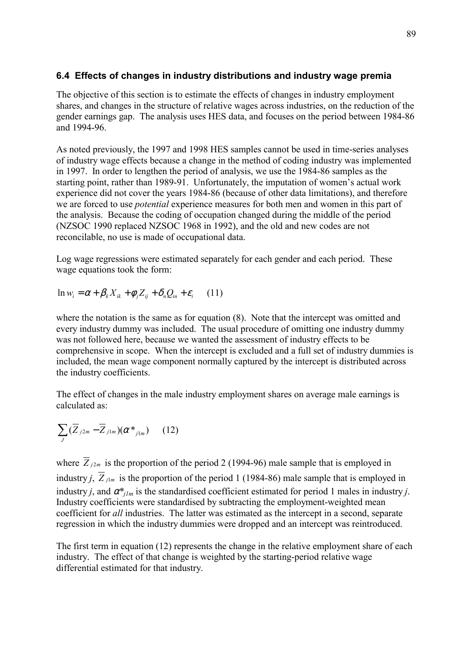# **6.4 Effects of changes in industry distributions and industry wage premia**

The objective of this section is to estimate the effects of changes in industry employment shares, and changes in the structure of relative wages across industries, on the reduction of the gender earnings gap. The analysis uses HES data, and focuses on the period between 1984-86 and 1994-96.

As noted previously, the 1997 and 1998 HES samples cannot be used in time-series analyses of industry wage effects because a change in the method of coding industry was implemented in 1997. In order to lengthen the period of analysis, we use the 1984-86 samples as the starting point, rather than 1989-91. Unfortunately, the imputation of women's actual work experience did not cover the years 1984-86 (because of other data limitations), and therefore we are forced to use *potential* experience measures for both men and women in this part of the analysis. Because the coding of occupation changed during the middle of the period (NZSOC 1990 replaced NZSOC 1968 in 1992), and the old and new codes are not reconcilable, no use is made of occupational data.

Log wage regressions were estimated separately for each gender and each period. These wage equations took the form:

 $\ln w_i = \alpha + \beta_i X_i + \phi_i Z_i + \delta_i Q_i + \varepsilon_i$  (11)

where the notation is the same as for equation (8). Note that the intercept was omitted and every industry dummy was included. The usual procedure of omitting one industry dummy was not followed here, because we wanted the assessment of industry effects to be comprehensive in scope. When the intercept is excluded and a full set of industry dummies is included, the mean wage component normally captured by the intercept is distributed across the industry coefficients.

The effect of changes in the male industry employment shares on average male earnings is calculated as:

$$
\sum_{J} (\overline{Z}_{j2m} - \overline{Z}_{j1m}) (\alpha^*_{j1m}) \qquad (12)
$$

where  $\overline{Z}_{j2m}$  is the proportion of the period 2 (1994-96) male sample that is employed in industry *j*,  $\overline{Z}_{j1m}$  is the proportion of the period 1 (1984-86) male sample that is employed in industry *j*, and  $\alpha^*$ <sub>*ilm*</sub> is the standardised coefficient estimated for period 1 males in industry *j*. Industry coefficients were standardised by subtracting the employment-weighted mean coefficient for *all* industries. The latter was estimated as the intercept in a second, separate regression in which the industry dummies were dropped and an intercept was reintroduced.

The first term in equation (12) represents the change in the relative employment share of each industry. The effect of that change is weighted by the starting-period relative wage differential estimated for that industry.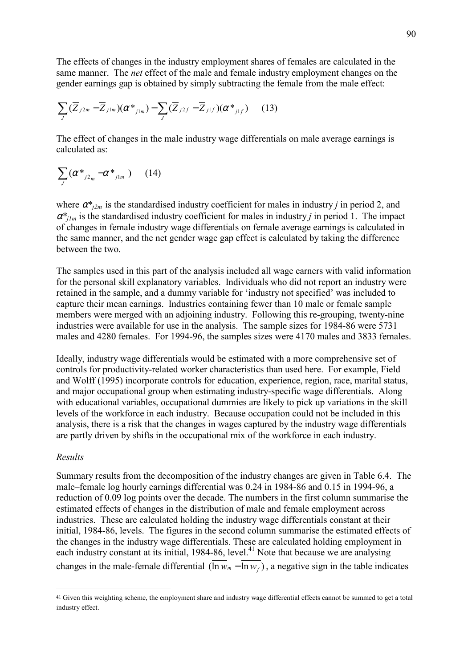The effects of changes in the industry employment shares of females are calculated in the same manner. The *net* effect of the male and female industry employment changes on the gender earnings gap is obtained by simply subtracting the female from the male effect:

$$
\sum_{J} (\overline{Z}_{j2m} - \overline{Z}_{j1m})(\alpha *_{j1m}) - \sum_{J} (\overline{Z}_{j2f} - \overline{Z}_{j1f})(\alpha *_{j1f}) \qquad (13)
$$

The effect of changes in the male industry wage differentials on male average earnings is calculated as:

$$
\sum_{J} (\alpha^*_{j2_m} - \alpha^*_{j1_m}) \qquad (14)
$$

where  $\alpha^*_{i2m}$  is the standardised industry coefficient for males in industry *j* in period 2, and  $\alpha^*$ <sub>*jlm*</sub> is the standardised industry coefficient for males in industry *j* in period 1. The impact of changes in female industry wage differentials on female average earnings is calculated in the same manner, and the net gender wage gap effect is calculated by taking the difference between the two.

The samples used in this part of the analysis included all wage earners with valid information for the personal skill explanatory variables. Individuals who did not report an industry were retained in the sample, and a dummy variable for 'industry not specified' was included to capture their mean earnings. Industries containing fewer than 10 male or female sample members were merged with an adjoining industry. Following this re-grouping, twenty-nine industries were available for use in the analysis. The sample sizes for 1984-86 were 5731 males and 4280 females. For 1994-96, the samples sizes were 4170 males and 3833 females.

Ideally, industry wage differentials would be estimated with a more comprehensive set of controls for productivity-related worker characteristics than used here. For example, Field and Wolff (1995) incorporate controls for education, experience, region, race, marital status, and major occupational group when estimating industry-specific wage differentials. Along with educational variables, occupational dummies are likely to pick up variations in the skill levels of the workforce in each industry. Because occupation could not be included in this analysis, there is a risk that the changes in wages captured by the industry wage differentials are partly driven by shifts in the occupational mix of the workforce in each industry.

#### *Results*

 $\overline{a}$ 

Summary results from the decomposition of the industry changes are given in Table 6.4. The male–female log hourly earnings differential was  $0.24$  in 1984-86 and  $0.15$  in 1994-96, a reduction of 0.09 log points over the decade. The numbers in the first column summarise the estimated effects of changes in the distribution of male and female employment across industries. These are calculated holding the industry wage differentials constant at their initial, 1984-86, levels. The figures in the second column summarise the estimated effects of the changes in the industry wage differentials. These are calculated holding employment in each industry constant at its initial, 1984-86, level.<sup>41</sup> Note that because we are analysing changes in the male-female differential  $(\overline{\ln w_m} - \overline{\ln w_f})$ , a negative sign in the table indicates

<sup>41</sup> Given this weighting scheme, the employment share and industry wage differential effects cannot be summed to get a total industry effect.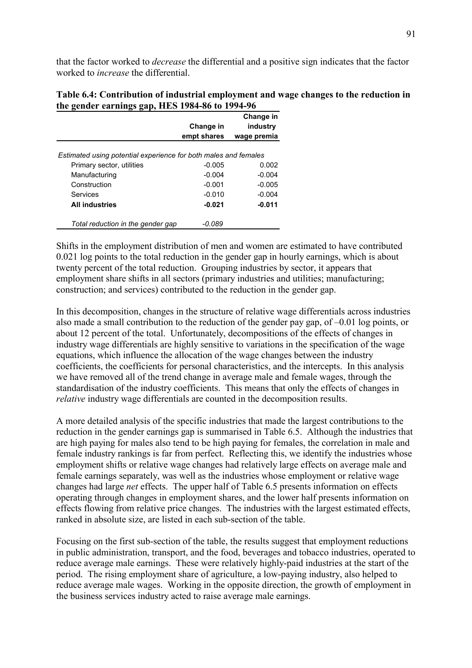that the factor worked to *decrease* the differential and a positive sign indicates that the factor worked to *increase* the differential.

| Table 6.4: Contribution of industrial employment and wage changes to the reduction in |  |
|---------------------------------------------------------------------------------------|--|
| the gender earnings gap, HES 1984-86 to 1994-96                                       |  |

|                                                                 |             | Change in   |
|-----------------------------------------------------------------|-------------|-------------|
|                                                                 | Change in   | industry    |
|                                                                 | empt shares | wage premia |
|                                                                 |             |             |
| Estimated using potential experience for both males and females |             |             |
| Primary sector, utilities                                       | $-0.005$    | 0.002       |
| Manufacturing                                                   | $-0.004$    | $-0.004$    |
| Construction                                                    | $-0.001$    | $-0.005$    |
| Services                                                        | $-0.010$    | $-0.004$    |
| <b>All industries</b>                                           | $-0.021$    | $-0.011$    |
| Total reduction in the gender gap                               | -0.089      |             |

Shifts in the employment distribution of men and women are estimated to have contributed 0.021 log points to the total reduction in the gender gap in hourly earnings, which is about twenty percent of the total reduction. Grouping industries by sector, it appears that employment share shifts in all sectors (primary industries and utilities; manufacturing; construction; and services) contributed to the reduction in the gender gap.

In this decomposition, changes in the structure of relative wage differentials across industries also made a small contribution to the reduction of the gender pay gap, of  $-0.01$  log points, or about 12 percent of the total. Unfortunately, decompositions of the effects of changes in industry wage differentials are highly sensitive to variations in the specification of the wage equations, which influence the allocation of the wage changes between the industry coefficients, the coefficients for personal characteristics, and the intercepts. In this analysis we have removed all of the trend change in average male and female wages, through the standardisation of the industry coefficients. This means that only the effects of changes in *relative* industry wage differentials are counted in the decomposition results.

A more detailed analysis of the specific industries that made the largest contributions to the reduction in the gender earnings gap is summarised in Table 6.5. Although the industries that are high paying for males also tend to be high paying for females, the correlation in male and female industry rankings is far from perfect. Reflecting this, we identify the industries whose employment shifts or relative wage changes had relatively large effects on average male and female earnings separately, was well as the industries whose employment or relative wage changes had large *net* effects. The upper half of Table 6.5 presents information on effects operating through changes in employment shares, and the lower half presents information on effects flowing from relative price changes. The industries with the largest estimated effects, ranked in absolute size, are listed in each sub-section of the table.

Focusing on the first sub-section of the table, the results suggest that employment reductions in public administration, transport, and the food, beverages and tobacco industries, operated to reduce average male earnings. These were relatively highly-paid industries at the start of the period. The rising employment share of agriculture, a low-paying industry, also helped to reduce average male wages. Working in the opposite direction, the growth of employment in the business services industry acted to raise average male earnings.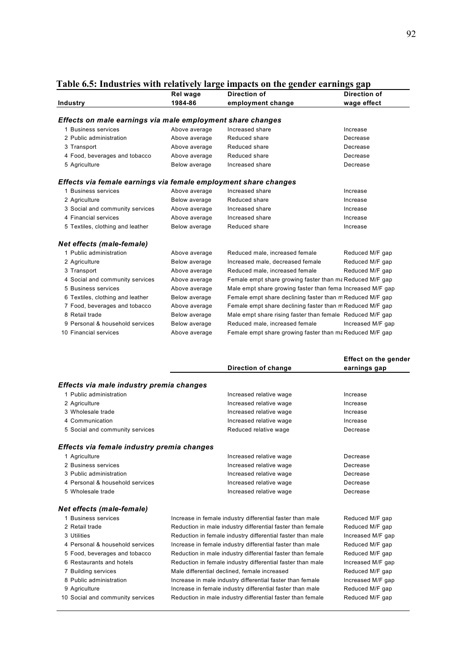|                                                                 | Rel wage      | Direction of                                               | Direction of      |
|-----------------------------------------------------------------|---------------|------------------------------------------------------------|-------------------|
| Industry                                                        | 1984-86       | employment change                                          | wage effect       |
|                                                                 |               |                                                            |                   |
| Effects on male earnings via male employment share changes      |               |                                                            |                   |
| 1 Business services                                             | Above average | Increased share                                            | Increase          |
| 2 Public administration                                         | Above average | Reduced share                                              | Decrease          |
| 3 Transport                                                     | Above average | Reduced share                                              | Decrease          |
| 4 Food, beverages and tobacco                                   | Above average | Reduced share                                              | Decrease          |
| 5 Agriculture                                                   | Below average | Increased share                                            | Decrease          |
| Effects via female earnings via female employment share changes |               |                                                            |                   |
| 1 Business services                                             | Above average | Increased share                                            | Increase          |
| 2 Agriculture                                                   | Below average | Reduced share                                              | Increase          |
| 3 Social and community services                                 | Above average | Increased share                                            | Increase          |
| 4 Financial services                                            | Above average | Increased share                                            | Increase          |
| 5 Textiles, clothing and leather                                | Below average | Reduced share                                              | Increase          |
| Net effects (male-female)                                       |               |                                                            |                   |
| 1 Public administration                                         | Above average | Reduced male, increased female                             | Reduced M/F gap   |
| 2 Agriculture                                                   | Below average | Increased male, decreased female                           | Reduced M/F gap   |
| 3 Transport                                                     | Above average | Reduced male, increased female                             | Reduced M/F gap   |
| 4 Social and community services                                 | Above average | Female empt share growing faster than ma Reduced M/F gap   |                   |
| 5 Business services                                             | Above average | Male empt share growing faster than fema Increased M/F gap |                   |
| 6 Textiles, clothing and leather                                | Below average | Female empt share declining faster than m Reduced M/F gap  |                   |
| 7 Food, beverages and tobacco                                   | Above average | Female empt share declining faster than m Reduced M/F gap  |                   |
| 8 Retail trade                                                  | Below average | Male empt share rising faster than female Reduced M/F gap  |                   |
| 9 Personal & household services                                 | Below average | Reduced male, increased female                             | Increased M/F gap |
| 10 Financial services                                           | Above average | Female empt share growing faster than ma Reduced M/F gap   |                   |

#### **Table 6.5: Industries with relatively large impacts on the gender earnings gap**

|                                            |                                                            | <b>Effect on the gender</b> |
|--------------------------------------------|------------------------------------------------------------|-----------------------------|
|                                            | Direction of change                                        | earnings gap                |
| Effects via male industry premia changes   |                                                            |                             |
| 1 Public administration                    | Increased relative wage                                    | Increase                    |
| 2 Agriculture                              | Increased relative wage                                    | Increase                    |
| 3 Wholesale trade                          | Increased relative wage                                    | Increase                    |
| 4 Communication                            | Increased relative wage                                    | Increase                    |
| 5 Social and community services            | Reduced relative wage                                      | Decrease                    |
| Effects via female industry premia changes |                                                            |                             |
| 1 Agriculture                              | Increased relative wage                                    | Decrease                    |
| 2 Business services                        | Increased relative wage                                    | Decrease                    |
| 3 Public administration                    | Increased relative wage                                    | Decrease                    |
| 4 Personal & household services            | Increased relative wage                                    | Decrease                    |
| 5 Wholesale trade                          | Increased relative wage                                    | Decrease                    |
| Net effects (male-female)                  |                                                            |                             |
| 1 Business services                        | Increase in female industry differential faster than male  | Reduced M/F gap             |
| 2 Retail trade                             | Reduction in male industry differential faster than female | Reduced M/F gap             |
| 3 Utilities                                | Reduction in female industry differential faster than male | Increased M/F gap           |
| 4 Personal & household services            | Increase in female industry differential faster than male  | Reduced M/F gap             |
| 5 Food, beverages and tobacco              | Reduction in male industry differential faster than female | Reduced M/F gap             |
| 6 Restaurants and hotels                   | Reduction in female industry differential faster than male | Increased M/F gap           |
| 7 Building services                        | Male differential declined, female increased               | Reduced M/F gap             |

- 
- 
- 

8 Public administration Increase in male industry differential faster than female Increased M/F gap 9 Agriculture Increase in female industry differential faster than male Reduced M/F gap 10 Social and community services Reduction in male industry differential faster than female Reduced M/F gap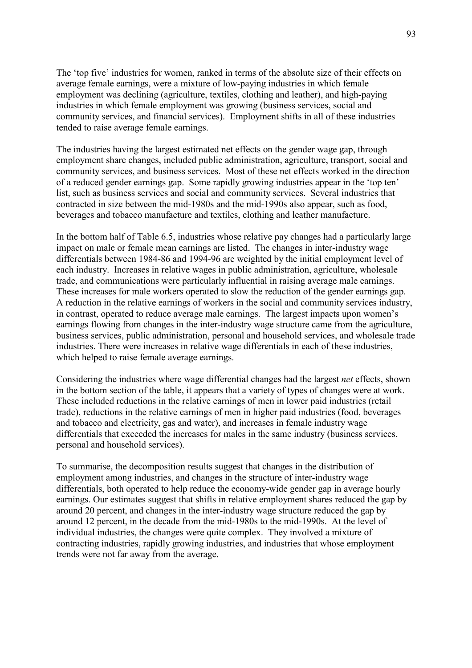The 'top five' industries for women, ranked in terms of the absolute size of their effects on average female earnings, were a mixture of low-paying industries in which female employment was declining (agriculture, textiles, clothing and leather), and high-paying industries in which female employment was growing (business services, social and community services, and financial services). Employment shifts in all of these industries tended to raise average female earnings.

The industries having the largest estimated net effects on the gender wage gap, through employment share changes, included public administration, agriculture, transport, social and community services, and business services. Most of these net effects worked in the direction of a reduced gender earnings gap. Some rapidly growing industries appear in the 'top ten' list, such as business services and social and community services. Several industries that contracted in size between the mid-1980s and the mid-1990s also appear, such as food, beverages and tobacco manufacture and textiles, clothing and leather manufacture.

In the bottom half of Table 6.5, industries whose relative pay changes had a particularly large impact on male or female mean earnings are listed. The changes in inter-industry wage differentials between 1984-86 and 1994-96 are weighted by the initial employment level of each industry. Increases in relative wages in public administration, agriculture, wholesale trade, and communications were particularly influential in raising average male earnings. These increases for male workers operated to slow the reduction of the gender earnings gap. A reduction in the relative earnings of workers in the social and community services industry, in contrast, operated to reduce average male earnings. The largest impacts upon women's earnings flowing from changes in the inter-industry wage structure came from the agriculture, business services, public administration, personal and household services, and wholesale trade industries. There were increases in relative wage differentials in each of these industries, which helped to raise female average earnings.

Considering the industries where wage differential changes had the largest *net* effects, shown in the bottom section of the table, it appears that a variety of types of changes were at work. These included reductions in the relative earnings of men in lower paid industries (retail trade), reductions in the relative earnings of men in higher paid industries (food, beverages and tobacco and electricity, gas and water), and increases in female industry wage differentials that exceeded the increases for males in the same industry (business services, personal and household services).

To summarise, the decomposition results suggest that changes in the distribution of employment among industries, and changes in the structure of inter-industry wage differentials, both operated to help reduce the economy-wide gender gap in average hourly earnings. Our estimates suggest that shifts in relative employment shares reduced the gap by around 20 percent, and changes in the inter-industry wage structure reduced the gap by around 12 percent, in the decade from the mid-1980s to the mid-1990s. At the level of individual industries, the changes were quite complex. They involved a mixture of contracting industries, rapidly growing industries, and industries that whose employment trends were not far away from the average.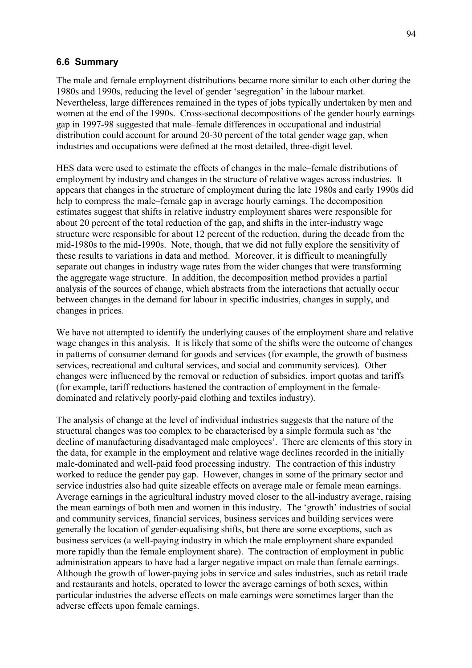#### **6.6 Summary**

The male and female employment distributions became more similar to each other during the 1980s and 1990s, reducing the level of gender 'segregation' in the labour market. Nevertheless, large differences remained in the types of jobs typically undertaken by men and women at the end of the 1990s. Cross-sectional decompositions of the gender hourly earnings gap in 1997-98 suggested that male–female differences in occupational and industrial distribution could account for around 20-30 percent of the total gender wage gap, when industries and occupations were defined at the most detailed, three-digit level.

HES data were used to estimate the effects of changes in the male–female distributions of employment by industry and changes in the structure of relative wages across industries. It appears that changes in the structure of employment during the late 1980s and early 1990s did help to compress the male–female gap in average hourly earnings. The decomposition estimates suggest that shifts in relative industry employment shares were responsible for about 20 percent of the total reduction of the gap, and shifts in the inter-industry wage structure were responsible for about 12 percent of the reduction, during the decade from the mid-1980s to the mid-1990s. Note, though, that we did not fully explore the sensitivity of these results to variations in data and method. Moreover, it is difficult to meaningfully separate out changes in industry wage rates from the wider changes that were transforming the aggregate wage structure. In addition, the decomposition method provides a partial analysis of the sources of change, which abstracts from the interactions that actually occur between changes in the demand for labour in specific industries, changes in supply, and changes in prices.

We have not attempted to identify the underlying causes of the employment share and relative wage changes in this analysis. It is likely that some of the shifts were the outcome of changes in patterns of consumer demand for goods and services (for example, the growth of business services, recreational and cultural services, and social and community services). Other changes were influenced by the removal or reduction of subsidies, import quotas and tariffs (for example, tariff reductions hastened the contraction of employment in the femaledominated and relatively poorly-paid clothing and textiles industry).

The analysis of change at the level of individual industries suggests that the nature of the structural changes was too complex to be characterised by a simple formula such as 'the decline of manufacturing disadvantaged male employees'. There are elements of this story in the data, for example in the employment and relative wage declines recorded in the initially male-dominated and well-paid food processing industry. The contraction of this industry worked to reduce the gender pay gap. However, changes in some of the primary sector and service industries also had quite sizeable effects on average male or female mean earnings. Average earnings in the agricultural industry moved closer to the all-industry average, raising the mean earnings of both men and women in this industry. The 'growth' industries of social and community services, financial services, business services and building services were generally the location of gender-equalising shifts, but there are some exceptions, such as business services (a well-paying industry in which the male employment share expanded more rapidly than the female employment share). The contraction of employment in public administration appears to have had a larger negative impact on male than female earnings. Although the growth of lower-paying jobs in service and sales industries, such as retail trade and restaurants and hotels, operated to lower the average earnings of both sexes, within particular industries the adverse effects on male earnings were sometimes larger than the adverse effects upon female earnings.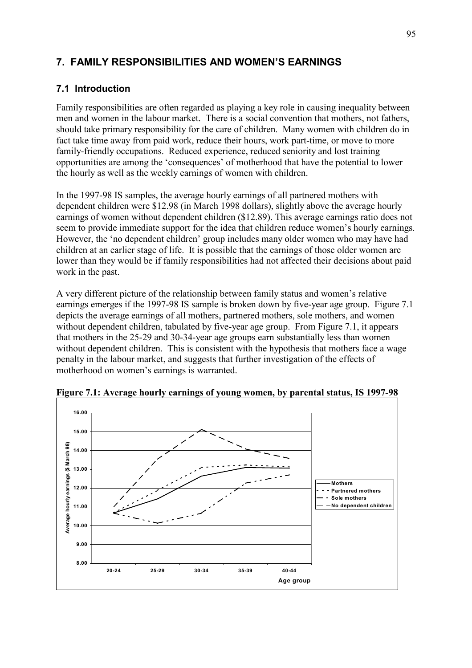# **7. FAMILY RESPONSIBILITIES AND WOMENíS EARNINGS**

# **7.1 Introduction**

Family responsibilities are often regarded as playing a key role in causing inequality between men and women in the labour market. There is a social convention that mothers, not fathers, should take primary responsibility for the care of children. Many women with children do in fact take time away from paid work, reduce their hours, work part-time, or move to more family-friendly occupations. Reduced experience, reduced seniority and lost training opportunities are among the 'consequences' of motherhood that have the potential to lower the hourly as well as the weekly earnings of women with children.

In the 1997-98 IS samples, the average hourly earnings of all partnered mothers with dependent children were \$12.98 (in March 1998 dollars), slightly above the average hourly earnings of women without dependent children (\$12.89). This average earnings ratio does not seem to provide immediate support for the idea that children reduce women's hourly earnings. However, the 'no dependent children' group includes many older women who may have had children at an earlier stage of life. It is possible that the earnings of those older women are lower than they would be if family responsibilities had not affected their decisions about paid work in the past.

A very different picture of the relationship between family status and women's relative earnings emerges if the 1997-98 IS sample is broken down by five-year age group. Figure 7.1 depicts the average earnings of all mothers, partnered mothers, sole mothers, and women without dependent children, tabulated by five-year age group. From Figure 7.1, it appears that mothers in the 25-29 and 30-34-year age groups earn substantially less than women without dependent children. This is consistent with the hypothesis that mothers face a wage penalty in the labour market, and suggests that further investigation of the effects of motherhood on women's earnings is warranted.



**Figure 7.1: Average hourly earnings of young women, by parental status, IS 1997-98**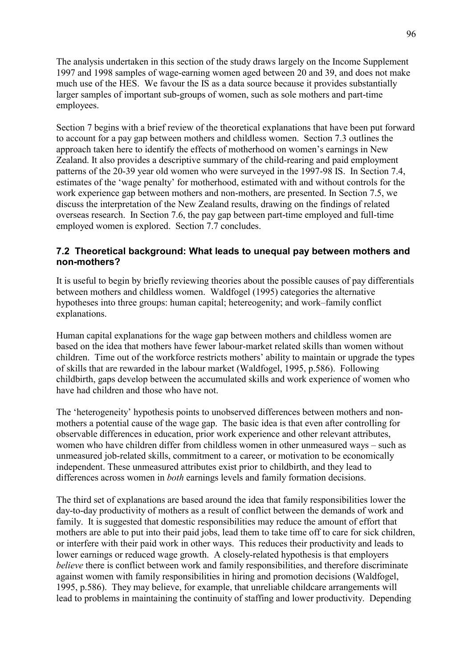The analysis undertaken in this section of the study draws largely on the Income Supplement 1997 and 1998 samples of wage-earning women aged between 20 and 39, and does not make much use of the HES. We favour the IS as a data source because it provides substantially larger samples of important sub-groups of women, such as sole mothers and part-time employees.

Section 7 begins with a brief review of the theoretical explanations that have been put forward to account for a pay gap between mothers and childless women. Section 7.3 outlines the approach taken here to identify the effects of motherhood on women's earnings in New Zealand. It also provides a descriptive summary of the child-rearing and paid employment patterns of the 20-39 year old women who were surveyed in the 1997-98 IS. In Section 7.4, estimates of the 'wage penalty' for motherhood, estimated with and without controls for the work experience gap between mothers and non-mothers, are presented. In Section 7.5, we discuss the interpretation of the New Zealand results, drawing on the findings of related overseas research. In Section 7.6, the pay gap between part-time employed and full-time employed women is explored. Section 7.7 concludes.

### **7.2 Theoretical background: What leads to unequal pay between mothers and non-mothers?**

It is useful to begin by briefly reviewing theories about the possible causes of pay differentials between mothers and childless women. Waldfogel (1995) categories the alternative hypotheses into three groups: human capital; hetereogenity; and work–family conflict explanations.

Human capital explanations for the wage gap between mothers and childless women are based on the idea that mothers have fewer labour-market related skills than women without children. Time out of the workforce restricts mothers' ability to maintain or upgrade the types of skills that are rewarded in the labour market (Waldfogel, 1995, p.586). Following childbirth, gaps develop between the accumulated skills and work experience of women who have had children and those who have not.

The 'heterogeneity' hypothesis points to unobserved differences between mothers and nonmothers a potential cause of the wage gap. The basic idea is that even after controlling for observable differences in education, prior work experience and other relevant attributes, women who have children differ from childless women in other unmeasured ways – such as unmeasured job-related skills, commitment to a career, or motivation to be economically independent. These unmeasured attributes exist prior to childbirth, and they lead to differences across women in *both* earnings levels and family formation decisions.

The third set of explanations are based around the idea that family responsibilities lower the day-to-day productivity of mothers as a result of conflict between the demands of work and family. It is suggested that domestic responsibilities may reduce the amount of effort that mothers are able to put into their paid jobs, lead them to take time off to care for sick children, or interfere with their paid work in other ways. This reduces their productivity and leads to lower earnings or reduced wage growth. A closely-related hypothesis is that employers *believe* there is conflict between work and family responsibilities, and therefore discriminate against women with family responsibilities in hiring and promotion decisions (Waldfogel, 1995, p.586). They may believe, for example, that unreliable childcare arrangements will lead to problems in maintaining the continuity of staffing and lower productivity. Depending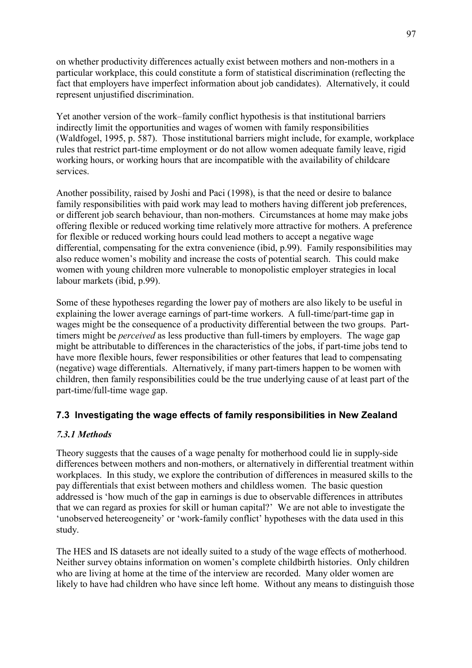on whether productivity differences actually exist between mothers and non-mothers in a particular workplace, this could constitute a form of statistical discrimination (reflecting the fact that employers have imperfect information about job candidates). Alternatively, it could represent unjustified discrimination.

Yet another version of the work–family conflict hypothesis is that institutional barriers indirectly limit the opportunities and wages of women with family responsibilities (Waldfogel, 1995, p. 587). Those institutional barriers might include, for example, workplace rules that restrict part-time employment or do not allow women adequate family leave, rigid working hours, or working hours that are incompatible with the availability of childcare services.

Another possibility, raised by Joshi and Paci (1998), is that the need or desire to balance family responsibilities with paid work may lead to mothers having different job preferences, or different job search behaviour, than non-mothers. Circumstances at home may make jobs offering flexible or reduced working time relatively more attractive for mothers. A preference for flexible or reduced working hours could lead mothers to accept a negative wage differential, compensating for the extra convenience (ibid, p.99). Family responsibilities may also reduce women's mobility and increase the costs of potential search. This could make women with young children more vulnerable to monopolistic employer strategies in local labour markets (ibid, p.99).

Some of these hypotheses regarding the lower pay of mothers are also likely to be useful in explaining the lower average earnings of part-time workers. A full-time/part-time gap in wages might be the consequence of a productivity differential between the two groups. Parttimers might be *perceived* as less productive than full-timers by employers. The wage gap might be attributable to differences in the characteristics of the jobs, if part-time jobs tend to have more flexible hours, fewer responsibilities or other features that lead to compensating (negative) wage differentials. Alternatively, if many part-timers happen to be women with children, then family responsibilities could be the true underlying cause of at least part of the part-time/full-time wage gap.

# **7.3 Investigating the wage effects of family responsibilities in New Zealand**

# *7.3.1 Methods*

Theory suggests that the causes of a wage penalty for motherhood could lie in supply-side differences between mothers and non-mothers, or alternatively in differential treatment within workplaces. In this study, we explore the contribution of differences in measured skills to the pay differentials that exist between mothers and childless women. The basic question addressed is ëhow much of the gap in earnings is due to observable differences in attributes that we can regard as proxies for skill or human capital? We are not able to investigate the 'unobserved hetereogeneity' or 'work-family conflict' hypotheses with the data used in this study.

The HES and IS datasets are not ideally suited to a study of the wage effects of motherhood. Neither survey obtains information on women's complete childbirth histories. Only children who are living at home at the time of the interview are recorded. Many older women are likely to have had children who have since left home. Without any means to distinguish those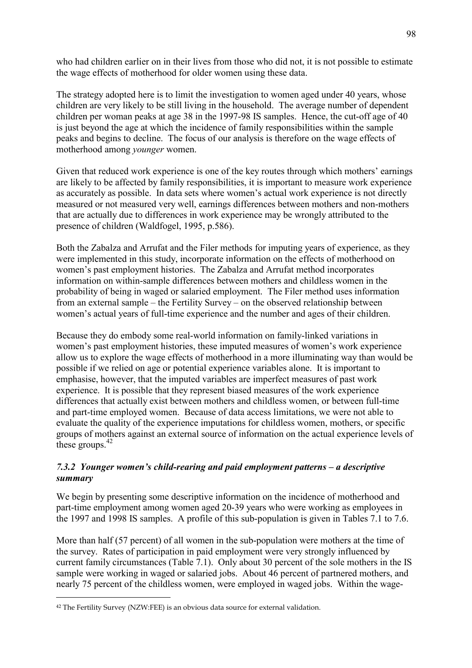who had children earlier on in their lives from those who did not, it is not possible to estimate the wage effects of motherhood for older women using these data.

The strategy adopted here is to limit the investigation to women aged under 40 years, whose children are very likely to be still living in the household. The average number of dependent children per woman peaks at age 38 in the 1997-98 IS samples. Hence, the cut-off age of 40 is just beyond the age at which the incidence of family responsibilities within the sample peaks and begins to decline. The focus of our analysis is therefore on the wage effects of motherhood among *younger* women.

Given that reduced work experience is one of the key routes through which mothers' earnings are likely to be affected by family responsibilities, it is important to measure work experience as accurately as possible. In data sets where women's actual work experience is not directly measured or not measured very well, earnings differences between mothers and non-mothers that are actually due to differences in work experience may be wrongly attributed to the presence of children (Waldfogel, 1995, p.586).

Both the Zabalza and Arrufat and the Filer methods for imputing years of experience, as they were implemented in this study, incorporate information on the effects of motherhood on women's past employment histories. The Zabalza and Arrufat method incorporates information on within-sample differences between mothers and childless women in the probability of being in waged or salaried employment. The Filer method uses information from an external sample  $-$  the Fertility Survey  $-$  on the observed relationship between women's actual years of full-time experience and the number and ages of their children.

Because they do embody some real-world information on family-linked variations in women's past employment histories, these imputed measures of women's work experience allow us to explore the wage effects of motherhood in a more illuminating way than would be possible if we relied on age or potential experience variables alone. It is important to emphasise, however, that the imputed variables are imperfect measures of past work experience. It is possible that they represent biased measures of the work experience differences that actually exist between mothers and childless women, or between full-time and part-time employed women. Because of data access limitations, we were not able to evaluate the quality of the experience imputations for childless women, mothers, or specific groups of mothers against an external source of information on the actual experience levels of these groups. $42$ 

### *7.3.2 Younger women's child-rearing and paid employment patterns – a descriptive summary*

We begin by presenting some descriptive information on the incidence of motherhood and part-time employment among women aged 20-39 years who were working as employees in the 1997 and 1998 IS samples. A profile of this sub-population is given in Tables 7.1 to 7.6.

More than half (57 percent) of all women in the sub-population were mothers at the time of the survey. Rates of participation in paid employment were very strongly influenced by current family circumstances (Table 7.1). Only about 30 percent of the sole mothers in the IS sample were working in waged or salaried jobs. About 46 percent of partnered mothers, and nearly 75 percent of the childless women, were employed in waged jobs. Within the wage-

 $\overline{a}$ 

<sup>42</sup> The Fertility Survey (NZW:FEE) is an obvious data source for external validation.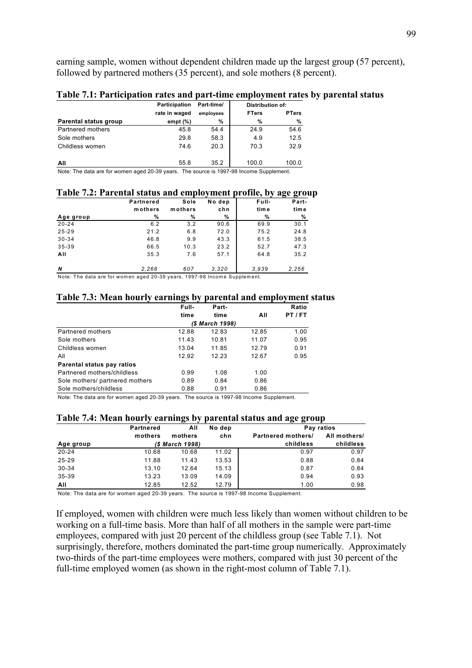earning sample, women without dependent children made up the largest group (57 percent), followed by partnered mothers (35 percent), and sole mothers (8 percent).

|                                                                                         | Participation | Part-time/ | <b>Distribution of:</b> |              |  |  |  |  |  |  |
|-----------------------------------------------------------------------------------------|---------------|------------|-------------------------|--------------|--|--|--|--|--|--|
|                                                                                         | rate in waged | employees  | <b>FTers</b>            | <b>PTers</b> |  |  |  |  |  |  |
| Parental status group                                                                   | empt $(\%)$   | %          | %                       | %            |  |  |  |  |  |  |
| Partnered mothers                                                                       | 45.8          | 54.4       | 24.9                    | 54.6         |  |  |  |  |  |  |
| Sole mothers                                                                            | 29.8          | 58.3       | 4.9                     | 12.5         |  |  |  |  |  |  |
| Childless women                                                                         | 74.6          | 20.3       | 70.3                    | 32.9         |  |  |  |  |  |  |
| All                                                                                     | 55.8          | 35.2       | 100.0                   | 100.0        |  |  |  |  |  |  |
| Note: The data are for women aged 20-39 years. The source is 1997-98 Income Supplement. |               |            |                         |              |  |  |  |  |  |  |

#### **Table 7.1: Participation rates and part-time employment rates by parental status**

aged 20-39 ye

|           |         |        |       | $\mathbf{u}_\mathbf{S}$ $\mathbf{v}_\mathbf{S}$ $\mathbf{v}_\mathbf{U}$ |
|-----------|---------|--------|-------|-------------------------------------------------------------------------|
| Partnered | Sole    | No dep | Full- | Part-                                                                   |
| mothers   | mothers | chn    | time  | tim e                                                                   |
| %         | %       | %      | %     | %                                                                       |
| 6.2       | 3.2     | 90.6   | 69.9  | 30.1                                                                    |
| 21.2      | 6.8     | 72.0   | 75.2  | 24.8                                                                    |
| 46.8      | 9.9     | 43.3   | 61.5  | 38.5                                                                    |
| 66.5      | 10.3    | 23.2   | 52.7  | 47.3                                                                    |
| 35.3      | 7.6     | 57.1   | 64.8  | 35.2                                                                    |
| 2.268     | 607     | 3.320  | 3.939 | 2,256                                                                   |
|           |         |        |       | Table 7.2. I al chial status and chiployment prome, by                  |

#### **Table 7.2: Parental status and employment profile, by age group**

Note: The data are for women aged 20-39 years, 1997-98 Income Supplement.

#### **Table 7.3: Mean hourly earnings by parental and employment status**

|                                 | Full- | Part-           |       | Ratio   |
|---------------------------------|-------|-----------------|-------|---------|
|                                 | time  | time            | All   | PT / FT |
|                                 |       | (\$ March 1998) |       |         |
| Partnered mothers               | 12.88 | 12.83           | 12.85 | 1.00    |
| Sole mothers                    | 11.43 | 10.81           | 11.07 | 0.95    |
| Childless women                 | 13.04 | 11.85           | 12.79 | 0.91    |
| All                             | 12.92 | 12.23           | 12.67 | 0.95    |
| Parental status pay ratios      |       |                 |       |         |
| Partnered mothers/childless     | 0.99  | 1.08            | 1.00  |         |
| Sole mothers/ partnered mothers | 0.89  | 0.84            | 0.86  |         |
| Sole mothers/childless          | 0.88  | 0.91            | 0.86  |         |

Note: The data are for women aged 20-39 years. The source is 1997-98 Income Supplement.

#### **Table 7.4: Mean hourly earnings by parental status and age group**

|           | <b>Partnered</b> | All             | No dep |                    | Pay ratios   |
|-----------|------------------|-----------------|--------|--------------------|--------------|
|           | mothers          | mothers         | chn    | Partnered mothers/ | All mothers/ |
| Age group |                  | (\$ March 1998) |        | childless          | childless    |
| $20 - 24$ | 10.68            | 10.68           | 11.02  | 0.97               | 0.97         |
| $25 - 29$ | 11.88            | 11.43           | 13.53  | 0.88               | 0.84         |
| $30 - 34$ | 13.10            | 12.64           | 15.13  | 0.87               | 0.84         |
| 35-39     | 13.23            | 13.09           | 14.09  | 0.94               | 0.93         |
| All       | 12.85            | 12.52           | 12.79  | 1.00               | 0.98         |

Note: The data are for women aged 20-39 years. The source is 1997-98 Income Supplement.

If employed, women with children were much less likely than women without children to be working on a full-time basis. More than half of all mothers in the sample were part-time employees, compared with just 20 percent of the childless group (see Table 7.1). Not surprisingly, therefore, mothers dominated the part-time group numerically. Approximately two-thirds of the part-time employees were mothers, compared with just 30 percent of the full-time employed women (as shown in the right-most column of Table 7.1).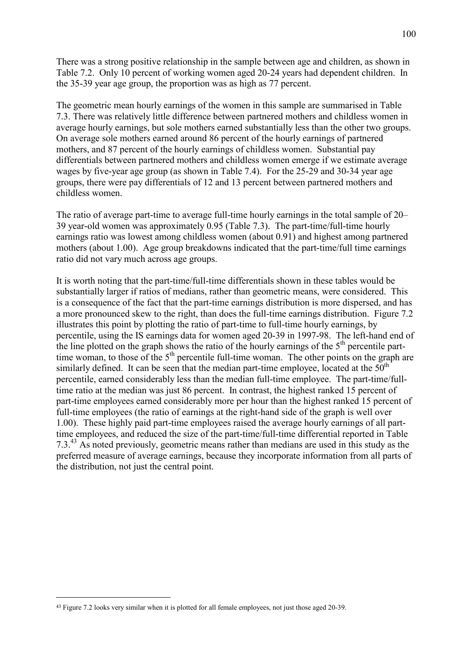There was a strong positive relationship in the sample between age and children, as shown in Table 7.2. Only 10 percent of working women aged 20-24 years had dependent children. In the 35-39 year age group, the proportion was as high as 77 percent.

The geometric mean hourly earnings of the women in this sample are summarised in Table 7.3. There was relatively little difference between partnered mothers and childless women in average hourly earnings, but sole mothers earned substantially less than the other two groups. On average sole mothers earned around 86 percent of the hourly earnings of partnered mothers, and 87 percent of the hourly earnings of childless women. Substantial pay differentials between partnered mothers and childless women emerge if we estimate average wages by five-year age group (as shown in Table 7.4). For the 25-29 and 30-34 year age groups, there were pay differentials of 12 and 13 percent between partnered mothers and childless women.

The ratio of average part-time to average full-time hourly earnings in the total sample of  $20-$ 39 year-old women was approximately 0.95 (Table 7.3). The part-time/full-time hourly earnings ratio was lowest among childless women (about 0.91) and highest among partnered mothers (about 1.00). Age group breakdowns indicated that the part-time/full time earnings ratio did not vary much across age groups.

It is worth noting that the part-time/full-time differentials shown in these tables would be substantially larger if ratios of medians, rather than geometric means, were considered. This is a consequence of the fact that the part-time earnings distribution is more dispersed, and has a more pronounced skew to the right, than does the full-time earnings distribution. Figure 7.2 illustrates this point by plotting the ratio of part-time to full-time hourly earnings, by percentile, using the IS earnings data for women aged 20-39 in 1997-98. The left-hand end of the line plotted on the graph shows the ratio of the hourly earnings of the  $5<sup>th</sup>$  percentile parttime woman, to those of the  $5<sup>th</sup>$  percentile full-time woman. The other points on the graph are similarly defined. It can be seen that the median part-time employee, located at the  $50<sup>th</sup>$ percentile, earned considerably less than the median full-time employee. The part-time/fulltime ratio at the median was just 86 percent. In contrast, the highest ranked 15 percent of part-time employees earned considerably more per hour than the highest ranked 15 percent of full-time employees (the ratio of earnings at the right-hand side of the graph is well over 1.00). These highly paid part-time employees raised the average hourly earnings of all parttime employees, and reduced the size of the part-time/full-time differential reported in Table 7.3.43 As noted previously, geometric means rather than medians are used in this study as the preferred measure of average earnings, because they incorporate information from all parts of the distribution, not just the central point.

 $\overline{a}$ 

<sup>43</sup> Figure 7.2 looks very similar when it is plotted for all female employees, not just those aged 20-39.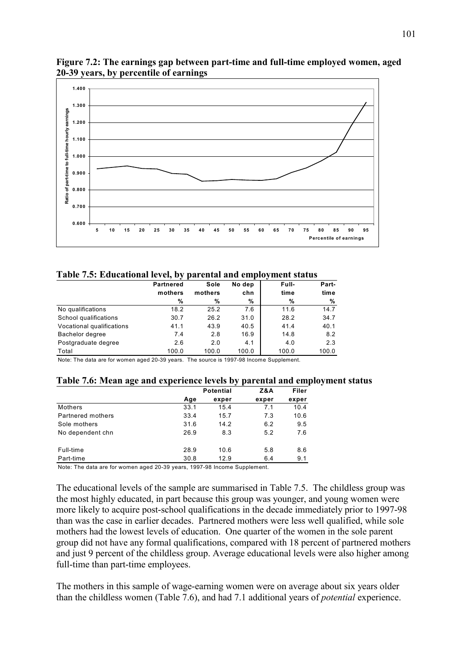

**Figure 7.2: The earnings gap between part-time and full-time employed women, aged 20-39 years, by percentile of earnings** 

**Table 7.5: Educational level, by parental and employment status** 

|                                                                                                                                                                                                                                                                                                             | . .              |         |        | - -   |       |
|-------------------------------------------------------------------------------------------------------------------------------------------------------------------------------------------------------------------------------------------------------------------------------------------------------------|------------------|---------|--------|-------|-------|
|                                                                                                                                                                                                                                                                                                             | <b>Partnered</b> | Sole    | No dep | Full- | Part- |
|                                                                                                                                                                                                                                                                                                             | mothers          | mothers | chn    | time  | time  |
|                                                                                                                                                                                                                                                                                                             | %                | %       | %      | %     | %     |
| No qualifications                                                                                                                                                                                                                                                                                           | 18.2             | 25.2    | 7.6    | 11.6  | 14.7  |
| School qualifications                                                                                                                                                                                                                                                                                       | 30.7             | 26.2    | 31.0   | 28.2  | 34.7  |
| Vocational qualifications                                                                                                                                                                                                                                                                                   | 41.1             | 43.9    | 40.5   | 41.4  | 40.1  |
| Bachelor degree                                                                                                                                                                                                                                                                                             | 7.4              | 2.8     | 16.9   | 14.8  | 8.2   |
| Postgraduate degree                                                                                                                                                                                                                                                                                         | 2.6              | 2.0     | 4.1    | 4.0   | 2.3   |
| Total                                                                                                                                                                                                                                                                                                       | 100.0            | 100.0   | 100.0  | 100.0 | 100.0 |
| $\mathbf{H}$ , $\mathbf{H}$ , $\mathbf{H}$ , $\mathbf{H}$ , $\mathbf{H}$ , $\mathbf{H}$ , $\mathbf{H}$ , $\mathbf{H}$ , $\mathbf{H}$ , $\mathbf{H}$ , $\mathbf{H}$ , $\mathbf{H}$ , $\mathbf{H}$ , $\mathbf{H}$ , $\mathbf{H}$ , $\mathbf{H}$ , $\mathbf{H}$ , $\mathbf{H}$ , $\mathbf{H}$ , $\mathbf{H}$ , |                  |         |        |       |       |

Note: The data are for women aged 20-39 years. The source is 1997-98 Income Supplement.

|  |  | Table 7.6: Mean age and experience levels by parental and employment status |
|--|--|-----------------------------------------------------------------------------|
|  |  |                                                                             |

| <b>Potential</b> |       | Z&A   | Filer |  |
|------------------|-------|-------|-------|--|
| Age              | exper | exper | exper |  |
| 33.1             | 15.4  | 7.1   | 10.4  |  |
| 33.4             | 15.7  | 7.3   | 10.6  |  |
| 31.6             | 14.2  | 6.2   | 9.5   |  |
| 26.9             | 8.3   | 5.2   | 7.6   |  |
| 28.9             | 10.6  | 5.8   | 8.6   |  |
| 30.8             | 12.9  | 6.4   | 9.1   |  |
|                  |       |       |       |  |

Note: The data are for women aged 20-39 years, 1997-98 Income Supplement.

The educational levels of the sample are summarised in Table 7.5. The childless group was the most highly educated, in part because this group was younger, and young women were more likely to acquire post-school qualifications in the decade immediately prior to 1997-98 than was the case in earlier decades. Partnered mothers were less well qualified, while sole mothers had the lowest levels of education. One quarter of the women in the sole parent group did not have any formal qualifications, compared with 18 percent of partnered mothers and just 9 percent of the childless group. Average educational levels were also higher among full-time than part-time employees.

The mothers in this sample of wage-earning women were on average about six years older than the childless women (Table 7.6), and had 7.1 additional years of *potential* experience.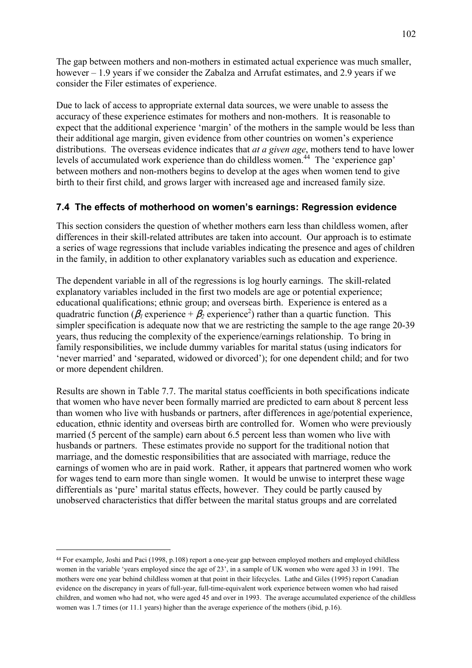The gap between mothers and non-mothers in estimated actual experience was much smaller, however  $-1.9$  years if we consider the Zabalza and Arrufat estimates, and 2.9 years if we consider the Filer estimates of experience.

Due to lack of access to appropriate external data sources, we were unable to assess the accuracy of these experience estimates for mothers and non-mothers. It is reasonable to expect that the additional experience 'margin' of the mothers in the sample would be less than their additional age margin, given evidence from other countries on women's experience distributions. The overseas evidence indicates that *at a given age*, mothers tend to have lower levels of accumulated work experience than do childless women.<sup>44</sup> The 'experience gap' between mothers and non-mothers begins to develop at the ages when women tend to give birth to their first child, and grows larger with increased age and increased family size.

# **7.4 The effects of motherhood on womenís earnings: Regression evidence**

This section considers the question of whether mothers earn less than childless women, after differences in their skill-related attributes are taken into account. Our approach is to estimate a series of wage regressions that include variables indicating the presence and ages of children in the family, in addition to other explanatory variables such as education and experience.

The dependent variable in all of the regressions is log hourly earnings. The skill-related explanatory variables included in the first two models are age or potential experience; educational qualifications; ethnic group; and overseas birth. Experience is entered as a quadratric function ( $\beta_l$  experience +  $\beta_2$  experience<sup>2</sup>) rather than a quartic function. This simpler specification is adequate now that we are restricting the sample to the age range 20-39 years, thus reducing the complexity of the experience/earnings relationship. To bring in family responsibilities, we include dummy variables for marital status (using indicators for 'never married' and 'separated, widowed or divorced'); for one dependent child; and for two or more dependent children.

Results are shown in Table 7.7. The marital status coefficients in both specifications indicate that women who have never been formally married are predicted to earn about 8 percent less than women who live with husbands or partners, after differences in age/potential experience, education, ethnic identity and overseas birth are controlled for. Women who were previously married (5 percent of the sample) earn about 6.5 percent less than women who live with husbands or partners. These estimates provide no support for the traditional notion that marriage, and the domestic responsibilities that are associated with marriage, reduce the earnings of women who are in paid work. Rather, it appears that partnered women who work for wages tend to earn more than single women. It would be unwise to interpret these wage differentials as 'pure' marital status effects, however. They could be partly caused by unobserved characteristics that differ between the marital status groups and are correlated

 $\overline{a}$ 

<sup>44</sup> For example, Joshi and Paci (1998, p.108) report a one-year gap between employed mothers and employed childless women in the variable 'years employed since the age of 23', in a sample of UK women who were aged 33 in 1991. The mothers were one year behind childless women at that point in their lifecycles. Lathe and Giles (1995) report Canadian evidence on the discrepancy in years of full-year, full-time-equivalent work experience between women who had raised children, and women who had not, who were aged 45 and over in 1993. The average accumulated experience of the childless women was 1.7 times (or 11.1 years) higher than the average experience of the mothers (ibid, p.16).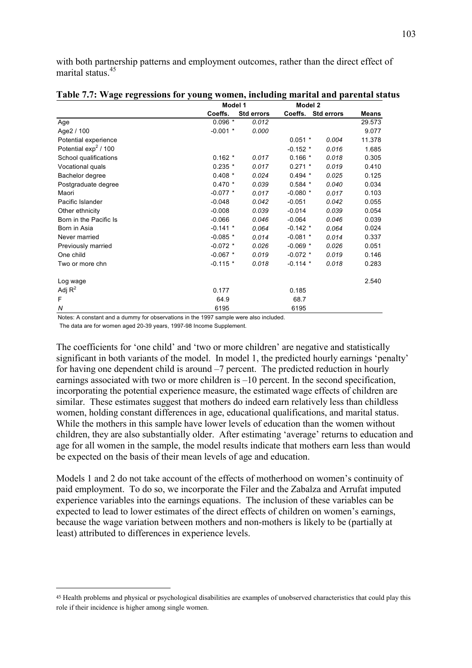with both partnership patterns and employment outcomes, rather than the direct effect of marital status.<sup>45</sup>

|                        | Model 1    |            |            | Model 2            |              |  |
|------------------------|------------|------------|------------|--------------------|--------------|--|
|                        | Coeffs.    | Std errors |            | Coeffs. Std errors | <b>Means</b> |  |
| Age                    | $0.096*$   | 0.012      |            |                    | 29.573       |  |
| Age2 / 100             | $-0.001$ * | 0.000      |            |                    | 9.077        |  |
| Potential experience   |            |            | $0.051$ *  | 0.004              | 11.378       |  |
| Potential $\exp^2/100$ |            |            | $-0.152$ * | 0.016              | 1.685        |  |
| School qualifications  | $0.162*$   | 0.017      | $0.166*$   | 0.018              | 0.305        |  |
| Vocational quals       | $0.235$ *  | 0.017      | $0.271$ *  | 0.019              | 0.410        |  |
| Bachelor degree        | $0.408*$   | 0.024      | $0.494*$   | 0.025              | 0.125        |  |
| Postgraduate degree    | $0.470*$   | 0.039      | $0.584*$   | 0.040              | 0.034        |  |
| Maori                  | $-0.077$ * | 0.017      | $-0.080$ * | 0.017              | 0.103        |  |
| Pacific Islander       | $-0.048$   | 0.042      | $-0.051$   | 0.042              | 0.055        |  |
| Other ethnicity        | $-0.008$   | 0.039      | $-0.014$   | 0.039              | 0.054        |  |
| Born in the Pacific Is | $-0.066$   | 0.046      | $-0.064$   | 0.046              | 0.039        |  |
| Born in Asia           | $-0.141$ * | 0.064      | $-0.142$ * | 0.064              | 0.024        |  |
| Never married          | $-0.085$ * | 0.014      | $-0.081$ * | 0.014              | 0.337        |  |
| Previously married     | $-0.072$ * | 0.026      | $-0.069$ * | 0.026              | 0.051        |  |
| One child              | $-0.067$ * | 0.019      | $-0.072$ * | 0.019              | 0.146        |  |
| Two or more chn        | $-0.115$ * | 0.018      | $-0.114$ * | 0.018              | 0.283        |  |
| Log wage               |            |            |            |                    | 2.540        |  |
| Adj $R^2$              | 0.177      |            | 0.185      |                    |              |  |
| F                      | 64.9       |            | 68.7       |                    |              |  |
| N                      | 6195       |            | 6195       |                    |              |  |

|  |  |  | Table 7.7: Wage regressions for young women, including marital and parental status |  |  |  |  |
|--|--|--|------------------------------------------------------------------------------------|--|--|--|--|
|  |  |  |                                                                                    |  |  |  |  |

Notes: A constant and a dummy for observations in the 1997 sample were also included.

The data are for women aged 20-39 years, 1997-98 Income Supplement.

 $\overline{a}$ 

The coefficients for 'one child' and 'two or more children' are negative and statistically significant in both variants of the model. In model 1, the predicted hourly earnings 'penalty' for having one dependent child is around  $-7$  percent. The predicted reduction in hourly earnings associated with two or more children is  $-10$  percent. In the second specification, incorporating the potential experience measure, the estimated wage effects of children are similar. These estimates suggest that mothers do indeed earn relatively less than childless women, holding constant differences in age, educational qualifications, and marital status. While the mothers in this sample have lower levels of education than the women without children, they are also substantially older. After estimating 'average' returns to education and age for all women in the sample, the model results indicate that mothers earn less than would be expected on the basis of their mean levels of age and education.

Models 1 and 2 do not take account of the effects of motherhood on women's continuity of paid employment. To do so, we incorporate the Filer and the Zabalza and Arrufat imputed experience variables into the earnings equations. The inclusion of these variables can be expected to lead to lower estimates of the direct effects of children on women's earnings, because the wage variation between mothers and non-mothers is likely to be (partially at least) attributed to differences in experience levels.

<sup>45</sup> Health problems and physical or psychological disabilities are examples of unobserved characteristics that could play this role if their incidence is higher among single women.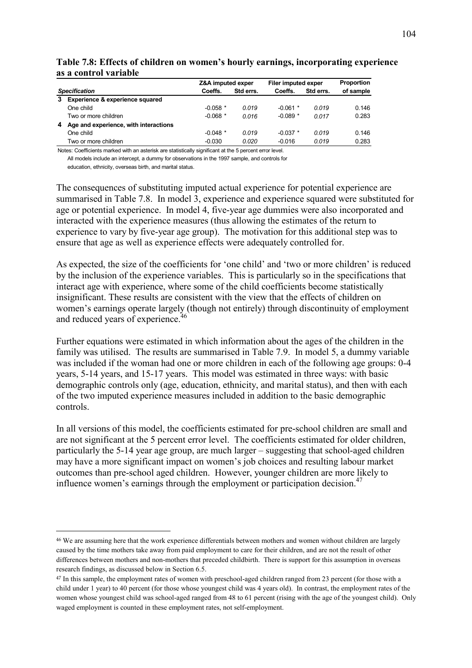|                      |                                       | Z&A imputed exper |           | Filer imputed exper | Proportion |           |
|----------------------|---------------------------------------|-------------------|-----------|---------------------|------------|-----------|
| <b>Specification</b> |                                       | Coeffs.           | Std errs. | Coeffs.             | Std errs.  | of sample |
| 3                    | Experience & experience squared       |                   |           |                     |            |           |
|                      | One child                             | $-0.058$ *        | 0.019     | $-0.061$ *          | 0.019      | 0.146     |
|                      | Two or more children                  | $-0.068$ *        | 0.016     | $-0.089$ *          | 0.017      | 0.283     |
| 4                    | Age and experience, with interactions |                   |           |                     |            |           |
|                      | One child                             | $-0.048$ *        | 0.019     | $-0.037$ *          | 0.019      | 0.146     |
|                      | Two or more children                  | $-0.030$          | 0.020     | $-0.016$            | 0.019      | 0.283     |

#### Table 7.8: Effects of children on women's hourly earnings, incorporating experience **as a control variable**

Notes: Coefficients marked with an asterisk are statistically significant at the 5 percent error level.

All models include an intercept, a dummy for observations in the 1997 sample, and controls for education, ethnicity, overseas birth, and marital status.

The consequences of substituting imputed actual experience for potential experience are summarised in Table 7.8. In model 3, experience and experience squared were substituted for age or potential experience. In model 4, five-year age dummies were also incorporated and interacted with the experience measures (thus allowing the estimates of the return to experience to vary by five-year age group). The motivation for this additional step was to ensure that age as well as experience effects were adequately controlled for.

As expected, the size of the coefficients for 'one child' and 'two or more children' is reduced by the inclusion of the experience variables. This is particularly so in the specifications that interact age with experience, where some of the child coefficients become statistically insignificant. These results are consistent with the view that the effects of children on women's earnings operate largely (though not entirely) through discontinuity of employment and reduced years of experience.<sup>46</sup>

Further equations were estimated in which information about the ages of the children in the family was utilised. The results are summarised in Table 7.9. In model 5, a dummy variable was included if the woman had one or more children in each of the following age groups: 0-4 years, 5-14 years, and 15-17 years. This model was estimated in three ways: with basic demographic controls only (age, education, ethnicity, and marital status), and then with each of the two imputed experience measures included in addition to the basic demographic controls.

In all versions of this model, the coefficients estimated for pre-school children are small and are not significant at the 5 percent error level. The coefficients estimated for older children, particularly the 5-14 year age group, are much larger  $-$  suggesting that school-aged children may have a more significant impact on women's job choices and resulting labour market outcomes than pre-school aged children. However, younger children are more likely to influence women's earnings through the employment or participation decision.<sup>47</sup>

 $\overline{a}$ 

<sup>46</sup> We are assuming here that the work experience differentials between mothers and women without children are largely caused by the time mothers take away from paid employment to care for their children, and are not the result of other differences between mothers and non-mothers that preceded childbirth. There is support for this assumption in overseas research findings, as discussed below in Section 6.5.

<sup>47</sup> In this sample, the employment rates of women with preschool-aged children ranged from 23 percent (for those with a child under 1 year) to 40 percent (for those whose youngest child was 4 years old). In contrast, the employment rates of the women whose youngest child was school-aged ranged from 48 to 61 percent (rising with the age of the youngest child). Only waged employment is counted in these employment rates, not self-employment.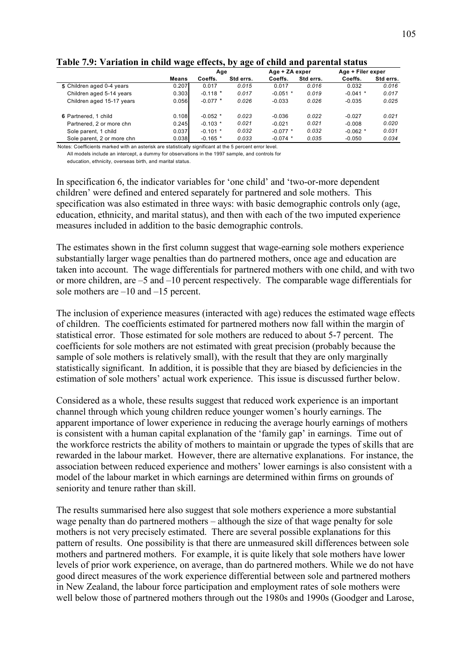|                            |              | -- ⊷<br>Age |           | Age + ZA exper |           | Age + Filer exper |           |
|----------------------------|--------------|-------------|-----------|----------------|-----------|-------------------|-----------|
|                            | <b>Means</b> | Coeffs.     | Std errs. | Coeffs.        | Std errs. | Coeffs.           | Std errs. |
| 5 Children aged 0-4 years  | 0.207        | 0.017       | 0.015     | 0.017          | 0.016     | 0.032             | 0.016     |
| Children aged 5-14 years   | 0.303        | $-0.118$ *  | 0.017     | $-0.051$ *     | 0.019     | $-0.041$ *        | 0.017     |
| Children aged 15-17 years  | 0.056        | $-0.077$ *  | 0.026     | $-0.033$       | 0.026     | $-0.035$          | 0.025     |
| 6 Partnered, 1 child       | 0.108        | $-0.052$ *  | 0.023     | $-0.036$       | 0.022     | $-0.027$          | 0.021     |
| Partnered, 2 or more chn   | 0.245        | $-0.103$ *  | 0.021     | $-0.021$       | 0.021     | $-0.008$          | 0.020     |
| Sole parent, 1 child       | 0.037        | $-0.101$ *  | 0.032     | $-0.077$ *     | 0.032     | $-0.062$ *        | 0.031     |
| Sole parent, 2 or more chn | 0.038        | $-0.165$ *  | 0.033     | $-0.074$ *     | 0.035     | $-0.050$          | 0.034     |

#### **Table 7.9: Variation in child wage effects, by age of child and parental status**

Notes: Coefficients marked with an asterisk are statistically significant at the 5 percent error level.

All models include an intercept, a dummy for observations in the 1997 sample, and controls for education, ethnicity, overseas birth, and marital status.

In specification 6, the indicator variables for 'one child' and 'two-or-more dependent children' were defined and entered separately for partnered and sole mothers. This specification was also estimated in three ways: with basic demographic controls only (age, education, ethnicity, and marital status), and then with each of the two imputed experience measures included in addition to the basic demographic controls.

The estimates shown in the first column suggest that wage-earning sole mothers experience substantially larger wage penalties than do partnered mothers, once age and education are taken into account. The wage differentials for partnered mothers with one child, and with two or more children, are  $-5$  and  $-10$  percent respectively. The comparable wage differentials for sole mothers are  $-10$  and  $-15$  percent.

The inclusion of experience measures (interacted with age) reduces the estimated wage effects of children. The coefficients estimated for partnered mothers now fall within the margin of statistical error. Those estimated for sole mothers are reduced to about 5-7 percent. The coefficients for sole mothers are not estimated with great precision (probably because the sample of sole mothers is relatively small), with the result that they are only marginally statistically significant. In addition, it is possible that they are biased by deficiencies in the estimation of sole mothers' actual work experience. This issue is discussed further below.

Considered as a whole, these results suggest that reduced work experience is an important channel through which young children reduce younger women's hourly earnings. The apparent importance of lower experience in reducing the average hourly earnings of mothers is consistent with a human capital explanation of the 'family gap' in earnings. Time out of the workforce restricts the ability of mothers to maintain or upgrade the types of skills that are rewarded in the labour market. However, there are alternative explanations. For instance, the association between reduced experience and mothers' lower earnings is also consistent with a model of the labour market in which earnings are determined within firms on grounds of seniority and tenure rather than skill.

The results summarised here also suggest that sole mothers experience a more substantial wage penalty than do partnered mothers – although the size of that wage penalty for sole mothers is not very precisely estimated. There are several possible explanations for this pattern of results. One possibility is that there are unmeasured skill differences between sole mothers and partnered mothers. For example, it is quite likely that sole mothers have lower levels of prior work experience, on average, than do partnered mothers. While we do not have good direct measures of the work experience differential between sole and partnered mothers in New Zealand, the labour force participation and employment rates of sole mothers were well below those of partnered mothers through out the 1980s and 1990s (Goodger and Larose,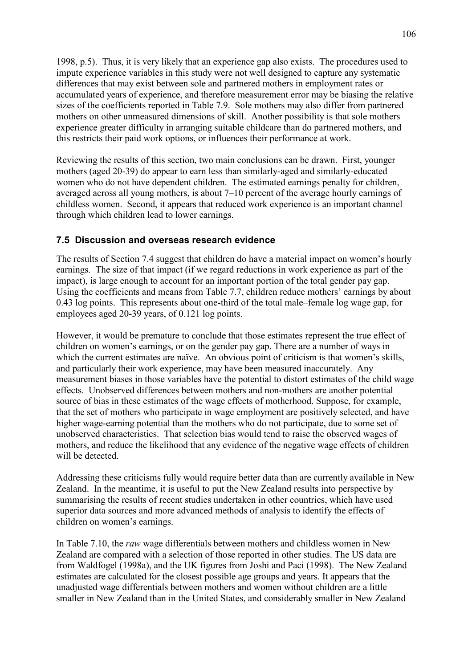1998, p.5). Thus, it is very likely that an experience gap also exists. The procedures used to impute experience variables in this study were not well designed to capture any systematic differences that may exist between sole and partnered mothers in employment rates or accumulated years of experience, and therefore measurement error may be biasing the relative sizes of the coefficients reported in Table 7.9. Sole mothers may also differ from partnered mothers on other unmeasured dimensions of skill. Another possibility is that sole mothers experience greater difficulty in arranging suitable childcare than do partnered mothers, and this restricts their paid work options, or influences their performance at work.

Reviewing the results of this section, two main conclusions can be drawn. First, younger mothers (aged 20-39) do appear to earn less than similarly-aged and similarly-educated women who do not have dependent children. The estimated earnings penalty for children, averaged across all young mothers, is about  $7-10$  percent of the average hourly earnings of childless women. Second, it appears that reduced work experience is an important channel through which children lead to lower earnings.

# **7.5 Discussion and overseas research evidence**

The results of Section 7.4 suggest that children do have a material impact on women's hourly earnings. The size of that impact (if we regard reductions in work experience as part of the impact), is large enough to account for an important portion of the total gender pay gap. Using the coefficients and means from Table 7.7, children reduce mothers' earnings by about  $0.43$  log points. This represents about one-third of the total male-female log wage gap, for employees aged 20-39 years, of 0.121 log points.

However, it would be premature to conclude that those estimates represent the true effect of children on women's earnings, or on the gender pay gap. There are a number of ways in which the current estimates are naïve. An obvious point of criticism is that women's skills, and particularly their work experience, may have been measured inaccurately. Any measurement biases in those variables have the potential to distort estimates of the child wage effects. Unobserved differences between mothers and non-mothers are another potential source of bias in these estimates of the wage effects of motherhood. Suppose, for example, that the set of mothers who participate in wage employment are positively selected, and have higher wage-earning potential than the mothers who do not participate, due to some set of unobserved characteristics. That selection bias would tend to raise the observed wages of mothers, and reduce the likelihood that any evidence of the negative wage effects of children will be detected.

Addressing these criticisms fully would require better data than are currently available in New Zealand. In the meantime, it is useful to put the New Zealand results into perspective by summarising the results of recent studies undertaken in other countries, which have used superior data sources and more advanced methods of analysis to identify the effects of children on women's earnings.

In Table 7.10, the *raw* wage differentials between mothers and childless women in New Zealand are compared with a selection of those reported in other studies. The US data are from Waldfogel (1998a), and the UK figures from Joshi and Paci (1998). The New Zealand estimates are calculated for the closest possible age groups and years. It appears that the unadjusted wage differentials between mothers and women without children are a little smaller in New Zealand than in the United States, and considerably smaller in New Zealand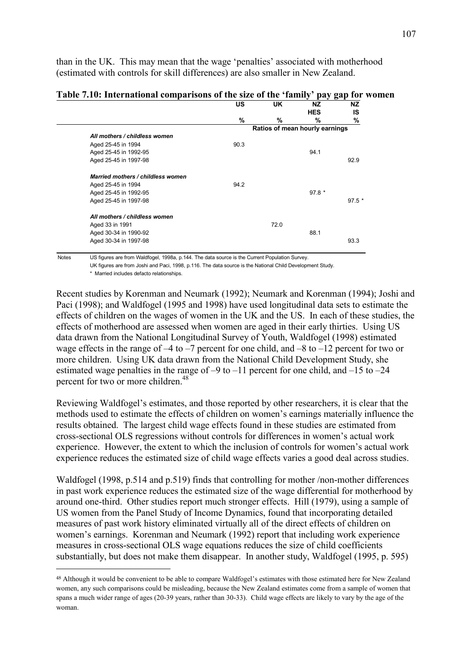than in the UK. This may mean that the wage 'penalties' associated with motherhood (estimated with controls for skill differences) are also smaller in New Zealand.

| Table 7.10: International comparisons of the size of the 'family' pay gap for women |  |  |
|-------------------------------------------------------------------------------------|--|--|
|-------------------------------------------------------------------------------------|--|--|

|                                   | US   | UK                             | NZ.        | <b>NZ</b> |  |
|-----------------------------------|------|--------------------------------|------------|-----------|--|
|                                   |      |                                | <b>HES</b> | IS        |  |
|                                   | %    | %                              | %          | %         |  |
|                                   |      | Ratios of mean hourly earnings |            |           |  |
| All mothers / childless women     |      |                                |            |           |  |
| Aged 25-45 in 1994                | 90.3 |                                |            |           |  |
| Aged 25-45 in 1992-95             |      |                                | 94.1       |           |  |
| Aged 25-45 in 1997-98             |      |                                |            | 92.9      |  |
| Married mothers / childless women |      |                                |            |           |  |
| Aged 25-45 in 1994                | 94.2 |                                |            |           |  |
| Aged 25-45 in 1992-95             |      |                                | $97.8*$    |           |  |
| Aged 25-45 in 1997-98             |      |                                |            | $97.5*$   |  |
| All mothers / childless women     |      |                                |            |           |  |
| Aged 33 in 1991                   |      | 72.0                           |            |           |  |
| Aged 30-34 in 1990-92             |      |                                | 88.1       |           |  |
| Aged 30-34 in 1997-98             |      |                                |            | 93.3      |  |
|                                   |      |                                |            |           |  |

Notes US figures are from Waldfogel, 1998a, p.144. The data source is the Current Population Survey.

UK figures are from Joshi and Paci, 1998, p.116. The data source is the National Child Development Study.

 $\overline{a}$ 

Recent studies by Korenman and Neumark (1992); Neumark and Korenman (1994); Joshi and Paci (1998); and Waldfogel (1995 and 1998) have used longitudinal data sets to estimate the effects of children on the wages of women in the UK and the US. In each of these studies, the effects of motherhood are assessed when women are aged in their early thirties. Using US data drawn from the National Longitudinal Survey of Youth, Waldfogel (1998) estimated wage effects in the range of  $-4$  to  $-7$  percent for one child, and  $-8$  to  $-12$  percent for two or more children. Using UK data drawn from the National Child Development Study, she estimated wage penalties in the range of  $-9$  to  $-11$  percent for one child, and  $-15$  to  $-24$ percent for two or more children.<sup>48</sup>

Reviewing Waldfogel's estimates, and those reported by other researchers, it is clear that the methods used to estimate the effects of children on women's earnings materially influence the results obtained. The largest child wage effects found in these studies are estimated from cross-sectional OLS regressions without controls for differences in women's actual work experience. However, the extent to which the inclusion of controls for women's actual work experience reduces the estimated size of child wage effects varies a good deal across studies.

Waldfogel (1998, p.514 and p.519) finds that controlling for mother /non-mother differences in past work experience reduces the estimated size of the wage differential for motherhood by around one-third. Other studies report much stronger effects. Hill (1979), using a sample of US women from the Panel Study of Income Dynamics, found that incorporating detailed measures of past work history eliminated virtually all of the direct effects of children on women's earnings. Korenman and Neumark (1992) report that including work experience measures in cross-sectional OLS wage equations reduces the size of child coefficients substantially, but does not make them disappear. In another study, Waldfogel (1995, p. 595)

<sup>\*</sup> Married includes defacto relationships.

<sup>48</sup> Although it would be convenient to be able to compare Waldfogel's estimates with those estimated here for New Zealand women, any such comparisons could be misleading, because the New Zealand estimates come from a sample of women that spans a much wider range of ages (20-39 years, rather than 30-33). Child wage effects are likely to vary by the age of the woman.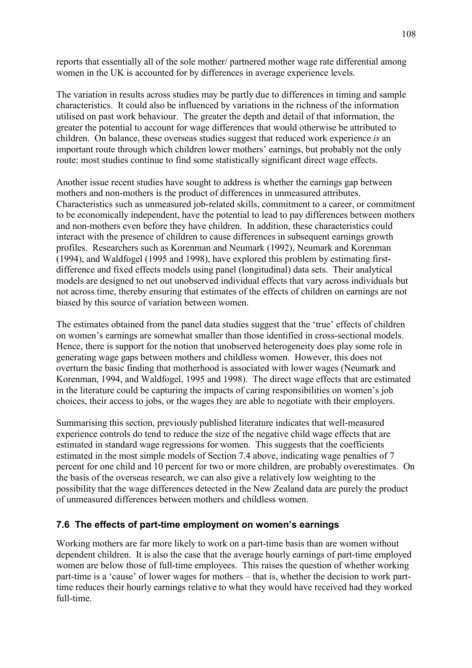reports that essentially all of the sole mother/ partnered mother wage rate differential among women in the UK is accounted for by differences in average experience levels.

The variation in results across studies may be partly due to differences in timing and sample characteristics. It could also be influenced by variations in the richness of the information utilised on past work behaviour. The greater the depth and detail of that information, the greater the potential to account for wage differences that would otherwise be attributed to children. On balance, these overseas studies suggest that reduced work experience *is* an important route through which children lower mothers' earnings, but probably not the only route: most studies continue to find some statistically significant direct wage effects.

Another issue recent studies have sought to address is whether the earnings gap between mothers and non-mothers is the product of differences in unmeasured attributes. Characteristics such as unmeasured job-related skills, commitment to a career, or commitment to be economically independent, have the potential to lead to pay differences between mothers and non-mothers even before they have children. In addition, these characteristics could interact with the presence of children to cause differences in subsequent earnings growth profiles. Researchers such as Korenman and Neumark (1992), Neumark and Korenman (1994), and Waldfogel (1995 and 1998), have explored this problem by estimating firstdifference and fixed effects models using panel (longitudinal) data sets. Their analytical models are designed to net out unobserved individual effects that vary across individuals but not across time, thereby ensuring that estimates of the effects of children on earnings are not biased by this source of variation between women.

The estimates obtained from the panel data studies suggest that the 'true' effects of children on women's earnings are somewhat smaller than those identified in cross-sectional models. Hence, there is support for the notion that unobserved heterogeneity does play some role in generating wage gaps between mothers and childless women. However, this does not overturn the basic finding that motherhood is associated with lower wages (Neumark and Korenman, 1994, and Waldfogel, 1995 and 1998). The direct wage effects that are estimated in the literature could be capturing the impacts of caring responsibilities on women's job choices, their access to jobs, or the wages they are able to negotiate with their employers.

Summarising this section, previously published literature indicates that well-measured experience controls do tend to reduce the size of the negative child wage effects that are estimated in standard wage regressions for women. This suggests that the coefficients estimated in the most simple models of Section 7.4 above, indicating wage penalties of 7 percent for one child and 10 percent for two or more children, are probably overestimates. On the basis of the overseas research, we can also give a relatively low weighting to the possibility that the wage differences detected in the New Zealand data are purely the product of unmeasured differences between mothers and childless women.

### **7.6 The effects of part-time employment on womenís earnings**

Working mothers are far more likely to work on a part-time basis than are women without dependent children. It is also the case that the average hourly earnings of part-time employed women are below those of full-time employees. This raises the question of whether working part-time is a 'cause' of lower wages for mothers – that is, whether the decision to work parttime reduces their hourly earnings relative to what they would have received had they worked full-time.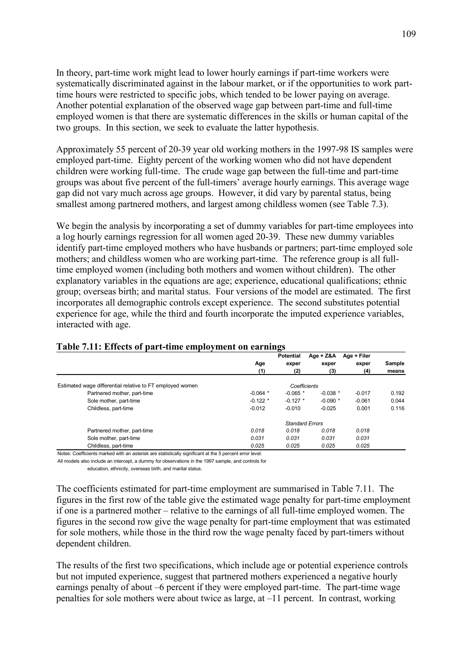In theory, part-time work might lead to lower hourly earnings if part-time workers were systematically discriminated against in the labour market, or if the opportunities to work parttime hours were restricted to specific jobs, which tended to be lower paying on average. Another potential explanation of the observed wage gap between part-time and full-time employed women is that there are systematic differences in the skills or human capital of the two groups. In this section, we seek to evaluate the latter hypothesis.

Approximately 55 percent of 20-39 year old working mothers in the 1997-98 IS samples were employed part-time. Eighty percent of the working women who did not have dependent children were working full-time. The crude wage gap between the full-time and part-time groups was about five percent of the full-timers' average hourly earnings. This average wage gap did not vary much across age groups. However, it did vary by parental status, being smallest among partnered mothers, and largest among childless women (see Table 7.3).

We begin the analysis by incorporating a set of dummy variables for part-time employees into a log hourly earnings regression for all women aged 20-39. These new dummy variables identify part-time employed mothers who have husbands or partners; part-time employed sole mothers; and childless women who are working part-time. The reference group is all fulltime employed women (including both mothers and women without children). The other explanatory variables in the equations are age; experience, educational qualifications; ethnic group; overseas birth; and marital status. Four versions of the model are estimated. The first incorporates all demographic controls except experience. The second substitutes potential experience for age, while the third and fourth incorporate the imputed experience variables, interacted with age.

|                                                           |            | <b>Potential</b>       | Age + Z&A  | Age + Filer |        |
|-----------------------------------------------------------|------------|------------------------|------------|-------------|--------|
|                                                           | Age        | exper                  | exper      | exper       | Sample |
|                                                           | (1)        | (2)                    | (3)        | (4)         | means  |
| Estimated wage differential relative to FT employed women |            | Coefficients           |            |             |        |
| Partnered mother, part-time                               | $-0.064$ * | $-0.065$ *             | $-0.038$ * | $-0.017$    | 0.192  |
| Sole mother, part-time                                    | $-0.122$ * | $-0.127$ *             | $-0.090$ * | $-0.061$    | 0.044  |
| Childless, part-time                                      | $-0.012$   | $-0.010$               | $-0.025$   | 0.001       | 0.116  |
|                                                           |            | <b>Standard Errors</b> |            |             |        |
| Partnered mother, part-time                               | 0.018      | 0.018                  | 0.018      | 0.018       |        |
| Sole mother, part-time                                    | 0.031      | 0.031                  | 0.031      | 0.031       |        |
| Childless, part-time                                      | 0.025      | 0.025                  | 0.025      | 0.025       |        |

#### **Table 7.11: Effects of part-time employment on earnings**

Notes: Coefficients marked with an asterisk are statistically significant at the 5 percent error level.

All models also include an intercept, a dummy for observations in the 1997 sample, and controls for

education, ethnicity, overseas birth, and marital status.

The coefficients estimated for part-time employment are summarised in Table 7.11. The figures in the first row of the table give the estimated wage penalty for part-time employment if one is a partnered mother – relative to the earnings of all full-time employed women. The figures in the second row give the wage penalty for part-time employment that was estimated for sole mothers, while those in the third row the wage penalty faced by part-timers without dependent children.

The results of the first two specifications, which include age or potential experience controls but not imputed experience, suggest that partnered mothers experienced a negative hourly earnings penalty of about –6 percent if they were employed part-time. The part-time wage penalties for sole mothers were about twice as large, at  $-11$  percent. In contrast, working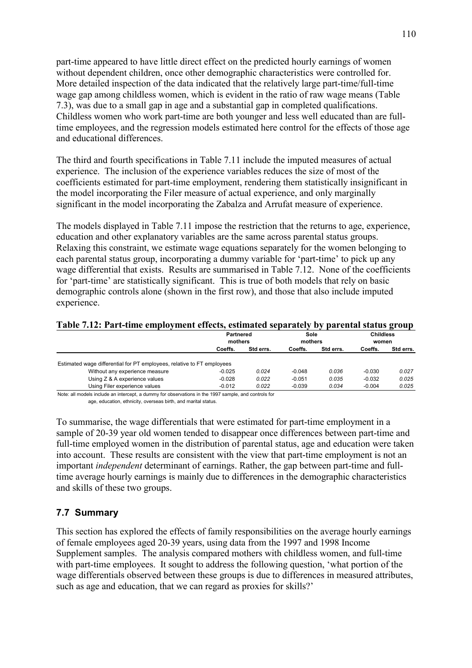part-time appeared to have little direct effect on the predicted hourly earnings of women without dependent children, once other demographic characteristics were controlled for. More detailed inspection of the data indicated that the relatively large part-time/full-time wage gap among childless women, which is evident in the ratio of raw wage means (Table 7.3), was due to a small gap in age and a substantial gap in completed qualifications. Childless women who work part-time are both younger and less well educated than are fulltime employees, and the regression models estimated here control for the effects of those age and educational differences.

The third and fourth specifications in Table 7.11 include the imputed measures of actual experience. The inclusion of the experience variables reduces the size of most of the coefficients estimated for part-time employment, rendering them statistically insignificant in the model incorporating the Filer measure of actual experience, and only marginally significant in the model incorporating the Zabalza and Arrufat measure of experience.

The models displayed in Table 7.11 impose the restriction that the returns to age, experience, education and other explanatory variables are the same across parental status groups. Relaxing this constraint, we estimate wage equations separately for the women belonging to each parental status group, incorporating a dummy variable for 'part-time' to pick up any wage differential that exists. Results are summarised in Table 7.12. None of the coefficients for 'part-time' are statistically significant. This is true of both models that rely on basic demographic controls alone (shown in the first row), and those that also include imputed experience.

| Table 7.12: Part-time employment effects, estimated separately by parental status group |  |  |
|-----------------------------------------------------------------------------------------|--|--|
|-----------------------------------------------------------------------------------------|--|--|

|                                                                        | <b>Partnered</b><br>mothers |           | Sole<br>mothers |           | <b>Childless</b><br>women |           |
|------------------------------------------------------------------------|-----------------------------|-----------|-----------------|-----------|---------------------------|-----------|
|                                                                        | Coeffs.                     | Std errs. | Coeffs.         | Std errs. | Coeffs.                   | Std errs. |
| Estimated wage differential for PT employees, relative to FT employees |                             |           |                 |           |                           |           |
| Without any experience measure                                         | $-0.025$                    | 0.024     | $-0.048$        | 0.036     | $-0.030$                  | 0.027     |
| Using Z & A experience values                                          | $-0.028$                    | 0.022     | $-0.051$        | 0.035     | $-0.032$                  | 0.025     |
| Using Filer experience values                                          | $-0.012$                    | 0.022     | $-0.039$        | 0.034     | $-0.004$                  | 0.025     |

Note: all models include an intercept, a dummy for observations in the 1997 sample, and controls for age, education, ethnicity, overseas birth, and marital status.

To summarise, the wage differentials that were estimated for part-time employment in a sample of 20-39 year old women tended to disappear once differences between part-time and full-time employed women in the distribution of parental status, age and education were taken into account. These results are consistent with the view that part-time employment is not an important *independent* determinant of earnings. Rather, the gap between part-time and fulltime average hourly earnings is mainly due to differences in the demographic characteristics and skills of these two groups.

### **7.7 Summary**

This section has explored the effects of family responsibilities on the average hourly earnings of female employees aged 20-39 years, using data from the 1997 and 1998 Income Supplement samples. The analysis compared mothers with childless women, and full-time with part-time employees. It sought to address the following question, 'what portion of the wage differentials observed between these groups is due to differences in measured attributes, such as age and education, that we can regard as proxies for skills?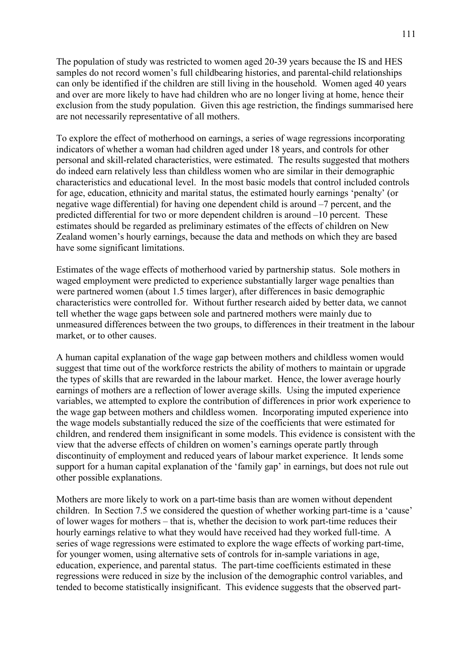The population of study was restricted to women aged 20-39 years because the IS and HES samples do not record women's full childbearing histories, and parental-child relationships can only be identified if the children are still living in the household. Women aged 40 years and over are more likely to have had children who are no longer living at home, hence their exclusion from the study population. Given this age restriction, the findings summarised here are not necessarily representative of all mothers.

To explore the effect of motherhood on earnings, a series of wage regressions incorporating indicators of whether a woman had children aged under 18 years, and controls for other personal and skill-related characteristics, were estimated. The results suggested that mothers do indeed earn relatively less than childless women who are similar in their demographic characteristics and educational level. In the most basic models that control included controls for age, education, ethnicity and marital status, the estimated hourly earnings 'penalty' (or negative wage differential) for having one dependent child is around  $-7$  percent, and the predicted differential for two or more dependent children is around  $-10$  percent. These estimates should be regarded as preliminary estimates of the effects of children on New Zealand women's hourly earnings, because the data and methods on which they are based have some significant limitations.

Estimates of the wage effects of motherhood varied by partnership status. Sole mothers in waged employment were predicted to experience substantially larger wage penalties than were partnered women (about 1.5 times larger), after differences in basic demographic characteristics were controlled for. Without further research aided by better data, we cannot tell whether the wage gaps between sole and partnered mothers were mainly due to unmeasured differences between the two groups, to differences in their treatment in the labour market, or to other causes.

A human capital explanation of the wage gap between mothers and childless women would suggest that time out of the workforce restricts the ability of mothers to maintain or upgrade the types of skills that are rewarded in the labour market. Hence, the lower average hourly earnings of mothers are a reflection of lower average skills. Using the imputed experience variables, we attempted to explore the contribution of differences in prior work experience to the wage gap between mothers and childless women. Incorporating imputed experience into the wage models substantially reduced the size of the coefficients that were estimated for children, and rendered them insignificant in some models. This evidence is consistent with the view that the adverse effects of children on womenís earnings operate partly through discontinuity of employment and reduced years of labour market experience. It lends some support for a human capital explanation of the 'family gap' in earnings, but does not rule out other possible explanations.

Mothers are more likely to work on a part-time basis than are women without dependent children. In Section 7.5 we considered the question of whether working part-time is a 'cause' of lower wages for mothers – that is, whether the decision to work part-time reduces their hourly earnings relative to what they would have received had they worked full-time. A series of wage regressions were estimated to explore the wage effects of working part-time, for younger women, using alternative sets of controls for in-sample variations in age, education, experience, and parental status. The part-time coefficients estimated in these regressions were reduced in size by the inclusion of the demographic control variables, and tended to become statistically insignificant. This evidence suggests that the observed part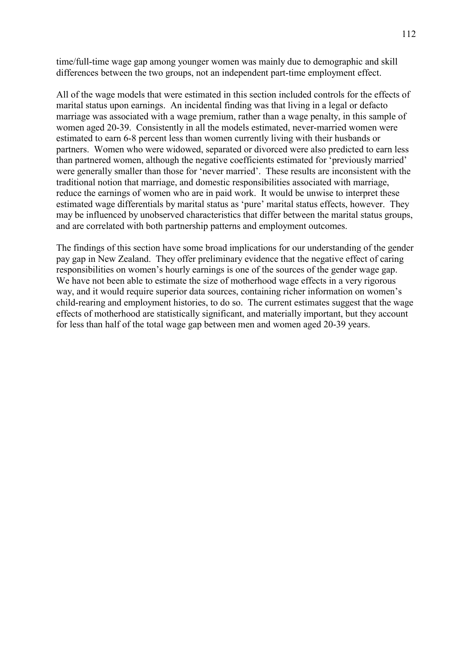time/full-time wage gap among younger women was mainly due to demographic and skill differences between the two groups, not an independent part-time employment effect.

All of the wage models that were estimated in this section included controls for the effects of marital status upon earnings. An incidental finding was that living in a legal or defacto marriage was associated with a wage premium, rather than a wage penalty, in this sample of women aged 20-39. Consistently in all the models estimated, never-married women were estimated to earn 6-8 percent less than women currently living with their husbands or partners. Women who were widowed, separated or divorced were also predicted to earn less than partnered women, although the negative coefficients estimated for 'previously married' were generally smaller than those for 'never married'. These results are inconsistent with the traditional notion that marriage, and domestic responsibilities associated with marriage, reduce the earnings of women who are in paid work. It would be unwise to interpret these estimated wage differentials by marital status as 'pure' marital status effects, however. They may be influenced by unobserved characteristics that differ between the marital status groups, and are correlated with both partnership patterns and employment outcomes.

The findings of this section have some broad implications for our understanding of the gender pay gap in New Zealand. They offer preliminary evidence that the negative effect of caring responsibilities on women's hourly earnings is one of the sources of the gender wage gap. We have not been able to estimate the size of motherhood wage effects in a very rigorous way, and it would require superior data sources, containing richer information on women's child-rearing and employment histories, to do so. The current estimates suggest that the wage effects of motherhood are statistically significant, and materially important, but they account for less than half of the total wage gap between men and women aged 20-39 years.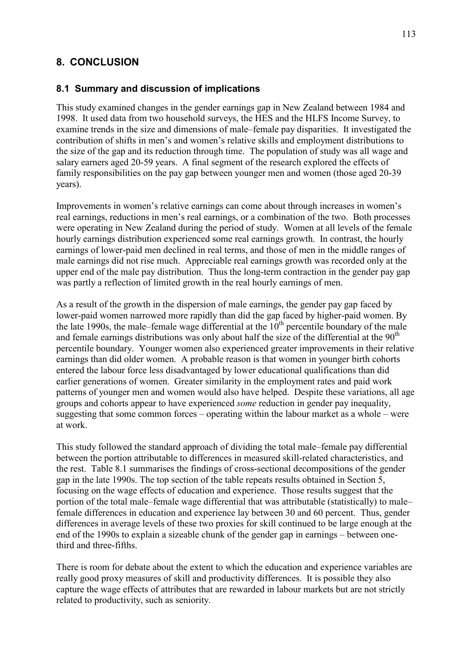## **8. CONCLUSION**

#### **8.1 Summary and discussion of implications**

This study examined changes in the gender earnings gap in New Zealand between 1984 and 1998. It used data from two household surveys, the HES and the HLFS Income Survey, to examine trends in the size and dimensions of male–female pay disparities. It investigated the contribution of shifts in men's and women's relative skills and employment distributions to the size of the gap and its reduction through time. The population of study was all wage and salary earners aged 20-59 years. A final segment of the research explored the effects of family responsibilities on the pay gap between younger men and women (those aged 20-39 years).

Improvements in women's relative earnings can come about through increases in women's real earnings, reductions in men's real earnings, or a combination of the two. Both processes were operating in New Zealand during the period of study. Women at all levels of the female hourly earnings distribution experienced some real earnings growth. In contrast, the hourly earnings of lower-paid men declined in real terms, and those of men in the middle ranges of male earnings did not rise much. Appreciable real earnings growth was recorded only at the upper end of the male pay distribution. Thus the long-term contraction in the gender pay gap was partly a reflection of limited growth in the real hourly earnings of men.

As a result of the growth in the dispersion of male earnings, the gender pay gap faced by lower-paid women narrowed more rapidly than did the gap faced by higher-paid women. By the late 1990s, the male–female wage differential at the  $10<sup>th</sup>$  percentile boundary of the male and female earnings distributions was only about half the size of the differential at the  $90<sup>th</sup>$ percentile boundary. Younger women also experienced greater improvements in their relative earnings than did older women. A probable reason is that women in younger birth cohorts entered the labour force less disadvantaged by lower educational qualifications than did earlier generations of women. Greater similarity in the employment rates and paid work patterns of younger men and women would also have helped. Despite these variations, all age groups and cohorts appear to have experienced *some* reduction in gender pay inequality, suggesting that some common forces  $-\theta$  operating within the labour market as a whole  $-\theta$  were at work.

This study followed the standard approach of dividing the total male–female pay differential between the portion attributable to differences in measured skill-related characteristics, and the rest. Table 8.1 summarises the findings of cross-sectional decompositions of the gender gap in the late 1990s. The top section of the table repeats results obtained in Section 5, focusing on the wage effects of education and experience. Those results suggest that the portion of the total male–female wage differential that was attributable (statistically) to male– female differences in education and experience lay between 30 and 60 percent. Thus, gender differences in average levels of these two proxies for skill continued to be large enough at the end of the 1990s to explain a sizeable chunk of the gender gap in earnings  $-$  between onethird and three-fifths.

There is room for debate about the extent to which the education and experience variables are really good proxy measures of skill and productivity differences. It is possible they also capture the wage effects of attributes that are rewarded in labour markets but are not strictly related to productivity, such as seniority.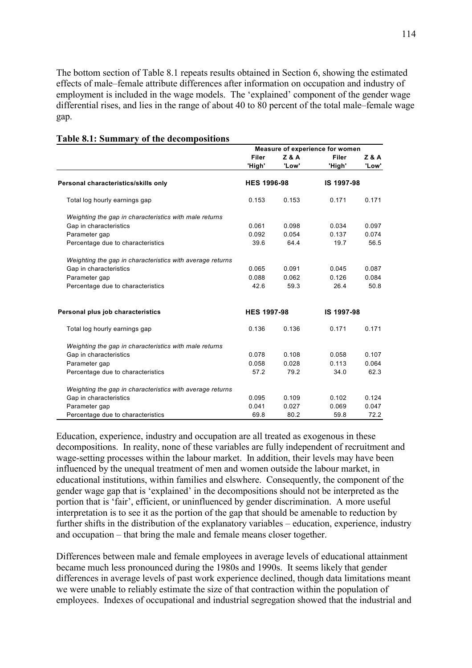The bottom section of Table 8.1 repeats results obtained in Section 6, showing the estimated effects of male–female attribute differences after information on occupation and industry of employment is included in the wage models. The 'explained' component of the gender wage differential rises, and lies in the range of about 40 to 80 percent of the total male–female wage gap.

|                                                           | Measure of experience for women |                |            |                |
|-----------------------------------------------------------|---------------------------------|----------------|------------|----------------|
|                                                           | Filer                           | <b>Z&amp;A</b> | Filer      | <b>Z&amp;A</b> |
|                                                           | 'High'                          | 'Low'          | 'High'     | 'Low'          |
| Personal characteristics/skills only                      | <b>HES 1996-98</b>              |                | IS 1997-98 |                |
| Total log hourly earnings gap                             | 0.153                           | 0.153          | 0.171      | 0.171          |
| Weighting the gap in characteristics with male returns    |                                 |                |            |                |
| Gap in characteristics                                    | 0.061                           | 0.098          | 0.034      | 0.097          |
| Parameter gap                                             | 0.092                           | 0.054          | 0.137      | 0.074          |
| Percentage due to characteristics                         | 39.6                            | 64.4           | 19.7       | 56.5           |
| Weighting the gap in characteristics with average returns |                                 |                |            |                |
| Gap in characteristics                                    | 0.065                           | 0.091          | 0.045      | 0.087          |
| Parameter gap                                             | 0.088                           | 0.062          | 0.126      | 0.084          |
| Percentage due to characteristics                         | 42.6                            | 59.3           | 26.4       | 50.8           |
| Personal plus job characteristics                         | <b>HES 1997-98</b>              |                | IS 1997-98 |                |
| Total log hourly earnings gap                             | 0.136                           | 0.136          | 0.171      | 0.171          |
| Weighting the gap in characteristics with male returns    |                                 |                |            |                |
| Gap in characteristics                                    | 0.078                           | 0.108          | 0.058      | 0.107          |
| Parameter gap                                             | 0.058                           | 0.028          | 0.113      | 0.064          |
| Percentage due to characteristics                         | 57.2                            | 79.2           | 34.0       | 62.3           |
| Weighting the gap in characteristics with average returns |                                 |                |            |                |
| Gap in characteristics                                    | 0.095                           | 0.109          | 0.102      | 0.124          |
| Parameter gap                                             | 0.041                           | 0.027          | 0.069      | 0.047          |
| Percentage due to characteristics                         | 69.8                            | 80.2           | 59.8       | 72.2           |

#### **Table 8.1: Summary of the decompositions**

Education, experience, industry and occupation are all treated as exogenous in these decompositions. In reality, none of these variables are fully independent of recruitment and wage-setting processes within the labour market. In addition, their levels may have been influenced by the unequal treatment of men and women outside the labour market, in educational institutions, within families and elswhere. Consequently, the component of the gender wage gap that is 'explained' in the decompositions should not be interpreted as the portion that is 'fair', efficient, or uninfluenced by gender discrimination. A more useful interpretation is to see it as the portion of the gap that should be amenable to reduction by further shifts in the distribution of the explanatory variables – education, experience, industry and occupation – that bring the male and female means closer together.

Differences between male and female employees in average levels of educational attainment became much less pronounced during the 1980s and 1990s. It seems likely that gender differences in average levels of past work experience declined, though data limitations meant we were unable to reliably estimate the size of that contraction within the population of employees. Indexes of occupational and industrial segregation showed that the industrial and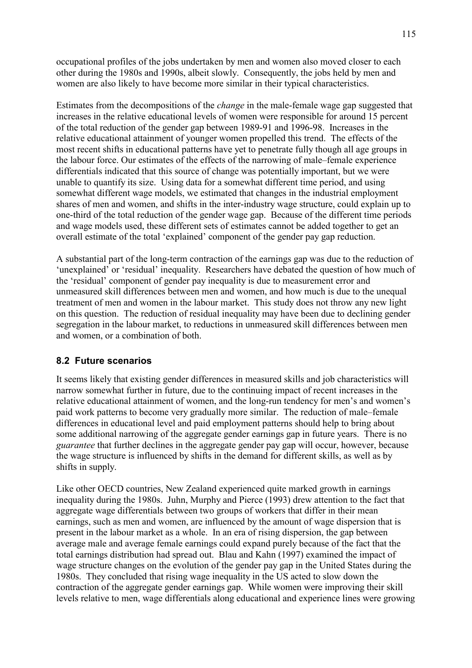occupational profiles of the jobs undertaken by men and women also moved closer to each other during the 1980s and 1990s, albeit slowly. Consequently, the jobs held by men and women are also likely to have become more similar in their typical characteristics.

Estimates from the decompositions of the *change* in the male-female wage gap suggested that increases in the relative educational levels of women were responsible for around 15 percent of the total reduction of the gender gap between 1989-91 and 1996-98. Increases in the relative educational attainment of younger women propelled this trend. The effects of the most recent shifts in educational patterns have yet to penetrate fully though all age groups in the labour force. Our estimates of the effects of the narrowing of male–female experience differentials indicated that this source of change was potentially important, but we were unable to quantify its size. Using data for a somewhat different time period, and using somewhat different wage models, we estimated that changes in the industrial employment shares of men and women, and shifts in the inter-industry wage structure, could explain up to one-third of the total reduction of the gender wage gap. Because of the different time periods and wage models used, these different sets of estimates cannot be added together to get an overall estimate of the total 'explained' component of the gender pay gap reduction.

A substantial part of the long-term contraction of the earnings gap was due to the reduction of 'unexplained' or 'residual' inequality. Researchers have debated the question of how much of the 'residual' component of gender pay inequality is due to measurement error and unmeasured skill differences between men and women, and how much is due to the unequal treatment of men and women in the labour market. This study does not throw any new light on this question. The reduction of residual inequality may have been due to declining gender segregation in the labour market, to reductions in unmeasured skill differences between men and women, or a combination of both.

#### **8.2 Future scenarios**

It seems likely that existing gender differences in measured skills and job characteristics will narrow somewhat further in future, due to the continuing impact of recent increases in the relative educational attainment of women, and the long-run tendency for men's and women's paid work patterns to become very gradually more similar. The reduction of male–female differences in educational level and paid employment patterns should help to bring about some additional narrowing of the aggregate gender earnings gap in future years. There is no *guarantee* that further declines in the aggregate gender pay gap will occur, however, because the wage structure is influenced by shifts in the demand for different skills, as well as by shifts in supply.

Like other OECD countries, New Zealand experienced quite marked growth in earnings inequality during the 1980s. Juhn, Murphy and Pierce (1993) drew attention to the fact that aggregate wage differentials between two groups of workers that differ in their mean earnings, such as men and women, are influenced by the amount of wage dispersion that is present in the labour market as a whole. In an era of rising dispersion, the gap between average male and average female earnings could expand purely because of the fact that the total earnings distribution had spread out. Blau and Kahn (1997) examined the impact of wage structure changes on the evolution of the gender pay gap in the United States during the 1980s. They concluded that rising wage inequality in the US acted to slow down the contraction of the aggregate gender earnings gap. While women were improving their skill levels relative to men, wage differentials along educational and experience lines were growing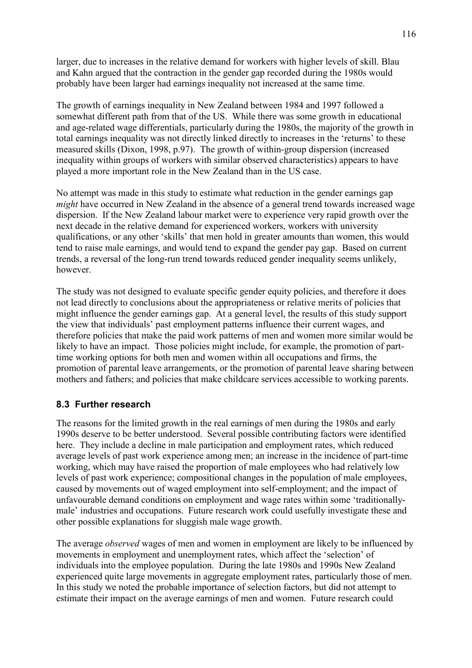larger, due to increases in the relative demand for workers with higher levels of skill. Blau and Kahn argued that the contraction in the gender gap recorded during the 1980s would probably have been larger had earnings inequality not increased at the same time.

The growth of earnings inequality in New Zealand between 1984 and 1997 followed a somewhat different path from that of the US. While there was some growth in educational and age-related wage differentials, particularly during the 1980s, the majority of the growth in total earnings inequality was not directly linked directly to increases in the 'returns' to these measured skills (Dixon, 1998, p.97). The growth of within-group dispersion (increased inequality within groups of workers with similar observed characteristics) appears to have played a more important role in the New Zealand than in the US case.

No attempt was made in this study to estimate what reduction in the gender earnings gap *might* have occurred in New Zealand in the absence of a general trend towards increased wage dispersion. If the New Zealand labour market were to experience very rapid growth over the next decade in the relative demand for experienced workers, workers with university qualifications, or any other 'skills' that men hold in greater amounts than women, this would tend to raise male earnings, and would tend to expand the gender pay gap. Based on current trends, a reversal of the long-run trend towards reduced gender inequality seems unlikely, however.

The study was not designed to evaluate specific gender equity policies, and therefore it does not lead directly to conclusions about the appropriateness or relative merits of policies that might influence the gender earnings gap. At a general level, the results of this study support the view that individuals' past employment patterns influence their current wages, and therefore policies that make the paid work patterns of men and women more similar would be likely to have an impact. Those policies might include, for example, the promotion of parttime working options for both men and women within all occupations and firms, the promotion of parental leave arrangements, or the promotion of parental leave sharing between mothers and fathers; and policies that make childcare services accessible to working parents.

#### **8.3 Further research**

The reasons for the limited growth in the real earnings of men during the 1980s and early 1990s deserve to be better understood. Several possible contributing factors were identified here. They include a decline in male participation and employment rates, which reduced average levels of past work experience among men; an increase in the incidence of part-time working, which may have raised the proportion of male employees who had relatively low levels of past work experience; compositional changes in the population of male employees, caused by movements out of waged employment into self-employment; and the impact of unfavourable demand conditions on employment and wage rates within some 'traditionallymale<sup> $\cdot$ </sup> industries and occupations. Future research work could usefully investigate these and other possible explanations for sluggish male wage growth.

The average *observed* wages of men and women in employment are likely to be influenced by movements in employment and unemployment rates, which affect the 'selection' of individuals into the employee population. During the late 1980s and 1990s New Zealand experienced quite large movements in aggregate employment rates, particularly those of men. In this study we noted the probable importance of selection factors, but did not attempt to estimate their impact on the average earnings of men and women. Future research could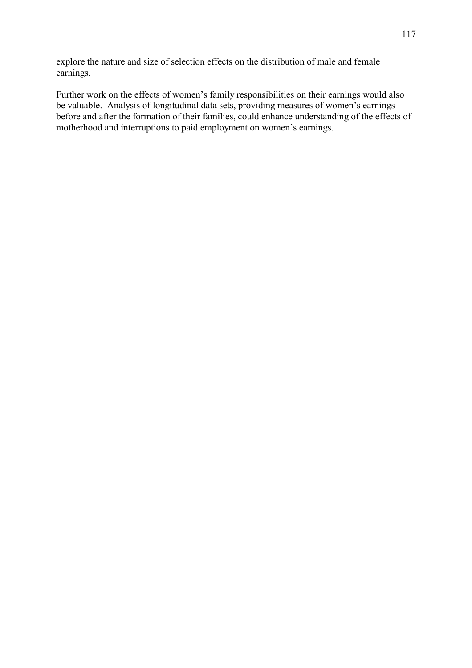explore the nature and size of selection effects on the distribution of male and female earnings.

Further work on the effects of women's family responsibilities on their earnings would also be valuable. Analysis of longitudinal data sets, providing measures of women's earnings before and after the formation of their families, could enhance understanding of the effects of motherhood and interruptions to paid employment on women's earnings.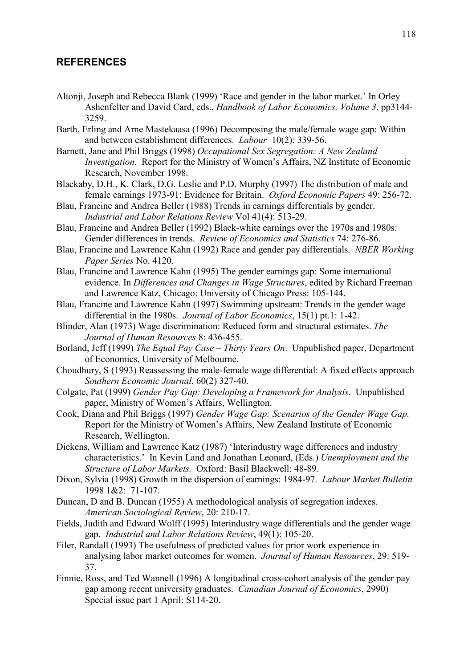#### **REFERENCES**

- Altonji, Joseph and Rebecca Blank (1999) 'Race and gender in the labor market.' In Orley Ashenfelter and David Card, eds., *Handbook of Labor Economics, Volume 3*, pp3144- 3259.
- Barth, Erling and Arne Mastekaasa (1996) Decomposing the male/female wage gap: Within and between establishment differences. *Labour* 10(2): 339-56.
- Barnett, Jane and Phil Briggs (1998) *Occupational Sex Segregation: A New Zealand Investigation.* Report for the Ministry of Women's Affairs, NZ Institute of Economic Research, November 1998.
- Blackaby, D.H., K. Clark, D.G. Leslie and P.D. Murphy (1997) The distribution of male and female earnings 1973-91: Evidence for Britain. *Oxford Economic Papers* 49: 256-72.
- Blau, Francine and Andrea Beller (1988) Trends in earnings differentials by gender. *Industrial and Labor Relations Review* Vol 41(4): 513-29.
- Blau, Francine and Andrea Beller (1992) Black-white earnings over the 1970s and 1980s: Gender differences in trends. *Review of Economics and Statistics* 74: 276-86.
- Blau, Francine and Lawrence Kahn (1992) Race and gender pay differentials. *NBER Working Paper Series* No. 4120.
- Blau, Francine and Lawrence Kahn (1995) The gender earnings gap: Some international evidence. In *Differences and Changes in Wage Structures*, edited by Richard Freeman and Lawrence Katz, Chicago: University of Chicago Press: 105-144.
- Blau, Francine and Lawrence Kahn (1997) Swimming upstream: Trends in the gender wage differential in the 1980s. *Journal of Labor Economics*, 15(1) pt.1: 1-42.
- Blinder, Alan (1973) Wage discrimination: Reduced form and structural estimates. *The Journal of Human Resources* 8: 436-455.
- Borland, Jeff (1999) *The Equal Pay Case Thirty Years On*. Unpublished paper, Department of Economics, University of Melbourne.
- Choudhury, S (1993) Reassessing the male-female wage differential: A fixed effects approach *Southern Economic Journal*, 60(2) 327-40.
- Colgate, Pat (1999) *Gender Pay Gap: Developing a Framework for Analysis*. Unpublished paper, Ministry of Women's Affairs, Wellington.
- Cook, Diana and Phil Briggs (1997) *Gender Wage Gap: Scenarios of the Gender Wage Gap.* Report for the Ministry of Women's Affairs, New Zealand Institute of Economic Research, Wellington.
- Dickens, William and Lawrence Katz (1987) 'Interindustry wage differences and industry characteristics.<sup>'</sup> In Kevin Land and Jonathan Leonard, (Eds.) *Unemployment and the Structure of Labor Markets.* Oxford: Basil Blackwell: 48-89.
- Dixon, Sylvia (1998) Growth in the dispersion of earnings: 1984-97. *Labour Market Bulletin*  1998 1&2: 71-107.
- Duncan, D and B. Duncan (1955) A methodological analysis of segregation indexes. *American Sociological Review*, 20: 210-17.
- Fields, Judith and Edward Wolff (1995) Interindustry wage differentials and the gender wage gap. *Industrial and Labor Relations Review*, 49(1): 105-20.
- Filer, Randall (1993) The usefulness of predicted values for prior work experience in analysing labor market outcomes for women. *Journal of Human Resources*, 29: 519- 37.
- Finnie, Ross, and Ted Wannell (1996) A longitudinal cross-cohort analysis of the gender pay gap among recent university graduates. *Canadian Journal of Economics*, 2990) Special issue part 1 April: S114-20.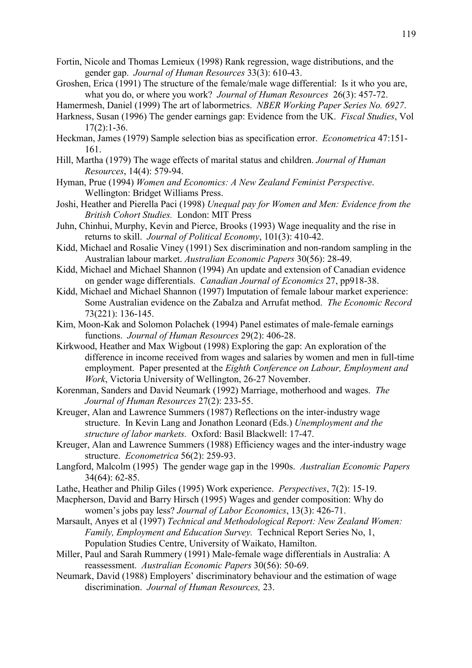- Fortin, Nicole and Thomas Lemieux (1998) Rank regression, wage distributions, and the gender gap. *Journal of Human Resources* 33(3): 610-43.
- Groshen, Erica (1991) The structure of the female/male wage differential: Is it who you are, what you do, or where you work? *Journal of Human Resources* 26(3): 457-72.
- Hamermesh, Daniel (1999) The art of labormetrics. *NBER Working Paper Series No. 6927*.
- Harkness, Susan (1996) The gender earnings gap: Evidence from the UK. *Fiscal Studies*, Vol  $17(2):1-36.$
- Heckman, James (1979) Sample selection bias as specification error. *Econometrica* 47:151- 161.
- Hill, Martha (1979) The wage effects of marital status and children. *Journal of Human Resources*, 14(4): 579-94.
- Hyman, Prue (1994) *Women and Economics: A New Zealand Feminist Perspective*. Wellington: Bridget Williams Press.
- Joshi, Heather and Pierella Paci (1998) *Unequal pay for Women and Men: Evidence from the British Cohort Studies.* London: MIT Press
- Juhn, Chinhui, Murphy, Kevin and Pierce, Brooks (1993) Wage inequality and the rise in returns to skill. *Journal of Political Economy*, 101(3): 410-42.
- Kidd, Michael and Rosalie Viney (1991) Sex discrimination and non-random sampling in the Australian labour market. *Australian Economic Papers* 30(56): 28-49.
- Kidd, Michael and Michael Shannon (1994) An update and extension of Canadian evidence on gender wage differentials. *Canadian Journal of Economics* 27, pp918-38.
- Kidd, Michael and Michael Shannon (1997) Imputation of female labour market experience: Some Australian evidence on the Zabalza and Arrufat method. *The Economic Record* 73(221): 136-145.
- Kim, Moon-Kak and Solomon Polachek (1994) Panel estimates of male-female earnings functions. *Journal of Human Resources* 29(2): 406-28.
- Kirkwood, Heather and Max Wigbout (1998) Exploring the gap: An exploration of the difference in income received from wages and salaries by women and men in full-time employment. Paper presented at the *Eighth Conference on Labour, Employment and Work*, Victoria University of Wellington, 26-27 November.
- Korenman, Sanders and David Neumark (1992) Marriage, motherhood and wages. *The Journal of Human Resources* 27(2): 233-55.
- Kreuger, Alan and Lawrence Summers (1987) Reflections on the inter-industry wage structure. In Kevin Lang and Jonathon Leonard (Eds.) *Unemployment and the structure of labor markets.* Oxford: Basil Blackwell: 17-47.
- Kreuger, Alan and Lawrence Summers (1988) Efficiency wages and the inter-industry wage structure. *Econometrica* 56(2): 259-93.
- Langford, Malcolm (1995) The gender wage gap in the 1990s. *Australian Economic Papers* 34(64): 62-85.
- Lathe, Heather and Philip Giles (1995) Work experience. *Perspectives*, 7(2): 15-19.
- Macpherson, David and Barry Hirsch (1995) Wages and gender composition: Why do womenís jobs pay less? *Journal of Labor Economics*, 13(3): 426-71.
- Marsault, Anyes et al (1997) *Technical and Methodological Report: New Zealand Women: Family, Employment and Education Survey.* Technical Report Series No, 1, Population Studies Centre, University of Waikato, Hamilton.
- Miller, Paul and Sarah Rummery (1991) Male-female wage differentials in Australia: A reassessment. *Australian Economic Papers* 30(56): 50-69.
- Neumark, David (1988) Employers' discriminatory behaviour and the estimation of wage discrimination. *Journal of Human Resources,* 23.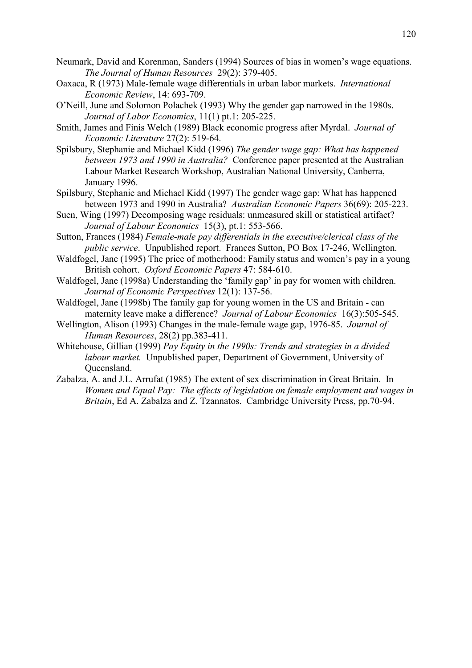- Neumark, David and Korenman, Sanders (1994) Sources of bias in women's wage equations. *The Journal of Human Resources* 29(2): 379-405.
- Oaxaca, R (1973) Male-female wage differentials in urban labor markets. *International Economic Review*, 14: 693-709.
- OíNeill, June and Solomon Polachek (1993) Why the gender gap narrowed in the 1980s. *Journal of Labor Economics*, 11(1) pt.1: 205-225.
- Smith, James and Finis Welch (1989) Black economic progress after Myrdal. *Journal of Economic Literature* 27(2): 519-64.
- Spilsbury, Stephanie and Michael Kidd (1996) *The gender wage gap: What has happened between 1973 and 1990 in Australia?* Conference paper presented at the Australian Labour Market Research Workshop, Australian National University, Canberra, January 1996.
- Spilsbury, Stephanie and Michael Kidd (1997) The gender wage gap: What has happened between 1973 and 1990 in Australia? *Australian Economic Papers* 36(69): 205-223.
- Suen, Wing (1997) Decomposing wage residuals: unmeasured skill or statistical artifact? *Journal of Labour Economics* 15(3), pt.1: 553-566.
- Sutton, Frances (1984) *Female-male pay differentials in the executive/clerical class of the public service*. Unpublished report. Frances Sutton, PO Box 17-246, Wellington.
- Waldfogel, Jane (1995) The price of motherhood: Family status and women's pay in a young British cohort. *Oxford Economic Papers* 47: 584-610.
- Waldfogel, Jane (1998a) Understanding the 'family gap' in pay for women with children. *Journal of Economic Perspectives* 12(1): 137-56.
- Waldfogel, Jane (1998b) The family gap for young women in the US and Britain can maternity leave make a difference? *Journal of Labour Economics* 16(3):505-545.
- Wellington, Alison (1993) Changes in the male-female wage gap, 1976-85. *Journal of Human Resources*, 28(2) pp.383-411.
- Whitehouse, Gillian (1999) *Pay Equity in the 1990s: Trends and strategies in a divided labour market.* Unpublished paper, Department of Government, University of Queensland.
- Zabalza, A. and J.L. Arrufat (1985) The extent of sex discrimination in Great Britain. In *Women and Equal Pay: The effects of legislation on female employment and wages in Britain*, Ed A. Zabalza and Z. Tzannatos. Cambridge University Press, pp.70-94.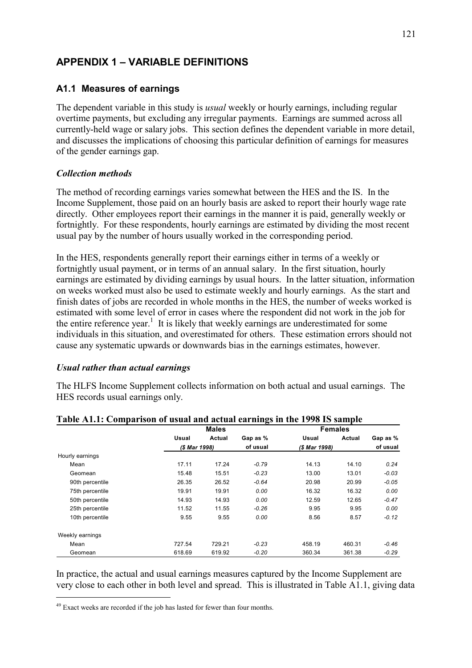## **APPENDIX 1 – VARIABLE DEFINITIONS**

### **A1.1 Measures of earnings**

The dependent variable in this study is *usual* weekly or hourly earnings, including regular overtime payments, but excluding any irregular payments. Earnings are summed across all currently-held wage or salary jobs. This section defines the dependent variable in more detail, and discusses the implications of choosing this particular definition of earnings for measures of the gender earnings gap.

#### *Collection methods*

The method of recording earnings varies somewhat between the HES and the IS. In the Income Supplement, those paid on an hourly basis are asked to report their hourly wage rate directly. Other employees report their earnings in the manner it is paid, generally weekly or fortnightly. For these respondents, hourly earnings are estimated by dividing the most recent usual pay by the number of hours usually worked in the corresponding period.

In the HES, respondents generally report their earnings either in terms of a weekly or fortnightly usual payment, or in terms of an annual salary. In the first situation, hourly earnings are estimated by dividing earnings by usual hours. In the latter situation, information on weeks worked must also be used to estimate weekly and hourly earnings. As the start and finish dates of jobs are recorded in whole months in the HES, the number of weeks worked is estimated with some level of error in cases where the respondent did not work in the job for the entire reference year.<sup>1</sup> It is likely that weekly earnings are underestimated for some individuals in this situation, and overestimated for others. These estimation errors should not cause any systematic upwards or downwards bias in the earnings estimates, however.

#### *Usual rather than actual earnings*

The HLFS Income Supplement collects information on both actual and usual earnings. The HES records usual earnings only.

|                 |               | <b>Males</b> |          |               | <b>Females</b> |          |
|-----------------|---------------|--------------|----------|---------------|----------------|----------|
|                 | Usual         | Actual       | Gap as % | Usual         | Actual         | Gap as % |
|                 | (\$ Mar 1998) |              | of usual | (\$ Mar 1998) |                | of usual |
| Hourly earnings |               |              |          |               |                |          |
| Mean            | 17.11         | 17.24        | $-0.79$  | 14.13         | 14.10          | 0.24     |
| Geomean         | 15.48         | 15.51        | $-0.23$  | 13.00         | 13.01          | -0.03    |
| 90th percentile | 26.35         | 26.52        | $-0.64$  | 20.98         | 20.99          | -0.05    |
| 75th percentile | 19.91         | 19.91        | 0.00     | 16.32         | 16.32          | 0.00     |
| 50th percentile | 14.93         | 14.93        | 0.00     | 12.59         | 12.65          | $-0.47$  |
| 25th percentile | 11.52         | 11.55        | $-0.26$  | 9.95          | 9.95           | 0.00     |
| 10th percentile | 9.55          | 9.55         | 0.00     | 8.56          | 8.57           | $-0.12$  |
| Weekly earnings |               |              |          |               |                |          |
| Mean            | 727.54        | 729.21       | $-0.23$  | 458.19        | 460.31         | -0.46    |
| Geomean         | 618.69        | 619.92       | $-0.20$  | 360.34        | 361.38         | $-0.29$  |

#### **Table A1.1: Comparison of usual and actual earnings in the 1998 IS sample**

In practice, the actual and usual earnings measures captured by the Income Supplement are very close to each other in both level and spread. This is illustrated in Table A1.1, giving data

 $\overline{a}$ 

<sup>&</sup>lt;sup>49</sup> Exact weeks are recorded if the job has lasted for fewer than four months.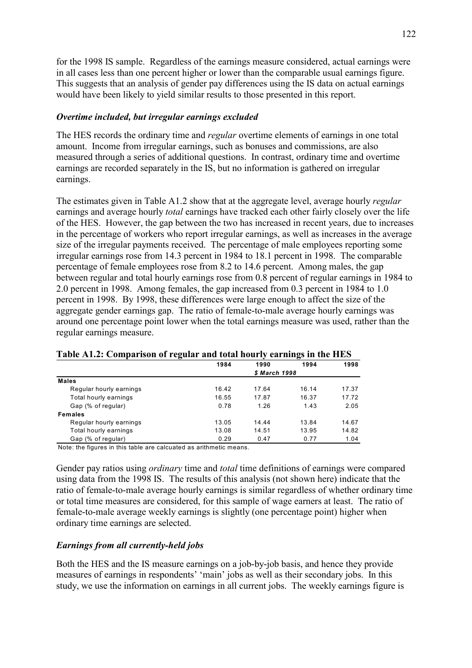for the 1998 IS sample. Regardless of the earnings measure considered, actual earnings were in all cases less than one percent higher or lower than the comparable usual earnings figure. This suggests that an analysis of gender pay differences using the IS data on actual earnings would have been likely to yield similar results to those presented in this report.

#### *Overtime included, but irregular earnings excluded*

The HES records the ordinary time and *regular* overtime elements of earnings in one total amount. Income from irregular earnings, such as bonuses and commissions, are also measured through a series of additional questions. In contrast, ordinary time and overtime earnings are recorded separately in the IS, but no information is gathered on irregular earnings.

The estimates given in Table A1.2 show that at the aggregate level, average hourly *regular* earnings and average hourly *total* earnings have tracked each other fairly closely over the life of the HES. However, the gap between the two has increased in recent years, due to increases in the percentage of workers who report irregular earnings, as well as increases in the average size of the irregular payments received. The percentage of male employees reporting some irregular earnings rose from 14.3 percent in 1984 to 18.1 percent in 1998. The comparable percentage of female employees rose from 8.2 to 14.6 percent. Among males, the gap between regular and total hourly earnings rose from 0.8 percent of regular earnings in 1984 to 2.0 percent in 1998. Among females, the gap increased from 0.3 percent in 1984 to 1.0 percent in 1998. By 1998, these differences were large enough to affect the size of the aggregate gender earnings gap. The ratio of female-to-male average hourly earnings was around one percentage point lower when the total earnings measure was used, rather than the regular earnings measure.

| Table AT.2. Comparison of regular and total hourly earnings in the fills |       |               |       |       |
|--------------------------------------------------------------------------|-------|---------------|-------|-------|
|                                                                          | 1984  | 1990          | 1994  | 1998  |
|                                                                          |       | \$ March 1998 |       |       |
| <b>Males</b>                                                             |       |               |       |       |
| Regular hourly earnings                                                  | 16.42 | 17.64         | 16.14 | 17.37 |
| Total hourly earnings                                                    | 16.55 | 17.87         | 16.37 | 17.72 |
| Gap (% of regular)                                                       | 0.78  | 1.26          | 1.43  | 2.05  |
| <b>Females</b>                                                           |       |               |       |       |
| Regular hourly earnings                                                  | 13.05 | 14.44         | 13.84 | 14.67 |
| Total hourly earnings                                                    | 13.08 | 14.51         | 13.95 | 14.82 |
| Gap (% of regular)                                                       | 0.29  | 0.47          | 0.77  | 1.04  |

|  |  |  |  | Table A1.2: Comparison of regular and total hourly earnings in the HES |  |  |
|--|--|--|--|------------------------------------------------------------------------|--|--|
|  |  |  |  |                                                                        |  |  |

Note: the figures in this table are calcuated as arithmetic means.

Gender pay ratios using *ordinary* time and *total* time definitions of earnings were compared using data from the 1998 IS. The results of this analysis (not shown here) indicate that the ratio of female-to-male average hourly earnings is similar regardless of whether ordinary time or total time measures are considered, for this sample of wage earners at least. The ratio of female-to-male average weekly earnings is slightly (one percentage point) higher when ordinary time earnings are selected.

#### *Earnings from all currently-held jobs*

Both the HES and the IS measure earnings on a job-by-job basis, and hence they provide measures of earnings in respondents' 'main' jobs as well as their secondary jobs. In this study, we use the information on earnings in all current jobs. The weekly earnings figure is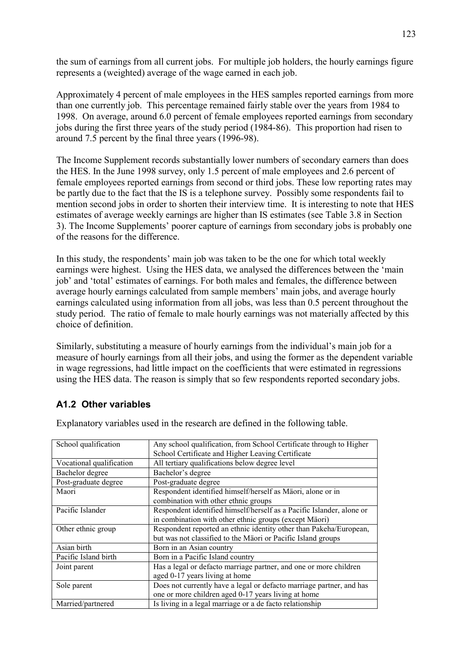the sum of earnings from all current jobs. For multiple job holders, the hourly earnings figure represents a (weighted) average of the wage earned in each job.

Approximately 4 percent of male employees in the HES samples reported earnings from more than one currently job. This percentage remained fairly stable over the years from 1984 to 1998. On average, around 6.0 percent of female employees reported earnings from secondary jobs during the first three years of the study period (1984-86). This proportion had risen to around 7.5 percent by the final three years (1996-98).

The Income Supplement records substantially lower numbers of secondary earners than does the HES. In the June 1998 survey, only 1.5 percent of male employees and 2.6 percent of female employees reported earnings from second or third jobs. These low reporting rates may be partly due to the fact that the IS is a telephone survey. Possibly some respondents fail to mention second jobs in order to shorten their interview time. It is interesting to note that HES estimates of average weekly earnings are higher than IS estimates (see Table 3.8 in Section 3). The Income Supplements' poorer capture of earnings from secondary jobs is probably one of the reasons for the difference.

In this study, the respondents' main job was taken to be the one for which total weekly earnings were highest. Using the HES data, we analysed the differences between the 'main job' and 'total' estimates of earnings. For both males and females, the difference between average hourly earnings calculated from sample members' main jobs, and average hourly earnings calculated using information from all jobs, was less than 0.5 percent throughout the study period. The ratio of female to male hourly earnings was not materially affected by this choice of definition.

Similarly, substituting a measure of hourly earnings from the individual's main job for a measure of hourly earnings from all their jobs, and using the former as the dependent variable in wage regressions, had little impact on the coefficients that were estimated in regressions using the HES data. The reason is simply that so few respondents reported secondary jobs.

### **A1.2 Other variables**

| School qualification     | Any school qualification, from School Certificate through to Higher   |
|--------------------------|-----------------------------------------------------------------------|
|                          | School Certificate and Higher Leaving Certificate                     |
| Vocational qualification | All tertiary qualifications below degree level                        |
| Bachelor degree          | Bachelor's degree                                                     |
| Post-graduate degree     | Post-graduate degree                                                  |
| Maori                    | Respondent identified himself/herself as Mäori, alone or in           |
|                          | combination with other ethnic groups                                  |
| Pacific Islander         | Respondent identified himself/herself as a Pacific Islander, alone or |
|                          | in combination with other ethnic groups (except Mäori)                |
| Other ethnic group       | Respondent reported an ethnic identity other than Pakeha/European,    |
|                          | but was not classified to the Mäori or Pacific Island groups          |
| Asian birth              | Born in an Asian country                                              |
| Pacific Island birth     | Born in a Pacific Island country                                      |
| Joint parent             | Has a legal or defacto marriage partner, and one or more children     |
|                          | aged 0-17 years living at home                                        |
| Sole parent              | Does not currently have a legal or defacto marriage partner, and has  |
|                          | one or more children aged 0-17 years living at home                   |
| Married/partnered        | Is living in a legal marriage or a de facto relationship              |

Explanatory variables used in the research are defined in the following table.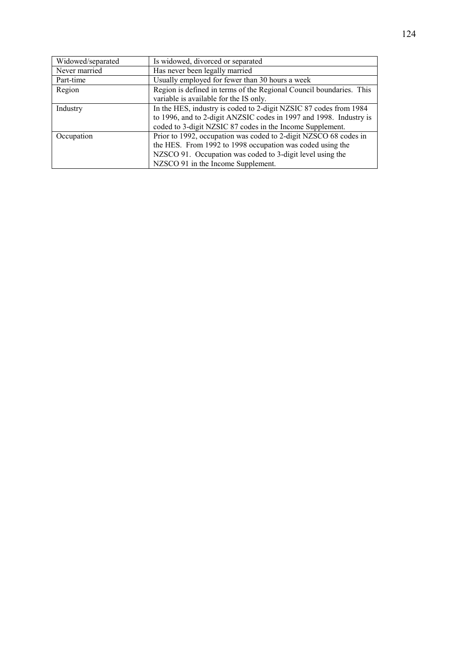| Widowed/separated | Is widowed, divorced or separated                                   |  |  |  |
|-------------------|---------------------------------------------------------------------|--|--|--|
| Never married     | Has never been legally married                                      |  |  |  |
| Part-time         | Usually employed for fewer than 30 hours a week                     |  |  |  |
| Region            | Region is defined in terms of the Regional Council boundaries. This |  |  |  |
|                   | variable is available for the IS only.                              |  |  |  |
| Industry          | In the HES, industry is coded to 2-digit NZSIC 87 codes from 1984   |  |  |  |
|                   | to 1996, and to 2-digit ANZSIC codes in 1997 and 1998. Industry is  |  |  |  |
|                   | coded to 3-digit NZSIC 87 codes in the Income Supplement.           |  |  |  |
| Occupation        | Prior to 1992, occupation was coded to 2-digit NZSCO 68 codes in    |  |  |  |
|                   | the HES. From 1992 to 1998 occupation was coded using the           |  |  |  |
|                   | NZSCO 91. Occupation was coded to 3-digit level using the           |  |  |  |
|                   | NZSCO 91 in the Income Supplement.                                  |  |  |  |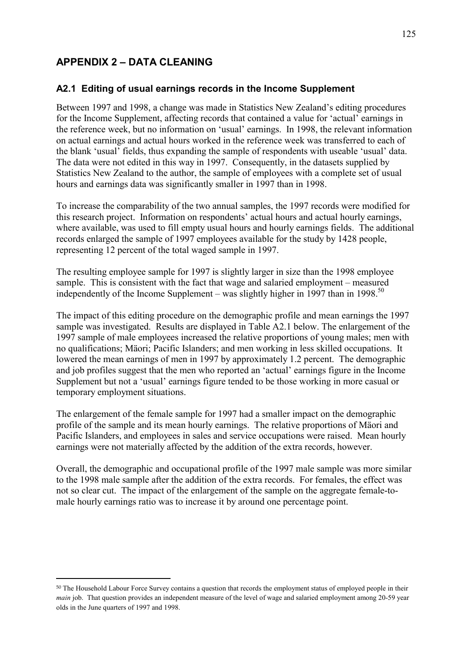## **APPENDIX 2 - DATA CLEANING**

### **A2.1 Editing of usual earnings records in the Income Supplement**

Between 1997 and 1998, a change was made in Statistics New Zealand's editing procedures for the Income Supplement, affecting records that contained a value for 'actual' earnings in the reference week, but no information on 'usual' earnings. In 1998, the relevant information on actual earnings and actual hours worked in the reference week was transferred to each of the blank 'usual' fields, thus expanding the sample of respondents with useable 'usual' data. The data were not edited in this way in 1997. Consequently, in the datasets supplied by Statistics New Zealand to the author, the sample of employees with a complete set of usual hours and earnings data was significantly smaller in 1997 than in 1998.

To increase the comparability of the two annual samples, the 1997 records were modified for this research project. Information on respondents' actual hours and actual hourly earnings, where available, was used to fill empty usual hours and hourly earnings fields. The additional records enlarged the sample of 1997 employees available for the study by 1428 people, representing 12 percent of the total waged sample in 1997.

The resulting employee sample for 1997 is slightly larger in size than the 1998 employee sample. This is consistent with the fact that wage and salaried employment  $-$  measured independently of the Income Supplement – was slightly higher in  $1997$  than in 1998.<sup>50</sup>

The impact of this editing procedure on the demographic profile and mean earnings the 1997 sample was investigated. Results are displayed in Table A2.1 below. The enlargement of the 1997 sample of male employees increased the relative proportions of young males; men with no qualifications; Mäori; Pacific Islanders; and men working in less skilled occupations. It lowered the mean earnings of men in 1997 by approximately 1.2 percent. The demographic and job profiles suggest that the men who reported an 'actual' earnings figure in the Income Supplement but not a 'usual' earnings figure tended to be those working in more casual or temporary employment situations.

The enlargement of the female sample for 1997 had a smaller impact on the demographic profile of the sample and its mean hourly earnings. The relative proportions of Mäori and Pacific Islanders, and employees in sales and service occupations were raised. Mean hourly earnings were not materially affected by the addition of the extra records, however.

Overall, the demographic and occupational profile of the 1997 male sample was more similar to the 1998 male sample after the addition of the extra records. For females, the effect was not so clear cut. The impact of the enlargement of the sample on the aggregate female-tomale hourly earnings ratio was to increase it by around one percentage point.

 $\overline{a}$ 

<sup>50</sup> The Household Labour Force Survey contains a question that records the employment status of employed people in their *main* job. That question provides an independent measure of the level of wage and salaried employment among 20-59 year olds in the June quarters of 1997 and 1998.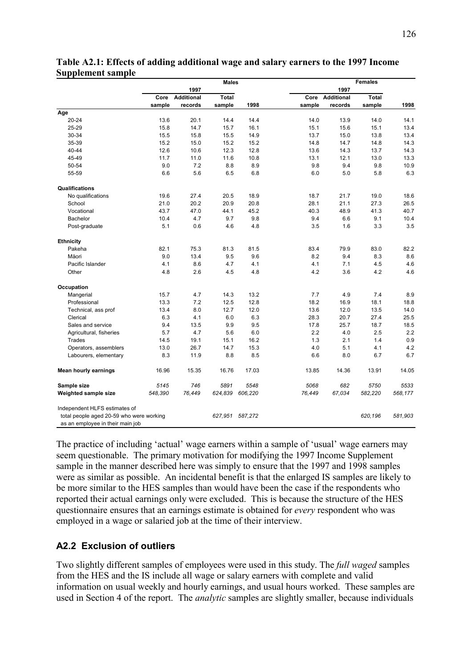|                                                                                                               | <b>Males</b> |            |         | <b>Females</b> |        |                 |         |         |
|---------------------------------------------------------------------------------------------------------------|--------------|------------|---------|----------------|--------|-----------------|---------|---------|
|                                                                                                               |              | 1997       |         |                |        | 1997            |         |         |
|                                                                                                               | Core         | Additional | Total   |                |        | Core Additional | Total   |         |
|                                                                                                               | sample       | records    | sample  | 1998           | sample | records         | sample  | 1998    |
| Age                                                                                                           |              |            |         |                |        |                 |         |         |
| 20-24                                                                                                         | 13.6         | 20.1       | 14.4    | 14.4           | 14.0   | 13.9            | 14.0    | 14.1    |
| 25-29                                                                                                         | 15.8         | 14.7       | 15.7    | 16.1           | 15.1   | 15.6            | 15.1    | 13.4    |
| 30-34                                                                                                         | 15.5         | 15.8       | 15.5    | 14.9           | 13.7   | 15.0            | 13.8    | 13.4    |
| 35-39                                                                                                         | 15.2         | 15.0       | 15.2    | 15.2           | 14.8   | 14.7            | 14.8    | 14.3    |
| 40-44                                                                                                         | 12.6         | 10.6       | 12.3    | 12.8           | 13.6   | 14.3            | 13.7    | 14.3    |
| 45-49                                                                                                         | 11.7         | 11.0       | 11.6    | 10.8           | 13.1   | 12.1            | 13.0    | 13.3    |
| 50-54                                                                                                         | 9.0          | 7.2        | 8.8     | 8.9            | 9.8    | 9.4             | 9.8     | 10.9    |
| 55-59                                                                                                         | 6.6          | 5.6        | 6.5     | 6.8            | 6.0    | 5.0             | 5.8     | 6.3     |
| Qualifications                                                                                                |              |            |         |                |        |                 |         |         |
| No qualifications                                                                                             | 19.6         | 27.4       | 20.5    | 18.9           | 18.7   | 21.7            | 19.0    | 18.6    |
| School                                                                                                        | 21.0         | 20.2       | 20.9    | 20.8           | 28.1   | 21.1            | 27.3    | 26.5    |
| Vocational                                                                                                    | 43.7         | 47.0       | 44.1    | 45.2           | 40.3   | 48.9            | 41.3    | 40.7    |
| Bachelor                                                                                                      | 10.4         | 4.7        | 9.7     | 9.8            | 9.4    | 6.6             | 9.1     | 10.4    |
| Post-graduate                                                                                                 | 5.1          | 0.6        | 4.6     | 4.8            | 3.5    | 1.6             | 3.3     | 3.5     |
| <b>Ethnicity</b>                                                                                              |              |            |         |                |        |                 |         |         |
| Pakeha                                                                                                        | 82.1         | 75.3       | 81.3    | 81.5           | 83.4   | 79.9            | 83.0    | 82.2    |
| Mäori                                                                                                         | 9.0          | 13.4       | 9.5     | 9.6            | 8.2    | 9.4             | 8.3     | 8.6     |
| Pacific Islander                                                                                              | 4.1          | 8.6        | 4.7     | 4.1            | 4.1    | 7.1             | 4.5     | 4.6     |
| Other                                                                                                         | 4.8          | 2.6        | 4.5     | 4.8            | 4.2    | 3.6             | 4.2     | 4.6     |
| Occupation                                                                                                    |              |            |         |                |        |                 |         |         |
| Mangerial                                                                                                     | 15.7         | 4.7        | 14.3    | 13.2           | 7.7    | 4.9             | 7.4     | 8.9     |
| Professional                                                                                                  | 13.3         | 7.2        | 12.5    | 12.8           | 18.2   | 16.9            | 18.1    | 18.8    |
| Technical, ass prof                                                                                           | 13.4         | 8.0        | 12.7    | 12.0           | 13.6   | 12.0            | 13.5    | 14.0    |
| Clerical                                                                                                      | 6.3          | 4.1        | 6.0     | 6.3            | 28.3   | 20.7            | 27.4    | 25.5    |
| Sales and service                                                                                             | 9.4          | 13.5       | 9.9     | 9.5            | 17.8   | 25.7            | 18.7    | 18.5    |
| Agricultural, fisheries                                                                                       | 5.7          | 4.7        | 5.6     | 6.0            | 2.2    | 4.0             | 2.5     | 2.2     |
| <b>Trades</b>                                                                                                 | 14.5         | 19.1       | 15.1    | 16.2           | 1.3    | 2.1             | 1.4     | 0.9     |
| Operators, assemblers                                                                                         | 13.0         | 26.7       | 14.7    | 15.3           | 4.0    | 5.1             | 4.1     | 4.2     |
| Labourers, elementary                                                                                         | 8.3          | 11.9       | 8.8     | 8.5            | 6.6    | 8.0             | 6.7     | 6.7     |
| <b>Mean hourly earnings</b>                                                                                   | 16.96        | 15.35      | 16.76   | 17.03          | 13.85  | 14.36           | 13.91   | 14.05   |
| Sample size                                                                                                   | 5145         | 746        | 5891    | 5548           | 5068   | 682             | 5750    | 5533    |
| Weighted sample size                                                                                          | 548,390      | 76,449     | 624,839 | 606,220        | 76,449 | 67,034          | 582,220 | 568,177 |
| Independent HLFS estimates of<br>total people aged 20-59 who were working<br>as an employee in their main job |              |            | 627,951 | 587,272        |        |                 | 620,196 | 581,903 |

### **Table A2.1: Effects of adding additional wage and salary earners to the 1997 Income Supplement sample**

The practice of including 'actual' wage earners within a sample of 'usual' wage earners may seem questionable. The primary motivation for modifying the 1997 Income Supplement sample in the manner described here was simply to ensure that the 1997 and 1998 samples were as similar as possible. An incidental benefit is that the enlarged IS samples are likely to be more similar to the HES samples than would have been the case if the respondents who reported their actual earnings only were excluded. This is because the structure of the HES questionnaire ensures that an earnings estimate is obtained for *every* respondent who was employed in a wage or salaried job at the time of their interview.

### **A2.2 Exclusion of outliers**

Two slightly different samples of employees were used in this study. The *full waged* samples from the HES and the IS include all wage or salary earners with complete and valid information on usual weekly and hourly earnings, and usual hours worked. These samples are used in Section 4 of the report. The *analytic* samples are slightly smaller, because individuals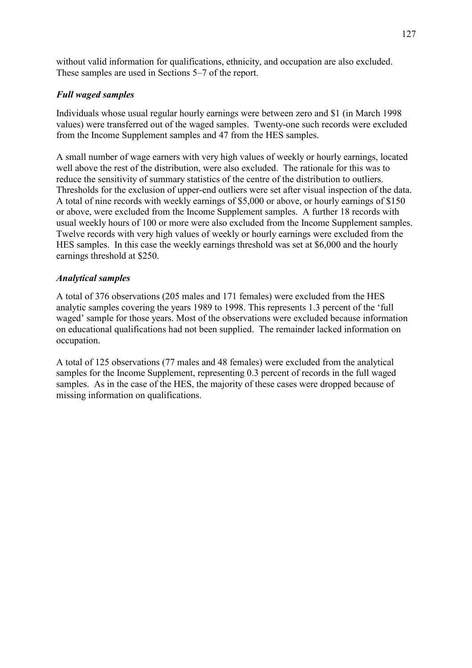without valid information for qualifications, ethnicity, and occupation are also excluded. These samples are used in Sections 5–7 of the report.

### *Full waged samples*

Individuals whose usual regular hourly earnings were between zero and \$1 (in March 1998 values) were transferred out of the waged samples. Twenty-one such records were excluded from the Income Supplement samples and 47 from the HES samples.

A small number of wage earners with very high values of weekly or hourly earnings, located well above the rest of the distribution, were also excluded. The rationale for this was to reduce the sensitivity of summary statistics of the centre of the distribution to outliers. Thresholds for the exclusion of upper-end outliers were set after visual inspection of the data. A total of nine records with weekly earnings of \$5,000 or above, or hourly earnings of \$150 or above, were excluded from the Income Supplement samples. A further 18 records with usual weekly hours of 100 or more were also excluded from the Income Supplement samples. Twelve records with very high values of weekly or hourly earnings were excluded from the HES samples. In this case the weekly earnings threshold was set at \$6,000 and the hourly earnings threshold at \$250.

### *Analytical samples*

A total of 376 observations (205 males and 171 females) were excluded from the HES analytic samples covering the years 1989 to 1998. This represents 1.3 percent of the 'full waged' sample for those years. Most of the observations were excluded because information on educational qualifications had not been supplied. The remainder lacked information on occupation.

A total of 125 observations (77 males and 48 females) were excluded from the analytical samples for the Income Supplement, representing 0.3 percent of records in the full waged samples. As in the case of the HES, the majority of these cases were dropped because of missing information on qualifications.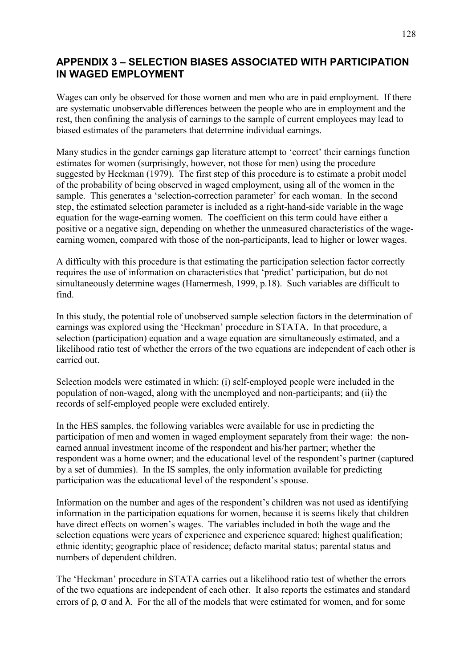### **APPENDIX 3 - SELECTION BIASES ASSOCIATED WITH PARTICIPATION IN WAGED EMPLOYMENT**

Wages can only be observed for those women and men who are in paid employment. If there are systematic unobservable differences between the people who are in employment and the rest, then confining the analysis of earnings to the sample of current employees may lead to biased estimates of the parameters that determine individual earnings.

Many studies in the gender earnings gap literature attempt to 'correct' their earnings function estimates for women (surprisingly, however, not those for men) using the procedure suggested by Heckman (1979). The first step of this procedure is to estimate a probit model of the probability of being observed in waged employment, using all of the women in the sample. This generates a 'selection-correction parameter' for each woman. In the second step, the estimated selection parameter is included as a right-hand-side variable in the wage equation for the wage-earning women. The coefficient on this term could have either a positive or a negative sign, depending on whether the unmeasured characteristics of the wageearning women, compared with those of the non-participants, lead to higher or lower wages.

A difficulty with this procedure is that estimating the participation selection factor correctly requires the use of information on characteristics that 'predict' participation, but do not simultaneously determine wages (Hamermesh, 1999, p.18). Such variables are difficult to find.

In this study, the potential role of unobserved sample selection factors in the determination of earnings was explored using the 'Heckman' procedure in STATA. In that procedure, a selection (participation) equation and a wage equation are simultaneously estimated, and a likelihood ratio test of whether the errors of the two equations are independent of each other is carried out.

Selection models were estimated in which: (i) self-employed people were included in the population of non-waged, along with the unemployed and non-participants; and (ii) the records of self-employed people were excluded entirely.

In the HES samples, the following variables were available for use in predicting the participation of men and women in waged employment separately from their wage: the nonearned annual investment income of the respondent and his/her partner; whether the respondent was a home owner; and the educational level of the respondent's partner (captured by a set of dummies). In the IS samples, the only information available for predicting participation was the educational level of the respondent's spouse.

Information on the number and ages of the respondent's children was not used as identifying information in the participation equations for women, because it is seems likely that children have direct effects on women's wages. The variables included in both the wage and the selection equations were years of experience and experience squared; highest qualification; ethnic identity; geographic place of residence; defacto marital status; parental status and numbers of dependent children.

The 'Heckman' procedure in STATA carries out a likelihood ratio test of whether the errors of the two equations are independent of each other. It also reports the estimates and standard errors of  $\rho$ ,  $\sigma$  and  $\lambda$ . For the all of the models that were estimated for women, and for some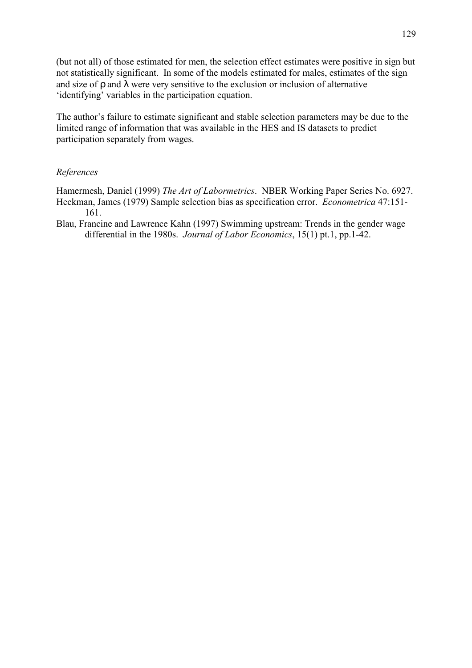(but not all) of those estimated for men, the selection effect estimates were positive in sign but not statistically significant. In some of the models estimated for males, estimates of the sign and size of  $\rho$  and  $\lambda$  were very sensitive to the exclusion or inclusion of alternative 'identifying' variables in the participation equation.

The author's failure to estimate significant and stable selection parameters may be due to the limited range of information that was available in the HES and IS datasets to predict participation separately from wages.

#### *References*

Hamermesh, Daniel (1999) *The Art of Labormetrics*. NBER Working Paper Series No. 6927. Heckman, James (1979) Sample selection bias as specification error. *Econometrica* 47:151- 161.

Blau, Francine and Lawrence Kahn (1997) Swimming upstream: Trends in the gender wage differential in the 1980s. *Journal of Labor Economics*, 15(1) pt.1, pp.1-42.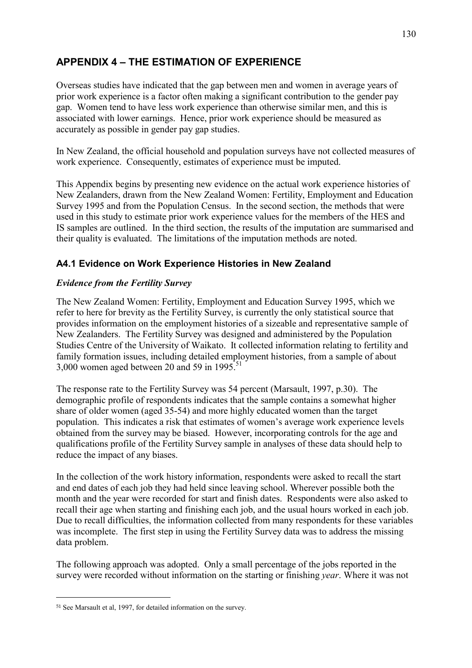## **APPENDIX 4 - THE ESTIMATION OF EXPERIENCE**

Overseas studies have indicated that the gap between men and women in average years of prior work experience is a factor often making a significant contribution to the gender pay gap. Women tend to have less work experience than otherwise similar men, and this is associated with lower earnings. Hence, prior work experience should be measured as accurately as possible in gender pay gap studies.

In New Zealand, the official household and population surveys have not collected measures of work experience. Consequently, estimates of experience must be imputed.

This Appendix begins by presenting new evidence on the actual work experience histories of New Zealanders, drawn from the New Zealand Women: Fertility, Employment and Education Survey 1995 and from the Population Census. In the second section, the methods that were used in this study to estimate prior work experience values for the members of the HES and IS samples are outlined. In the third section, the results of the imputation are summarised and their quality is evaluated. The limitations of the imputation methods are noted.

### **A4.1 Evidence on Work Experience Histories in New Zealand**

### *Evidence from the Fertility Survey*

The New Zealand Women: Fertility, Employment and Education Survey 1995, which we refer to here for brevity as the Fertility Survey, is currently the only statistical source that provides information on the employment histories of a sizeable and representative sample of New Zealanders. The Fertility Survey was designed and administered by the Population Studies Centre of the University of Waikato. It collected information relating to fertility and family formation issues, including detailed employment histories, from a sample of about 3,000 women aged between 20 and 59 in 1995.<sup>51</sup>

The response rate to the Fertility Survey was 54 percent (Marsault, 1997, p.30). The demographic profile of respondents indicates that the sample contains a somewhat higher share of older women (aged 35-54) and more highly educated women than the target population. This indicates a risk that estimates of women's average work experience levels obtained from the survey may be biased. However, incorporating controls for the age and qualifications profile of the Fertility Survey sample in analyses of these data should help to reduce the impact of any biases.

In the collection of the work history information, respondents were asked to recall the start and end dates of each job they had held since leaving school. Wherever possible both the month and the year were recorded for start and finish dates. Respondents were also asked to recall their age when starting and finishing each job, and the usual hours worked in each job. Due to recall difficulties, the information collected from many respondents for these variables was incomplete. The first step in using the Fertility Survey data was to address the missing data problem.

The following approach was adopted. Only a small percentage of the jobs reported in the survey were recorded without information on the starting or finishing *year*. Where it was not

 $\overline{a}$ 

<sup>51</sup> See Marsault et al, 1997, for detailed information on the survey.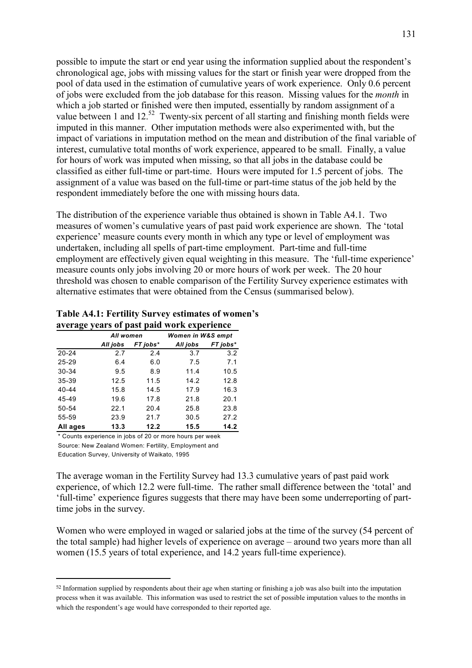possible to impute the start or end year using the information supplied about the respondent's chronological age, jobs with missing values for the start or finish year were dropped from the pool of data used in the estimation of cumulative years of work experience. Only 0.6 percent of jobs were excluded from the job database for this reason. Missing values for the *month* in which a job started or finished were then imputed, essentially by random assignment of a value between 1 and 12.<sup>52</sup> Twenty-six percent of all starting and finishing month fields were imputed in this manner. Other imputation methods were also experimented with, but the impact of variations in imputation method on the mean and distribution of the final variable of interest, cumulative total months of work experience, appeared to be small. Finally, a value for hours of work was imputed when missing, so that all jobs in the database could be classified as either full-time or part-time. Hours were imputed for 1.5 percent of jobs. The assignment of a value was based on the full-time or part-time status of the job held by the respondent immediately before the one with missing hours data.

The distribution of the experience variable thus obtained is shown in Table A4.1. Two measures of women's cumulative years of past paid work experience are shown. The 'total experience' measure counts every month in which any type or level of employment was undertaken, including all spells of part-time employment. Part-time and full-time employment are effectively given equal weighting in this measure. The 'full-time experience' measure counts only jobs involving 20 or more hours of work per week. The 20 hour threshold was chosen to enable comparison of the Fertility Survey experience estimates with alternative estimates that were obtained from the Census (summarised below).

#### Table A4.1: Fertility Survey estimates of women's **average years of past paid work experience**

|           | All women |          | Women in W&S empt |          |  |
|-----------|-----------|----------|-------------------|----------|--|
|           | All jobs  | FT jobs* | All jobs          | FT jobs* |  |
| $20 - 24$ | 2.7       | 2.4      | 3.7               | 3.2      |  |
| 25-29     | 6.4       | 6.0      | 7.5               | 7.1      |  |
| 30-34     | 9.5       | 8.9      | 11.4              | 10.5     |  |
| 35-39     | 12.5      | 11.5     | 14.2              | 12.8     |  |
| $40 - 44$ | 15.8      | 14.5     | 17.9              | 16.3     |  |
| 45-49     | 19.6      | 17.8     | 21.8              | 20.1     |  |
| 50-54     | 22.1      | 20.4     | 25.8              | 23.8     |  |
| 55-59     | 23.9      | 21.7     | 30.5              | 27.2     |  |
| All ages  | 13.3      | 12.2     | 15.5              | 14.2     |  |

\* Counts experience in jobs of 20 or more hours per week Source: New Zealand Women: Fertility, Employment and Education Survey, University of Waikato, 1995

 $\overline{a}$ 

The average woman in the Fertility Survey had 13.3 cumulative years of past paid work experience, of which 12.2 were full-time. The rather small difference between the 'total' and ëfull-timeí experience figures suggests that there may have been some underreporting of parttime jobs in the survey.

Women who were employed in waged or salaried jobs at the time of the survey (54 percent of the total sample) had higher levels of experience on average – around two years more than all women (15.5 years of total experience, and 14.2 years full-time experience).

<sup>52</sup> Information supplied by respondents about their age when starting or finishing a job was also built into the imputation process when it was available. This information was used to restrict the set of possible imputation values to the months in which the respondent's age would have corresponded to their reported age.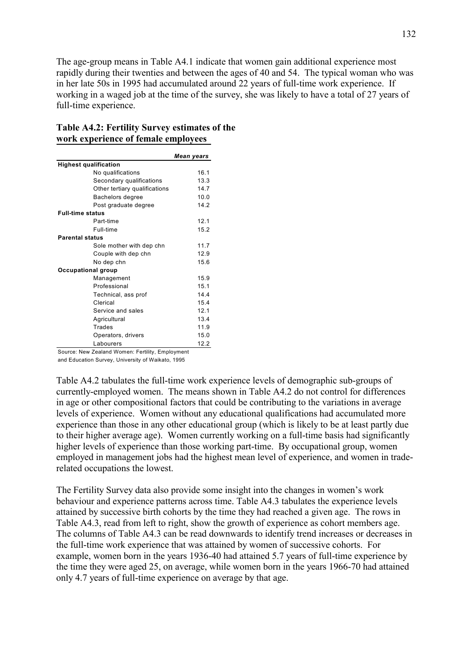The age-group means in Table A4.1 indicate that women gain additional experience most rapidly during their twenties and between the ages of 40 and 54. The typical woman who was in her late 50s in 1995 had accumulated around 22 years of full-time work experience. If working in a waged job at the time of the survey, she was likely to have a total of 27 years of full-time experience.

#### **Table A4.2: Fertility Survey estimates of the work experience of female employees**

|                               | Mean years |
|-------------------------------|------------|
| <b>Highest qualification</b>  |            |
| No qualifications             | 16.1       |
| Secondary qualifications      | 13.3       |
| Other tertiary qualifications | 14.7       |
| Bachelors degree              | 10.0       |
| Post graduate degree          | 14.2       |
| <b>Full-time status</b>       |            |
| Part-time                     | 121        |
| Full-time                     | 15.2       |
| <b>Parental status</b>        |            |
| Sole mother with dep chn      | 11.7       |
| Couple with dep chn           | 12.9       |
| No dep chn                    | 15.6       |
| Occupational group            |            |
| Management                    | 15.9       |
| Professional                  | 15.1       |
| Technical, ass prof           | 14.4       |
| Clerical                      | 15.4       |
| Service and sales             | 12.1       |
| Agricultural                  | 13.4       |
| Trades                        | 11.9       |
| Operators, drivers            | 15.0       |
| Labourers                     | 12.2       |

Source: New Zealand Women: Fertility, Employment

and Education Survey, University of Waikato, 1995

Table A4.2 tabulates the full-time work experience levels of demographic sub-groups of currently-employed women. The means shown in Table A4.2 do not control for differences in age or other compositional factors that could be contributing to the variations in average levels of experience. Women without any educational qualifications had accumulated more experience than those in any other educational group (which is likely to be at least partly due to their higher average age). Women currently working on a full-time basis had significantly higher levels of experience than those working part-time. By occupational group, women employed in management jobs had the highest mean level of experience, and women in traderelated occupations the lowest.

The Fertility Survey data also provide some insight into the changes in women's work behaviour and experience patterns across time. Table A4.3 tabulates the experience levels attained by successive birth cohorts by the time they had reached a given age. The rows in Table A4.3, read from left to right, show the growth of experience as cohort members age. The columns of Table A4.3 can be read downwards to identify trend increases or decreases in the full-time work experience that was attained by women of successive cohorts. For example, women born in the years 1936-40 had attained 5.7 years of full-time experience by the time they were aged 25, on average, while women born in the years 1966-70 had attained only 4.7 years of full-time experience on average by that age.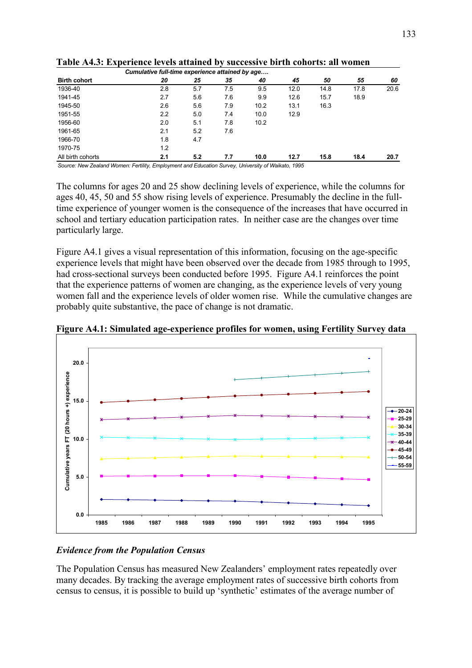| Cumulative full-time experience attained by age |               |                  |        |      |      |      |      |      |
|-------------------------------------------------|---------------|------------------|--------|------|------|------|------|------|
| <b>Birth cohort</b>                             | 20            | 25               | 35     | 40   | 45   | 50   | 55   | 60   |
| 1936-40                                         | 2.8           | 5.7              | 7.5    | 9.5  | 12.0 | 14.8 | 17.8 | 20.6 |
| 1941-45                                         | 2.7           | 5.6              | 7.6    | 9.9  | 12.6 | 15.7 | 18.9 |      |
| 1945-50                                         | 2.6           | 5.6              | 7.9    | 10.2 | 13.1 | 16.3 |      |      |
| 1951-55                                         | $2.2^{\circ}$ | 5.0              | 7.4    | 10.0 | 12.9 |      |      |      |
| 1956-60                                         | 2.0           | 5.1              | 7.8    | 10.2 |      |      |      |      |
| 1961-65                                         | 2.1           | 5.2              | 7.6    |      |      |      |      |      |
| 1966-70                                         | 1.8           | 4.7              |        |      |      |      |      |      |
| 1970-75                                         | 1.2           |                  |        |      |      |      |      |      |
| All birth cohorts                               | 2.1           | 5.2              | 7.7    | 10.0 | 12.7 | 15.8 | 18.4 | 20.7 |
| .                                               |               | $\cdot$ $ \cdot$ | $\sim$ | .    |      |      |      |      |

**Table A4.3: Experience levels attained by successive birth cohorts: all women** 

*Source: New Zealand Women: Fertility, Employment and Education Survey, University of Waikato, 1995*

The columns for ages 20 and 25 show declining levels of experience, while the columns for ages 40, 45, 50 and 55 show rising levels of experience. Presumably the decline in the fulltime experience of younger women is the consequence of the increases that have occurred in school and tertiary education participation rates. In neither case are the changes over time particularly large.

Figure A4.1 gives a visual representation of this information, focusing on the age-specific experience levels that might have been observed over the decade from 1985 through to 1995, had cross-sectional surveys been conducted before 1995. Figure A4.1 reinforces the point that the experience patterns of women are changing, as the experience levels of very young women fall and the experience levels of older women rise. While the cumulative changes are probably quite substantive, the pace of change is not dramatic.



**Figure A4.1: Simulated age-experience profiles for women, using Fertility Survey data** 

### *Evidence from the Population Census*

The Population Census has measured New Zealanders' employment rates repeatedly over many decades. By tracking the average employment rates of successive birth cohorts from census to census, it is possible to build up 'synthetic' estimates of the average number of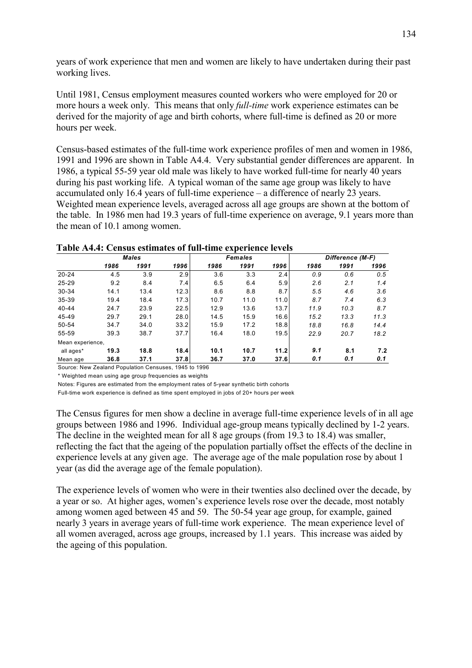years of work experience that men and women are likely to have undertaken during their past working lives.

Until 1981, Census employment measures counted workers who were employed for 20 or more hours a week only. This means that only *full-time* work experience estimates can be derived for the majority of age and birth cohorts, where full-time is defined as 20 or more hours per week.

Census-based estimates of the full-time work experience profiles of men and women in 1986, 1991 and 1996 are shown in Table A4.4. Very substantial gender differences are apparent. In 1986, a typical 55-59 year old male was likely to have worked full-time for nearly 40 years during his past working life. A typical woman of the same age group was likely to have accumulated only 16.4 years of full-time experience  $-$  a difference of nearly 23 years. Weighted mean experience levels, averaged across all age groups are shown at the bottom of the table. In 1986 men had 19.3 years of full-time experience on average, 9.1 years more than the mean of 10.1 among women.

|                  | <b>Males</b> |      |      |      | <b>Females</b> |      | Difference (M-F) |      |      |
|------------------|--------------|------|------|------|----------------|------|------------------|------|------|
|                  | 1986         | 1991 | 1996 | 1986 | 1991           | 1996 | 1986             | 1991 | 1996 |
| $20 - 24$        | 4.5          | 3.9  | 2.9  | 3.6  | 3.3            | 2.4  | 0.9              | 0.6  | 0.5  |
| $25 - 29$        | 9.2          | 8.4  | 7.4  | 6.5  | 6.4            | 5.9  | 2.6              | 2.1  | 1.4  |
| $30 - 34$        | 14.1         | 13.4 | 12.3 | 8.6  | 8.8            | 8.7  | 5.5              | 4.6  | 3.6  |
| 35-39            | 19.4         | 18.4 | 17.3 | 10.7 | 11.0           | 11.0 | 8.7              | 7.4  | 6.3  |
| $40 - 44$        | 24.7         | 23.9 | 22.5 | 12.9 | 13.6           | 13.7 | 11.9             | 10.3 | 8.7  |
| 45-49            | 29.7         | 29.1 | 28.0 | 14.5 | 15.9           | 16.6 | 15.2             | 13.3 | 11.3 |
| 50-54            | 34.7         | 34.0 | 33.2 | 15.9 | 17.2           | 18.8 | 18.8             | 16.8 | 14.4 |
| 55-59            | 39.3         | 38.7 | 37.7 | 16.4 | 18.0           | 19.5 | 22.9             | 20.7 | 18.2 |
| Mean experience, |              |      |      |      |                |      |                  |      |      |
| all ages*        | 19.3         | 18.8 | 18.4 | 10.1 | 10.7           | 11.2 | 9.1              | 8.1  | 7.2  |
| Mean age         | 36.8         | 37.1 | 37.8 | 36.7 | 37.0           | 37.6 | 0.1              | 0.1  | 0.1  |

**Table A4.4: Census estimates of full-time experience levels** 

Source: New Zealand Population Censuses, 1945 to 1996

\* Weighted mean using age group frequencies as weights

Notes: Figures are estimated from the employment rates of 5-year synthetic birth cohorts

Full-time work experience is defined as time spent employed in jobs of 20+ hours per week

The Census figures for men show a decline in average full-time experience levels of in all age groups between 1986 and 1996. Individual age-group means typically declined by 1-2 years. The decline in the weighted mean for all 8 age groups (from 19.3 to 18.4) was smaller, reflecting the fact that the ageing of the population partially offset the effects of the decline in experience levels at any given age. The average age of the male population rose by about 1 year (as did the average age of the female population).

The experience levels of women who were in their twenties also declined over the decade, by a year or so. At higher ages, women's experience levels rose over the decade, most notably among women aged between 45 and 59. The 50-54 year age group, for example, gained nearly 3 years in average years of full-time work experience. The mean experience level of all women averaged, across age groups, increased by 1.1 years. This increase was aided by the ageing of this population.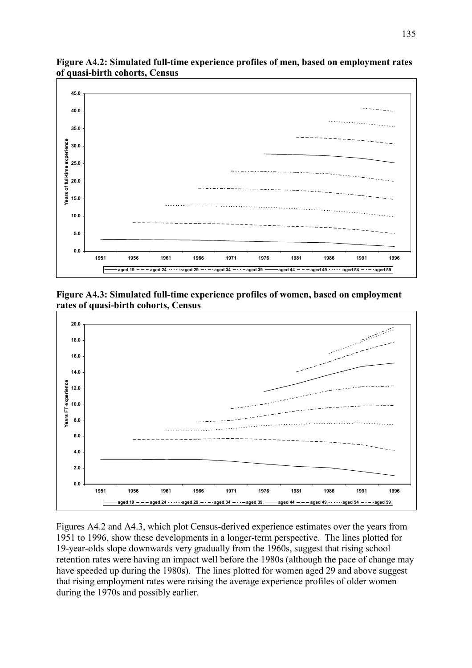

**Figure A4.2: Simulated full-time experience profiles of men, based on employment rates of quasi-birth cohorts, Census** 

**Figure A4.3: Simulated full-time experience profiles of women, based on employment rates of quasi-birth cohorts, Census** 



Figures A4.2 and A4.3, which plot Census-derived experience estimates over the years from 1951 to 1996, show these developments in a longer-term perspective. The lines plotted for 19-year-olds slope downwards very gradually from the 1960s, suggest that rising school retention rates were having an impact well before the 1980s (although the pace of change may have speeded up during the 1980s). The lines plotted for women aged 29 and above suggest that rising employment rates were raising the average experience profiles of older women during the 1970s and possibly earlier.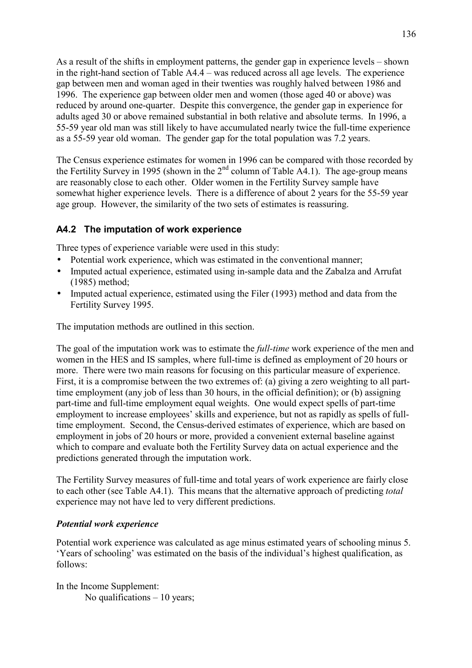As a result of the shifts in employment patterns, the gender gap in experience levels  $-$  shown in the right-hand section of Table  $A4.4$  – was reduced across all age levels. The experience gap between men and woman aged in their twenties was roughly halved between 1986 and 1996. The experience gap between older men and women (those aged 40 or above) was reduced by around one-quarter. Despite this convergence, the gender gap in experience for adults aged 30 or above remained substantial in both relative and absolute terms. In 1996, a 55-59 year old man was still likely to have accumulated nearly twice the full-time experience as a 55-59 year old woman. The gender gap for the total population was 7.2 years.

The Census experience estimates for women in 1996 can be compared with those recorded by the Fertility Survey in 1995 (shown in the  $2<sup>nd</sup>$  column of Table A4.1). The age-group means are reasonably close to each other. Older women in the Fertility Survey sample have somewhat higher experience levels. There is a difference of about 2 years for the 55-59 year age group. However, the similarity of the two sets of estimates is reassuring.

### **A4.2 The imputation of work experience**

Three types of experience variable were used in this study:

- Potential work experience, which was estimated in the conventional manner;
- Imputed actual experience, estimated using in-sample data and the Zabalza and Arrufat (1985) method;
- Imputed actual experience, estimated using the Filer (1993) method and data from the Fertility Survey 1995.

The imputation methods are outlined in this section.

The goal of the imputation work was to estimate the *full-time* work experience of the men and women in the HES and IS samples, where full-time is defined as employment of 20 hours or more. There were two main reasons for focusing on this particular measure of experience. First, it is a compromise between the two extremes of: (a) giving a zero weighting to all parttime employment (any job of less than 30 hours, in the official definition); or (b) assigning part-time and full-time employment equal weights. One would expect spells of part-time employment to increase employees' skills and experience, but not as rapidly as spells of fulltime employment. Second, the Census-derived estimates of experience, which are based on employment in jobs of 20 hours or more, provided a convenient external baseline against which to compare and evaluate both the Fertility Survey data on actual experience and the predictions generated through the imputation work.

The Fertility Survey measures of full-time and total years of work experience are fairly close to each other (see Table A4.1). This means that the alternative approach of predicting *total* experience may not have led to very different predictions.

#### *Potential work experience*

Potential work experience was calculated as age minus estimated years of schooling minus 5. 'Years of schooling' was estimated on the basis of the individual's highest qualification, as follows:

In the Income Supplement: No qualifications  $-10$  years;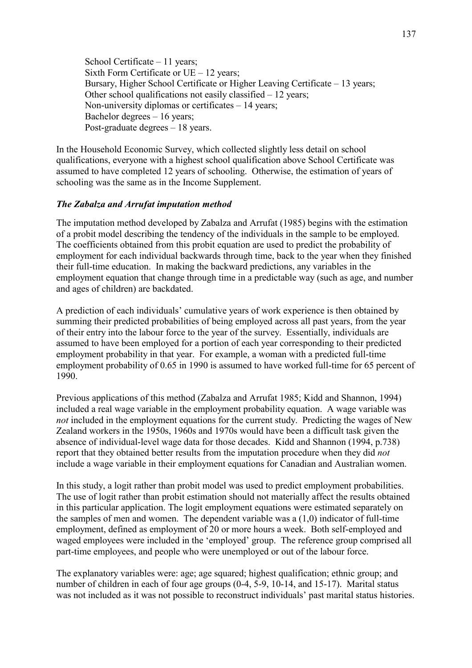School Certificate  $-11$  years; Sixth Form Certificate or  $UE - 12$  years; Bursary, Higher School Certificate or Higher Leaving Certificate – 13 years; Other school qualifications not easily classified  $-12$  years; Non-university diplomas or certificates  $-14$  years; Bachelor degrees  $-16$  years; Post-graduate degrees  $-18$  years.

In the Household Economic Survey, which collected slightly less detail on school qualifications, everyone with a highest school qualification above School Certificate was assumed to have completed 12 years of schooling. Otherwise, the estimation of years of schooling was the same as in the Income Supplement.

#### *The Zabalza and Arrufat imputation method*

The imputation method developed by Zabalza and Arrufat (1985) begins with the estimation of a probit model describing the tendency of the individuals in the sample to be employed. The coefficients obtained from this probit equation are used to predict the probability of employment for each individual backwards through time, back to the year when they finished their full-time education. In making the backward predictions, any variables in the employment equation that change through time in a predictable way (such as age, and number and ages of children) are backdated.

A prediction of each individuals' cumulative years of work experience is then obtained by summing their predicted probabilities of being employed across all past years, from the year of their entry into the labour force to the year of the survey. Essentially, individuals are assumed to have been employed for a portion of each year corresponding to their predicted employment probability in that year. For example, a woman with a predicted full-time employment probability of 0.65 in 1990 is assumed to have worked full-time for 65 percent of 1990.

Previous applications of this method (Zabalza and Arrufat 1985; Kidd and Shannon, 1994) included a real wage variable in the employment probability equation. A wage variable was *not* included in the employment equations for the current study. Predicting the wages of New Zealand workers in the 1950s, 1960s and 1970s would have been a difficult task given the absence of individual-level wage data for those decades. Kidd and Shannon (1994, p.738) report that they obtained better results from the imputation procedure when they did *not* include a wage variable in their employment equations for Canadian and Australian women.

In this study, a logit rather than probit model was used to predict employment probabilities. The use of logit rather than probit estimation should not materially affect the results obtained in this particular application. The logit employment equations were estimated separately on the samples of men and women. The dependent variable was a (1,0) indicator of full-time employment, defined as employment of 20 or more hours a week. Both self-employed and waged employees were included in the 'employed' group. The reference group comprised all part-time employees, and people who were unemployed or out of the labour force.

The explanatory variables were: age; age squared; highest qualification; ethnic group; and number of children in each of four age groups (0-4, 5-9, 10-14, and 15-17). Marital status was not included as it was not possible to reconstruct individuals' past marital status histories.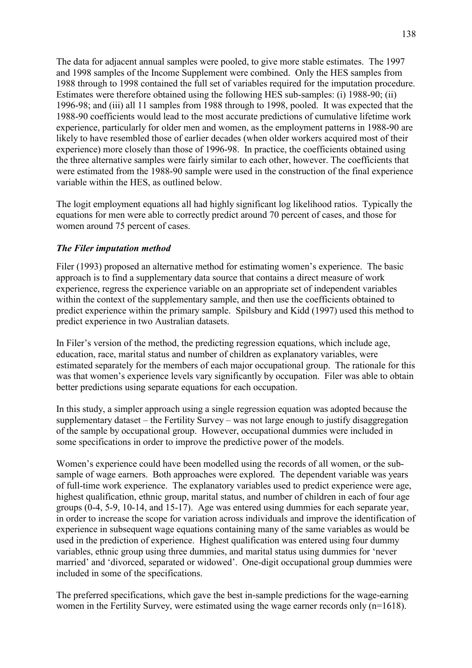The data for adjacent annual samples were pooled, to give more stable estimates. The 1997 and 1998 samples of the Income Supplement were combined. Only the HES samples from 1988 through to 1998 contained the full set of variables required for the imputation procedure. Estimates were therefore obtained using the following HES sub-samples: (i) 1988-90; (ii) 1996-98; and (iii) all 11 samples from 1988 through to 1998, pooled. It was expected that the 1988-90 coefficients would lead to the most accurate predictions of cumulative lifetime work experience, particularly for older men and women, as the employment patterns in 1988-90 are likely to have resembled those of earlier decades (when older workers acquired most of their experience) more closely than those of 1996-98. In practice, the coefficients obtained using the three alternative samples were fairly similar to each other, however. The coefficients that were estimated from the 1988-90 sample were used in the construction of the final experience variable within the HES, as outlined below.

The logit employment equations all had highly significant log likelihood ratios. Typically the equations for men were able to correctly predict around 70 percent of cases, and those for women around 75 percent of cases.

#### *The Filer imputation method*

Filer (1993) proposed an alternative method for estimating women's experience. The basic approach is to find a supplementary data source that contains a direct measure of work experience, regress the experience variable on an appropriate set of independent variables within the context of the supplementary sample, and then use the coefficients obtained to predict experience within the primary sample. Spilsbury and Kidd (1997) used this method to predict experience in two Australian datasets.

In Filer's version of the method, the predicting regression equations, which include age, education, race, marital status and number of children as explanatory variables, were estimated separately for the members of each major occupational group. The rationale for this was that women's experience levels vary significantly by occupation. Filer was able to obtain better predictions using separate equations for each occupation.

In this study, a simpler approach using a single regression equation was adopted because the supplementary dataset  $-$  the Fertility Survey  $-$  was not large enough to justify disaggregation of the sample by occupational group. However, occupational dummies were included in some specifications in order to improve the predictive power of the models.

Women's experience could have been modelled using the records of all women, or the subsample of wage earners. Both approaches were explored. The dependent variable was years of full-time work experience. The explanatory variables used to predict experience were age, highest qualification, ethnic group, marital status, and number of children in each of four age groups (0-4, 5-9, 10-14, and 15-17). Age was entered using dummies for each separate year, in order to increase the scope for variation across individuals and improve the identification of experience in subsequent wage equations containing many of the same variables as would be used in the prediction of experience. Highest qualification was entered using four dummy variables, ethnic group using three dummies, and marital status using dummies for ënever married' and 'divorced, separated or widowed'. One-digit occupational group dummies were included in some of the specifications.

The preferred specifications, which gave the best in-sample predictions for the wage-earning women in the Fertility Survey, were estimated using the wage earner records only (n=1618).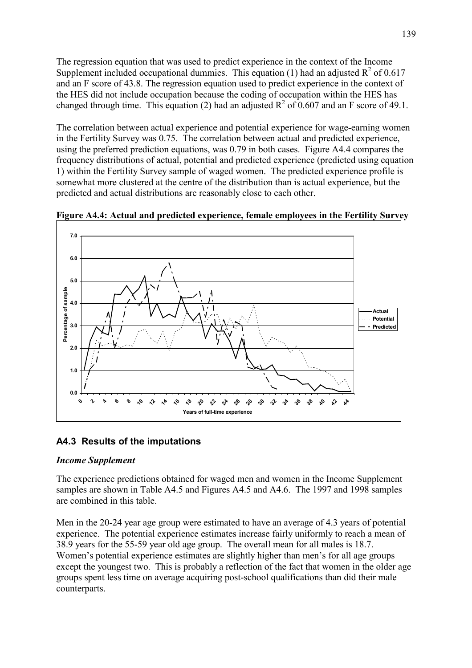The regression equation that was used to predict experience in the context of the Income Supplement included occupational dummies. This equation (1) had an adjusted  $R^2$  of 0.617 and an F score of 43.8. The regression equation used to predict experience in the context of the HES did not include occupation because the coding of occupation within the HES has changed through time. This equation (2) had an adjusted  $R^2$  of 0.607 and an F score of 49.1.

The correlation between actual experience and potential experience for wage-earning women in the Fertility Survey was 0.75. The correlation between actual and predicted experience, using the preferred prediction equations, was 0.79 in both cases. Figure A4.4 compares the frequency distributions of actual, potential and predicted experience (predicted using equation 1) within the Fertility Survey sample of waged women. The predicted experience profile is somewhat more clustered at the centre of the distribution than is actual experience, but the predicted and actual distributions are reasonably close to each other.



**Figure A4.4: Actual and predicted experience, female employees in the Fertility Survey** 

### **A4.3 Results of the imputations**

#### *Income Supplement*

The experience predictions obtained for waged men and women in the Income Supplement samples are shown in Table A4.5 and Figures A4.5 and A4.6. The 1997 and 1998 samples are combined in this table.

Men in the 20-24 year age group were estimated to have an average of 4.3 years of potential experience. The potential experience estimates increase fairly uniformly to reach a mean of 38.9 years for the 55-59 year old age group. The overall mean for all males is 18.7. Women's potential experience estimates are slightly higher than men's for all age groups except the youngest two. This is probably a reflection of the fact that women in the older age groups spent less time on average acquiring post-school qualifications than did their male counterparts.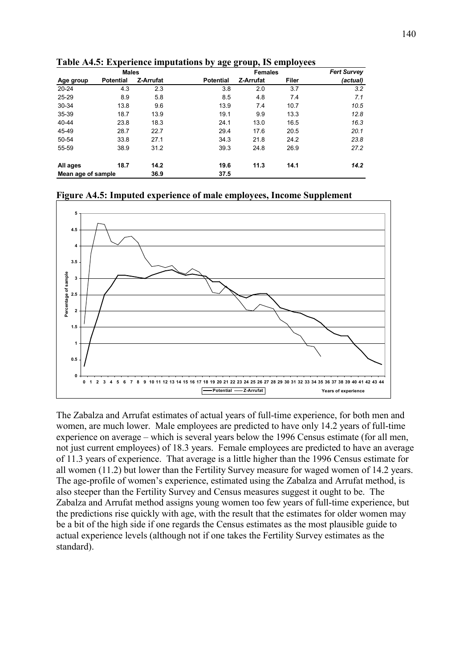|                    | <b>Males</b>     |           |                  | <b>Females</b> | <b>Fert Survey</b> |          |
|--------------------|------------------|-----------|------------------|----------------|--------------------|----------|
| Age group          | <b>Potential</b> | Z-Arrufat | <b>Potential</b> | Z-Arrufat      | Filer              | (actual) |
| $20 - 24$          | 4.3              | 2.3       | 3.8              | 2.0            | 3.7                | 3.2      |
| 25-29              | 8.9              | 5.8       | 8.5              | 4.8            | 7.4                | 7.1      |
| 30-34              | 13.8             | 9.6       | 13.9             | 7.4            | 10.7               | 10.5     |
| 35-39              | 18.7             | 13.9      | 19.1             | 9.9            | 13.3               | 12.8     |
| 40-44              | 23.8             | 18.3      | 24.1             | 13.0           | 16.5               | 16.3     |
| 45-49              | 28.7             | 22.7      | 29.4             | 17.6           | 20.5               | 20.1     |
| 50-54              | 33.8             | 27.1      | 34.3             | 21.8           | 24.2               | 23.8     |
| 55-59              | 38.9             | 31.2      | 39.3             | 24.8           | 26.9               | 27.2     |
| All ages           | 18.7             | 14.2      | 19.6             | 11.3           | 14.1               | 14.2     |
| Mean age of sample |                  | 36.9      | 37.5             |                |                    |          |

**Table A4.5: Experience imputations by age group, IS employees** 





The Zabalza and Arrufat estimates of actual years of full-time experience, for both men and women, are much lower. Male employees are predicted to have only 14.2 years of full-time experience on average  $-$  which is several years below the 1996 Census estimate (for all men, not just current employees) of 18.3 years. Female employees are predicted to have an average of 11.3 years of experience. That average is a little higher than the 1996 Census estimate for all women (11.2) but lower than the Fertility Survey measure for waged women of 14.2 years. The age-profile of women's experience, estimated using the Zabalza and Arrufat method, is also steeper than the Fertility Survey and Census measures suggest it ought to be. The Zabalza and Arrufat method assigns young women too few years of full-time experience, but the predictions rise quickly with age, with the result that the estimates for older women may be a bit of the high side if one regards the Census estimates as the most plausible guide to actual experience levels (although not if one takes the Fertility Survey estimates as the standard).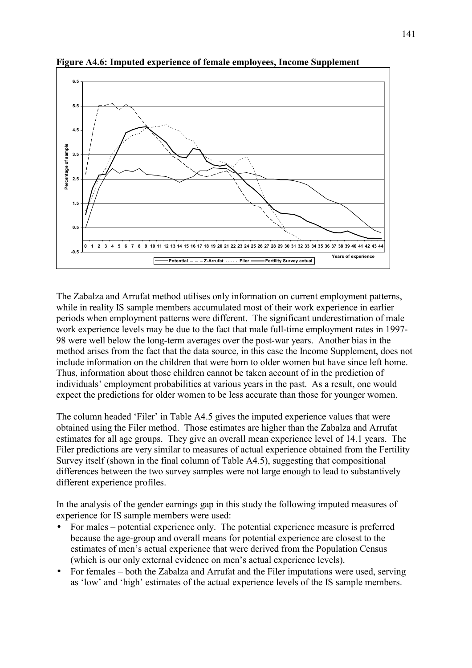

**Figure A4.6: Imputed experience of female employees, Income Supplement** 

The Zabalza and Arrufat method utilises only information on current employment patterns, while in reality IS sample members accumulated most of their work experience in earlier periods when employment patterns were different. The significant underestimation of male work experience levels may be due to the fact that male full-time employment rates in 1997- 98 were well below the long-term averages over the post-war years. Another bias in the method arises from the fact that the data source, in this case the Income Supplement, does not include information on the children that were born to older women but have since left home. Thus, information about those children cannot be taken account of in the prediction of individuals' employment probabilities at various years in the past. As a result, one would expect the predictions for older women to be less accurate than those for younger women.

The column headed 'Filer' in Table A4.5 gives the imputed experience values that were obtained using the Filer method. Those estimates are higher than the Zabalza and Arrufat estimates for all age groups. They give an overall mean experience level of 14.1 years. The Filer predictions are very similar to measures of actual experience obtained from the Fertility Survey itself (shown in the final column of Table A4.5), suggesting that compositional differences between the two survey samples were not large enough to lead to substantively different experience profiles.

In the analysis of the gender earnings gap in this study the following imputed measures of experience for IS sample members were used:

- For males  $-$  potential experience only. The potential experience measure is preferred because the age-group and overall means for potential experience are closest to the estimates of men's actual experience that were derived from the Population Census (which is our only external evidence on men's actual experience levels).
- For females  $-$  both the Zabalza and Arrufat and the Filer imputations were used, serving as 'low' and 'high' estimates of the actual experience levels of the IS sample members.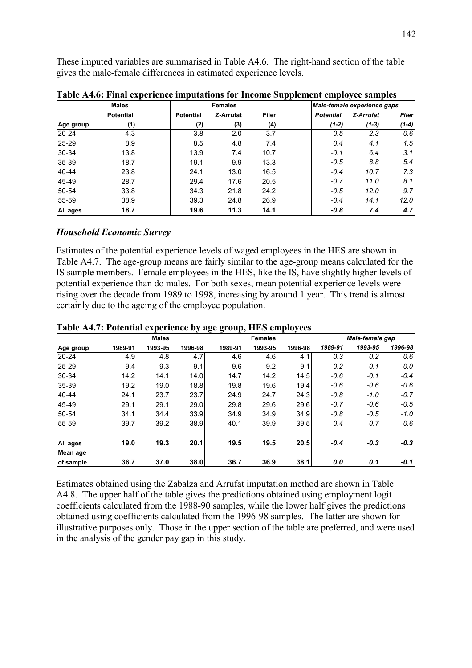These imputed variables are summarised in Table A4.6. The right-hand section of the table gives the male-female differences in estimated experience levels.

|           | <b>Males</b>     |                  | <b>Females</b> |           |       | . .<br>Male-female experience gaps |         |           |         |
|-----------|------------------|------------------|----------------|-----------|-------|------------------------------------|---------|-----------|---------|
|           | <b>Potential</b> | <b>Potential</b> |                | Z-Arrufat | Filer | <b>Potential</b>                   |         | Z-Arrufat | Filer   |
| Age group | (1)              |                  | (2)            | (3)       | (4)   |                                    | $(1-2)$ | $(1-3)$   | $(1-4)$ |
| $20 - 24$ | 4.3              |                  | 3.8            | 2.0       | 3.7   |                                    | 0.5     | 2.3       | 0.6     |
| $25 - 29$ | 8.9              |                  | 8.5            | 4.8       | 7.4   |                                    | 0.4     | 4.1       | 1.5     |
| 30-34     | 13.8             |                  | 13.9           | 7.4       | 10.7  |                                    | $-0.1$  | 6.4       | 3.1     |
| 35-39     | 18.7             |                  | 19.1           | 9.9       | 13.3  |                                    | $-0.5$  | 8.8       | 5.4     |
| 40-44     | 23.8             |                  | 24.1           | 13.0      | 16.5  |                                    | $-0.4$  | 10.7      | 7.3     |
| 45-49     | 28.7             |                  | 29.4           | 17.6      | 20.5  |                                    | $-0.7$  | 11.0      | 8.1     |
| 50-54     | 33.8             |                  | 34.3           | 21.8      | 24.2  |                                    | $-0.5$  | 12.0      | 9.7     |
| 55-59     | 38.9             |                  | 39.3           | 24.8      | 26.9  |                                    | $-0.4$  | 14.1      | 12.0    |
| All ages  | 18.7             |                  | 19.6           | 11.3      | 14.1  |                                    | $-0.8$  | 7.4       | 4.7     |

**Table A4.6: Final experience imputations for Income Supplement employee samples** 

#### *Household Economic Survey*

Estimates of the potential experience levels of waged employees in the HES are shown in Table A4.7. The age-group means are fairly similar to the age-group means calculated for the IS sample members. Female employees in the HES, like the IS, have slightly higher levels of potential experience than do males. For both sexes, mean potential experience levels were rising over the decade from 1989 to 1998, increasing by around 1 year. This trend is almost certainly due to the ageing of the employee population.

|           |         | <b>Males</b> |         |         | <b>Females</b> |         |         | Male-female gap |         |
|-----------|---------|--------------|---------|---------|----------------|---------|---------|-----------------|---------|
| Age group | 1989-91 | 1993-95      | 1996-98 | 1989-91 | 1993-95        | 1996-98 | 1989-91 | 1993-95         | 1996-98 |
| $20 - 24$ | 4.9     | 4.8          | 4.7     | 4.6     | 4.6            | 4.1     | 0.3     | 0.2             | 0.6     |
| $25 - 29$ | 9.4     | 9.3          | 9.1     | 9.6     | 9.2            | 9.1     | $-0.2$  | 0.1             | 0.0     |
| 30-34     | 14.2    | 14.1         | 14.0    | 14.7    | 14.2           | 14.5    | $-0.6$  | $-0.1$          | $-0.4$  |
| 35-39     | 19.2    | 19.0         | 18.8    | 19.8    | 19.6           | 19.4    | $-0.6$  | $-0.6$          | $-0.6$  |
| 40-44     | 24.1    | 23.7         | 23.7    | 24.9    | 24.7           | 24.3    | $-0.8$  | $-1.0$          | $-0.7$  |
| 45-49     | 29.1    | 29.1         | 29.0    | 29.8    | 29.6           | 29.6    | $-0.7$  | $-0.6$          | $-0.5$  |
| 50-54     | 34.1    | 34.4         | 33.9    | 34.9    | 34.9           | 34.9    | $-0.8$  | $-0.5$          | $-1.0$  |
| 55-59     | 39.7    | 39.2         | 38.9    | 40.1    | 39.9           | 39.5    | $-0.4$  | $-0.7$          | $-0.6$  |
| All ages  | 19.0    | 19.3         | 20.1    | 19.5    | 19.5           | 20.5    | $-0.4$  | $-0.3$          | $-0.3$  |
| Mean age  |         |              |         |         |                |         |         |                 |         |
| of sample | 36.7    | 37.0         | 38.0    | 36.7    | 36.9           | 38.1    | 0.0     | 0.1             | $-0.1$  |

**Table A4.7: Potential experience by age group, HES employees** 

Estimates obtained using the Zabalza and Arrufat imputation method are shown in Table A4.8. The upper half of the table gives the predictions obtained using employment logit coefficients calculated from the 1988-90 samples, while the lower half gives the predictions obtained using coefficients calculated from the 1996-98 samples. The latter are shown for illustrative purposes only. Those in the upper section of the table are preferred, and were used in the analysis of the gender pay gap in this study.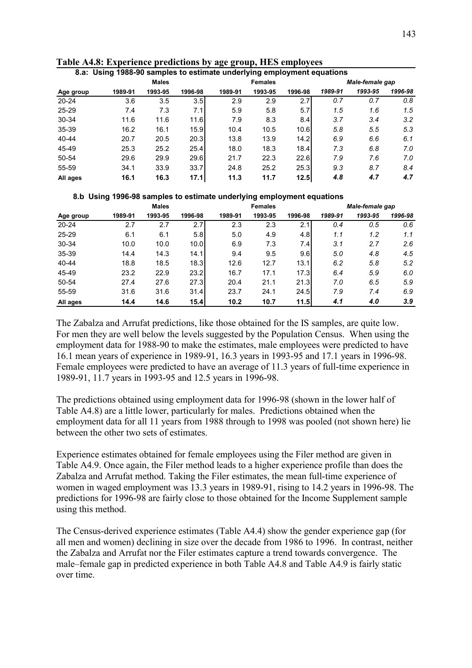| 8.a: Using 1988-90 samples to estimate underlying employment equations |         |              |         |         |                |         |         |                 |         |  |
|------------------------------------------------------------------------|---------|--------------|---------|---------|----------------|---------|---------|-----------------|---------|--|
|                                                                        |         | <b>Males</b> |         |         | <b>Females</b> |         |         | Male-female gap |         |  |
| Age group                                                              | 1989-91 | 1993-95      | 1996-98 | 1989-91 | 1993-95        | 1996-98 | 1989-91 | 1993-95         | 1996-98 |  |
| $20 - 24$                                                              | 3.6     | 3.5          | 3.5     | 2.9     | 2.9            | 2.7     | 0.7     | 0.7             | 0.8     |  |
| $25 - 29$                                                              | 7.4     | 7.3          | 7.1     | 5.9     | 5.8            | 5.7     | 1.5     | 1.6             | 1.5     |  |
| 30-34                                                                  | 11.6    | 11.6         | 11.6    | 7.9     | 8.3            | 8.4     | 3.7     | 3.4             | 3.2     |  |
| 35-39                                                                  | 16.2    | 16.1         | 15.9    | 10.4    | 10.5           | 10.6    | 5.8     | 5.5             | 5.3     |  |
| 40-44                                                                  | 20.7    | 20.5         | 20.3    | 13.8    | 13.9           | 14.2    | 6.9     | 6.6             | 6.1     |  |
| 45-49                                                                  | 25.3    | 25.2         | 25.4    | 18.0    | 18.3           | 18.4    | 7.3     | 6.8             | 7.0     |  |
| 50-54                                                                  | 29.6    | 29.9         | 29.6    | 21.7    | 22.3           | 22.6    | 7.9     | 7.6             | 7.0     |  |
| 55-59                                                                  | 34.1    | 33.9         | 33.7    | 24.8    | 25.2           | 25.3    | 9.3     | 8.7             | 8.4     |  |
| All ages                                                               | 16.1    | 16.3         | 17.1    | 11.3    | 11.7           | 12.5    | 4.8     | 4.7             | 4.7     |  |

|  |  | Table A4.8: Experience predictions by age group, HES employees |  |  |
|--|--|----------------------------------------------------------------|--|--|
|  |  |                                                                |  |  |

 **8.b Using 1996-98 samples to estimate underlying employment equations**

| <b>Males</b> |         |         |                   | <b>Females</b> |         |         | Male-female gap |         |         |
|--------------|---------|---------|-------------------|----------------|---------|---------|-----------------|---------|---------|
| Age group    | 1989-91 | 1993-95 | 1996-98           | 1989-91        | 1993-95 | 1996-98 | 1989-91         | 1993-95 | 1996-98 |
| $20 - 24$    | 2.7     | 2.7     | 2.7               | 2.3            | 2.3     | 2.1     | 0.4             | 0.5     | 0.6     |
| $25 - 29$    | 6.1     | 6.1     | 5.8               | 5.0            | 4.9     | 4.8     | 1.1             | 1.2     | 1.1     |
| 30-34        | 10.0    | 10.0    | 10.0 <sub>l</sub> | 6.9            | 7.3     | 7.4     | 3.1             | 2.7     | 2.6     |
| 35-39        | 14.4    | 14.3    | 14.1              | 9.4            | 9.5     | 9.6     | 5.0             | 4.8     | 4.5     |
| 40-44        | 18.8    | 18.5    | 18.3              | 12.6           | 12.7    | 13.1    | 6.2             | 5.8     | 5.2     |
| 45-49        | 23.2    | 22.9    | 23.2              | 16.7           | 17.1    | 17.3    | 6.4             | 5.9     | 6.0     |
| 50-54        | 27.4    | 27.6    | 27.3              | 20.4           | 21.1    | 21.3    | 7.0             | 6.5     | 5.9     |
| 55-59        | 31.6    | 31.6    | 31.4              | 23.7           | 24.1    | 24.5    | 7.9             | 7.4     | 6.9     |
| All ages     | 14.4    | 14.6    | 15.4              | 10.2           | 10.7    | 11.5    | 4.1             | 4.0     | 3.9     |

The Zabalza and Arrufat predictions, like those obtained for the IS samples, are quite low. For men they are well below the levels suggested by the Population Census. When using the employment data for 1988-90 to make the estimates, male employees were predicted to have 16.1 mean years of experience in 1989-91, 16.3 years in 1993-95 and 17.1 years in 1996-98. Female employees were predicted to have an average of 11.3 years of full-time experience in 1989-91, 11.7 years in 1993-95 and 12.5 years in 1996-98.

The predictions obtained using employment data for 1996-98 (shown in the lower half of Table A4.8) are a little lower, particularly for males. Predictions obtained when the employment data for all 11 years from 1988 through to 1998 was pooled (not shown here) lie between the other two sets of estimates.

Experience estimates obtained for female employees using the Filer method are given in Table A4.9. Once again, the Filer method leads to a higher experience profile than does the Zabalza and Arrufat method. Taking the Filer estimates, the mean full-time experience of women in waged employment was 13.3 years in 1989-91, rising to 14.2 years in 1996-98. The predictions for 1996-98 are fairly close to those obtained for the Income Supplement sample using this method.

The Census-derived experience estimates (Table A4.4) show the gender experience gap (for all men and women) declining in size over the decade from 1986 to 1996. In contrast, neither the Zabalza and Arrufat nor the Filer estimates capture a trend towards convergence. The male–female gap in predicted experience in both Table A4.8 and Table A4.9 is fairly static over time.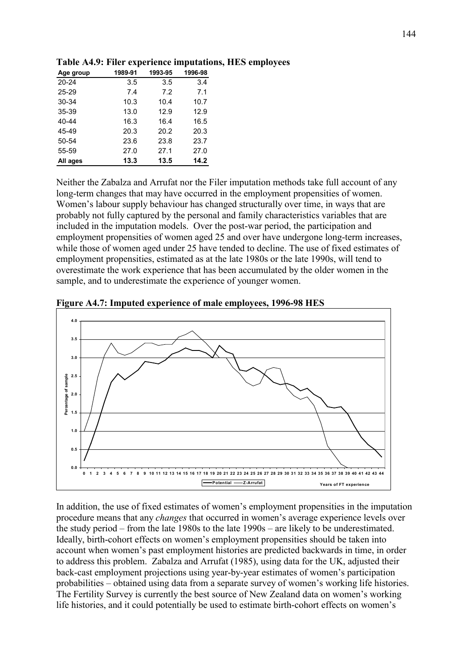| Age group | 1989-91 | 1993-95 | 1996-98 |
|-----------|---------|---------|---------|
| $20 - 24$ | 3.5     | 3.5     | 3.4     |
| 25-29     | 7.4     | 7.2     | 7.1     |
| 30-34     | 10.3    | 10.4    | 10.7    |
| 35-39     | 13.0    | 12.9    | 12.9    |
| 40-44     | 16.3    | 16.4    | 16.5    |
| 45-49     | 20.3    | 20.2    | 20.3    |
| 50-54     | 23.6    | 23.8    | 23.7    |
| 55-59     | 27.0    | 27.1    | 27.0    |
| All ages  | 13.3    | 13.5    | 14.2    |
|           |         |         |         |

# **Table A4.9: Filer experience imputations, HES employees**

Neither the Zabalza and Arrufat nor the Filer imputation methods take full account of any long-term changes that may have occurred in the employment propensities of women. Women's labour supply behaviour has changed structurally over time, in ways that are probably not fully captured by the personal and family characteristics variables that are included in the imputation models. Over the post-war period, the participation and employment propensities of women aged 25 and over have undergone long-term increases, while those of women aged under 25 have tended to decline. The use of fixed estimates of employment propensities, estimated as at the late 1980s or the late 1990s, will tend to overestimate the work experience that has been accumulated by the older women in the sample, and to underestimate the experience of younger women.



**Figure A4.7: Imputed experience of male employees, 1996-98 HES** 

In addition, the use of fixed estimates of women's employment propensities in the imputation procedure means that any *changes* that occurred in women's average experience levels over the study period – from the late 1980s to the late  $1990s$  – are likely to be underestimated. Ideally, birth-cohort effects on women's employment propensities should be taken into account when women's past employment histories are predicted backwards in time, in order to address this problem. Zabalza and Arrufat (1985), using data for the UK, adjusted their back-cast employment projections using year-by-year estimates of women's participation probabilities – obtained using data from a separate survey of women's working life histories. The Fertility Survey is currently the best source of New Zealand data on women's working life histories, and it could potentially be used to estimate birth-cohort effects on women's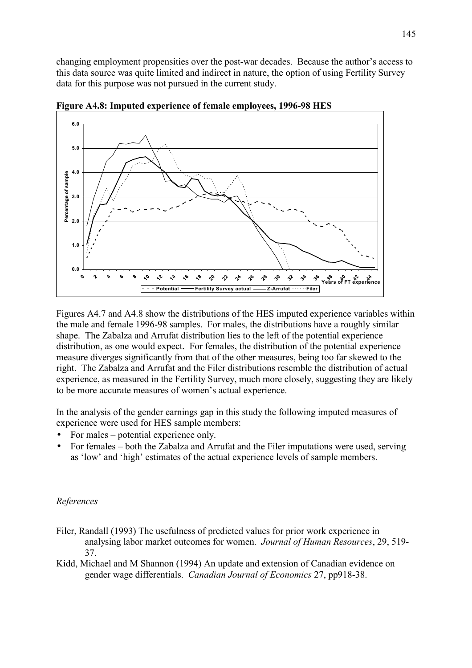changing employment propensities over the post-war decades. Because the author's access to this data source was quite limited and indirect in nature, the option of using Fertility Survey data for this purpose was not pursued in the current study.



**Figure A4.8: Imputed experience of female employees, 1996-98 HES** 

Figures A4.7 and A4.8 show the distributions of the HES imputed experience variables within the male and female 1996-98 samples. For males, the distributions have a roughly similar shape. The Zabalza and Arrufat distribution lies to the left of the potential experience distribution, as one would expect. For females, the distribution of the potential experience measure diverges significantly from that of the other measures, being too far skewed to the right. The Zabalza and Arrufat and the Filer distributions resemble the distribution of actual experience, as measured in the Fertility Survey, much more closely, suggesting they are likely to be more accurate measures of women's actual experience.

In the analysis of the gender earnings gap in this study the following imputed measures of experience were used for HES sample members:

- For males  $-$  potential experience only.
- For females both the Zabalza and Arrufat and the Filer imputations were used, serving as 'low' and 'high' estimates of the actual experience levels of sample members.

## *References*

- Filer, Randall (1993) The usefulness of predicted values for prior work experience in analysing labor market outcomes for women. *Journal of Human Resources*, 29, 519- 37.
- Kidd, Michael and M Shannon (1994) An update and extension of Canadian evidence on gender wage differentials. *Canadian Journal of Economics* 27, pp918-38.